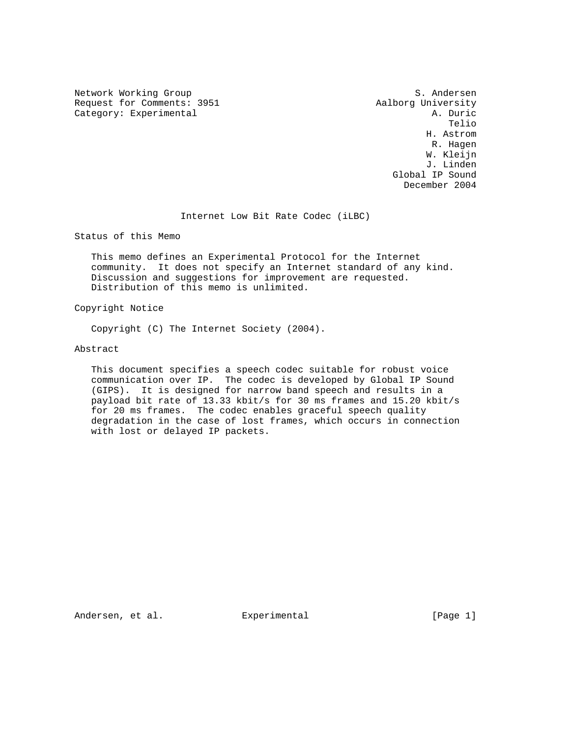Network Working Group S. Andersen Request for Comments: 3951 <br>
Category: Experimental 2009 Aalborg University Category: Experimental 2009

Category: Experimental and a set of the control of the control of the control of the control of the control of the control of the control of the control of the control of the control of the control of the control of the co the contract of the contract of the contract of the contract of the contract of the contract of the contract of the contract of the contract of the contract of the contract of the contract of the contract of the contract o H. Astrom R. Hagen W. Kleijn J. Linden Global IP Sound December 2004

Internet Low Bit Rate Codec (iLBC)

Status of this Memo

 This memo defines an Experimental Protocol for the Internet community. It does not specify an Internet standard of any kind. Discussion and suggestions for improvement are requested. Distribution of this memo is unlimited.

Copyright Notice

Copyright (C) The Internet Society (2004).

Abstract

 This document specifies a speech codec suitable for robust voice communication over IP. The codec is developed by Global IP Sound (GIPS). It is designed for narrow band speech and results in a payload bit rate of 13.33 kbit/s for 30 ms frames and 15.20 kbit/s for 20 ms frames. The codec enables graceful speech quality degradation in the case of lost frames, which occurs in connection with lost or delayed IP packets.

Andersen, et al. Experimental Formula (Page 1)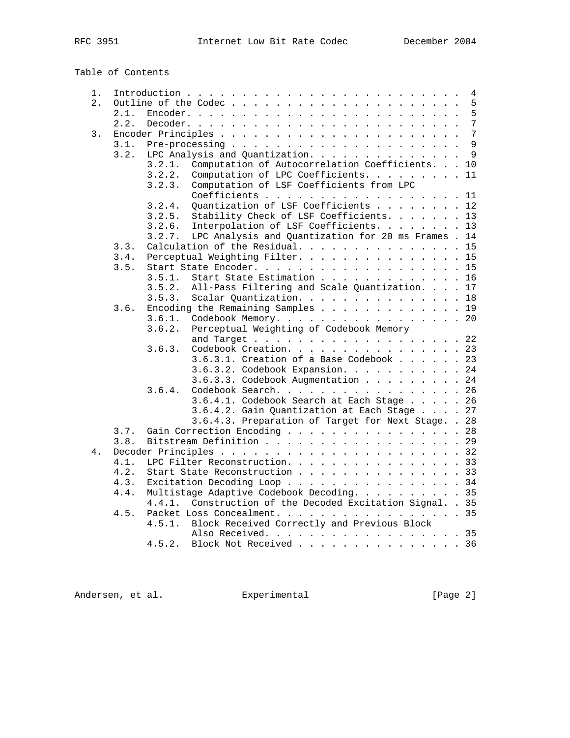Table of Contents

| 1. |      | 4                                                             |
|----|------|---------------------------------------------------------------|
| 2. |      | 5                                                             |
|    | 2.1. | 5                                                             |
|    | 2.2. | 7                                                             |
| 3. |      | 7                                                             |
|    | 3.1. | 9                                                             |
|    | 3.2. | 9<br>LPC Analysis and Quantization.                           |
|    |      | Computation of Autocorrelation Coefficients. 10<br>3.2.1.     |
|    |      | Computation of LPC Coefficients. 11<br>3.2.2.                 |
|    |      | Computation of LSF Coefficients from LPC<br>3.2.3.            |
|    |      | Coefficients<br>11                                            |
|    |      | Quantization of LSF Coefficients 12<br>3.2.4.                 |
|    |      | Stability Check of LSF Coefficients.<br>13<br>3.2.5.          |
|    |      | Interpolation of LSF Coefficients. 13<br>3.2.6.               |
|    |      | LPC Analysis and Quantization for 20 ms Frames . 14<br>3.2.7. |
|    | 3.3. | Calculation of the Residual.<br>15                            |
|    | 3.4. | Perceptual Weighting Filter. 15                               |
|    | 3.5. | Start State Encoder. 15                                       |
|    |      | 3.5.1.<br>Start State Estimation<br>16                        |
|    |      | All-Pass Filtering and Scale Quantization. 17<br>3.5.2.       |
|    |      | Scalar Quantization. 18<br>3.5.3.                             |
|    | 3.6. | Encoding the Remaining Samples $\ldots$ 19                    |
|    |      | Codebook Memory. 20<br>3.6.1.                                 |
|    |      | 3.6.2.<br>Perceptual Weighting of Codebook Memory             |
|    |      | and Target 22                                                 |
|    |      | Codebook Creation. 23<br>3.6.3.                               |
|    |      | 3.6.3.1. Creation of a Base Codebook 23                       |
|    |      | 3.6.3.2. Codebook Expansion. 24                               |
|    |      | 3.6.3.3. Codebook Augmentation 24                             |
|    |      | Codebook Search. 26<br>3.6.4.                                 |
|    |      | 3.6.4.1. Codebook Search at Each Stage 26                     |
|    |      | 3.6.4.2. Gain Quantization at Each Stage 27                   |
|    |      | 3.6.4.3. Preparation of Target for Next Stage. . 28           |
|    | 3.7. | Gain Correction Encoding 28                                   |
|    | 3.8. | Bitstream Definition 29                                       |
| 4. |      |                                                               |
|    | 4.1. | LPC Filter Reconstruction. 33                                 |
|    | 4.2. | Start State Reconstruction 33                                 |
|    | 4.3. | Excitation Decoding Loop 34                                   |
|    | 4.4. | Multistage Adaptive Codebook Decoding. 35                     |
|    |      | Construction of the Decoded Excitation Signal. . 35<br>4.4.1. |
|    | 4.5. | Packet Loss Concealment. 35                                   |
|    |      | Block Received Correctly and Previous Block<br>4.5.1.         |
|    |      | Also Received. 35                                             |
|    |      | Block Not Received 36<br>4.5.2.                               |

Andersen, et al. Experimental [Page 2]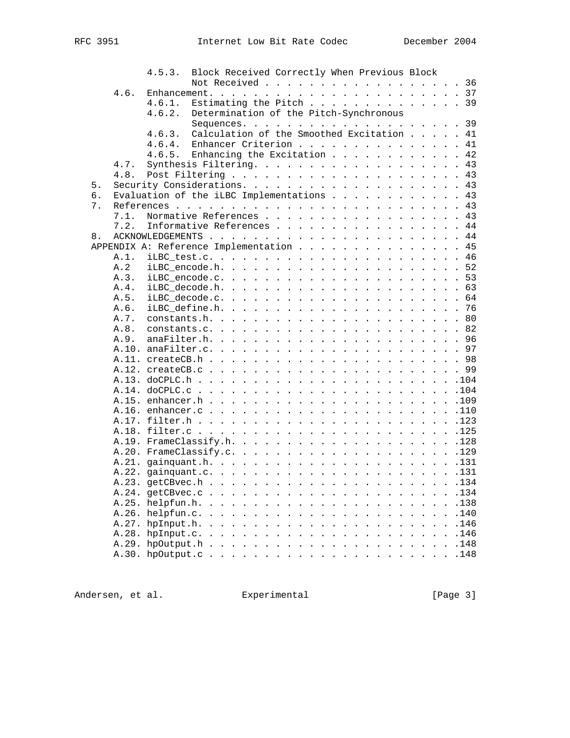|    |      | 4.5.3.<br>Block Received Correctly When Previous Block |    |
|----|------|--------------------------------------------------------|----|
|    |      | Not Received 36                                        |    |
|    | 4.6. |                                                        |    |
|    |      | Estimating the Pitch 39<br>4.6.1.                      |    |
|    |      | Determination of the Pitch-Synchronous<br>4.6.2.       |    |
|    |      |                                                        |    |
|    |      | Calculation of the Smoothed Excitation 41<br>4.6.3.    |    |
|    |      | 4.6.4.<br>Enhancer Criterion 41                        |    |
|    |      | Enhancing the Excitation 42<br>4.6.5.                  |    |
|    | 4.7. | Synthesis Filtering. 43                                |    |
|    | 4.8. |                                                        |    |
| 5. |      |                                                        | 43 |
| б. |      | Evaluation of the iLBC Implementations 43              |    |
| 7. |      |                                                        |    |
|    | 7.1. | Normative References 43                                |    |
|    | 7.2. | Informative References 44                              |    |
| 8. |      |                                                        |    |
|    |      | APPENDIX A: Reference Implementation                   | 45 |
|    | A.1. |                                                        |    |
|    | A.2  |                                                        |    |
|    | A.3. |                                                        |    |
|    | A.4. |                                                        |    |
|    | A.5. |                                                        |    |
|    |      |                                                        | 76 |
|    | A.6. |                                                        |    |
|    | A.7. |                                                        |    |
|    | A.8. |                                                        |    |
|    | A.9. |                                                        |    |
|    |      |                                                        |    |
|    |      |                                                        |    |
|    |      |                                                        |    |
|    |      |                                                        |    |
|    |      |                                                        |    |
|    |      |                                                        |    |
|    |      |                                                        |    |
|    |      |                                                        |    |
|    |      |                                                        |    |
|    |      |                                                        |    |
|    |      |                                                        |    |
|    |      |                                                        |    |
|    |      |                                                        |    |
|    |      |                                                        |    |
|    |      | .134                                                   |    |
|    |      | .138                                                   |    |
|    |      | .140                                                   |    |
|    |      | .146                                                   |    |
|    |      | .146                                                   |    |
|    |      | .148                                                   |    |
|    |      | .148                                                   |    |
|    |      |                                                        |    |

Andersen, et al. Experimental [Page 3]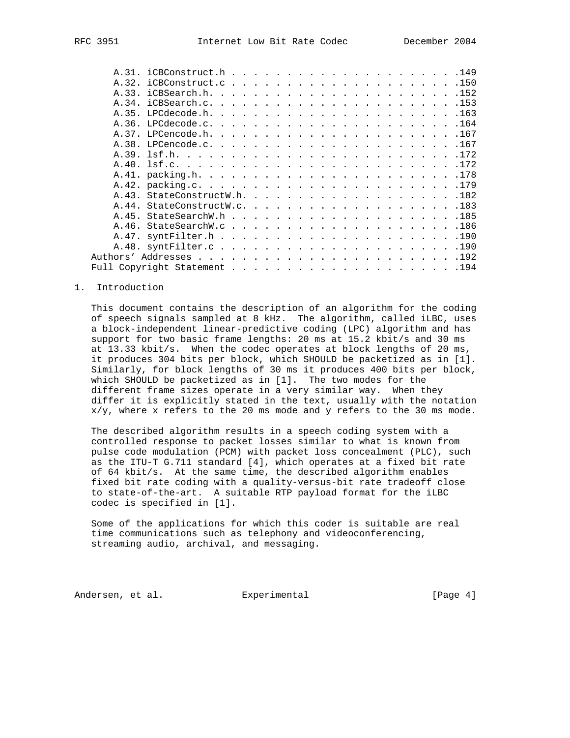#### 1. Introduction

 This document contains the description of an algorithm for the coding of speech signals sampled at 8 kHz. The algorithm, called iLBC, uses a block-independent linear-predictive coding (LPC) algorithm and has support for two basic frame lengths: 20 ms at 15.2 kbit/s and 30 ms at 13.33 kbit/s. When the codec operates at block lengths of 20 ms, it produces 304 bits per block, which SHOULD be packetized as in [1]. Similarly, for block lengths of 30 ms it produces 400 bits per block, which SHOULD be packetized as in [1]. The two modes for the different frame sizes operate in a very similar way. When they differ it is explicitly stated in the text, usually with the notation  $x/y$ , where x refers to the 20 ms mode and y refers to the 30 ms mode.

 The described algorithm results in a speech coding system with a controlled response to packet losses similar to what is known from pulse code modulation (PCM) with packet loss concealment (PLC), such as the ITU-T G.711 standard [4], which operates at a fixed bit rate of 64 kbit/s. At the same time, the described algorithm enables fixed bit rate coding with a quality-versus-bit rate tradeoff close to state-of-the-art. A suitable RTP payload format for the iLBC codec is specified in [1].

 Some of the applications for which this coder is suitable are real time communications such as telephony and videoconferencing, streaming audio, archival, and messaging.

Andersen, et al. Experimental Formula (Page 4)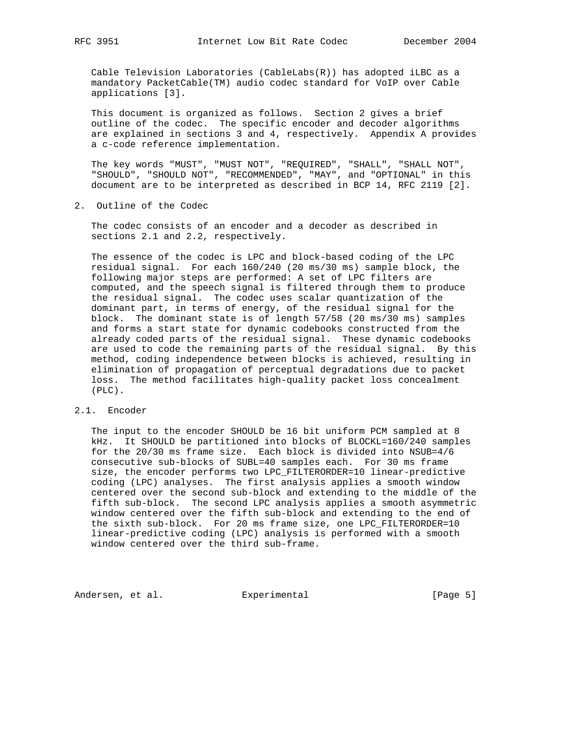Cable Television Laboratories (CableLabs(R)) has adopted iLBC as a mandatory PacketCable(TM) audio codec standard for VoIP over Cable applications [3].

 This document is organized as follows. Section 2 gives a brief outline of the codec. The specific encoder and decoder algorithms are explained in sections 3 and 4, respectively. Appendix A provides a c-code reference implementation.

 The key words "MUST", "MUST NOT", "REQUIRED", "SHALL", "SHALL NOT", "SHOULD", "SHOULD NOT", "RECOMMENDED", "MAY", and "OPTIONAL" in this document are to be interpreted as described in BCP 14, RFC 2119 [2].

2. Outline of the Codec

 The codec consists of an encoder and a decoder as described in sections 2.1 and 2.2, respectively.

 The essence of the codec is LPC and block-based coding of the LPC residual signal. For each 160/240 (20 ms/30 ms) sample block, the following major steps are performed: A set of LPC filters are computed, and the speech signal is filtered through them to produce the residual signal. The codec uses scalar quantization of the dominant part, in terms of energy, of the residual signal for the block. The dominant state is of length 57/58 (20 ms/30 ms) samples and forms a start state for dynamic codebooks constructed from the already coded parts of the residual signal. These dynamic codebooks are used to code the remaining parts of the residual signal. By this method, coding independence between blocks is achieved, resulting in elimination of propagation of perceptual degradations due to packet loss. The method facilitates high-quality packet loss concealment (PLC).

#### 2.1. Encoder

 The input to the encoder SHOULD be 16 bit uniform PCM sampled at 8 kHz. It SHOULD be partitioned into blocks of BLOCKL=160/240 samples for the 20/30 ms frame size. Each block is divided into NSUB=4/6 consecutive sub-blocks of SUBL=40 samples each. For 30 ms frame size, the encoder performs two LPC\_FILTERORDER=10 linear-predictive coding (LPC) analyses. The first analysis applies a smooth window centered over the second sub-block and extending to the middle of the fifth sub-block. The second LPC analysis applies a smooth asymmetric window centered over the fifth sub-block and extending to the end of the sixth sub-block. For 20 ms frame size, one LPC\_FILTERORDER=10 linear-predictive coding (LPC) analysis is performed with a smooth window centered over the third sub-frame.

Andersen, et al. Experimental Formula (Page 5)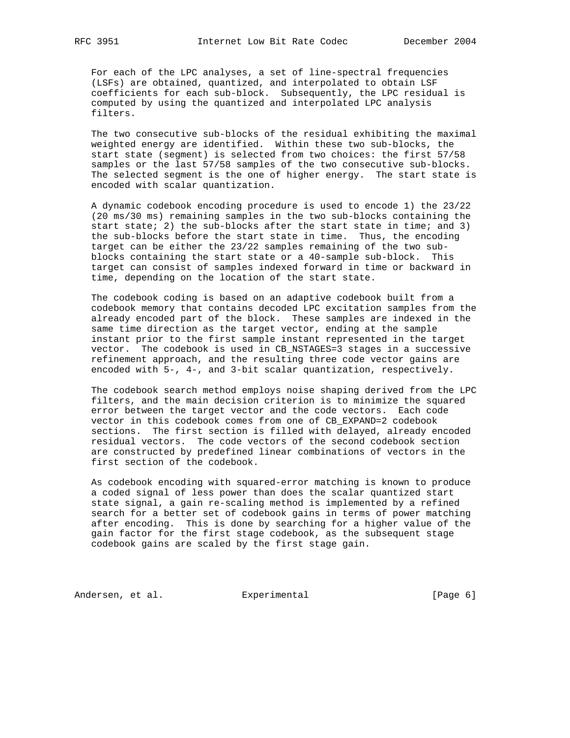For each of the LPC analyses, a set of line-spectral frequencies (LSFs) are obtained, quantized, and interpolated to obtain LSF coefficients for each sub-block. Subsequently, the LPC residual is computed by using the quantized and interpolated LPC analysis filters.

 The two consecutive sub-blocks of the residual exhibiting the maximal weighted energy are identified. Within these two sub-blocks, the start state (segment) is selected from two choices: the first 57/58 samples or the last 57/58 samples of the two consecutive sub-blocks. The selected segment is the one of higher energy. The start state is encoded with scalar quantization.

 A dynamic codebook encoding procedure is used to encode 1) the 23/22 (20 ms/30 ms) remaining samples in the two sub-blocks containing the start state; 2) the sub-blocks after the start state in time; and 3) the sub-blocks before the start state in time. Thus, the encoding target can be either the 23/22 samples remaining of the two sub blocks containing the start state or a 40-sample sub-block. This target can consist of samples indexed forward in time or backward in time, depending on the location of the start state.

 The codebook coding is based on an adaptive codebook built from a codebook memory that contains decoded LPC excitation samples from the already encoded part of the block. These samples are indexed in the same time direction as the target vector, ending at the sample instant prior to the first sample instant represented in the target vector. The codebook is used in CB\_NSTAGES=3 stages in a successive refinement approach, and the resulting three code vector gains are encoded with 5-, 4-, and 3-bit scalar quantization, respectively.

 The codebook search method employs noise shaping derived from the LPC filters, and the main decision criterion is to minimize the squared error between the target vector and the code vectors. Each code vector in this codebook comes from one of CB\_EXPAND=2 codebook sections. The first section is filled with delayed, already encoded residual vectors. The code vectors of the second codebook section are constructed by predefined linear combinations of vectors in the first section of the codebook.

 As codebook encoding with squared-error matching is known to produce a coded signal of less power than does the scalar quantized start state signal, a gain re-scaling method is implemented by a refined search for a better set of codebook gains in terms of power matching after encoding. This is done by searching for a higher value of the gain factor for the first stage codebook, as the subsequent stage codebook gains are scaled by the first stage gain.

Andersen, et al. Experimental Formula (Page 6)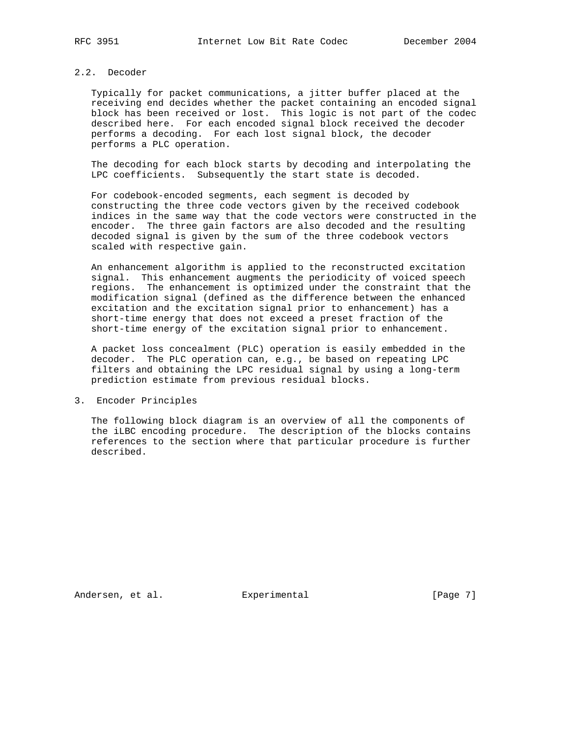# 2.2. Decoder

 Typically for packet communications, a jitter buffer placed at the receiving end decides whether the packet containing an encoded signal block has been received or lost. This logic is not part of the codec described here. For each encoded signal block received the decoder performs a decoding. For each lost signal block, the decoder performs a PLC operation.

 The decoding for each block starts by decoding and interpolating the LPC coefficients. Subsequently the start state is decoded.

 For codebook-encoded segments, each segment is decoded by constructing the three code vectors given by the received codebook indices in the same way that the code vectors were constructed in the encoder. The three gain factors are also decoded and the resulting decoded signal is given by the sum of the three codebook vectors scaled with respective gain.

 An enhancement algorithm is applied to the reconstructed excitation signal. This enhancement augments the periodicity of voiced speech regions. The enhancement is optimized under the constraint that the modification signal (defined as the difference between the enhanced excitation and the excitation signal prior to enhancement) has a short-time energy that does not exceed a preset fraction of the short-time energy of the excitation signal prior to enhancement.

 A packet loss concealment (PLC) operation is easily embedded in the decoder. The PLC operation can, e.g., be based on repeating LPC filters and obtaining the LPC residual signal by using a long-term prediction estimate from previous residual blocks.

# 3. Encoder Principles

 The following block diagram is an overview of all the components of the iLBC encoding procedure. The description of the blocks contains references to the section where that particular procedure is further described.

Andersen, et al. Experimental Formula (Page 7)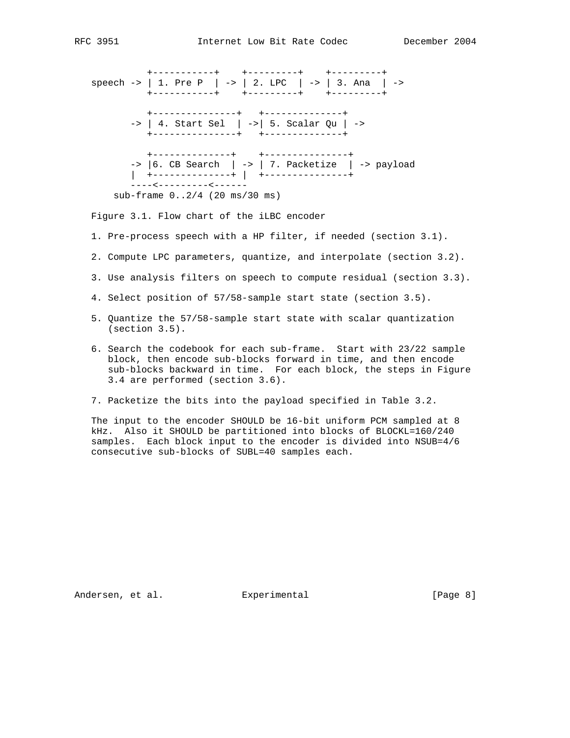```
 +-----------+ +---------+ +---------+
 speech -> | 1. Pre P | -> | 2. LPC | -> | 3. Ana | ->
           +-----------+ +---------+ +---------+
          +---------------+ +--------------+
        -> | 4. Start Sel | ->| 5. Scalar Qu | ->
          +---------------+ +--------------+
           +--------------+ +---------------+
       \Rightarrow |6. CB Search | \rightarrow | 7. Packetize | \rightarrow payload
        | +--------------+ | +---------------+
          ----<---------<------
     sub-frame 0..2/4 (20 ms/30 ms)
```
Figure 3.1. Flow chart of the iLBC encoder

- 1. Pre-process speech with a HP filter, if needed (section 3.1).
- 2. Compute LPC parameters, quantize, and interpolate (section 3.2).
- 3. Use analysis filters on speech to compute residual (section 3.3).
- 4. Select position of 57/58-sample start state (section 3.5).
- 5. Quantize the 57/58-sample start state with scalar quantization (section 3.5).
- 6. Search the codebook for each sub-frame. Start with 23/22 sample block, then encode sub-blocks forward in time, and then encode sub-blocks backward in time. For each block, the steps in Figure 3.4 are performed (section 3.6).
- 7. Packetize the bits into the payload specified in Table 3.2.

 The input to the encoder SHOULD be 16-bit uniform PCM sampled at 8 kHz. Also it SHOULD be partitioned into blocks of BLOCKL=160/240 samples. Each block input to the encoder is divided into NSUB=4/6 consecutive sub-blocks of SUBL=40 samples each.

Andersen, et al. Experimental [Page 8]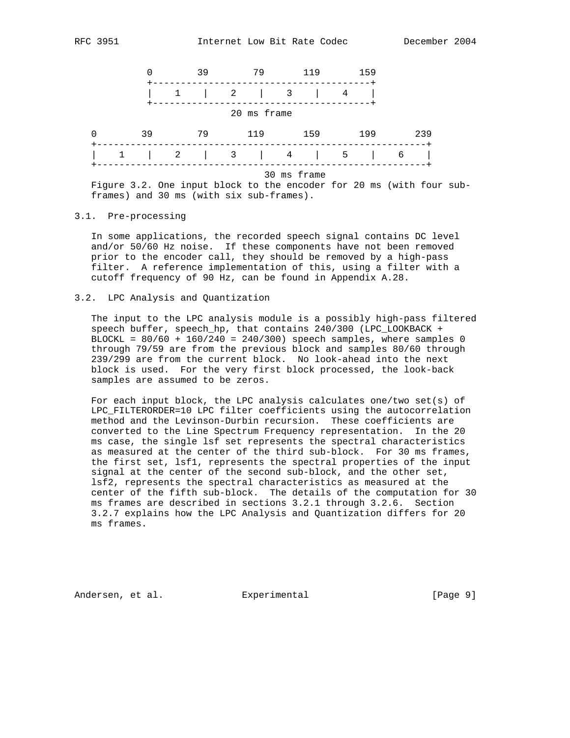

 Figure 3.2. One input block to the encoder for 20 ms (with four sub frames) and 30 ms (with six sub-frames).

# 3.1. Pre-processing

 In some applications, the recorded speech signal contains DC level and/or 50/60 Hz noise. If these components have not been removed prior to the encoder call, they should be removed by a high-pass filter. A reference implementation of this, using a filter with a cutoff frequency of 90 Hz, can be found in Appendix A.28.

#### 3.2. LPC Analysis and Quantization

 The input to the LPC analysis module is a possibly high-pass filtered speech buffer, speech\_hp, that contains 240/300 (LPC\_LOOKBACK + BLOCKL =  $80/60 + 160/240 = 240/300$  speech samples, where samples 0 through 79/59 are from the previous block and samples 80/60 through 239/299 are from the current block. No look-ahead into the next block is used. For the very first block processed, the look-back samples are assumed to be zeros.

 For each input block, the LPC analysis calculates one/two set(s) of LPC FILTERORDER=10 LPC filter coefficients using the autocorrelation method and the Levinson-Durbin recursion. These coefficients are converted to the Line Spectrum Frequency representation. In the 20 ms case, the single lsf set represents the spectral characteristics as measured at the center of the third sub-block. For 30 ms frames, the first set, lsf1, represents the spectral properties of the input signal at the center of the second sub-block, and the other set, lsf2, represents the spectral characteristics as measured at the center of the fifth sub-block. The details of the computation for 30 ms frames are described in sections 3.2.1 through 3.2.6. Section 3.2.7 explains how the LPC Analysis and Quantization differs for 20 ms frames.

Andersen, et al. Experimental Formula (Page 9)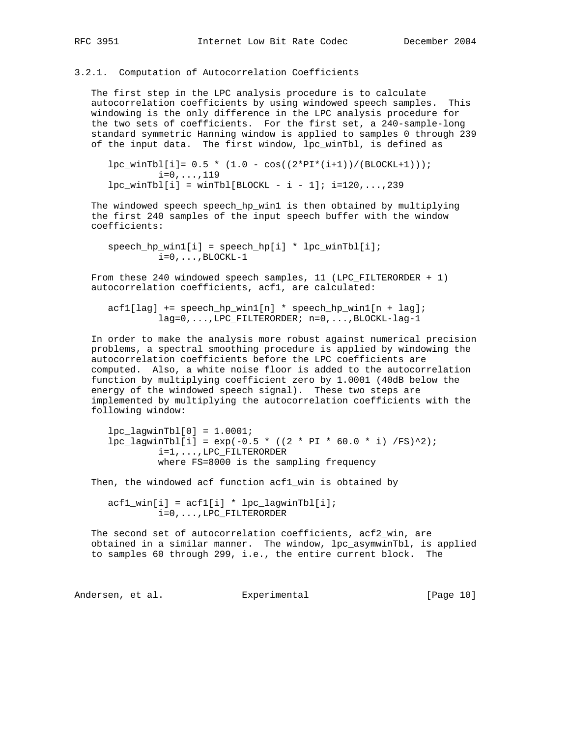# 3.2.1. Computation of Autocorrelation Coefficients

 The first step in the LPC analysis procedure is to calculate autocorrelation coefficients by using windowed speech samples. This windowing is the only difference in the LPC analysis procedure for the two sets of coefficients. For the first set, a 240-sample-long standard symmetric Hanning window is applied to samples 0 through 239 of the input data. The first window, lpc\_winTbl, is defined as

 $lpc_winTbl[i]= 0.5 * (1.0 - cos((2*PI*(i+1))/(BLOCKL+1)));$  $i=0, \ldots, 119$  $lpc\_winTbl[i] = winTbl[BLOCKL - i - 1]; i=120,...,239$ 

The windowed speech speech hp\_win1 is then obtained by multiplying the first 240 samples of the input speech buffer with the window coefficients:

 $speech_hp_win1[i] = speech_hp[i] * lpc_winTbl[i];$  $i=0$ ,  $\dots$ , BLOCKL-1

 From these 240 windowed speech samples, 11 (LPC\_FILTERORDER + 1) autocorrelation coefficients, acf1, are calculated:

 acf1[lag] += speech\_hp\_win1[n] \* speech\_hp\_win1[n + lag]; lag=0,...,LPC\_FILTERORDER; n=0,...,BLOCKL-lag-1

 In order to make the analysis more robust against numerical precision problems, a spectral smoothing procedure is applied by windowing the autocorrelation coefficients before the LPC coefficients are computed. Also, a white noise floor is added to the autocorrelation function by multiplying coefficient zero by 1.0001 (40dB below the energy of the windowed speech signal). These two steps are implemented by multiplying the autocorrelation coefficients with the following window:

 $lpc_lagwinTbl[0] = 1.0001;$  $lpc_lagwinTbl[i] = exp(-0.5 * ((2 * PI * 60.0 * i) /FS)^2);$  i=1,...,LPC\_FILTERORDER where FS=8000 is the sampling frequency

Then, the windowed acf function acf1\_win is obtained by

 $\text{acf1\_win[i]} = \text{acf1[i]} * \text{lpc_lagwinTbl[i]};$ i=0,...,LPC\_FILTERORDER

The second set of autocorrelation coefficients, acf2\_win, are obtained in a similar manner. The window, lpc\_asymwinTbl, is applied to samples 60 through 299, i.e., the entire current block. The

Andersen, et al. Experimental [Page 10]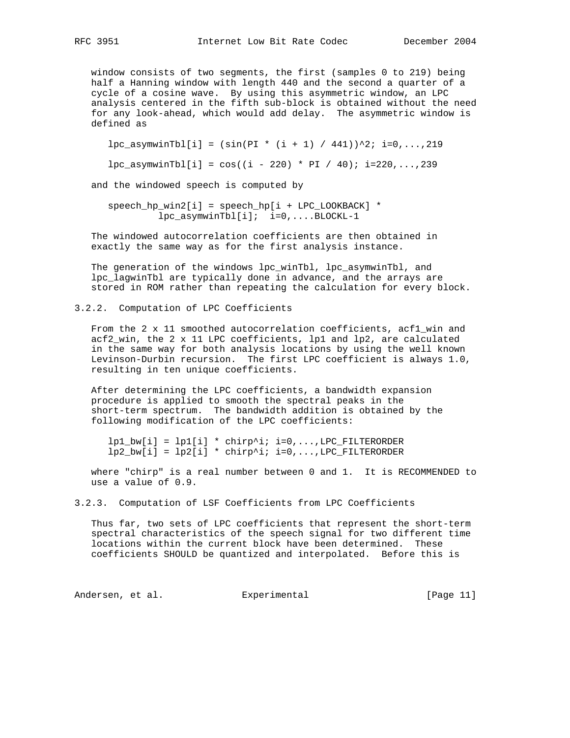window consists of two segments, the first (samples 0 to 219) being half a Hanning window with length 440 and the second a quarter of a cycle of a cosine wave. By using this asymmetric window, an LPC analysis centered in the fifth sub-block is obtained without the need for any look-ahead, which would add delay. The asymmetric window is defined as

 $lpc\_asymwinTbl[i] = (sin(PI * (i + 1) / 441))^2$ ; i=0,...,219

 $lpc_1s_2 = \cos((i - 220) * PI / 40)$ ; i=220,..., 239

and the windowed speech is computed by

 speech\_hp\_win2[i] = speech\_hp[i + LPC\_LOOKBACK] \* lpc\_asymwinTbl[i]; i=0,....BLOCKL-1

 The windowed autocorrelation coefficients are then obtained in exactly the same way as for the first analysis instance.

 The generation of the windows lpc\_winTbl, lpc\_asymwinTbl, and lpc\_lagwinTbl are typically done in advance, and the arrays are stored in ROM rather than repeating the calculation for every block.

3.2.2. Computation of LPC Coefficients

From the 2 x 11 smoothed autocorrelation coefficients, acfl\_win and acf2\_win, the 2 x 11 LPC coefficients, lp1 and lp2, are calculated in the same way for both analysis locations by using the well known Levinson-Durbin recursion. The first LPC coefficient is always 1.0, resulting in ten unique coefficients.

 After determining the LPC coefficients, a bandwidth expansion procedure is applied to smooth the spectral peaks in the short-term spectrum. The bandwidth addition is obtained by the following modification of the LPC coefficients:

 $lp1_bw[i] = lp1[i] * chirp'i:i=0,...,LPC_FILTERORDER$  $lp2_bw[i] = lp2[i] * chirp'i; i=0,...,LPC_FILTERORDER$ 

 where "chirp" is a real number between 0 and 1. It is RECOMMENDED to use a value of 0.9.

3.2.3. Computation of LSF Coefficients from LPC Coefficients

 Thus far, two sets of LPC coefficients that represent the short-term spectral characteristics of the speech signal for two different time locations within the current block have been determined. These coefficients SHOULD be quantized and interpolated. Before this is

Andersen, et al. Experimental [Page 11]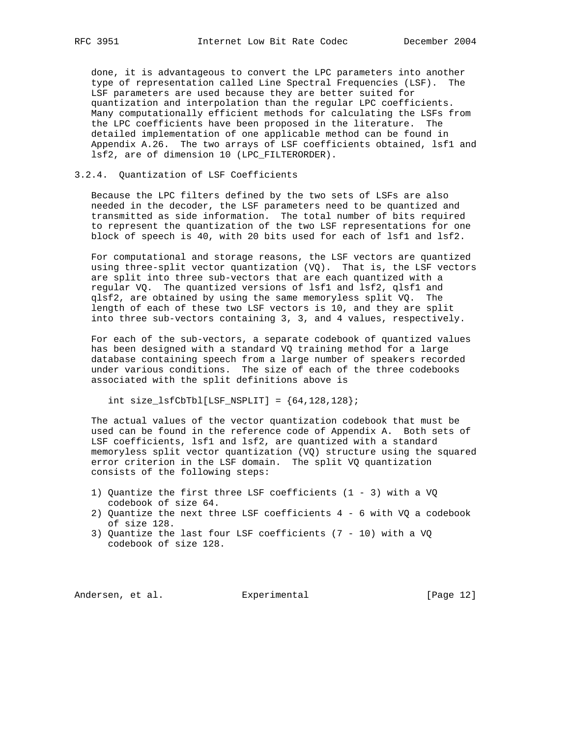done, it is advantageous to convert the LPC parameters into another type of representation called Line Spectral Frequencies (LSF). The LSF parameters are used because they are better suited for quantization and interpolation than the regular LPC coefficients. Many computationally efficient methods for calculating the LSFs from the LPC coefficients have been proposed in the literature. The detailed implementation of one applicable method can be found in Appendix A.26. The two arrays of LSF coefficients obtained, lsf1 and lsf2, are of dimension 10 (LPC\_FILTERORDER).

#### 3.2.4. Quantization of LSF Coefficients

 Because the LPC filters defined by the two sets of LSFs are also needed in the decoder, the LSF parameters need to be quantized and transmitted as side information. The total number of bits required to represent the quantization of the two LSF representations for one block of speech is 40, with 20 bits used for each of lsf1 and lsf2.

 For computational and storage reasons, the LSF vectors are quantized using three-split vector quantization (VQ). That is, the LSF vectors are split into three sub-vectors that are each quantized with a regular VQ. The quantized versions of lsf1 and lsf2, qlsf1 and qlsf2, are obtained by using the same memoryless split VQ. The length of each of these two LSF vectors is 10, and they are split into three sub-vectors containing 3, 3, and 4 values, respectively.

 For each of the sub-vectors, a separate codebook of quantized values has been designed with a standard VQ training method for a large database containing speech from a large number of speakers recorded under various conditions. The size of each of the three codebooks associated with the split definitions above is

int size\_lsfCbTbl[LSF\_NSPLIT] =  ${64, 128, 128}$ ;

 The actual values of the vector quantization codebook that must be used can be found in the reference code of Appendix A. Both sets of LSF coefficients, lsf1 and lsf2, are quantized with a standard memoryless split vector quantization (VQ) structure using the squared error criterion in the LSF domain. The split VQ quantization consists of the following steps:

- 1) Quantize the first three LSF coefficients (1 3) with a VQ codebook of size 64.
- 2) Quantize the next three LSF coefficients 4 6 with VQ a codebook of size 128.
- 3) Quantize the last four LSF coefficients (7 10) with a VQ codebook of size 128.

Andersen, et al. Experimental [Page 12]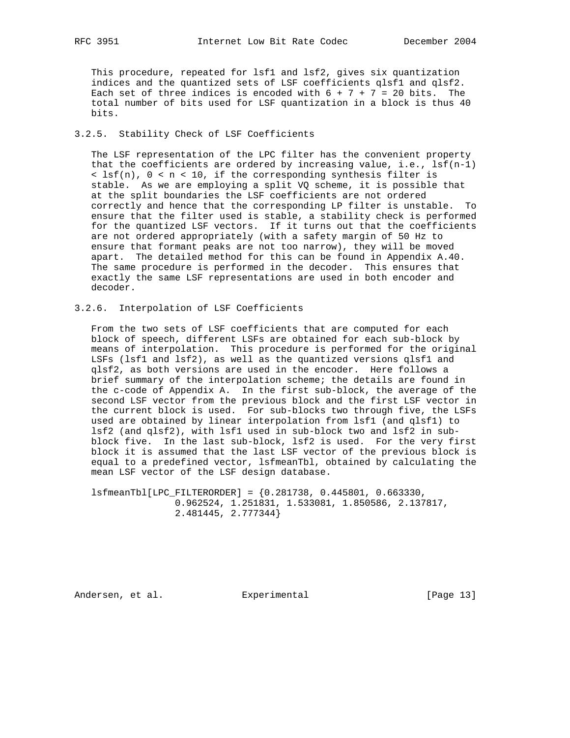This procedure, repeated for lsf1 and lsf2, gives six quantization indices and the quantized sets of LSF coefficients qlsf1 and qlsf2. Each set of three indices is encoded with  $6 + 7 + 7 = 20$  bits. The total number of bits used for LSF quantization in a block is thus 40 bits.

### 3.2.5. Stability Check of LSF Coefficients

 The LSF representation of the LPC filter has the convenient property that the coefficients are ordered by increasing value, i.e.,  $lsf(n-1)$  < lsf(n), 0 < n < 10, if the corresponding synthesis filter is stable. As we are employing a split VQ scheme, it is possible that at the split boundaries the LSF coefficients are not ordered correctly and hence that the corresponding LP filter is unstable. To ensure that the filter used is stable, a stability check is performed for the quantized LSF vectors. If it turns out that the coefficients are not ordered appropriately (with a safety margin of 50 Hz to ensure that formant peaks are not too narrow), they will be moved apart. The detailed method for this can be found in Appendix A.40. The same procedure is performed in the decoder. This ensures that exactly the same LSF representations are used in both encoder and decoder.

#### 3.2.6. Interpolation of LSF Coefficients

 From the two sets of LSF coefficients that are computed for each block of speech, different LSFs are obtained for each sub-block by means of interpolation. This procedure is performed for the original LSFs (lsf1 and lsf2), as well as the quantized versions qlsf1 and qlsf2, as both versions are used in the encoder. Here follows a brief summary of the interpolation scheme; the details are found in the c-code of Appendix A. In the first sub-block, the average of the second LSF vector from the previous block and the first LSF vector in the current block is used. For sub-blocks two through five, the LSFs used are obtained by linear interpolation from lsf1 (and qlsf1) to lsf2 (and qlsf2), with lsf1 used in sub-block two and lsf2 in sub block five. In the last sub-block, lsf2 is used. For the very first block it is assumed that the last LSF vector of the previous block is equal to a predefined vector, lsfmeanTbl, obtained by calculating the mean LSF vector of the LSF design database.

 lsfmeanTbl[LPC\_FILTERORDER] = {0.281738, 0.445801, 0.663330, 0.962524, 1.251831, 1.533081, 1.850586, 2.137817, 2.481445, 2.777344}

Andersen, et al. Experimental [Page 13]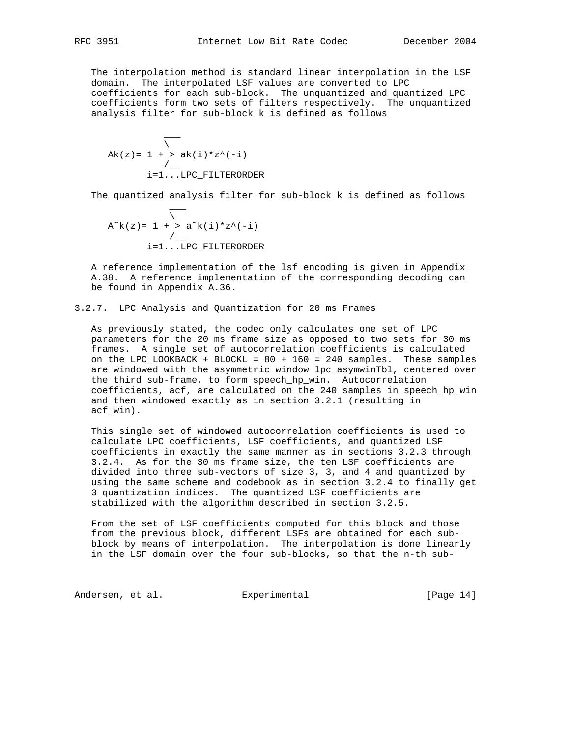The interpolation method is standard linear interpolation in the LSF domain. The interpolated LSF values are converted to LPC coefficients for each sub-block. The unquantized and quantized LPC coefficients form two sets of filters respectively. The unquantized analysis filter for sub-block k is defined as follows

 $\sim$   $\sim$   $\sim$   $\sim$   $\sim$   $\sim$  $\mathcal{N}$  and  $\mathcal{N}$  and  $\mathcal{N}$  $Ak(z) = 1 + > ak(i)*z^(-i)$  /\_\_ i=1...LPC\_FILTERORDER

The quantized analysis filter for sub-block k is defined as follows

$$
\overline{A^k}(z) = 1 + > a^k(i) * z^(-i)
$$
  
 
$$
i = 1 ... LPC_FILTERORDER
$$

 A reference implementation of the lsf encoding is given in Appendix A.38. A reference implementation of the corresponding decoding can be found in Appendix A.36.

3.2.7. LPC Analysis and Quantization for 20 ms Frames

 As previously stated, the codec only calculates one set of LPC parameters for the 20 ms frame size as opposed to two sets for 30 ms frames. A single set of autocorrelation coefficients is calculated on the LPC\_LOOKBACK + BLOCKL = 80 + 160 = 240 samples. These samples are windowed with the asymmetric window lpc\_asymwinTbl, centered over the third sub-frame, to form speech\_hp\_win. Autocorrelation coefficients, acf, are calculated on the 240 samples in speech\_hp\_win and then windowed exactly as in section 3.2.1 (resulting in acf\_win).

 This single set of windowed autocorrelation coefficients is used to calculate LPC coefficients, LSF coefficients, and quantized LSF coefficients in exactly the same manner as in sections 3.2.3 through 3.2.4. As for the 30 ms frame size, the ten LSF coefficients are divided into three sub-vectors of size 3, 3, and 4 and quantized by using the same scheme and codebook as in section 3.2.4 to finally get 3 quantization indices. The quantized LSF coefficients are stabilized with the algorithm described in section 3.2.5.

 From the set of LSF coefficients computed for this block and those from the previous block, different LSFs are obtained for each sub block by means of interpolation. The interpolation is done linearly in the LSF domain over the four sub-blocks, so that the n-th sub-

Andersen, et al. Experimental Formula (Page 14)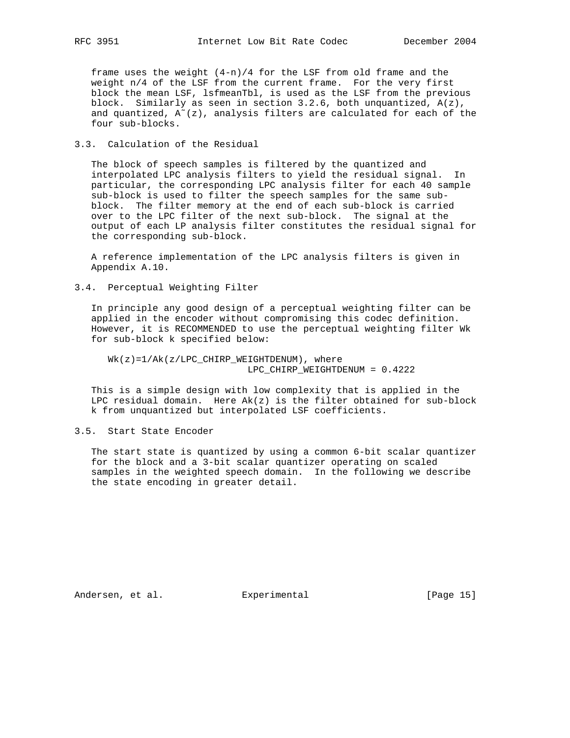frame uses the weight (4-n)/4 for the LSF from old frame and the weight n/4 of the LSF from the current frame. For the very first block the mean LSF, lsfmeanTbl, is used as the LSF from the previous block. Similarly as seen in section 3.2.6, both unquantized, A(z), and quantized,  $A^{\sim}(z)$ , analysis filters are calculated for each of the four sub-blocks.

#### 3.3. Calculation of the Residual

 The block of speech samples is filtered by the quantized and interpolated LPC analysis filters to yield the residual signal. In particular, the corresponding LPC analysis filter for each 40 sample sub-block is used to filter the speech samples for the same sub block. The filter memory at the end of each sub-block is carried over to the LPC filter of the next sub-block. The signal at the output of each LP analysis filter constitutes the residual signal for the corresponding sub-block.

 A reference implementation of the LPC analysis filters is given in Appendix A.10.

# 3.4. Perceptual Weighting Filter

 In principle any good design of a perceptual weighting filter can be applied in the encoder without compromising this codec definition. However, it is RECOMMENDED to use the perceptual weighting filter Wk for sub-block k specified below:

 Wk(z)=1/Ak(z/LPC\_CHIRP\_WEIGHTDENUM), where LPC\_CHIRP\_WEIGHTDENUM = 0.4222

 This is a simple design with low complexity that is applied in the LPC residual domain. Here  $Ak(z)$  is the filter obtained for sub-block k from unquantized but interpolated LSF coefficients.

### 3.5. Start State Encoder

 The start state is quantized by using a common 6-bit scalar quantizer for the block and a 3-bit scalar quantizer operating on scaled samples in the weighted speech domain. In the following we describe the state encoding in greater detail.

Andersen, et al. Experimental Formula (Page 15)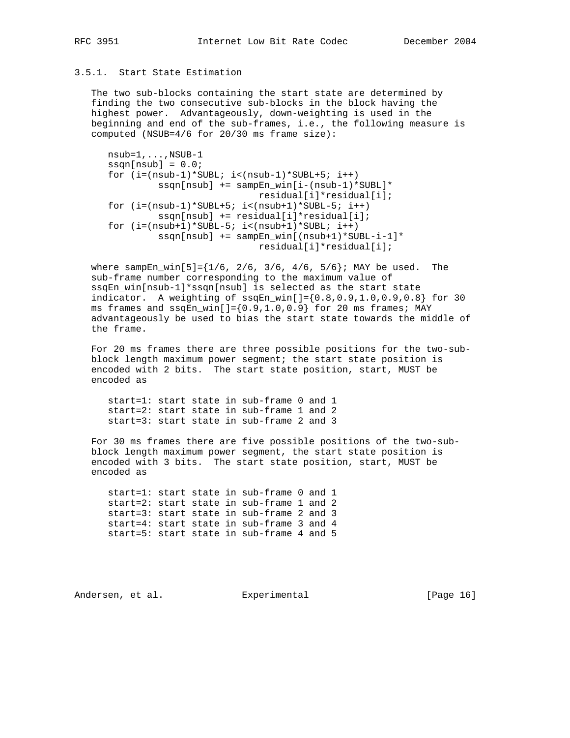# 3.5.1. Start State Estimation

 The two sub-blocks containing the start state are determined by finding the two consecutive sub-blocks in the block having the highest power. Advantageously, down-weighting is used in the beginning and end of the sub-frames, i.e., the following measure is computed (NSUB=4/6 for 20/30 ms frame size):

```
 nsub=1,...,NSUB-1
ssqn[nsub] = 0.0;for (i=(nsub-1)*SUBL; i<(nsub-1)*SUBL+5; i++) ssqn[nsub] += sampEn_win[i-(nsub-1)*SUBL]*
                           residual[i]*residual[i];
for (i=(nsub-1)*SUBL+5; i<(nsub+1)*SUBL-5; i++) ssqn[nsub] += residual[i]*residual[i];
for (i=(nsub+1)*SUBL-5; i<(nsub+1)*SUBL; i++) ssqn[nsub] += sampEn_win[(nsub+1)*SUBL-i-1]*
                           residual[i]*residual[i];
```
where sampEn\_win[5]= $\{1/6, 2/6, 3/6, 4/6, 5/6\}$ ; MAY be used. The sub-frame number corresponding to the maximum value of ssqEn\_win[nsub-1]\*ssqn[nsub] is selected as the start state indicator. A weighting of  $\text{ssqEn\_win}[\ ] = \{0.8, 0.9, 1.0, 0.9, 0.8\}$  for 30 ms frames and  $\text{ssqEn\_win}[] = \{0.9, 1.0, 0.9\}$  for 20 ms frames; MAY advantageously be used to bias the start state towards the middle of the frame.

 For 20 ms frames there are three possible positions for the two-sub block length maximum power segment; the start state position is encoded with 2 bits. The start state position, start, MUST be encoded as

 start=1: start state in sub-frame 0 and 1 start=2: start state in sub-frame 1 and 2 start=3: start state in sub-frame 2 and 3

 For 30 ms frames there are five possible positions of the two-sub block length maximum power segment, the start state position is encoded with 3 bits. The start state position, start, MUST be encoded as

 start=1: start state in sub-frame 0 and 1 start=2: start state in sub-frame 1 and 2 start=3: start state in sub-frame 2 and 3 start=4: start state in sub-frame 3 and 4 start=5: start state in sub-frame 4 and 5

Andersen, et al. Experimental Formula (Page 16)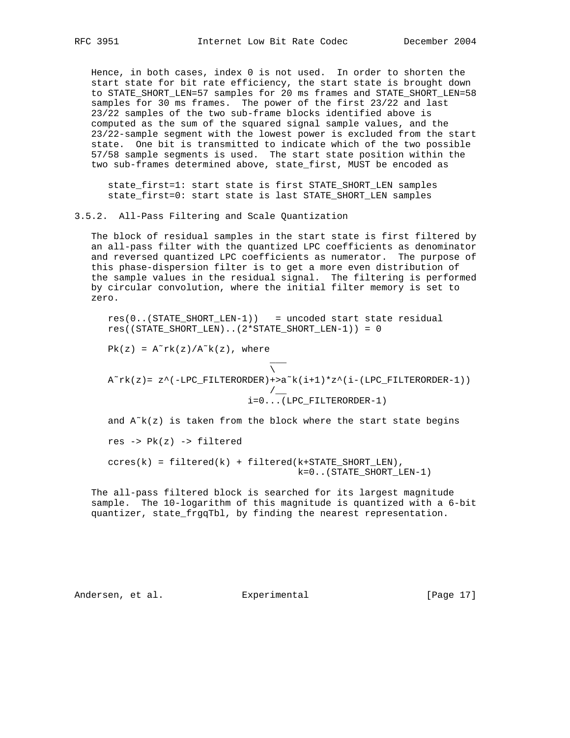Hence, in both cases, index 0 is not used. In order to shorten the start state for bit rate efficiency, the start state is brought down to STATE\_SHORT\_LEN=57 samples for 20 ms frames and STATE\_SHORT\_LEN=58 samples for 30 ms frames. The power of the first 23/22 and last 23/22 samples of the two sub-frame blocks identified above is computed as the sum of the squared signal sample values, and the 23/22-sample segment with the lowest power is excluded from the start state. One bit is transmitted to indicate which of the two possible 57/58 sample segments is used. The start state position within the two sub-frames determined above, state\_first, MUST be encoded as

 state\_first=1: start state is first STATE\_SHORT\_LEN samples state\_first=0: start state is last STATE\_SHORT\_LEN samples

3.5.2. All-Pass Filtering and Scale Quantization

 The block of residual samples in the start state is first filtered by an all-pass filter with the quantized LPC coefficients as denominator and reversed quantized LPC coefficients as numerator. The purpose of this phase-dispersion filter is to get a more even distribution of the sample values in the residual signal. The filtering is performed by circular convolution, where the initial filter memory is set to zero.

 res(0..(STATE\_SHORT\_LEN-1)) = uncoded start state residual res((STATE\_SHORT\_LEN)..(2\*STATE\_SHORT\_LEN-1)) = 0

 $Pk(z) = A^rrk(z)/A^rk(z)$ , where

\_\_\_

 $\mathcal{N}$  and the contract of  $\mathcal{N}$  $A^r$ rk(z)= z^(-LPC\_FILTERORDER)+>a<sup>~</sup>k(i+1)\*z^(i-(LPC\_FILTERORDER-1)) /\_\_ i=0...(LPC\_FILTERORDER-1)

and  $A^k(x)$  is taken from the block where the start state begins res -> Pk(z) -> filtered

 $ccres(k) = filtered(k) + filtered(k+STATE\_SHORT_LEN),$ k=0..(STATE\_SHORT\_LEN-1)

 The all-pass filtered block is searched for its largest magnitude sample. The 10-logarithm of this magnitude is quantized with a 6-bit quantizer, state\_frgqTbl, by finding the nearest representation.

Andersen, et al. Experimental Formula (Page 17)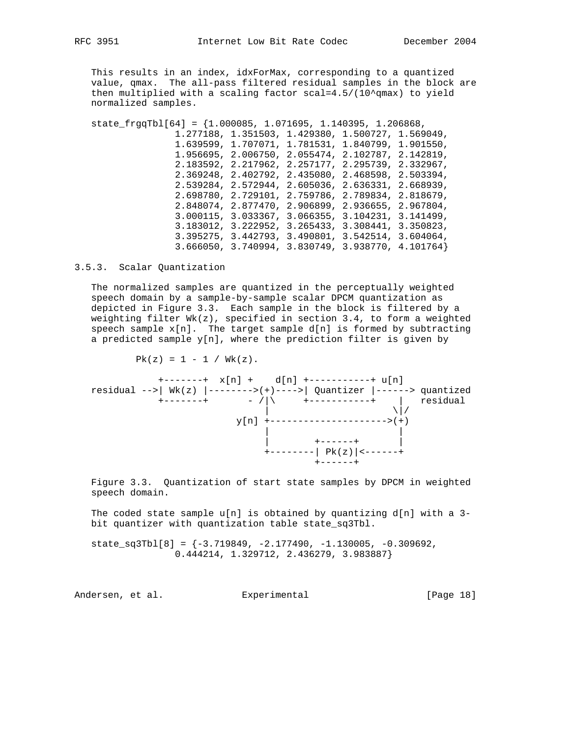This results in an index, idxForMax, corresponding to a quantized value, qmax. The all-pass filtered residual samples in the block are then multiplied with a scaling factor  $scal=4.5/(10^{\circ}qmax)$  to yield normalized samples.

 state\_frgqTbl[64] = {1.000085, 1.071695, 1.140395, 1.206868, 1.277188, 1.351503, 1.429380, 1.500727, 1.569049, 1.639599, 1.707071, 1.781531, 1.840799, 1.901550, 1.956695, 2.006750, 2.055474, 2.102787, 2.142819, 2.183592, 2.217962, 2.257177, 2.295739, 2.332967, 2.369248, 2.402792, 2.435080, 2.468598, 2.503394, 2.539284, 2.572944, 2.605036, 2.636331, 2.668939, 2.698780, 2.729101, 2.759786, 2.789834, 2.818679, 2.848074, 2.877470, 2.906899, 2.936655, 2.967804, 3.000115, 3.033367, 3.066355, 3.104231, 3.141499, 3.183012, 3.222952, 3.265433, 3.308441, 3.350823, 3.395275, 3.442793, 3.490801, 3.542514, 3.604064, 3.666050, 3.740994, 3.830749, 3.938770, 4.101764}

3.5.3. Scalar Quantization

 The normalized samples are quantized in the perceptually weighted speech domain by a sample-by-sample scalar DPCM quantization as depicted in Figure 3.3. Each sample in the block is filtered by a weighting filter Wk(z), specified in section 3.4, to form a weighted speech sample  $x[n]$ . The target sample  $d[n]$  is formed by subtracting a predicted sample  $y[n]$ , where the prediction filter is given by

 $Pk(z) = 1 - 1 / Wk(z)$ .

 +-------+ x[n] + d[n] +-----------+ u[n] residual -->| Wk(z)  $|$ -------->(+)---->| Quantizer  $|$ ------> quantized +-------+ - /|\ +-----------+ | residual  $\|$  $y[n]$  +--------------------->(+) | | | +------+ | +--------| Pk(z)|<------+ +------+

 Figure 3.3. Quantization of start state samples by DPCM in weighted speech domain.

The coded state sample  $u[n]$  is obtained by quantizing d[n] with a 3bit quantizer with quantization table state\_sq3Tbl.

state\_sq3Tbl[8] =  $\{-3.719849, -2.177490, -1.130005, -0.309692,$ 0.444214, 1.329712, 2.436279, 3.983887}

Andersen, et al. Experimental [Page 18]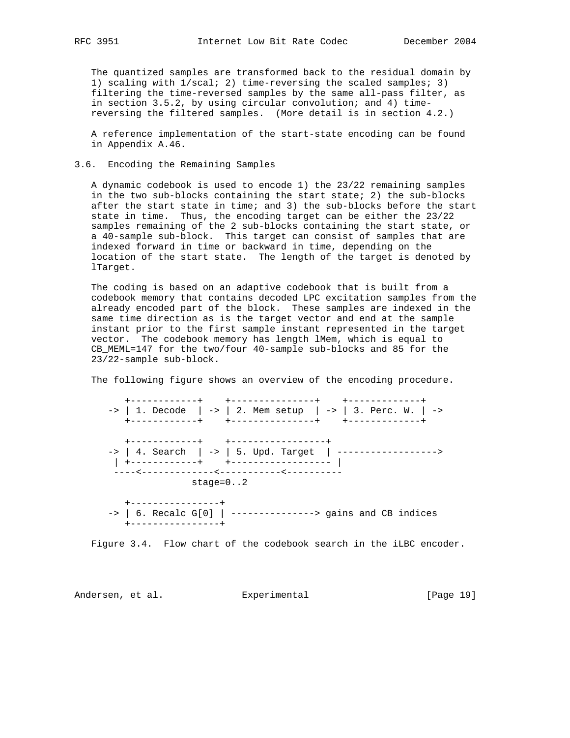The quantized samples are transformed back to the residual domain by 1) scaling with 1/scal; 2) time-reversing the scaled samples; 3) filtering the time-reversed samples by the same all-pass filter, as in section 3.5.2, by using circular convolution; and 4) time reversing the filtered samples. (More detail is in section 4.2.)

 A reference implementation of the start-state encoding can be found in Appendix A.46.

# 3.6. Encoding the Remaining Samples

 A dynamic codebook is used to encode 1) the 23/22 remaining samples in the two sub-blocks containing the start state; 2) the sub-blocks after the start state in time; and 3) the sub-blocks before the start state in time. Thus, the encoding target can be either the 23/22 samples remaining of the 2 sub-blocks containing the start state, or a 40-sample sub-block. This target can consist of samples that are indexed forward in time or backward in time, depending on the location of the start state. The length of the target is denoted by lTarget.

 The coding is based on an adaptive codebook that is built from a codebook memory that contains decoded LPC excitation samples from the already encoded part of the block. These samples are indexed in the same time direction as is the target vector and end at the sample instant prior to the first sample instant represented in the target vector. The codebook memory has length lMem, which is equal to CB\_MEML=147 for the two/four 40-sample sub-blocks and 85 for the 23/22-sample sub-block.

The following figure shows an overview of the encoding procedure.

 +------------+ +---------------+ +-------------+ -> | 1. Decode | -> | 2. Mem setup | -> | 3. Perc. W. | -> +------------+ +---------------+ +-------------+ +------------+ +-----------------+ -> | 4. Search | -> | 5. Upd. Target | ------------------> | +------------+ +------------------ | ----<-------------<-----------<--------- stage=0..2 +----------------+ -> | 6. Recalc G[0] | ---------------> gains and CB indices +----------------+

Figure 3.4. Flow chart of the codebook search in the iLBC encoder.

Andersen, et al. Experimental [Page 19]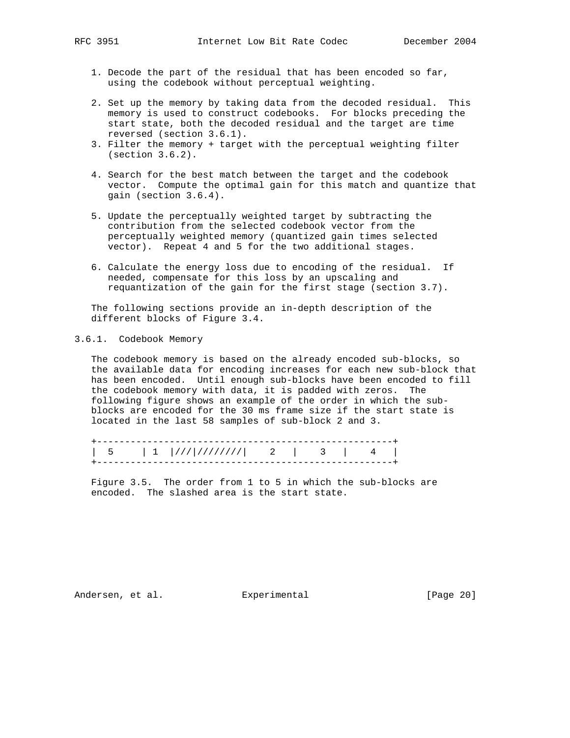- 1. Decode the part of the residual that has been encoded so far, using the codebook without perceptual weighting.
- 2. Set up the memory by taking data from the decoded residual. This memory is used to construct codebooks. For blocks preceding the start state, both the decoded residual and the target are time reversed (section 3.6.1).
- 3. Filter the memory + target with the perceptual weighting filter (section 3.6.2).
- 4. Search for the best match between the target and the codebook vector. Compute the optimal gain for this match and quantize that gain (section 3.6.4).
- 5. Update the perceptually weighted target by subtracting the contribution from the selected codebook vector from the perceptually weighted memory (quantized gain times selected vector). Repeat 4 and 5 for the two additional stages.
- 6. Calculate the energy loss due to encoding of the residual. If needed, compensate for this loss by an upscaling and requantization of the gain for the first stage (section 3.7).

 The following sections provide an in-depth description of the different blocks of Figure 3.4.

# 3.6.1. Codebook Memory

 The codebook memory is based on the already encoded sub-blocks, so the available data for encoding increases for each new sub-block that has been encoded. Until enough sub-blocks have been encoded to fill the codebook memory with data, it is padded with zeros. The following figure shows an example of the order in which the sub blocks are encoded for the 30 ms frame size if the start state is located in the last 58 samples of sub-block 2 and 3.

 +-----------------------------------------------------+ | 5 | 1 |///|////////| 2 | 3 | 4 | +-----------------------------------------------------+

 Figure 3.5. The order from 1 to 5 in which the sub-blocks are encoded. The slashed area is the start state.

Andersen, et al. Experimental Formula (Page 20)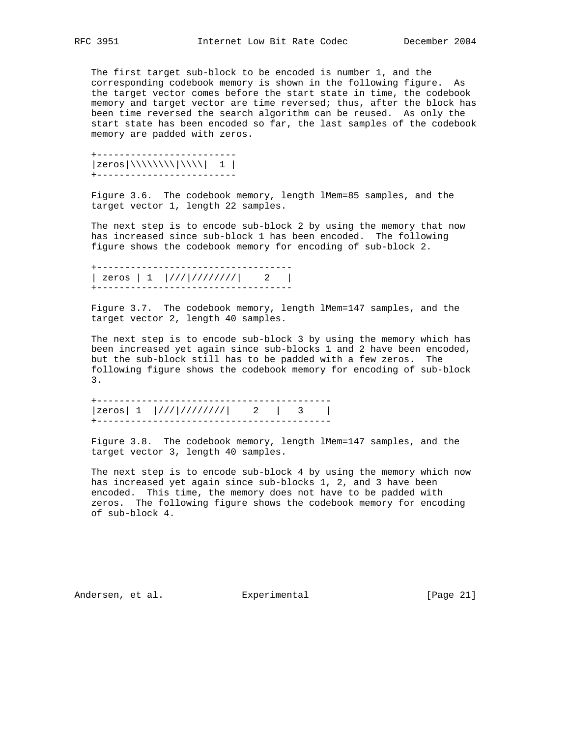The first target sub-block to be encoded is number 1, and the corresponding codebook memory is shown in the following figure. As the target vector comes before the start state in time, the codebook memory and target vector are time reversed; thus, after the block has been time reversed the search algorithm can be reused. As only the start state has been encoded so far, the last samples of the codebook memory are padded with zeros.

 +-------------------------  $|zeros|\langle\langle\langle\rangle\rangle|\langle\langle\rangle\rangle|$  1 | +-------------------------

 Figure 3.6. The codebook memory, length lMem=85 samples, and the target vector 1, length 22 samples.

 The next step is to encode sub-block 2 by using the memory that now has increased since sub-block 1 has been encoded. The following figure shows the codebook memory for encoding of sub-block 2.

 +----------------------------------- | zeros | 1 |///|////////| 2 | +-----------------------------------

 Figure 3.7. The codebook memory, length lMem=147 samples, and the target vector 2, length 40 samples.

 The next step is to encode sub-block 3 by using the memory which has been increased yet again since sub-blocks 1 and 2 have been encoded, but the sub-block still has to be padded with a few zeros. The following figure shows the codebook memory for encoding of sub-block 3.

 +------------------------------------------ |zeros| 1 |///|////////| 2 | 3 | +------------------------------------------

 Figure 3.8. The codebook memory, length lMem=147 samples, and the target vector 3, length 40 samples.

 The next step is to encode sub-block 4 by using the memory which now has increased yet again since sub-blocks 1, 2, and 3 have been encoded. This time, the memory does not have to be padded with zeros. The following figure shows the codebook memory for encoding of sub-block 4.

Andersen, et al. Experimental Formula (Page 21)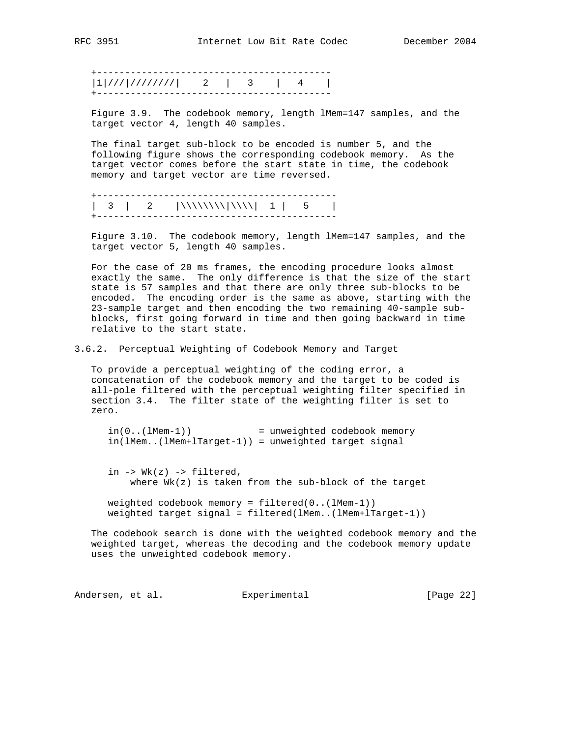+------------------------------------------  $|1|$ ///|/////////| 2 | 3 | 4 | +------------------------------------------

 Figure 3.9. The codebook memory, length lMem=147 samples, and the target vector 4, length 40 samples.

 The final target sub-block to be encoded is number 5, and the following figure shows the corresponding codebook memory. As the target vector comes before the start state in time, the codebook memory and target vector are time reversed.

 +------------------------------------------- | 3 | 2 |\\\\\\\\|\\\\| 1 | 5 | +-------------------------------------------

 Figure 3.10. The codebook memory, length lMem=147 samples, and the target vector 5, length 40 samples.

 For the case of 20 ms frames, the encoding procedure looks almost exactly the same. The only difference is that the size of the start state is 57 samples and that there are only three sub-blocks to be encoded. The encoding order is the same as above, starting with the 23-sample target and then encoding the two remaining 40-sample sub blocks, first going forward in time and then going backward in time relative to the start state.

3.6.2. Perceptual Weighting of Codebook Memory and Target

 To provide a perceptual weighting of the coding error, a concatenation of the codebook memory and the target to be coded is all-pole filtered with the perceptual weighting filter specified in section 3.4. The filter state of the weighting filter is set to zero.

 $in(0..(1Mem-1))$  = unweighted codebook memory in(lMem..(lMem+lTarget-1)) = unweighted target signal

in  $\rightarrow$  Wk(z)  $\rightarrow$  filtered, where  $Wk(z)$  is taken from the sub-block of the target

 weighted codebook memory = filtered(0..(lMem-1)) weighted target signal = filtered(lMem..(lMem+lTarget-1))

 The codebook search is done with the weighted codebook memory and the weighted target, whereas the decoding and the codebook memory update uses the unweighted codebook memory.

Andersen, et al. Experimental [Page 22]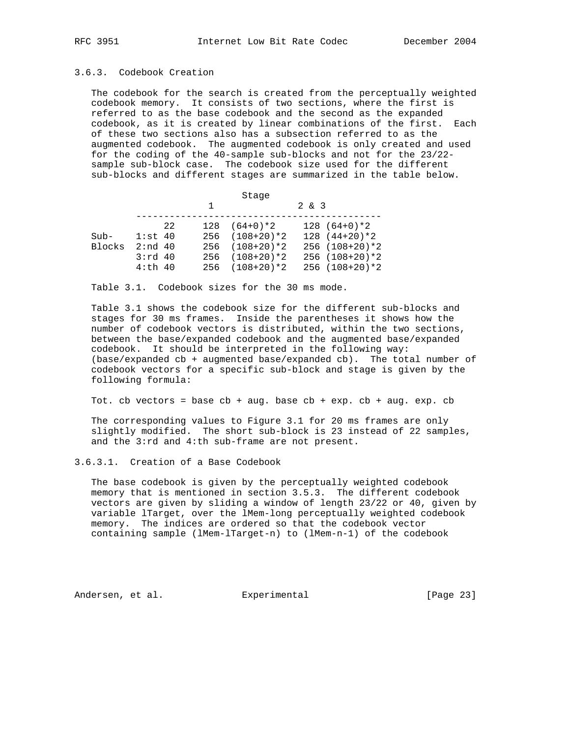# 3.6.3. Codebook Creation

 The codebook for the search is created from the perceptually weighted codebook memory. It consists of two sections, where the first is referred to as the base codebook and the second as the expanded codebook, as it is created by linear combinations of the first. Each of these two sections also has a subsection referred to as the augmented codebook. The augmented codebook is only created and used for the coding of the 40-sample sub-blocks and not for the 23/22 sample sub-block case. The codebook size used for the different sub-blocks and different stages are summarized in the table below.

|        |           |    |   | Stage              |              |                    |
|--------|-----------|----|---|--------------------|--------------|--------------------|
|        |           |    | 1 |                    | $2 \times 3$ |                    |
|        |           | 22 |   | $128(64+0)*2$      |              | $128(64+0)*2$      |
| $Sub-$ | $1:st$ 40 |    |   | $256$ $(108+20)*2$ |              | $128(44+20)*2$     |
| Blocks | 2:nd 40   |    |   | $256$ $(108+20)*2$ |              | $256$ $(108+20)*2$ |
|        | $3:rd$ 40 |    |   | $256$ $(108+20)*2$ |              | $256$ $(108+20)*2$ |
|        | $4:th$ 40 |    |   | $256$ $(108+20)*2$ |              | $256$ $(108+20)*2$ |

Table 3.1. Codebook sizes for the 30 ms mode.

 Table 3.1 shows the codebook size for the different sub-blocks and stages for 30 ms frames. Inside the parentheses it shows how the number of codebook vectors is distributed, within the two sections, between the base/expanded codebook and the augmented base/expanded codebook. It should be interpreted in the following way: (base/expanded cb + augmented base/expanded cb). The total number of codebook vectors for a specific sub-block and stage is given by the following formula:

Tot. cb vectors = base  $cb + aug$ . base  $cb + exp$ .  $cb + aug$ . exp.  $cb$ 

 The corresponding values to Figure 3.1 for 20 ms frames are only slightly modified. The short sub-block is 23 instead of 22 samples, and the 3:rd and 4:th sub-frame are not present.

#### 3.6.3.1. Creation of a Base Codebook

 The base codebook is given by the perceptually weighted codebook memory that is mentioned in section 3.5.3. The different codebook vectors are given by sliding a window of length 23/22 or 40, given by variable lTarget, over the lMem-long perceptually weighted codebook memory. The indices are ordered so that the codebook vector containing sample (lMem-lTarget-n) to (lMem-n-1) of the codebook

Andersen, et al. Experimental [Page 23]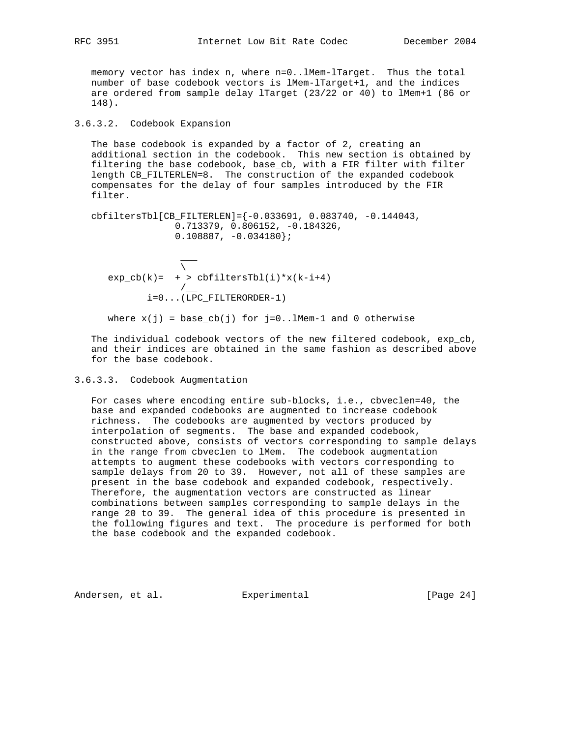memory vector has index n, where n=0..lMem-lTarget. Thus the total number of base codebook vectors is lMem-lTarget+1, and the indices are ordered from sample delay lTarget (23/22 or 40) to lMem+1 (86 or 148).

# 3.6.3.2. Codebook Expansion

 The base codebook is expanded by a factor of 2, creating an additional section in the codebook. This new section is obtained by filtering the base codebook, base\_cb, with a FIR filter with filter length CB\_FILTERLEN=8. The construction of the expanded codebook compensates for the delay of four samples introduced by the FIR filter.

 cbfiltersTbl[CB\_FILTERLEN]={-0.033691, 0.083740, -0.144043, 0.713379, 0.806152, -0.184326,  $0.108887, -0.034180$ ;

 $\sim$   $\sim$   $\sim$   $\sim$   $\sim$   $\sim$   $\sim$  $\mathcal{N}$  and  $\mathcal{N}$  $\overline{\phantom{a}}$ <br>exp\_cb(k)= + > cbfiltersTbl(i)\*x(k-i+4)  $/$ i=0...(LPC\_FILTERORDER-1)

```
where x(j) = base_cb(j) for j=0..1Mem-1 and 0 otherwise
```
 The individual codebook vectors of the new filtered codebook, exp\_cb, and their indices are obtained in the same fashion as described above for the base codebook.

# 3.6.3.3. Codebook Augmentation

 For cases where encoding entire sub-blocks, i.e., cbveclen=40, the base and expanded codebooks are augmented to increase codebook richness. The codebooks are augmented by vectors produced by interpolation of segments. The base and expanded codebook, constructed above, consists of vectors corresponding to sample delays in the range from cbveclen to lMem. The codebook augmentation attempts to augment these codebooks with vectors corresponding to sample delays from 20 to 39. However, not all of these samples are present in the base codebook and expanded codebook, respectively. Therefore, the augmentation vectors are constructed as linear combinations between samples corresponding to sample delays in the range 20 to 39. The general idea of this procedure is presented in the following figures and text. The procedure is performed for both the base codebook and the expanded codebook.

Andersen, et al. Experimental [Page 24]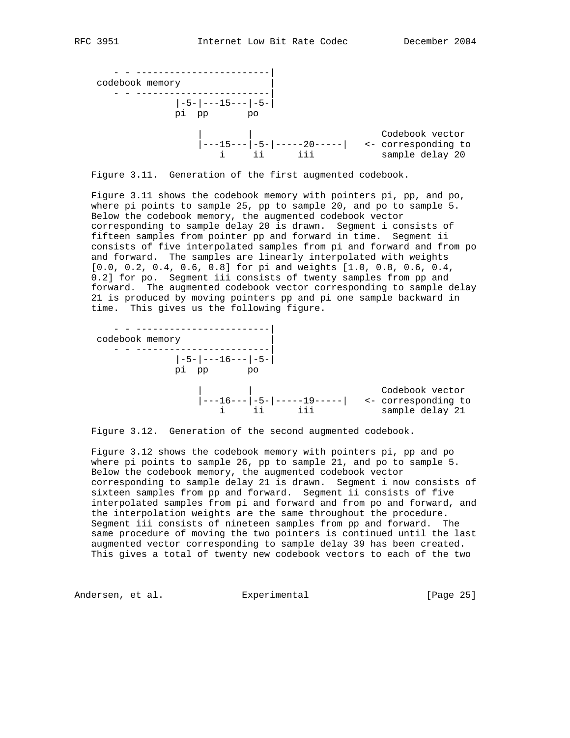

Figure 3.11. Generation of the first augmented codebook.

 Figure 3.11 shows the codebook memory with pointers pi, pp, and po, where pi points to sample 25, pp to sample 20, and po to sample 5. Below the codebook memory, the augmented codebook vector corresponding to sample delay 20 is drawn. Segment i consists of fifteen samples from pointer pp and forward in time. Segment ii consists of five interpolated samples from pi and forward and from po and forward. The samples are linearly interpolated with weights [0.0, 0.2, 0.4, 0.6, 0.8] for pi and weights [1.0, 0.8, 0.6, 0.4, 0.2] for po. Segment iii consists of twenty samples from pp and forward. The augmented codebook vector corresponding to sample delay 21 is produced by moving pointers pp and pi one sample backward in time. This gives us the following figure.



Figure 3.12. Generation of the second augmented codebook.

 Figure 3.12 shows the codebook memory with pointers pi, pp and po where pi points to sample 26, pp to sample 21, and po to sample 5. Below the codebook memory, the augmented codebook vector corresponding to sample delay 21 is drawn. Segment i now consists of sixteen samples from pp and forward. Segment ii consists of five interpolated samples from pi and forward and from po and forward, and the interpolation weights are the same throughout the procedure. Segment iii consists of nineteen samples from pp and forward. The same procedure of moving the two pointers is continued until the last augmented vector corresponding to sample delay 39 has been created. This gives a total of twenty new codebook vectors to each of the two

Andersen, et al. Experimental Formula (Page 25)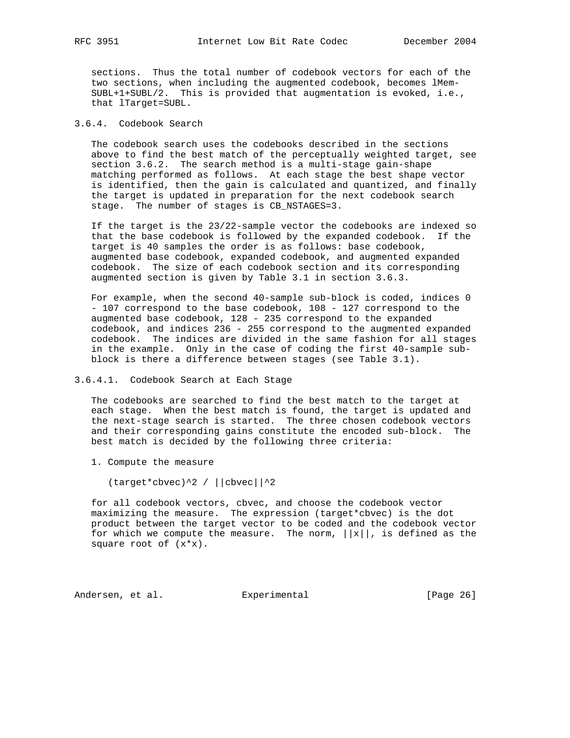sections. Thus the total number of codebook vectors for each of the two sections, when including the augmented codebook, becomes lMem- SUBL+1+SUBL/2. This is provided that augmentation is evoked, i.e., that lTarget=SUBL.

#### 3.6.4. Codebook Search

 The codebook search uses the codebooks described in the sections above to find the best match of the perceptually weighted target, see section 3.6.2. The search method is a multi-stage gain-shape matching performed as follows. At each stage the best shape vector is identified, then the gain is calculated and quantized, and finally the target is updated in preparation for the next codebook search stage. The number of stages is CB\_NSTAGES=3.

 If the target is the 23/22-sample vector the codebooks are indexed so that the base codebook is followed by the expanded codebook. If the target is 40 samples the order is as follows: base codebook, augmented base codebook, expanded codebook, and augmented expanded codebook. The size of each codebook section and its corresponding augmented section is given by Table 3.1 in section 3.6.3.

 For example, when the second 40-sample sub-block is coded, indices 0 - 107 correspond to the base codebook, 108 - 127 correspond to the augmented base codebook, 128 - 235 correspond to the expanded codebook, and indices 236 - 255 correspond to the augmented expanded codebook. The indices are divided in the same fashion for all stages in the example. Only in the case of coding the first 40-sample sub block is there a difference between stages (see Table 3.1).

#### 3.6.4.1. Codebook Search at Each Stage

 The codebooks are searched to find the best match to the target at each stage. When the best match is found, the target is updated and the next-stage search is started. The three chosen codebook vectors and their corresponding gains constitute the encoded sub-block. The best match is decided by the following three criteria:

1. Compute the measure

(target\*cbvec)^2 / ||cbvec||^2

 for all codebook vectors, cbvec, and choose the codebook vector maximizing the measure. The expression (target\*cbvec) is the dot product between the target vector to be coded and the codebook vector for which we compute the measure. The norm,  $||x||$ , is defined as the square root of (x\*x).

Andersen, et al. Experimental [Page 26]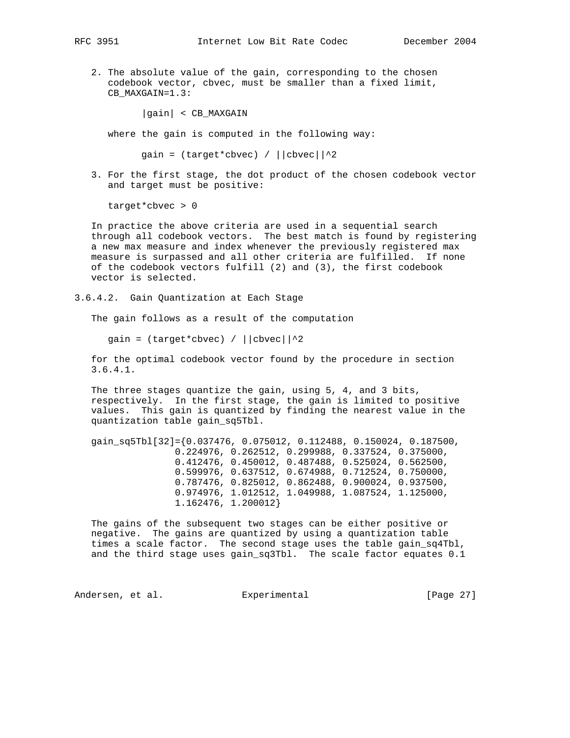- - 2. The absolute value of the gain, corresponding to the chosen codebook vector, cbvec, must be smaller than a fixed limit, CB MAXGAIN=1.3:

|gain| < CB\_MAXGAIN

where the gain is computed in the following way:

gain =  $(target * cbvec) / ||cbvec||^2$ 

 3. For the first stage, the dot product of the chosen codebook vector and target must be positive:

target\*cbvec > 0

 In practice the above criteria are used in a sequential search through all codebook vectors. The best match is found by registering a new max measure and index whenever the previously registered max measure is surpassed and all other criteria are fulfilled. If none of the codebook vectors fulfill (2) and (3), the first codebook vector is selected.

3.6.4.2. Gain Quantization at Each Stage

The gain follows as a result of the computation

gain =  $(target * cbvec) / ||cbvec||^2$ 

 for the optimal codebook vector found by the procedure in section 3.6.4.1.

 The three stages quantize the gain, using 5, 4, and 3 bits, respectively. In the first stage, the gain is limited to positive values. This gain is quantized by finding the nearest value in the quantization table gain\_sq5Tbl.

 gain\_sq5Tbl[32]={0.037476, 0.075012, 0.112488, 0.150024, 0.187500, 0.224976, 0.262512, 0.299988, 0.337524, 0.375000, 0.412476, 0.450012, 0.487488, 0.525024, 0.562500, 0.599976, 0.637512, 0.674988, 0.712524, 0.750000, 0.787476, 0.825012, 0.862488, 0.900024, 0.937500, 0.974976, 1.012512, 1.049988, 1.087524, 1.125000, 1.162476, 1.200012}

 The gains of the subsequent two stages can be either positive or negative. The gains are quantized by using a quantization table times a scale factor. The second stage uses the table gain\_sq4Tbl, and the third stage uses gain\_sq3Tbl. The scale factor equates 0.1

Andersen, et al. Experimental [Page 27]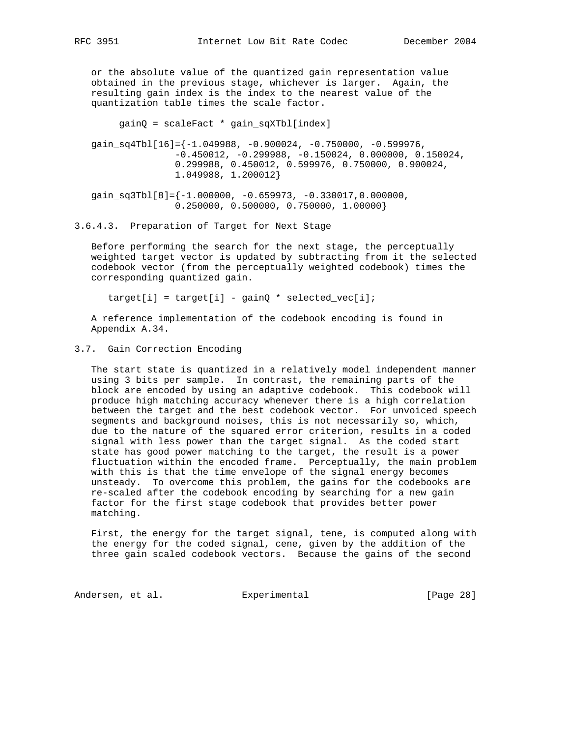or the absolute value of the quantized gain representation value obtained in the previous stage, whichever is larger. Again, the resulting gain index is the index to the nearest value of the quantization table times the scale factor.

gainQ = scaleFact \* gain\_sqXTbl[index]

 $gain\_sq4Tb1[16]=\{-1.049988, -0.900024, -0.750000, -0.599976,$  $-0.450012, -0.299988, -0.150024, 0.000000, 0.150024,$  0.299988, 0.450012, 0.599976, 0.750000, 0.900024, 1.049988, 1.200012}

gain\_sq3Tbl[8]= $\{-1.000000, -0.659973, -0.330017, 0.000000,$ 0.250000, 0.500000, 0.750000, 1.00000}

3.6.4.3. Preparation of Target for Next Stage

 Before performing the search for the next stage, the perceptually weighted target vector is updated by subtracting from it the selected codebook vector (from the perceptually weighted codebook) times the corresponding quantized gain.

 $target[i] = target[i] - gainQ * selected\_vec[i];$ 

 A reference implementation of the codebook encoding is found in Appendix A.34.

### 3.7. Gain Correction Encoding

 The start state is quantized in a relatively model independent manner using 3 bits per sample. In contrast, the remaining parts of the block are encoded by using an adaptive codebook. This codebook will produce high matching accuracy whenever there is a high correlation between the target and the best codebook vector. For unvoiced speech segments and background noises, this is not necessarily so, which, due to the nature of the squared error criterion, results in a coded signal with less power than the target signal. As the coded start state has good power matching to the target, the result is a power fluctuation within the encoded frame. Perceptually, the main problem with this is that the time envelope of the signal energy becomes unsteady. To overcome this problem, the gains for the codebooks are re-scaled after the codebook encoding by searching for a new gain factor for the first stage codebook that provides better power matching.

 First, the energy for the target signal, tene, is computed along with the energy for the coded signal, cene, given by the addition of the three gain scaled codebook vectors. Because the gains of the second

Andersen, et al. Experimental [Page 28]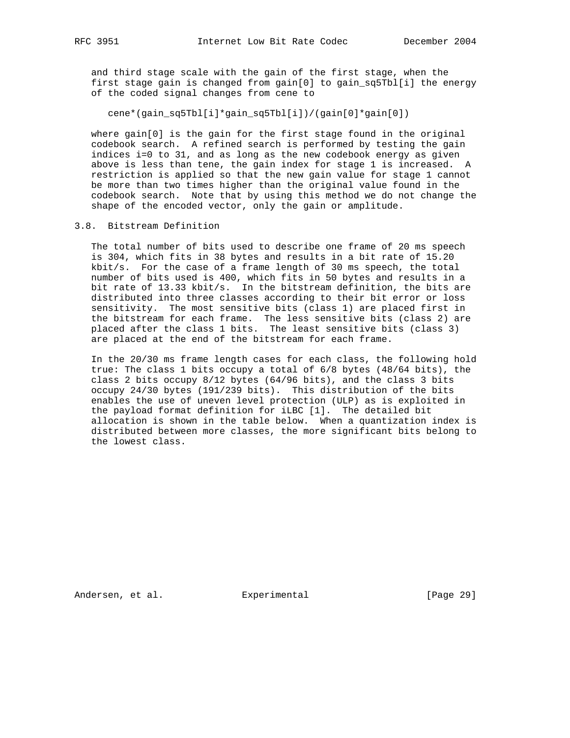and third stage scale with the gain of the first stage, when the first stage gain is changed from gain[0] to gain\_sq5Tbl[i] the energy of the coded signal changes from cene to

cene\*(gain\_sq5Tbl[i]\*gain\_sq5Tbl[i])/(gain[0]\*gain[0])

 where gain[0] is the gain for the first stage found in the original codebook search. A refined search is performed by testing the gain indices i=0 to 31, and as long as the new codebook energy as given above is less than tene, the gain index for stage 1 is increased. A restriction is applied so that the new gain value for stage 1 cannot be more than two times higher than the original value found in the codebook search. Note that by using this method we do not change the shape of the encoded vector, only the gain or amplitude.

#### 3.8. Bitstream Definition

 The total number of bits used to describe one frame of 20 ms speech is 304, which fits in 38 bytes and results in a bit rate of 15.20 kbit/s. For the case of a frame length of 30 ms speech, the total number of bits used is 400, which fits in 50 bytes and results in a bit rate of 13.33 kbit/s. In the bitstream definition, the bits are distributed into three classes according to their bit error or loss sensitivity. The most sensitive bits (class 1) are placed first in the bitstream for each frame. The less sensitive bits (class 2) are placed after the class 1 bits. The least sensitive bits (class 3) are placed at the end of the bitstream for each frame.

 In the 20/30 ms frame length cases for each class, the following hold true: The class 1 bits occupy a total of 6/8 bytes (48/64 bits), the class 2 bits occupy 8/12 bytes (64/96 bits), and the class 3 bits occupy 24/30 bytes (191/239 bits). This distribution of the bits enables the use of uneven level protection (ULP) as is exploited in the payload format definition for iLBC [1]. The detailed bit allocation is shown in the table below. When a quantization index is distributed between more classes, the more significant bits belong to the lowest class.

Andersen, et al. Experimental Formula (Page 29)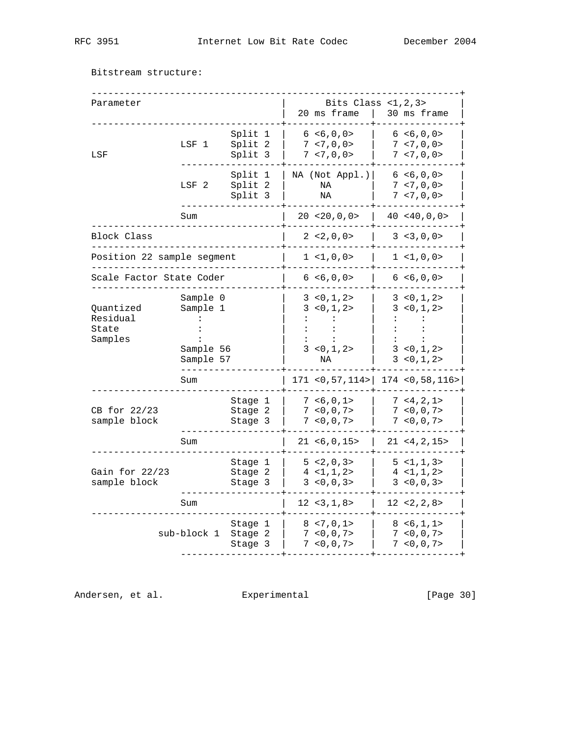Bitstream structure:

| Parameter                                 |                                   |                               |  | Bits Class $<1, 2, 3>$<br>20 ms frame           | 30 ms frame                                     |
|-------------------------------------------|-----------------------------------|-------------------------------|--|-------------------------------------------------|-------------------------------------------------|
| LSF                                       | LSF 1                             | Split 1<br>Split 2<br>Split 3 |  | 6 < 6, 0, 0 ><br>7 < 7, 0, 0 ><br>7, 7, 0, 0    | 6 < 6, 0, 0 ><br>7 < 7, 0, 0 ><br>7, 7, 0, 0    |
|                                           | LSF <sub>2</sub>                  | Split 1<br>Split 2<br>Split 3 |  | NA (Not Appl.)<br>ΝA<br>ΝA                      | 6 < 6, 0, 0 ><br>7 < 7, 0, 0 ><br>7, 7, 0, 0    |
|                                           | Sum                               |                               |  | 20, 20, 0, 0                                    | 40 < 40, 0, 0 >                                 |
| Block Class                               |                                   |                               |  | 2 < 2, 0, 0 >                                   | 3 < 3, 0, 0 >                                   |
| Position 22 sample segment                |                                   |                               |  | 1 < 1, 0, 0 >                                   | 1 < 1, 0, 0 >                                   |
| Scale Factor State Coder                  |                                   |                               |  | 6 < 6, 0, 0 >                                   | 6 < 6, 0, 0 >                                   |
| Ouantized<br>Residual<br>State<br>Samples | Sample 0<br>Sample 1<br>Sample 56 |                               |  | 3 < 0, 1, 2 ><br>3 < 0, 1, 2 ><br>3 < 0, 1, 2 > | 3 < 0, 1, 2 ><br>3 < 0, 1, 2 ><br>3 < 0, 1, 2 > |
|                                           | Sample 57                         |                               |  | ΝA                                              | 3 < 0, 1, 2 >                                   |
|                                           | Sum                               |                               |  | 171 < 0, 57, 114 >                              | 174 < 0,58,116 >                                |
| CB for 22/23<br>sample block              |                                   | Stage 1<br>Stage 2<br>Stage 3 |  | 7 < 6, 0, 1 ><br>7 < 0, 0, 7 ><br>7 < 0, 0, 7 > | 7, 4, 2, 1<br>7 < 0, 0, 7<br>7 < 0, 0, 7 >      |
|                                           | Sum                               |                               |  | 21 < 6, 0, 15                                   | 21 < 4, 2, 15                                   |
| Gain for $22/23$<br>sample block          |                                   | Stage 1<br>Stage 2<br>Stage 3 |  | 5 < 2, 0, 3 ><br>4 < 1, 1, 2 ><br>3 < 0, 0, 3 > | 5 < 1, 1, 3><br>4 < 1, 1, 2 ><br>3 < 0, 0, 3 >  |
|                                           | Sum                               |                               |  | $12 \le 3, 1, 8$                                | 12 < 2, 2, 8 >                                  |
|                                           | sub-block 1                       | Stage 1<br>Stage 2<br>Stage 3 |  | 8, 7, 0, 1<br>7 < 0, 0, 7 ><br>7 < 0, 0, 7 >    | 8 < 6, 1, 1 ><br>7 < 0, 0, 7 ><br>7 < 0, 0, 7 > |

Andersen, et al. Experimental [Page 30]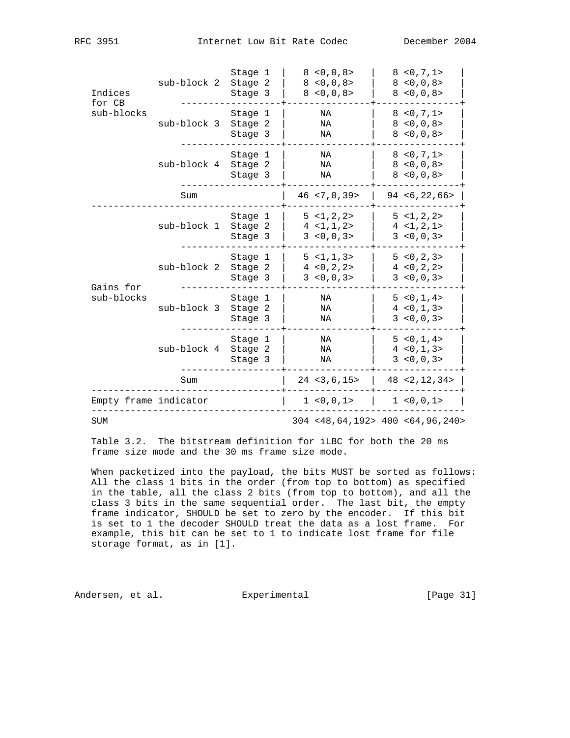| Indices<br>for CB     | sub-block 2 | Stage 1<br>Stage 2<br>Stage 3 | 8 < 0, 0, 8 ><br>8 < 0, 0, 8 ><br>8 < 0, 0, 8 > | 8 < 0, 7, 1 ><br>8 < 0, 0, 8 ><br>8 < 0, 0, 8 >   |
|-----------------------|-------------|-------------------------------|-------------------------------------------------|---------------------------------------------------|
| sub-blocks            | sub-block 3 | Stage 1<br>Stage 2<br>Stage 3 | ΝA<br>ΝA<br>ΝA                                  | 8 < 0, 7, 1 ><br>8 < 0, 0, 8 ><br>8 < 0, 0, 8 >   |
|                       | sub-block 4 | Stage 1<br>Stage 2<br>Stage 3 | ΝA<br>NA<br>NA                                  | 8 < 0, 7, 1 ><br>8 < 0, 0, 8 ><br>8 < 0, 0, 8 >   |
|                       | Sum         |                               | $46$ < 7, 0, 39 >                               | 94 < 6, 22, 66                                    |
|                       | sub-block 1 | Stage 1<br>Stage 2<br>Stage 3 | 5 < 1, 2, 2 ><br>4 < 1, 1, 2 ><br>3 < 0, 0, 3 > | 5 < 1, 2, 2 ><br>4 < 1, 2, 1 ><br>3 < 0, 0, 3 >   |
| Gains for             | sub-block 2 | Stage 1<br>Stage 2<br>Stage 3 | 5 < 1, 1, 3 ><br>4 < 0, 2, 2 ><br>3 < 0, 0, 3 > | 5 < 0, 2, 3 > 5<br>4 < 0, 2, 2 ><br>3 < 0, 0, 3 > |
| sub-blocks            | sub-block 3 | Stage 1<br>Stage 2<br>Stage 3 | NA<br>ΝA<br>ΝA                                  | 5 < 0, 1, 4 ><br>4 < 0, 1, 3 > 4<br>3 < 0, 0, 3 > |
|                       | sub-block 4 | Stage 1<br>Stage 2<br>Stage 3 | ΝA<br>ΝA<br>ΝA                                  | 5 < 0, 1, 4 ><br>4 < 0, 1, 3 > 4<br>3 < 0, 0, 3 > |
|                       | Sum         |                               | 24 < 3, 6, 15 >                                 | 48 < 2, 12, 34 >                                  |
| Empty frame indicator |             |                               | 1 < 0, 0, 1 >                                   | 1 < 0, 0, 1 >                                     |
| <b>SUM</b>            |             |                               |                                                 | $304$ <48,64,192> 400 <64,96,240>                 |

 Table 3.2. The bitstream definition for iLBC for both the 20 ms frame size mode and the 30 ms frame size mode.

 When packetized into the payload, the bits MUST be sorted as follows: All the class 1 bits in the order (from top to bottom) as specified in the table, all the class 2 bits (from top to bottom), and all the class 3 bits in the same sequential order. The last bit, the empty frame indicator, SHOULD be set to zero by the encoder. If this bit is set to 1 the decoder SHOULD treat the data as a lost frame. For example, this bit can be set to 1 to indicate lost frame for file storage format, as in [1].

Andersen, et al. Experimental Formula (Page 31)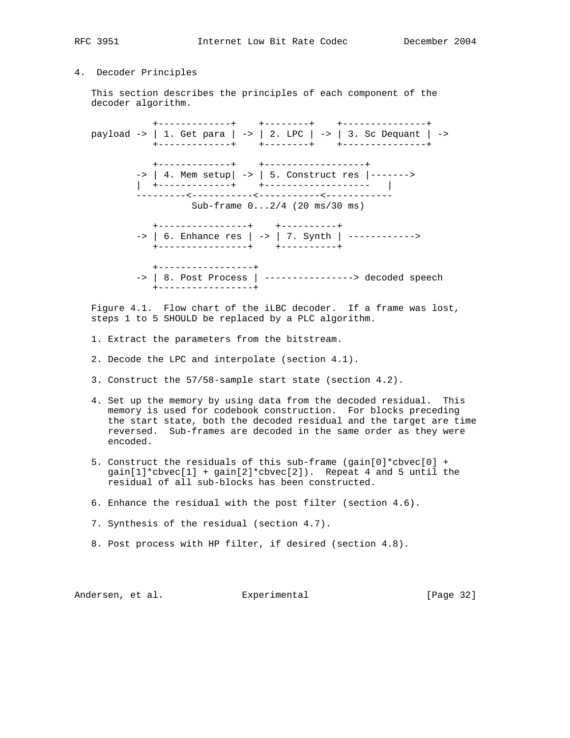# 4. Decoder Principles

 This section describes the principles of each component of the decoder algorithm.

 +-------------+ +--------+ +---------------+ payload -> | 1. Get para | -> | 2. LPC | -> | 3. Sc Dequant | -> +-------------+ +--------+ +---------------+ +-------------+ +------------------+ -> | 4. Mem setup| -> | 5. Construct res |-------> | +-------------+ +------------------- | ---------<-----------<-----------<------------ Sub-frame 0...2/4 (20 ms/30 ms) +----------------+ +----------+ -> | 6. Enhance res | -> | 7. Synth | ------------> +----------------+ +----------+ +-----------------+ -> | 8. Post Process | ----------------> decoded speech +-----------------+

 Figure 4.1. Flow chart of the iLBC decoder. If a frame was lost, steps 1 to 5 SHOULD be replaced by a PLC algorithm.

- 1. Extract the parameters from the bitstream.
- 2. Decode the LPC and interpolate (section 4.1).
- 3. Construct the 57/58-sample start state (section 4.2).
- 4. Set up the memory by using data from the decoded residual. This memory is used for codebook construction. For blocks preceding the start state, both the decoded residual and the target are time reversed. Sub-frames are decoded in the same order as they were encoded.
- 5. Construct the residuals of this sub-frame (gain[0]\*cbvec[0] +  $qain[1]*cbvec[1] + qain[2]*cbvec[2])$ . Repeat 4 and 5 until the residual of all sub-blocks has been constructed.
- 6. Enhance the residual with the post filter (section 4.6).
- 7. Synthesis of the residual (section 4.7).
- 8. Post process with HP filter, if desired (section 4.8).

Andersen, et al. Experimental [Page 32]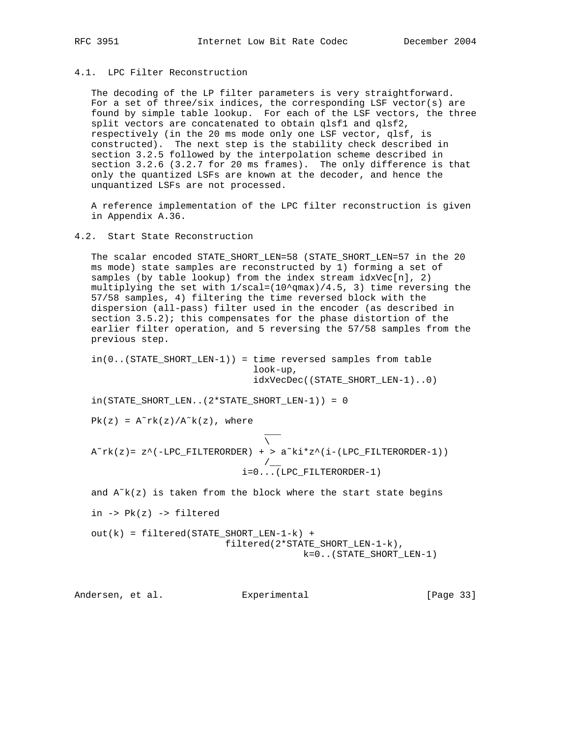# 4.1. LPC Filter Reconstruction

 The decoding of the LP filter parameters is very straightforward. For a set of three/six indices, the corresponding LSF vector(s) are found by simple table lookup. For each of the LSF vectors, the three split vectors are concatenated to obtain qlsf1 and qlsf2, respectively (in the 20 ms mode only one LSF vector, qlsf, is constructed). The next step is the stability check described in section 3.2.5 followed by the interpolation scheme described in section 3.2.6 (3.2.7 for 20 ms frames). The only difference is that only the quantized LSFs are known at the decoder, and hence the unquantized LSFs are not processed.

 A reference implementation of the LPC filter reconstruction is given in Appendix A.36.

#### 4.2. Start State Reconstruction

 The scalar encoded STATE\_SHORT\_LEN=58 (STATE\_SHORT\_LEN=57 in the 20 ms mode) state samples are reconstructed by 1) forming a set of samples (by table lookup) from the index stream  $idxVec[n]$ , 2) multiplying the set with  $1/\text{scal}=(10^{\text{-}}q\text{max})/4.5$ , 3) time reversing the 57/58 samples, 4) filtering the time reversed block with the dispersion (all-pass) filter used in the encoder (as described in section 3.5.2); this compensates for the phase distortion of the earlier filter operation, and 5 reversing the 57/58 samples from the previous step.

 in(0..(STATE\_SHORT\_LEN-1)) = time reversed samples from table look-up, idxVecDec((STATE\_SHORT\_LEN-1)..0)

in(STATE\_SHORT\_LEN..(2\*STATE\_SHORT\_LEN-1)) = 0

 $Pk(z) = A<sup>α</sup>rk(z)/A<sup>α</sup>k(z)$ , where

 \_\_\_  $\mathcal{N}$  and  $\mathcal{N}$  are the set of  $\mathcal{N}$  $A^r$ rk(z)= z^(-LPC\_FILTERORDER) + >  $a^k$ ki\*z^(i-(LPC\_FILTERORDER-1)) /\_\_ i=0...(LPC\_FILTERORDER-1)

and  $A<sup>\infty</sup>k(z)$  is taken from the block where the start state begins

in  $\rightarrow$  Pk(z)  $\rightarrow$  filtered

```
 out(k) = filtered(STATE_SHORT_LEN-1-k) +
                          filtered(2*STATE_SHORT_LEN-1-k),
                                        k=0..(STATE_SHORT_LEN-1)
```
Andersen, et al. Experimental [Page 33]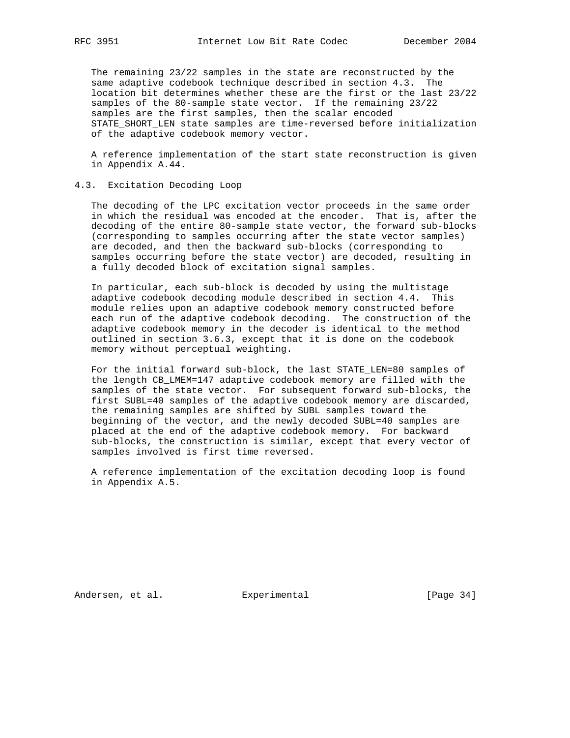The remaining 23/22 samples in the state are reconstructed by the same adaptive codebook technique described in section 4.3. The location bit determines whether these are the first or the last 23/22 samples of the 80-sample state vector. If the remaining 23/22 samples are the first samples, then the scalar encoded STATE\_SHORT\_LEN state samples are time-reversed before initialization of the adaptive codebook memory vector.

 A reference implementation of the start state reconstruction is given in Appendix A.44.

# 4.3. Excitation Decoding Loop

 The decoding of the LPC excitation vector proceeds in the same order in which the residual was encoded at the encoder. That is, after the decoding of the entire 80-sample state vector, the forward sub-blocks (corresponding to samples occurring after the state vector samples) are decoded, and then the backward sub-blocks (corresponding to samples occurring before the state vector) are decoded, resulting in a fully decoded block of excitation signal samples.

 In particular, each sub-block is decoded by using the multistage adaptive codebook decoding module described in section 4.4. This module relies upon an adaptive codebook memory constructed before each run of the adaptive codebook decoding. The construction of the adaptive codebook memory in the decoder is identical to the method outlined in section 3.6.3, except that it is done on the codebook memory without perceptual weighting.

 For the initial forward sub-block, the last STATE\_LEN=80 samples of the length CB\_LMEM=147 adaptive codebook memory are filled with the samples of the state vector. For subsequent forward sub-blocks, the first SUBL=40 samples of the adaptive codebook memory are discarded, the remaining samples are shifted by SUBL samples toward the beginning of the vector, and the newly decoded SUBL=40 samples are placed at the end of the adaptive codebook memory. For backward sub-blocks, the construction is similar, except that every vector of samples involved is first time reversed.

 A reference implementation of the excitation decoding loop is found in Appendix A.5.

Andersen, et al. Experimental Formula (Page 34)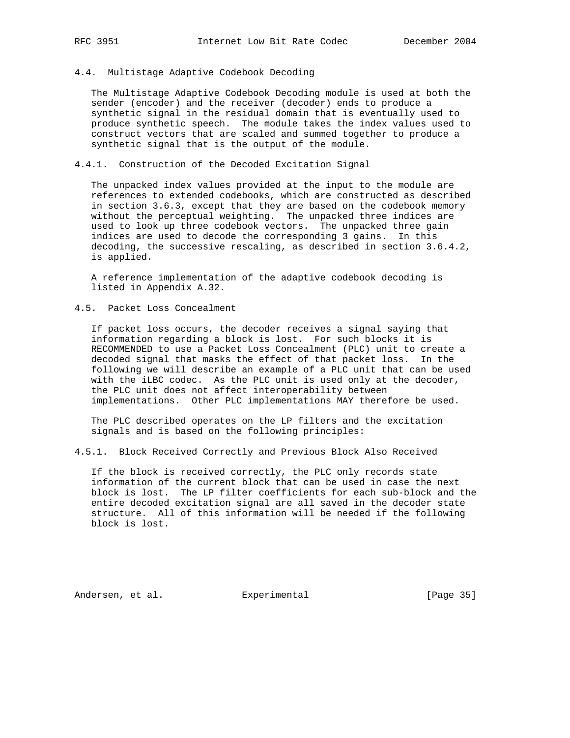#### 4.4. Multistage Adaptive Codebook Decoding

 The Multistage Adaptive Codebook Decoding module is used at both the sender (encoder) and the receiver (decoder) ends to produce a synthetic signal in the residual domain that is eventually used to produce synthetic speech. The module takes the index values used to construct vectors that are scaled and summed together to produce a synthetic signal that is the output of the module.

# 4.4.1. Construction of the Decoded Excitation Signal

 The unpacked index values provided at the input to the module are references to extended codebooks, which are constructed as described in section 3.6.3, except that they are based on the codebook memory without the perceptual weighting. The unpacked three indices are used to look up three codebook vectors. The unpacked three gain indices are used to decode the corresponding 3 gains. In this decoding, the successive rescaling, as described in section 3.6.4.2, is applied.

 A reference implementation of the adaptive codebook decoding is listed in Appendix A.32.

4.5. Packet Loss Concealment

 If packet loss occurs, the decoder receives a signal saying that information regarding a block is lost. For such blocks it is RECOMMENDED to use a Packet Loss Concealment (PLC) unit to create a decoded signal that masks the effect of that packet loss. In the following we will describe an example of a PLC unit that can be used with the iLBC codec. As the PLC unit is used only at the decoder, the PLC unit does not affect interoperability between implementations. Other PLC implementations MAY therefore be used.

 The PLC described operates on the LP filters and the excitation signals and is based on the following principles:

4.5.1. Block Received Correctly and Previous Block Also Received

 If the block is received correctly, the PLC only records state information of the current block that can be used in case the next block is lost. The LP filter coefficients for each sub-block and the entire decoded excitation signal are all saved in the decoder state structure. All of this information will be needed if the following block is lost.

Andersen, et al. Experimental Formula (Page 35)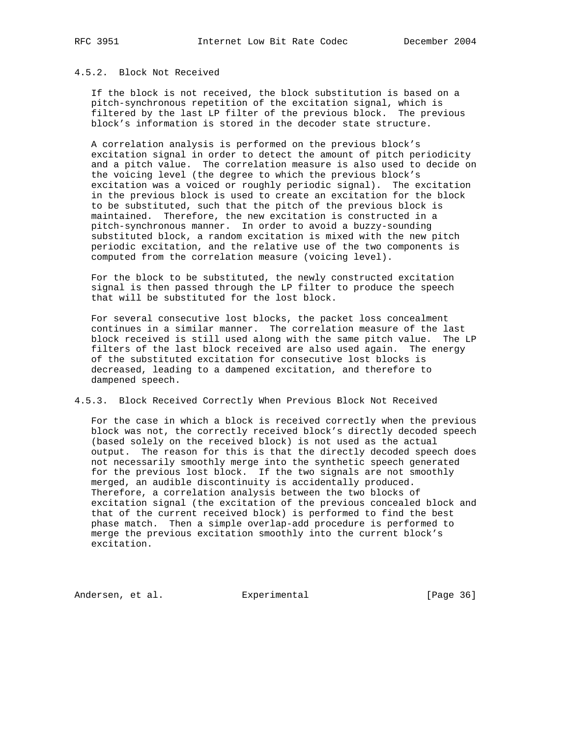# 4.5.2. Block Not Received

 If the block is not received, the block substitution is based on a pitch-synchronous repetition of the excitation signal, which is filtered by the last LP filter of the previous block. The previous block's information is stored in the decoder state structure.

 A correlation analysis is performed on the previous block's excitation signal in order to detect the amount of pitch periodicity and a pitch value. The correlation measure is also used to decide on the voicing level (the degree to which the previous block's excitation was a voiced or roughly periodic signal). The excitation in the previous block is used to create an excitation for the block to be substituted, such that the pitch of the previous block is maintained. Therefore, the new excitation is constructed in a pitch-synchronous manner. In order to avoid a buzzy-sounding substituted block, a random excitation is mixed with the new pitch periodic excitation, and the relative use of the two components is computed from the correlation measure (voicing level).

 For the block to be substituted, the newly constructed excitation signal is then passed through the LP filter to produce the speech that will be substituted for the lost block.

 For several consecutive lost blocks, the packet loss concealment continues in a similar manner. The correlation measure of the last block received is still used along with the same pitch value. The LP filters of the last block received are also used again. The energy of the substituted excitation for consecutive lost blocks is decreased, leading to a dampened excitation, and therefore to dampened speech.

4.5.3. Block Received Correctly When Previous Block Not Received

 For the case in which a block is received correctly when the previous block was not, the correctly received block's directly decoded speech (based solely on the received block) is not used as the actual output. The reason for this is that the directly decoded speech does not necessarily smoothly merge into the synthetic speech generated for the previous lost block. If the two signals are not smoothly merged, an audible discontinuity is accidentally produced. Therefore, a correlation analysis between the two blocks of excitation signal (the excitation of the previous concealed block and that of the current received block) is performed to find the best phase match. Then a simple overlap-add procedure is performed to merge the previous excitation smoothly into the current block's excitation.

Andersen, et al. Experimental [Page 36]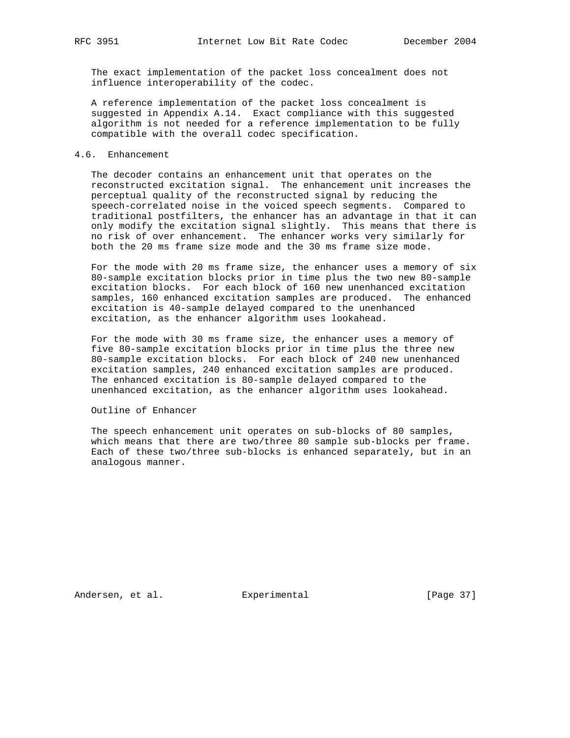The exact implementation of the packet loss concealment does not influence interoperability of the codec.

 A reference implementation of the packet loss concealment is suggested in Appendix A.14. Exact compliance with this suggested algorithm is not needed for a reference implementation to be fully compatible with the overall codec specification.

## 4.6. Enhancement

 The decoder contains an enhancement unit that operates on the reconstructed excitation signal. The enhancement unit increases the perceptual quality of the reconstructed signal by reducing the speech-correlated noise in the voiced speech segments. Compared to traditional postfilters, the enhancer has an advantage in that it can only modify the excitation signal slightly. This means that there is no risk of over enhancement. The enhancer works very similarly for both the 20 ms frame size mode and the 30 ms frame size mode.

 For the mode with 20 ms frame size, the enhancer uses a memory of six 80-sample excitation blocks prior in time plus the two new 80-sample excitation blocks. For each block of 160 new unenhanced excitation samples, 160 enhanced excitation samples are produced. The enhanced excitation is 40-sample delayed compared to the unenhanced excitation, as the enhancer algorithm uses lookahead.

 For the mode with 30 ms frame size, the enhancer uses a memory of five 80-sample excitation blocks prior in time plus the three new 80-sample excitation blocks. For each block of 240 new unenhanced excitation samples, 240 enhanced excitation samples are produced. The enhanced excitation is 80-sample delayed compared to the unenhanced excitation, as the enhancer algorithm uses lookahead.

Outline of Enhancer

 The speech enhancement unit operates on sub-blocks of 80 samples, which means that there are two/three 80 sample sub-blocks per frame. Each of these two/three sub-blocks is enhanced separately, but in an analogous manner.

Andersen, et al. Experimental [Page 37]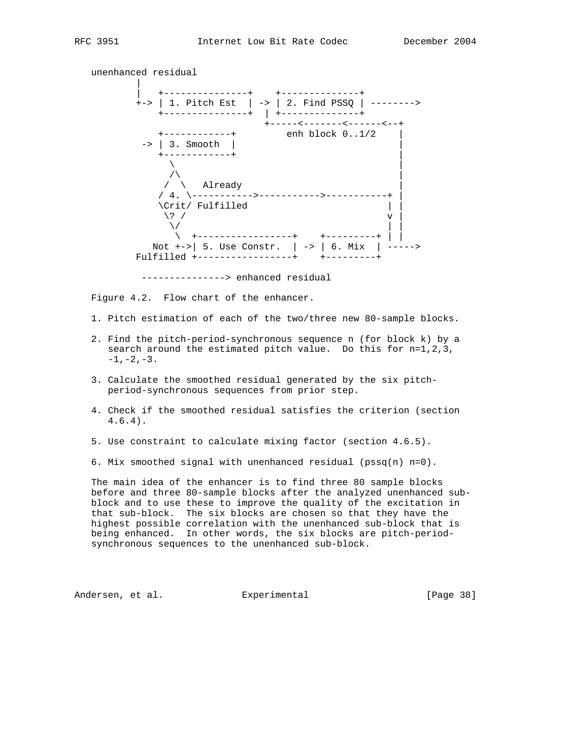unenhanced residual | | +---------------+ +--------------+ +-> | 1. Pitch Est | -> | 2. Find PSSQ | --------> +---------------+ | +--------------+ +-----<-------<------<--+ +------------+ enh block 0..1/2 | -> | 3. Smooth | | +------------+ |  $\sqrt{ }$  $\sqrt{ }$  $/ \ \backslash$  Already / 4. \----------->----------->-----------+ | \Crit/ Fulfilled | |  $\langle ? \rangle$  v |  $\sqrt{}$  \ +-----------------+ +---------+ | | Not  $+-$ >| 5. Use Constr. | -> | 6. Mix | -----> Fulfilled +-----------------+ +---------+ ---------------> enhanced residual

Figure 4.2. Flow chart of the enhancer.

- 1. Pitch estimation of each of the two/three new 80-sample blocks.
- 2. Find the pitch-period-synchronous sequence n (for block k) by a search around the estimated pitch value. Do this for n=1,2,3,  $-1$ ,  $-2$ ,  $-3$ .
- 3. Calculate the smoothed residual generated by the six pitch period-synchronous sequences from prior step.
- 4. Check if the smoothed residual satisfies the criterion (section 4.6.4).
- 5. Use constraint to calculate mixing factor (section 4.6.5).
- 6. Mix smoothed signal with unenhanced residual (pssq(n) n=0).

 The main idea of the enhancer is to find three 80 sample blocks before and three 80-sample blocks after the analyzed unenhanced sub block and to use these to improve the quality of the excitation in that sub-block. The six blocks are chosen so that they have the highest possible correlation with the unenhanced sub-block that is being enhanced. In other words, the six blocks are pitch-period synchronous sequences to the unenhanced sub-block.

Andersen, et al. Experimental [Page 38]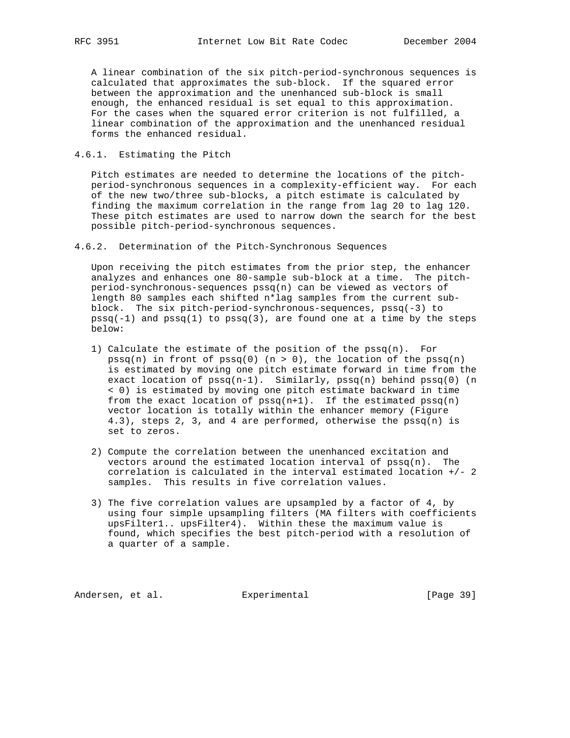A linear combination of the six pitch-period-synchronous sequences is calculated that approximates the sub-block. If the squared error between the approximation and the unenhanced sub-block is small enough, the enhanced residual is set equal to this approximation. For the cases when the squared error criterion is not fulfilled, a linear combination of the approximation and the unenhanced residual forms the enhanced residual.

4.6.1. Estimating the Pitch

 Pitch estimates are needed to determine the locations of the pitch period-synchronous sequences in a complexity-efficient way. For each of the new two/three sub-blocks, a pitch estimate is calculated by finding the maximum correlation in the range from lag 20 to lag 120. These pitch estimates are used to narrow down the search for the best possible pitch-period-synchronous sequences.

4.6.2. Determination of the Pitch-Synchronous Sequences

 Upon receiving the pitch estimates from the prior step, the enhancer analyzes and enhances one 80-sample sub-block at a time. The pitch period-synchronous-sequences pssq(n) can be viewed as vectors of length 80 samples each shifted n\*lag samples from the current sub block. The six pitch-period-synchronous-sequences, pssq(-3) to  $pssq(-1)$  and  $pssq(1)$  to  $pssq(3)$ , are found one at a time by the steps below:

- 1) Calculate the estimate of the position of the  $pssq(n)$ . For  $pssq(n)$  in front of  $pssq(0)$  (n > 0), the location of the  $pssq(n)$  is estimated by moving one pitch estimate forward in time from the exact location of  $pssq(n-1)$ . Similarly,  $pssq(n)$  behind  $pssq(0)$  (n < 0) is estimated by moving one pitch estimate backward in time from the exact location of  $pssq(n+1)$ . If the estimated  $pssq(n)$  vector location is totally within the enhancer memory (Figure  $4.3$ ), steps 2, 3, and 4 are performed, otherwise the pssq(n) is set to zeros.
- 2) Compute the correlation between the unenhanced excitation and vectors around the estimated location interval of  $pssq(n)$ . The correlation is calculated in the interval estimated location +/- 2 samples. This results in five correlation values.
- 3) The five correlation values are upsampled by a factor of 4, by using four simple upsampling filters (MA filters with coefficients upsFilter1.. upsFilter4). Within these the maximum value is found, which specifies the best pitch-period with a resolution of a quarter of a sample.

Andersen, et al. Experimental Formula (Page 39)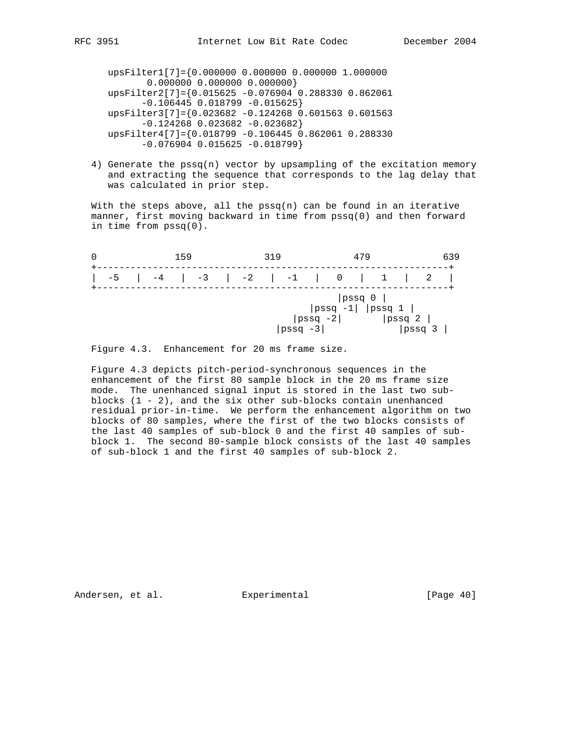upsFilter1[7]={0.000000 0.000000 0.000000 1.000000 0.000000 0.000000 0.000000} upsFilter2[7]={0.015625 -0.076904 0.288330 0.862061  $-0.106445$  0.018799  $-0.015625$  upsFilter3[7]={0.023682 -0.124268 0.601563 0.601563 -0.124268 0.023682 -0.023682} upsFilter4[7]={0.018799 -0.106445 0.862061 0.288330  $-0.076904$  0.015625  $-0.018799$ 

 4) Generate the pssq(n) vector by upsampling of the excitation memory and extracting the sequence that corresponds to the lag delay that was calculated in prior step.

With the steps above, all the  $pssq(n)$  can be found in an iterative manner, first moving backward in time from pssq(0) and then forward in time from pssq(0).

|      | 159          | 319          | 479                                                   | 639             |
|------|--------------|--------------|-------------------------------------------------------|-----------------|
| $-5$ | $-3$<br>$-4$ | $-2$ $-1$    |                                                       |                 |
|      |              | $ pssq - 3 $ | $ pssq $ $0$<br>$ pssq -1 $ $ pssq 1 $<br>$ pssq -2 $ | pssq 2<br> psg3 |

Figure 4.3. Enhancement for 20 ms frame size.

 Figure 4.3 depicts pitch-period-synchronous sequences in the enhancement of the first 80 sample block in the 20 ms frame size mode. The unenhanced signal input is stored in the last two sub blocks  $(1 - 2)$ , and the six other sub-blocks contain unenhanced residual prior-in-time. We perform the enhancement algorithm on two blocks of 80 samples, where the first of the two blocks consists of the last 40 samples of sub-block 0 and the first 40 samples of sub block 1. The second 80-sample block consists of the last 40 samples of sub-block 1 and the first 40 samples of sub-block 2.

Andersen, et al. Experimental Formula (Page 40)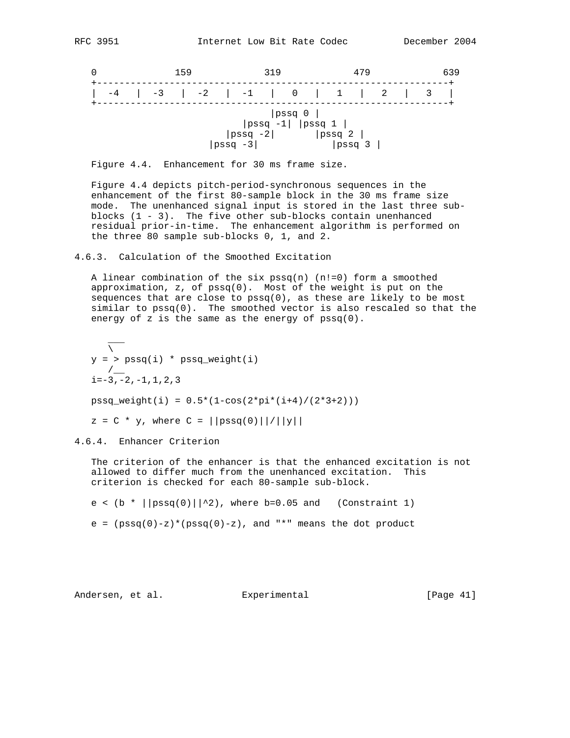|                                                                                     | 159  | 319                                                                      | 479                                     | 639 |  |  |  |
|-------------------------------------------------------------------------------------|------|--------------------------------------------------------------------------|-----------------------------------------|-----|--|--|--|
| $-4$                                                                                | $-3$ | $\begin{array}{ccccccc} \vert & -2 & \vert & -1 & \vert & 0 \end{array}$ | $\vert$ 1<br>$\overline{\phantom{a}}$ 2 |     |  |  |  |
| pssq 0 <br>$ pssq -1 $ $ pssq 1 $<br>$ pssq -2 $<br> psg 2 <br>$ pssq -3 $<br> psg3 |      |                                                                          |                                         |     |  |  |  |

Figure 4.4. Enhancement for 30 ms frame size.

 Figure 4.4 depicts pitch-period-synchronous sequences in the enhancement of the first 80-sample block in the 30 ms frame size mode. The unenhanced signal input is stored in the last three sub blocks (1 - 3). The five other sub-blocks contain unenhanced residual prior-in-time. The enhancement algorithm is performed on the three 80 sample sub-blocks 0, 1, and 2.

4.6.3. Calculation of the Smoothed Excitation

A linear combination of the six  $pssq(n)$  (n!=0) form a smoothed approximation,  $z$ , of  $pssq(0)$ . Most of the weight is put on the sequences that are close to  $pssq(0)$ , as these are likely to be most similar to pssq(0). The smoothed vector is also rescaled so that the energy of z is the same as the energy of pssq(0).

```
\mathcal{L}=\mathcal{L}\overline{\nabla}y = > pssq(i) * pssq_weight(i)/i=-3, -2, -1, 1, 2, 3pssq\_weight(i) = 0.5*(1-cos(2*pi*(i+4)/(2*3+2)))z = C * y, where C = ||pssq(0)|| / ||y||
```
4.6.4. Enhancer Criterion

 The criterion of the enhancer is that the enhanced excitation is not allowed to differ much from the unenhanced excitation. This criterion is checked for each 80-sample sub-block.

e < (b \*  $|\text{pssq}(0)|^2$ ), where b=0.05 and (Constraint 1)

e =  $(pssq(0)-z)*(pssq(0)-z)$ , and "\*" means the dot product

Andersen, et al. Experimental [Page 41]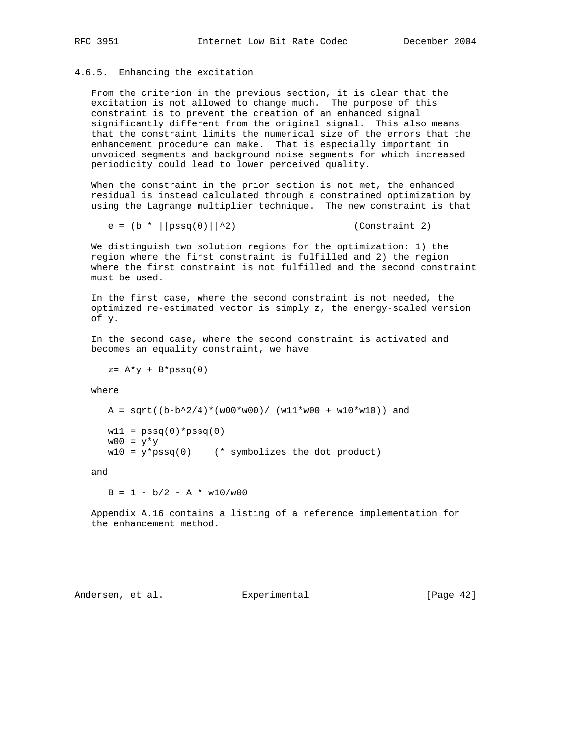## 4.6.5. Enhancing the excitation

 From the criterion in the previous section, it is clear that the excitation is not allowed to change much. The purpose of this constraint is to prevent the creation of an enhanced signal significantly different from the original signal. This also means that the constraint limits the numerical size of the errors that the enhancement procedure can make. That is especially important in unvoiced segments and background noise segments for which increased periodicity could lead to lower perceived quality.

 When the constraint in the prior section is not met, the enhanced residual is instead calculated through a constrained optimization by using the Lagrange multiplier technique. The new constraint is that

```
e = (b * ||pssg(0)||^22) (Constraint 2)
```
 We distinguish two solution regions for the optimization: 1) the region where the first constraint is fulfilled and 2) the region where the first constraint is not fulfilled and the second constraint must be used.

 In the first case, where the second constraint is not needed, the optimized re-estimated vector is simply z, the energy-scaled version of y.

 In the second case, where the second constraint is activated and becomes an equality constraint, we have

 $z= A^*y + B^*p s s q(0)$ 

where

A =  $sqrt((b-b^2/4)*(w00*w00)/(w11*w00 + w10*w10))$  and  $w11 = pssq(0)*pssq(0)$  $w00 = y*y$  $w10 = y * p s s q(0)$  (\* symbolizes the dot product)

and

 $B = 1 - b/2 - A * w10/w00$ 

 Appendix A.16 contains a listing of a reference implementation for the enhancement method.

Andersen, et al. Experimental [Page 42]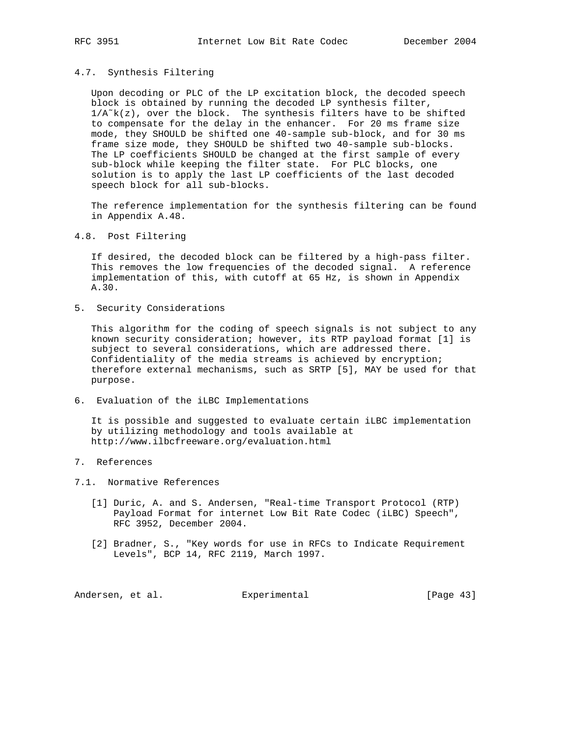## 4.7. Synthesis Filtering

 Upon decoding or PLC of the LP excitation block, the decoded speech block is obtained by running the decoded LP synthesis filter,  $1/A^k(z)$ , over the block. The synthesis filters have to be shifted to compensate for the delay in the enhancer. For 20 ms frame size mode, they SHOULD be shifted one 40-sample sub-block, and for 30 ms frame size mode, they SHOULD be shifted two 40-sample sub-blocks. The LP coefficients SHOULD be changed at the first sample of every sub-block while keeping the filter state. For PLC blocks, one solution is to apply the last LP coefficients of the last decoded speech block for all sub-blocks.

 The reference implementation for the synthesis filtering can be found in Appendix A.48.

4.8. Post Filtering

 If desired, the decoded block can be filtered by a high-pass filter. This removes the low frequencies of the decoded signal. A reference implementation of this, with cutoff at 65 Hz, is shown in Appendix A.30.

5. Security Considerations

 This algorithm for the coding of speech signals is not subject to any known security consideration; however, its RTP payload format [1] is subject to several considerations, which are addressed there. Confidentiality of the media streams is achieved by encryption; therefore external mechanisms, such as SRTP [5], MAY be used for that purpose.

6. Evaluation of the iLBC Implementations

 It is possible and suggested to evaluate certain iLBC implementation by utilizing methodology and tools available at http://www.ilbcfreeware.org/evaluation.html

- 7. References
- 7.1. Normative References
	- [1] Duric, A. and S. Andersen, "Real-time Transport Protocol (RTP) Payload Format for internet Low Bit Rate Codec (iLBC) Speech", RFC 3952, December 2004.
	- [2] Bradner, S., "Key words for use in RFCs to Indicate Requirement Levels", BCP 14, RFC 2119, March 1997.

Andersen, et al. Experimental [Page 43]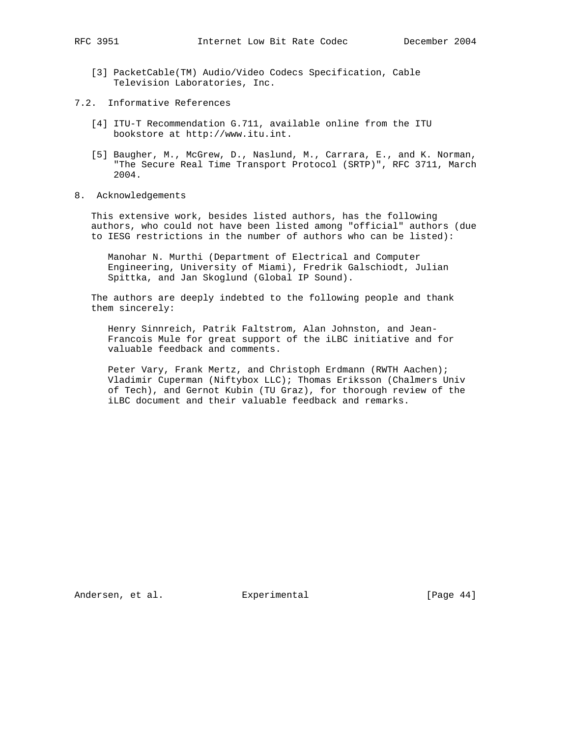- [3] PacketCable(TM) Audio/Video Codecs Specification, Cable Television Laboratories, Inc.
- 7.2. Informative References
	- [4] ITU-T Recommendation G.711, available online from the ITU bookstore at http://www.itu.int.
	- [5] Baugher, M., McGrew, D., Naslund, M., Carrara, E., and K. Norman, "The Secure Real Time Transport Protocol (SRTP)", RFC 3711, March 2004.
- 8. Acknowledgements

 This extensive work, besides listed authors, has the following authors, who could not have been listed among "official" authors (due to IESG restrictions in the number of authors who can be listed):

 Manohar N. Murthi (Department of Electrical and Computer Engineering, University of Miami), Fredrik Galschiodt, Julian Spittka, and Jan Skoglund (Global IP Sound).

 The authors are deeply indebted to the following people and thank them sincerely:

 Henry Sinnreich, Patrik Faltstrom, Alan Johnston, and Jean- Francois Mule for great support of the iLBC initiative and for valuable feedback and comments.

 Peter Vary, Frank Mertz, and Christoph Erdmann (RWTH Aachen); Vladimir Cuperman (Niftybox LLC); Thomas Eriksson (Chalmers Univ of Tech), and Gernot Kubin (TU Graz), for thorough review of the iLBC document and their valuable feedback and remarks.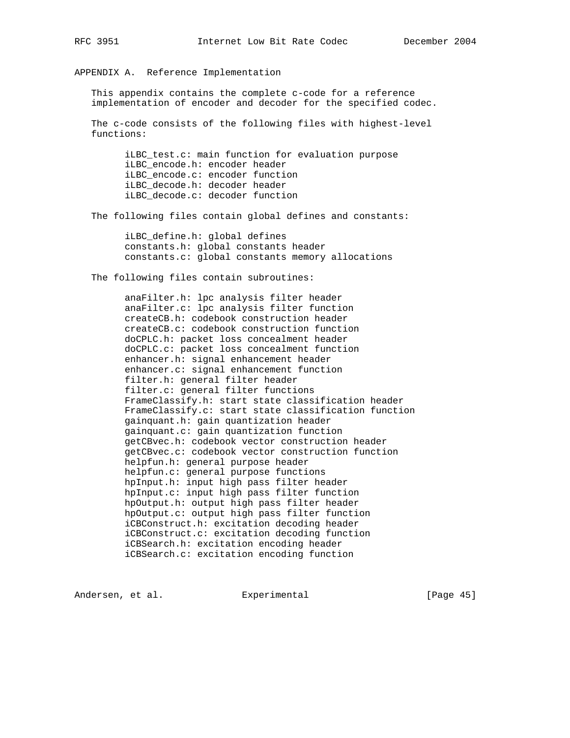APPENDIX A. Reference Implementation

 This appendix contains the complete c-code for a reference implementation of encoder and decoder for the specified codec.

 The c-code consists of the following files with highest-level functions:

 iLBC\_test.c: main function for evaluation purpose iLBC\_encode.h: encoder header iLBC\_encode.c: encoder function iLBC\_decode.h: decoder header iLBC\_decode.c: decoder function

The following files contain global defines and constants:

 iLBC\_define.h: global defines constants.h: global constants header constants.c: global constants memory allocations

The following files contain subroutines:

 anaFilter.h: lpc analysis filter header anaFilter.c: lpc analysis filter function createCB.h: codebook construction header createCB.c: codebook construction function doCPLC.h: packet loss concealment header doCPLC.c: packet loss concealment function enhancer.h: signal enhancement header enhancer.c: signal enhancement function filter.h: general filter header filter.c: general filter functions FrameClassify.h: start state classification header FrameClassify.c: start state classification function gainquant.h: gain quantization header gainquant.c: gain quantization function getCBvec.h: codebook vector construction header getCBvec.c: codebook vector construction function helpfun.h: general purpose header helpfun.c: general purpose functions hpInput.h: input high pass filter header hpInput.c: input high pass filter function hpOutput.h: output high pass filter header hpOutput.c: output high pass filter function iCBConstruct.h: excitation decoding header iCBConstruct.c: excitation decoding function iCBSearch.h: excitation encoding header iCBSearch.c: excitation encoding function

Andersen, et al. Experimental [Page 45]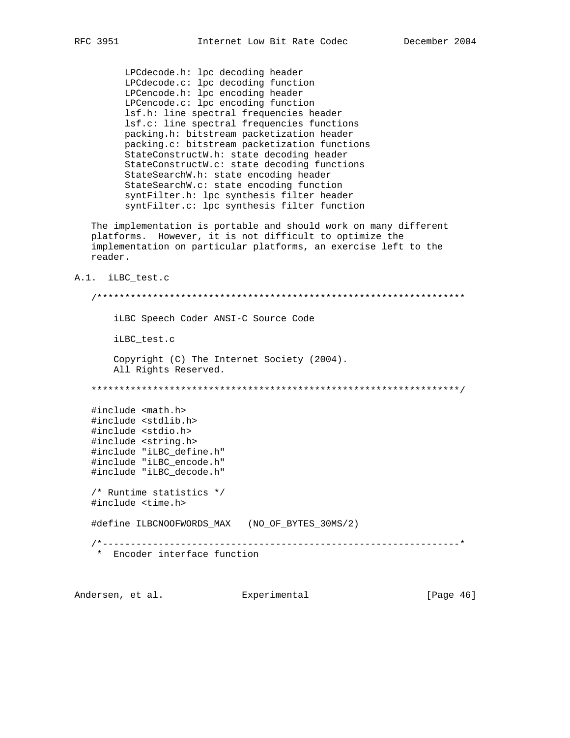LPCdecode.h: lpc decoding header LPCdecode.c: lpc decoding function LPCencode.h: lpc encoding header LPCencode.c: lpc encoding function lsf.h: line spectral frequencies header lsf.c: line spectral frequencies functions packing.h: bitstream packetization header packing.c: bitstream packetization functions StateConstructW.h: state decoding header StateConstructW.c: state decoding functions StateSearchW.h: state encoding header StateSearchW.c: state encoding function syntFilter.h: lpc synthesis filter header syntFilter.c: lpc synthesis filter function

 The implementation is portable and should work on many different platforms. However, it is not difficult to optimize the implementation on particular platforms, an exercise left to the reader.

A.1. iLBC\_test.c

 /\*\*\*\*\*\*\*\*\*\*\*\*\*\*\*\*\*\*\*\*\*\*\*\*\*\*\*\*\*\*\*\*\*\*\*\*\*\*\*\*\*\*\*\*\*\*\*\*\*\*\*\*\*\*\*\*\*\*\*\*\*\*\*\*\*\* iLBC Speech Coder ANSI-C Source Code iLBC\_test.c Copyright (C) The Internet Society (2004). All Rights Reserved. \*\*\*\*\*\*\*\*\*\*\*\*\*\*\*\*\*\*\*\*\*\*\*\*\*\*\*\*\*\*\*\*\*\*\*\*\*\*\*\*\*\*\*\*\*\*\*\*\*\*\*\*\*\*\*\*\*\*\*\*\*\*\*\*\*\*/ #include <math.h> #include <stdlib.h> #include <stdio.h> #include <string.h> #include "iLBC\_define.h" #include "iLBC\_encode.h" #include "iLBC\_decode.h" /\* Runtime statistics \*/ #include <time.h> #define ILBCNOOFWORDS\_MAX (NO\_OF\_BYTES\_30MS/2) /\*----------------------------------------------------------------\* \* Encoder interface function

Andersen, et al. Experimental [Page 46]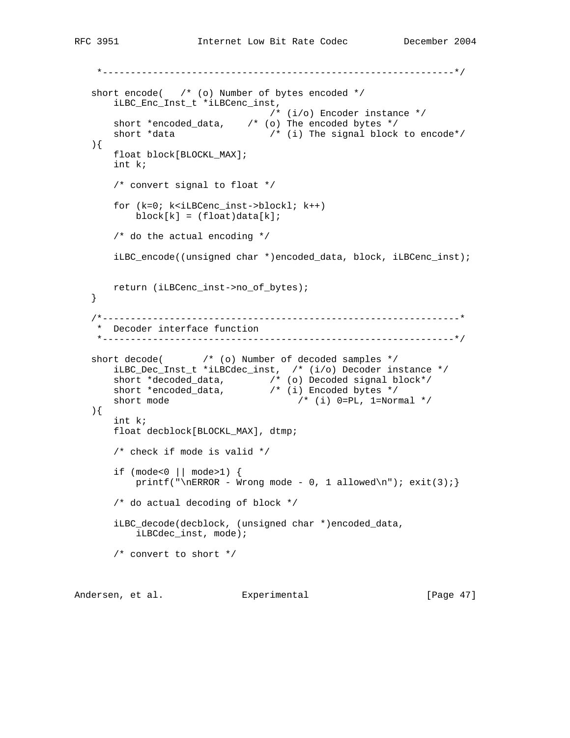```
 *---------------------------------------------------------------*/
  short encode( /* (o) Number of bytes encoded */ iLBC_Enc_Inst_t *iLBCenc_inst,
                                   /* (i/o) Encoder instance */
      short *encoded_data, \frac{1}{2} /* (o) The encoded bytes */<br>short *data \frac{1}{2} /* (i) The signal block
                                  /* (i) The signal block to encode*/
   ){
       float block[BLOCKL_MAX];
       int k;
       /* convert signal to float */
       for (k=0; k<iLBCenc_inst->blockl; k++)
           block[k] = (float)data[k]; /* do the actual encoding */
       iLBC_encode((unsigned char *)encoded_data, block, iLBCenc_inst);
       return (iLBCenc_inst->no_of_bytes);
   }
    /*----------------------------------------------------------------*
    * Decoder interface function
    *---------------------------------------------------------------*/
  short decode( \frac{1}{2} /* (o) Number of decoded samples */
        iLBC_Dec_Inst_t *iLBCdec_inst, /* (i/o) Decoder instance */
 short *decoded_data, /* (o) Decoded signal block*/
short *encoded_data, \frac{1}{2} /* (i) Encoded bytes */
short mode / /* (i) 0=PL, 1=Normal */
   ){
       int k;
       float decblock[BLOCKL_MAX], dtmp;
        /* check if mode is valid */
        if (mode<0 || mode>1) {
           printf("\nERROR - Wrong mode - 0, 1 allowed\n"); exit(3);}
        /* do actual decoding of block */
        iLBC_decode(decblock, (unsigned char *)encoded_data,
            iLBCdec_inst, mode);
        /* convert to short */
```
Andersen, et al. Experimental Formula (Page 47)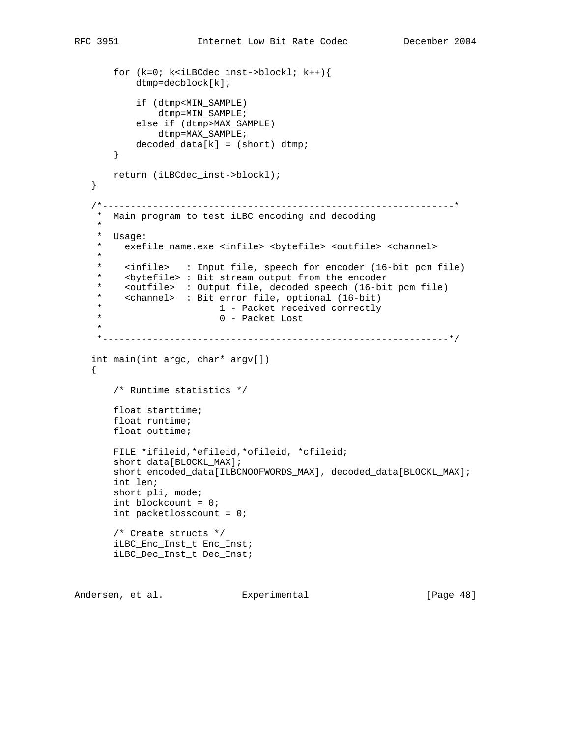```
 for (k=0; k<iLBCdec_inst->blockl; k++){
            dtmp=decblock[k];
            if (dtmp<MIN_SAMPLE)
                dtmp=MIN_SAMPLE;
            else if (dtmp>MAX_SAMPLE)
               dtmp=MAX_SAMPLE;
          decoded_data[k] = (short) dtmp; }
       return (iLBCdec_inst->blockl);
   }
    /*---------------------------------------------------------------*
    * Main program to test iLBC encoding and decoding
    *
   * Usage:<br>* exef
       exefile_name.exe <infile> <br/> <br/>bytefile> <outfile> <channel>
     *
     * <infile> : Input file, speech for encoder (16-bit pcm file)
     * <bytefile> : Bit stream output from the encoder
     * <outfile> : Output file, decoded speech (16-bit pcm file)
     * <channel> : Bit error file, optional (16-bit)
    * 1 - Packet received correctly<br>
0 - 2e^{k+1}0 - Packet Lost
 *
    *--------------------------------------------------------------*/
   int main(int argc, char* argv[])
   {
        /* Runtime statistics */
       float starttime;
       float runtime;
       float outtime;
       FILE *ifileid,*efileid,*ofileid, *cfileid;
       short data[BLOCKL_MAX];
       short encoded_data[ILBCNOOFWORDS_MAX], decoded_data[BLOCKL_MAX];
       int len;
       short pli, mode;
       int blockcount = 0;
       int packetlosscount = 0;
       /* Create structs */
       iLBC_Enc_Inst_t Enc_Inst;
       iLBC_Dec_Inst_t Dec_Inst;
```
Andersen, et al. Experimental Formula (Page 48)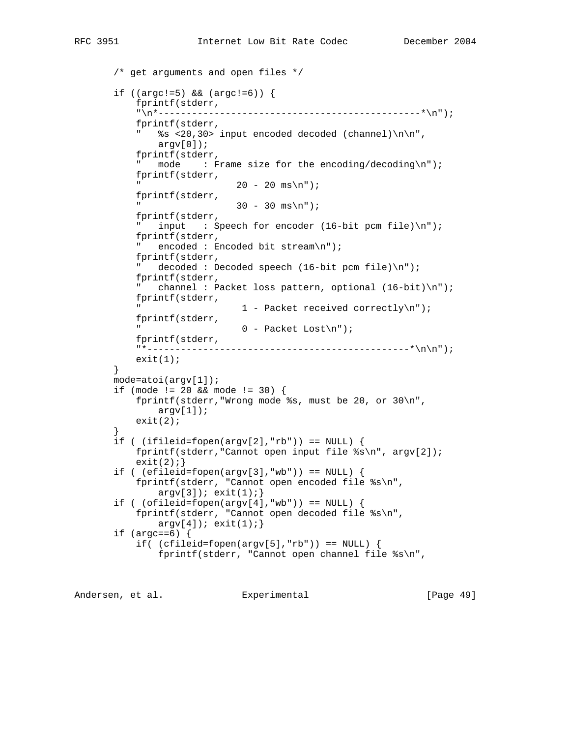```
 /* get arguments and open files */
 if ((argc!=5) && (argc!=6)) {
     fprintf(stderr,
     "\n*-----------------------------------------------*\n");
     fprintf(stderr,
     " %s <20,30> input encoded decoded (channel)\n\n",
        argv[0];
     fprintf(stderr,
    " mode : Frame size for the encoding/decoding\n");
     fprintf(stderr,
                     20 - 20 ms\n");
     fprintf(stderr,
                     30 - 30 ms\n");
     fprintf(stderr,
    " input : Speech for encoder (16-bit pcm file)\n\frac{n!}{s};
     fprintf(stderr,
     " encoded : Encoded bit stream\n");
     fprintf(stderr,
     " decoded : Decoded speech (16-bit pcm file)\n");
     fprintf(stderr,
     " channel : Packet loss pattern, optional (16-bit)\n");
     fprintf(stderr,
                      1 - Packet received correctly\n");
     fprintf(stderr,
                     0 - Packet Lost\n");
     fprintf(stderr,
     "*-----------------------------------------------*\n\n");
    exit(1); }
 mode=atoi(argv[1]);
 if (mode != 20 && mode != 30) {
     fprintf(stderr,"Wrong mode %s, must be 20, or 30\n",
        argv[1]);
   exit(2); }
if ( (ifileid=fopen(argv[2], "rb")) = = NULL {
     fprintf(stderr,"Cannot open input file %s\n", argv[2]);
    exit(2);if ( (efileid=fopen(argv[3], "wb")) = = NULL {
     fprintf(stderr, "Cannot open encoded file %s\n",
        argv[3]); exit(1);if ( (ofileid=fopen(argv[4], "wb")) == NULL) {
     fprintf(stderr, "Cannot open decoded file %s\n",
        argv[4]; exit(1); if (argc==6) {
    if( (cfiled=fopen(argv[5], "rb")) == NULL) \{ fprintf(stderr, "Cannot open channel file %s\n",
```
Andersen, et al. Experimental [Page 49]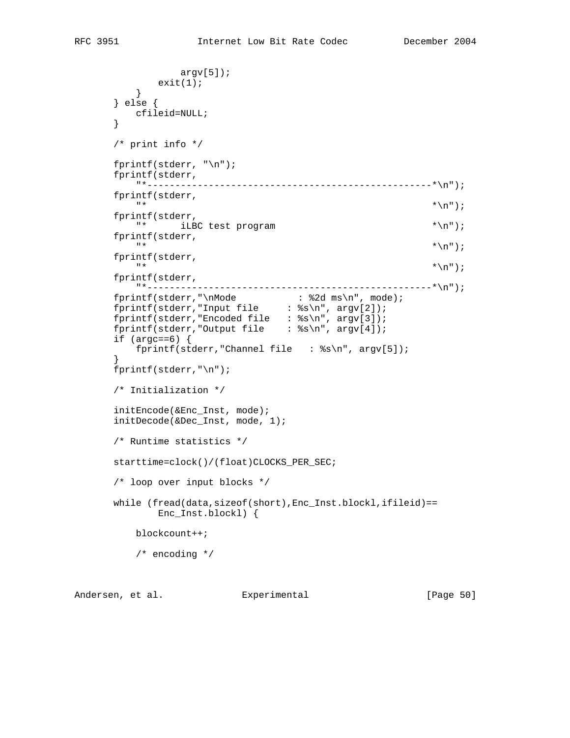```
 argv[5]);
         \{ exit(1);
 }
       } else {
         cfileid=NULL;
       }
      /* print info */
       fprintf(stderr, "\n");
       fprintf(stderr,
         "*---------------------------------------------------*\n");
       fprintf(stderr,
\mathbb{R}^* * \setminus \mathbb{R}^n ;
       fprintf(stderr,
        "* iLBC test program *\n");
      fprintf(stderr,<br>"*
\mathbb{R}^* * \setminus \mathbb{R}^n ;
       fprintf(stderr,
\mathbb{R}^* * \setminus \mathbb{R}^n ;
       fprintf(stderr,
          "*---------------------------------------------------*\n");
fprintf(stderr,"\nMode : %2d ms\n", mode);
fprintf(stderr,"Input file : %s\n", argv[2]);
fprintf(stderr,"Encoded file : %s\n", argv[3]);
     fprintf(stderr,"Output file : %s\n", argv[4]);
      if (\text{argc}==6) {
          fprintf(stderr,"Channel file : %s\n", argv[5]);
 }
      fprintf(stderr,"\n");
       /* Initialization */
      initEncode(&Enc_Inst, mode);
      initDecode(&Dec_Inst, mode, 1);
      /* Runtime statistics */
      starttime=clock()/(float)CLOCKS_PER_SEC;
       /* loop over input blocks */
      while (fread(data,sizeof(short),Enc_Inst.blockl,ifileid)==
             Enc_Inst.blockl) {
          blockcount++;
          /* encoding */
```
Andersen, et al. Experimental Formula (Page 50)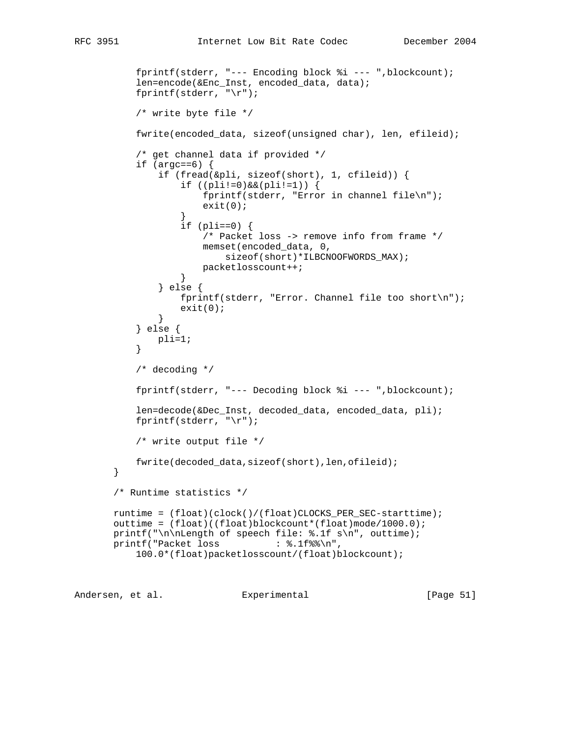```
 fprintf(stderr, "--- Encoding block %i --- ",blockcount);
           len=encode(&Enc_Inst, encoded_data, data);
           fprintf(stderr, "\r");
           /* write byte file */
           fwrite(encoded_data, sizeof(unsigned char), len, efileid);
           /* get channel data if provided */
          if (\arg c == 6) {
               if (fread(&pli, sizeof(short), 1, cfileid)) {
                  if ((pli != 0) & (pli != 1)) fprintf(stderr, "Error in channel file\n");
                  \{ \text{exit}(0); \} }
                  if (pli==0) {
                       /* Packet loss -> remove info from frame */
                       memset(encoded_data, 0,
                           sizeof(short)*ILBCNOOFWORDS_MAX);
                  packetlosscount++;<br>}
 }
               } else {
                   fprintf(stderr, "Error. Channel file too short\n");
                  exit(0); }
           } else {
          pli=1;<br>}
 }
           /* decoding */
           fprintf(stderr, "--- Decoding block %i --- ",blockcount);
           len=decode(&Dec_Inst, decoded_data, encoded_data, pli);
          fprintf(stderr, "\r);
           /* write output file */
           fwrite(decoded_data,sizeof(short),len,ofileid);
       }
       /* Runtime statistics */
       runtime = (float)(clock()/(float)CLOCKS_PER_SEC-starttime);
       outtime = (float)((float)blockcount*(float)mode/1000.0);
       printf("\n\nLength of speech file: %.1f s\n", outtime);
      printf("Packet loss : %.1f%\n",
           100.0*(float)packetlosscount/(float)blockcount);
```
Andersen, et al. Experimental [Page 51]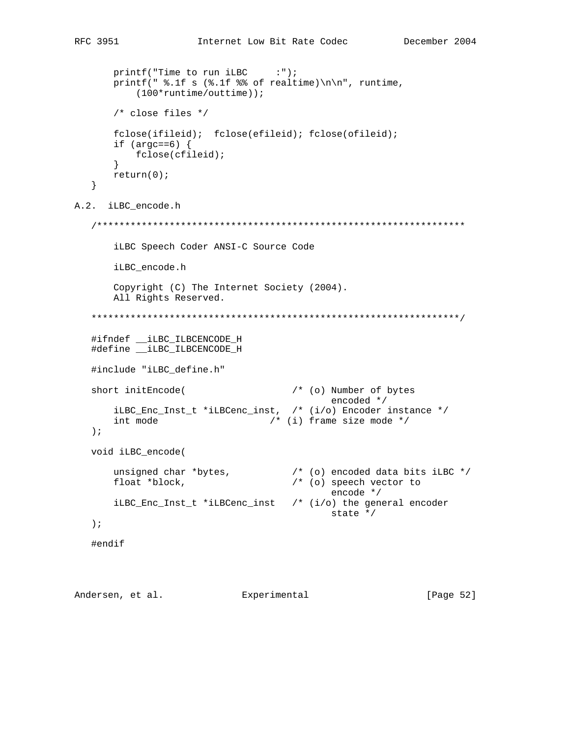```
printf("Time to run iLBC :");
      printf(" \.1f s (\.1f \ of realtime)\n\n", runtime,
           (100*runtime/outtime));
       /* close files */
       fclose(ifileid); fclose(efileid); fclose(ofileid);
      if (argc==6) \{ fclose(cfileid);
       }
       return(0);
    }
A.2. iLBC_encode.h
    /******************************************************************
       iLBC Speech Coder ANSI-C Source Code
       iLBC_encode.h
       Copyright (C) The Internet Society (2004).
       All Rights Reserved.
    ******************************************************************/
    #ifndef __iLBC_ILBCENCODE_H
    #define __iLBC_ILBCENCODE_H
   #include "iLBC_define.h"
  short initEncode( \frac{1}{2} /* (o) Number of bytes
                                            encoded */
       iLBC_Enc_Inst_t *iLBCenc_inst, /* (i/o) Encoder instance */
     int mode /* (i) frame size mode */
    );
   void iLBC_encode(
 unsigned char *bytes, /* (o) encoded data bits iLBC */
float *block, \frac{1}{2} /* (o) speech vector to
                                            encode */
       iLBC_Enc_Inst_t *iLBCenc_inst /* (i/o) the general encoder
                                            state */
    );
   #endif
```
Andersen, et al. Experimental Formula (Page 52)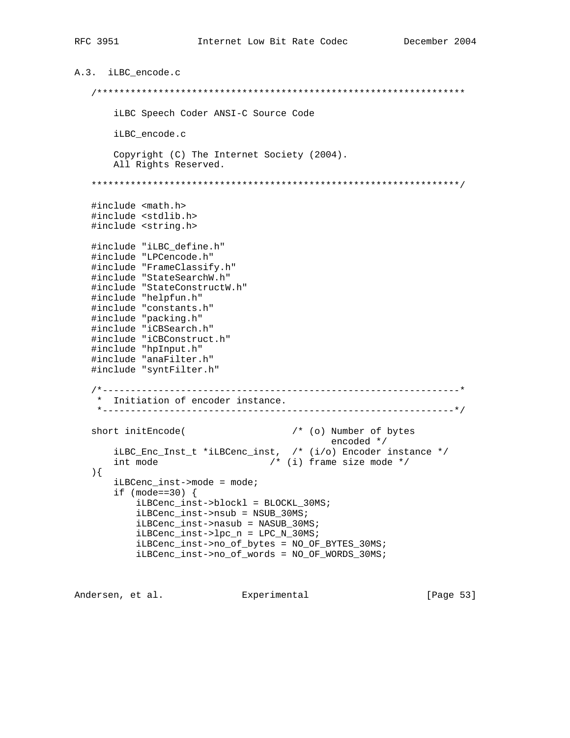```
A.3. iLBC_encode.c
    /******************************************************************
       iLBC Speech Coder ANSI-C Source Code
       iLBC_encode.c
       Copyright (C) The Internet Society (2004).
       All Rights Reserved.
    ******************************************************************/
    #include <math.h>
    #include <stdlib.h>
    #include <string.h>
   #include "iLBC_define.h"
   #include "LPCencode.h"
    #include "FrameClassify.h"
    #include "StateSearchW.h"
   #include "StateConstructW.h"
   #include "helpfun.h"
   #include "constants.h"
   #include "packing.h"
    #include "iCBSearch.h"
    #include "iCBConstruct.h"
    #include "hpInput.h"
   #include "anaFilter.h"
   #include "syntFilter.h"
    /*----------------------------------------------------------------*
    * Initiation of encoder instance.
    *---------------------------------------------------------------*/
  short initEncode( \frac{1}{2} /* (o) Number of bytes
encoded */ iLBC_Enc_Inst_t *iLBCenc_inst, /* (i/o) Encoder instance */
 int mode /* (i) frame size mode */
    ){
       iLBCenc_inst->mode = mode;
      if (mode==30) {
           iLBCenc_inst->blockl = BLOCKL_30MS;
           iLBCenc_inst->nsub = NSUB_30MS;
           iLBCenc_inst->nasub = NASUB_30MS;
           iLBCenc_inst->lpc_n = LPC_N_30MS;
           iLBCenc_inst->no_of_bytes = NO_OF_BYTES_30MS;
           iLBCenc_inst->no_of_words = NO_OF_WORDS_30MS;
```
Andersen, et al. Experimental [Page 53]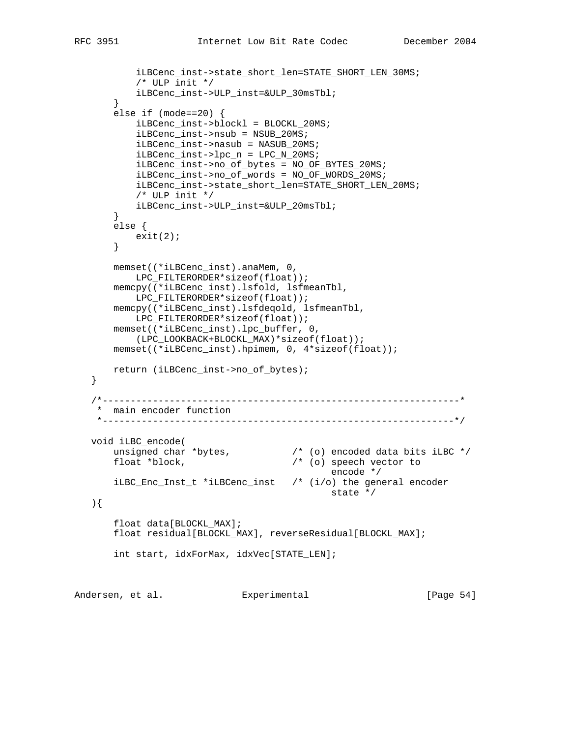```
 iLBCenc_inst->state_short_len=STATE_SHORT_LEN_30MS;
           /* ULP init */ iLBCenc_inst->ULP_inst=&ULP_30msTbl;
        }
       else if (mode==20) {
           iLBCenc_inst->blockl = BLOCKL_20MS;
           iLBCenc_inst->nsub = NSUB_20MS;
            iLBCenc_inst->nasub = NASUB_20MS;
            iLBCenc_inst->lpc_n = LPC_N_20MS;
           iLBCenc_inst->no_of_bytes = NO_OF_BYTES_20MS;
           iLBCenc_inst->no_of_words = NO_OF_WORDS_20MS;
           iLBCenc_inst->state_short_len=STATE_SHORT_LEN_20MS;
           /* ULP init */
           iLBCenc_inst->ULP_inst=&ULP_20msTbl;
        }
       else {
          exit(2);
        }
       memset((*iLBCenc_inst).anaMem, 0,
           LPC_FILTERORDER*sizeof(float));
       memcpy((*iLBCenc_inst).lsfold, lsfmeanTbl,
           LPC_FILTERORDER*sizeof(float));
       memcpy((*iLBCenc_inst).lsfdeqold, lsfmeanTbl,
           LPC_FILTERORDER*sizeof(float));
       memset((*iLBCenc_inst).lpc_buffer, 0,
           (LPC_LOOKBACK+BLOCKL_MAX)*sizeof(float));
      memset((*iLBCenc_inst).hpimem, 0, 4*sizeof(float));
       return (iLBCenc_inst->no_of_bytes);
   }
    /*----------------------------------------------------------------*
    * main encoder function
    *---------------------------------------------------------------*/
   void iLBC_encode(
 unsigned char *bytes, /* (o) encoded data bits iLBC */
float *block, \frac{1}{2} /* (o) speech vector to
                                              encode */
       iLBC_Enc_Inst_t *iLBCenc_inst /* (i/o) the general encoder
                                              state */
   ){
       float data[BLOCKL_MAX];
       float residual[BLOCKL_MAX], reverseResidual[BLOCKL_MAX];
       int start, idxForMax, idxVec[STATE_LEN];
```
Andersen, et al. **Experimental** [Page 54]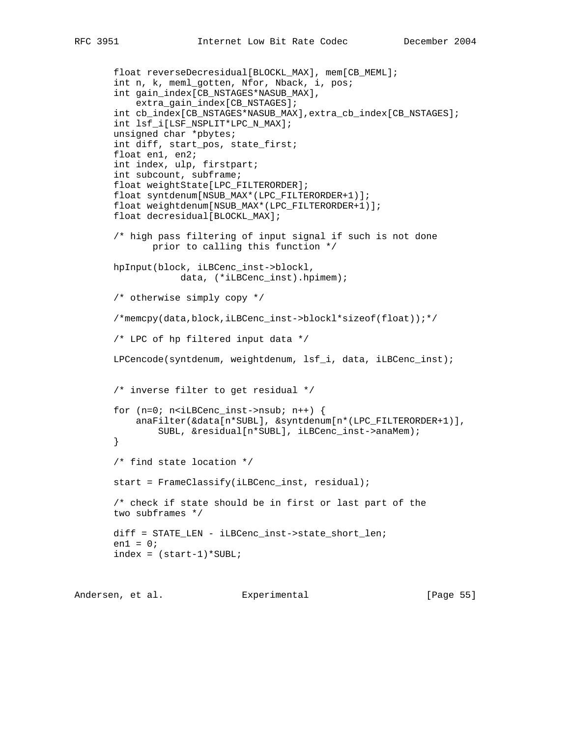```
 float reverseDecresidual[BLOCKL_MAX], mem[CB_MEML];
 int n, k, meml_gotten, Nfor, Nback, i, pos;
 int gain_index[CB_NSTAGES*NASUB_MAX],
     extra_gain_index[CB_NSTAGES];
 int cb_index[CB_NSTAGES*NASUB_MAX],extra_cb_index[CB_NSTAGES];
 int lsf_i[LSF_NSPLIT*LPC_N_MAX];
 unsigned char *pbytes;
 int diff, start_pos, state_first;
 float en1, en2;
 int index, ulp, firstpart;
 int subcount, subframe;
 float weightState[LPC_FILTERORDER];
 float syntdenum[NSUB_MAX*(LPC_FILTERORDER+1)];
 float weightdenum[NSUB_MAX*(LPC_FILTERORDER+1)];
 float decresidual[BLOCKL_MAX];
 /* high pass filtering of input signal if such is not done
        prior to calling this function */
 hpInput(block, iLBCenc_inst->blockl,
             data, (*iLBCenc_inst).hpimem);
 /* otherwise simply copy */
 /*memcpy(data,block,iLBCenc_inst->blockl*sizeof(float));*/
 /* LPC of hp filtered input data */
 LPCencode(syntdenum, weightdenum, lsf_i, data, iLBCenc_inst);
 /* inverse filter to get residual */
for (n=0; n<i>i</i>LBCenc_inst-&gt;nsub; n++) {
     anaFilter(&data[n*SUBL], &syntdenum[n*(LPC_FILTERORDER+1)],
         SUBL, &residual[n*SUBL], iLBCenc_inst->anaMem);
 }
 /* find state location */
 start = FrameClassify(iLBCenc_inst, residual);
 /* check if state should be in first or last part of the
 two subframes */
 diff = STATE_LEN - iLBCenc_inst->state_short_len;
en1 = 0;index = (start-1)*SUBL;
```
Andersen, et al. Experimental [Page 55]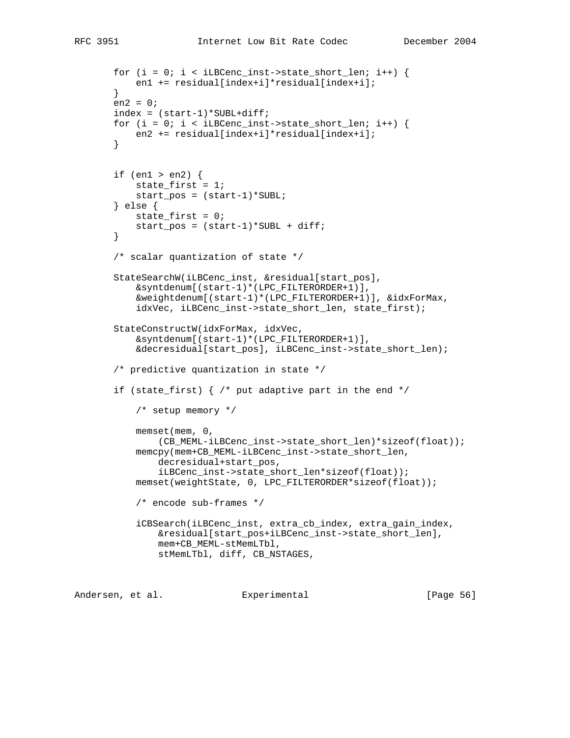```
for (i = 0; i < iLBCenc_inst->state_short_len; i++) {
     en1 += residual[index+i]*residual[index+i];
 }
en2 = 0; index = (start-1)*SUBL+diff;
for (i = 0; i < iLBCenc_inst->state_short_len; i++) {
     en2 += residual[index+i]*residual[index+i];
 }
 if (en1 > en2) {
     state_first = 1;
     start_pos = (start-1)*SUBL;
 } else {
    state_first = 0;
     start_pos = (start-1)*SUBL + diff;
 }
 /* scalar quantization of state */
 StateSearchW(iLBCenc_inst, &residual[start_pos],
     &syntdenum[(start-1)*(LPC_FILTERORDER+1)],
     &weightdenum[(start-1)*(LPC_FILTERORDER+1)], &idxForMax,
     idxVec, iLBCenc_inst->state_short_len, state_first);
 StateConstructW(idxForMax, idxVec,
     &syntdenum[(start-1)*(LPC_FILTERORDER+1)],
     &decresidual[start_pos], iLBCenc_inst->state_short_len);
 /* predictive quantization in state */
if (state_first) \frac{1}{2} /* put adaptive part in the end */
     /* setup memory */
     memset(mem, 0,
        (CB_MEML-iLBCenc_inst->state_short_len)*sizeof(float));
     memcpy(mem+CB_MEML-iLBCenc_inst->state_short_len,
         decresidual+start_pos,
         iLBCenc_inst->state_short_len*sizeof(float));
     memset(weightState, 0, LPC_FILTERORDER*sizeof(float));
     /* encode sub-frames */
     iCBSearch(iLBCenc_inst, extra_cb_index, extra_gain_index,
         &residual[start_pos+iLBCenc_inst->state_short_len],
         mem+CB_MEML-stMemLTbl,
         stMemLTbl, diff, CB_NSTAGES,
```
Andersen, et al. Experimental [Page 56]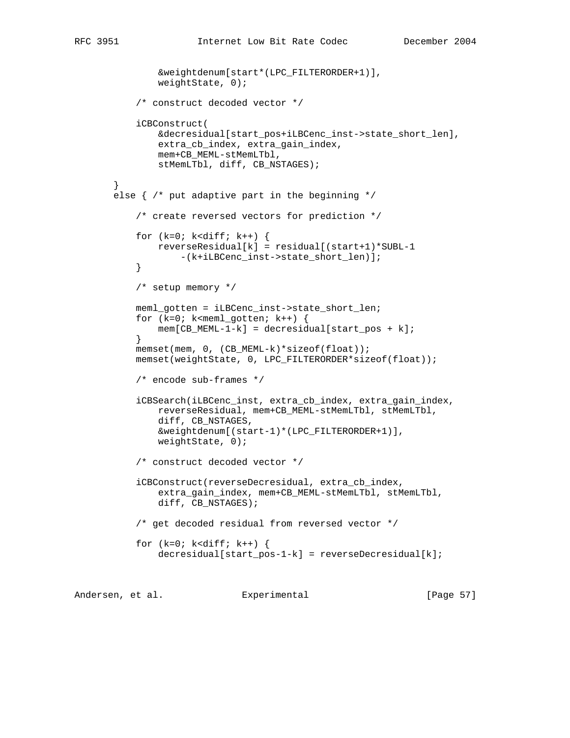```
 &weightdenum[start*(LPC_FILTERORDER+1)],
                weightState, 0);
            /* construct decoded vector */
            iCBConstruct(
                &decresidual[start_pos+iLBCenc_inst->state_short_len],
                extra_cb_index, extra_gain_index,
                mem+CB_MEML-stMemLTbl,
               stMemLTbl, diff, CB_NSTAGES);
        }
       else \{\n/ * \text{ put adaptive part in the beginning */}\n /* create reversed vectors for prediction */
           for (k=0; k<diff; k++) {
              reverseResidual[k] = residual[(start+1)*SUBL-1
                    -(k+iLBCenc_inst->state_short_len)];
 }
            /* setup memory */
            meml_gotten = iLBCenc_inst->state_short_len;
            for (k=0; k<meml_gotten; k++) {
           mem[CB_MEML-1-k] = decresidual[start_pos + k];<br>}
 }
            memset(mem, 0, (CB_MEML-k)*sizeof(float));
            memset(weightState, 0, LPC_FILTERORDER*sizeof(float));
            /* encode sub-frames */
            iCBSearch(iLBCenc_inst, extra_cb_index, extra_gain_index,
                reverseResidual, mem+CB_MEML-stMemLTbl, stMemLTbl,
                diff, CB_NSTAGES,
                &weightdenum[(start-1)*(LPC_FILTERORDER+1)],
                weightState, 0);
            /* construct decoded vector */
            iCBConstruct(reverseDecresidual, extra_cb_index,
                extra_gain_index, mem+CB_MEML-stMemLTbl, stMemLTbl,
                diff, CB_NSTAGES);
            /* get decoded residual from reversed vector */
           for (k=0; k<diff; k++) {
               decresidual[start\_pos-1-k] = reverseDecresidual[k];
```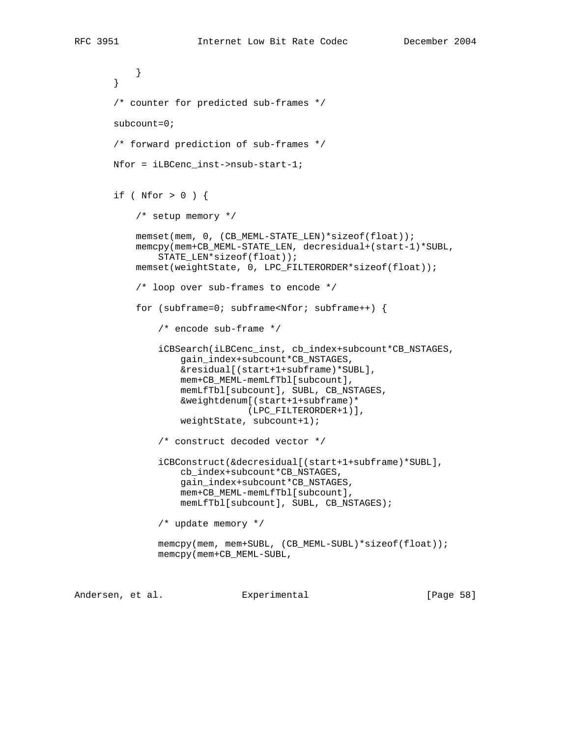```
 }
 }
 /* counter for predicted sub-frames */
 subcount=0;
 /* forward prediction of sub-frames */
 Nfor = iLBCenc_inst->nsub-start-1;
 if ( Nfor > 0 ) {
     /* setup memory */
     memset(mem, 0, (CB_MEML-STATE_LEN)*sizeof(float));
     memcpy(mem+CB_MEML-STATE_LEN, decresidual+(start-1)*SUBL,
         STATE_LEN*sizeof(float));
     memset(weightState, 0, LPC_FILTERORDER*sizeof(float));
     /* loop over sub-frames to encode */
     for (subframe=0; subframe<Nfor; subframe++) {
         /* encode sub-frame */
         iCBSearch(iLBCenc_inst, cb_index+subcount*CB_NSTAGES,
             gain_index+subcount*CB_NSTAGES,
             &residual[(start+1+subframe)*SUBL],
             mem+CB_MEML-memLfTbl[subcount],
             memLfTbl[subcount], SUBL, CB_NSTAGES,
             &weightdenum[(start+1+subframe)*
                          (LPC_FILTERORDER+1)],
             weightState, subcount+1);
         /* construct decoded vector */
         iCBConstruct(&decresidual[(start+1+subframe)*SUBL],
             cb_index+subcount*CB_NSTAGES,
             gain_index+subcount*CB_NSTAGES,
             mem+CB_MEML-memLfTbl[subcount],
             memLfTbl[subcount], SUBL, CB_NSTAGES);
         /* update memory */
        memcpy(mem, mem+SUBL, (CB_MEML-SUBL)*sizeof(float));
         memcpy(mem+CB_MEML-SUBL,
```
Andersen, et al. Experimental [Page 58]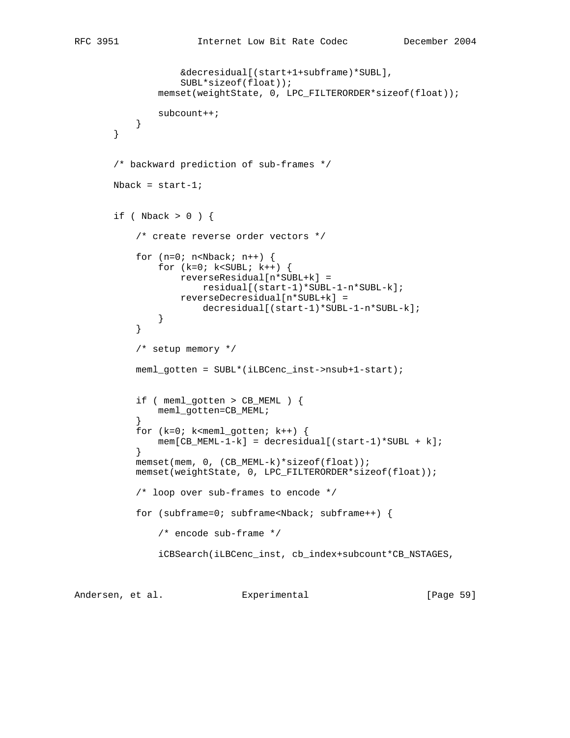```
 &decresidual[(start+1+subframe)*SUBL],
                   SUBL*sizeof(float));
               memset(weightState, 0, LPC_FILTERORDER*sizeof(float));
               subcount++;
 }
       }
       /* backward prediction of sub-frames */
      Nback = start-1;
      if ( Nback > 0 ) {
           /* create reverse order vectors */
          for (n=0; n<sub>Nback</sub>; n++) {
              for (k=0; k<SUBL; k++) {
                   reverseResidual[n*SUBL+k] =
                       residual[(start-1)*SUBL-1-n*SUBL-k];
                   reverseDecresidual[n*SUBL+k] =
                       decresidual[(start-1)*SUBL-1-n*SUBL-k];
 }
 }
           /* setup memory */
           meml_gotten = SUBL*(iLBCenc_inst->nsub+1-start);
           if ( meml_gotten > CB_MEML ) {
          meml_gotten=CB_MEML;
 }
           for (k=0; k<meml_gotten; k++) {
           mem[CB_MEML-1-k] = decresidual[(start-1)*SUBL + k];
 }
          memset(mem, 0, (CB_MEML-k)*sizeof(float));
           memset(weightState, 0, LPC_FILTERORDER*sizeof(float));
           /* loop over sub-frames to encode */
          for (subframe=0; subframe<Nback; subframe++) {
               /* encode sub-frame */
               iCBSearch(iLBCenc_inst, cb_index+subcount*CB_NSTAGES,
```
Andersen, et al. Experimental [Page 59]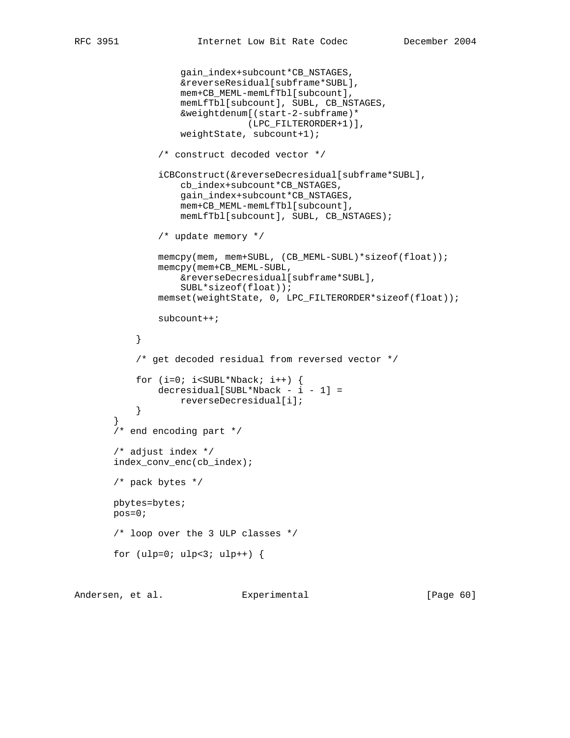```
 gain_index+subcount*CB_NSTAGES,
                    &reverseResidual[subframe*SUBL],
                    mem+CB_MEML-memLfTbl[subcount],
                    memLfTbl[subcount], SUBL, CB_NSTAGES,
                    &weightdenum[(start-2-subframe)*
                                (LPC_FILTERORDER+1)],
                    weightState, subcount+1);
                /* construct decoded vector */
                iCBConstruct(&reverseDecresidual[subframe*SUBL],
                    cb_index+subcount*CB_NSTAGES,
                    gain_index+subcount*CB_NSTAGES,
                    mem+CB_MEML-memLfTbl[subcount],
                    memLfTbl[subcount], SUBL, CB_NSTAGES);
                /* update memory */
                memcpy(mem, mem+SUBL, (CB_MEML-SUBL)*sizeof(float));
                memcpy(mem+CB_MEML-SUBL,
                    &reverseDecresidual[subframe*SUBL],
                    SUBL*sizeof(float));
                memset(weightState, 0, LPC_FILTERORDER*sizeof(float));
                subcount++;
 }
            /* get decoded residual from reversed vector */
           for (i=0; i<SUBL*Nback; i++) {
               decresidual[SUBL*Nback - i - 1] =reverseDecresidual[i];<br>}
 }
 }
        /* end encoding part */
        /* adjust index */
       index_conv_enc(cb_index);
       /* pack bytes */
       pbytes=bytes;
       pos=0;
       /* loop over the 3 ULP classes */
      for (ulp=0; ulp<3; ulp++) {
```
Andersen, et al. Experimental [Page 60]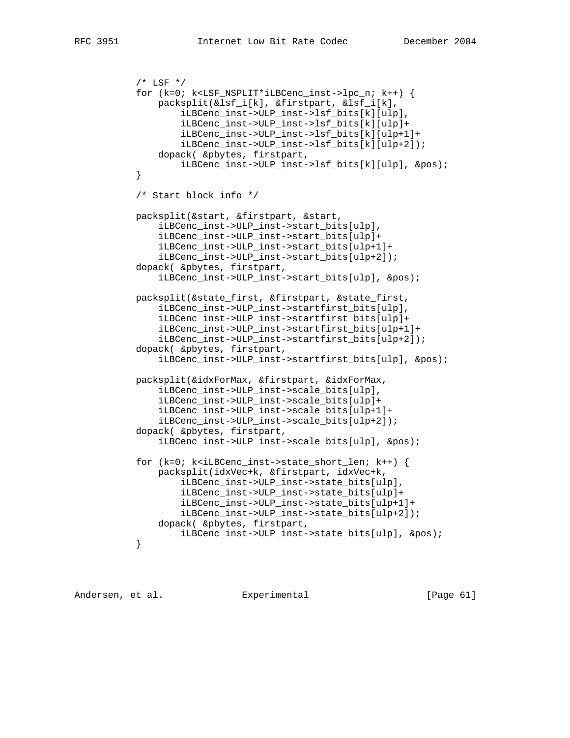```
/* LSF */ for (k=0; k<LSF_NSPLIT*iLBCenc_inst->lpc_n; k++) {
                packsplit(&lsf_i[k], &firstpart, &lsf_i[k],
                    iLBCenc_inst->ULP_inst->lsf_bits[k][ulp],
                    iLBCenc_inst->ULP_inst->lsf_bits[k][ulp]+
                    iLBCenc_inst->ULP_inst->lsf_bits[k][ulp+1]+
                    iLBCenc_inst->ULP_inst->lsf_bits[k][ulp+2]);
                dopack( &pbytes, firstpart,
            iLBCenc_inst->ULP_inst->lsf_bits[k][ulp], &pos);
 }
            /* Start block info */
           packsplit(&start, &firstpart, &start,
                iLBCenc_inst->ULP_inst->start_bits[ulp],
                iLBCenc_inst->ULP_inst->start_bits[ulp]+
                iLBCenc_inst->ULP_inst->start_bits[ulp+1]+
                iLBCenc_inst->ULP_inst->start_bits[ulp+2]);
            dopack( &pbytes, firstpart,
                iLBCenc_inst->ULP_inst->start_bits[ulp], &pos);
           packsplit(&state_first, &firstpart, &state_first,
                iLBCenc_inst->ULP_inst->startfirst_bits[ulp],
                iLBCenc_inst->ULP_inst->startfirst_bits[ulp]+
                iLBCenc_inst->ULP_inst->startfirst_bits[ulp+1]+
                iLBCenc_inst->ULP_inst->startfirst_bits[ulp+2]);
            dopack( &pbytes, firstpart,
                iLBCenc_inst->ULP_inst->startfirst_bits[ulp], &pos);
           packsplit(&idxForMax, &firstpart, &idxForMax,
                iLBCenc_inst->ULP_inst->scale_bits[ulp],
                iLBCenc_inst->ULP_inst->scale_bits[ulp]+
                iLBCenc_inst->ULP_inst->scale_bits[ulp+1]+
                iLBCenc_inst->ULP_inst->scale_bits[ulp+2]);
            dopack( &pbytes, firstpart,
                iLBCenc_inst->ULP_inst->scale_bits[ulp], &pos);
            for (k=0; k<iLBCenc_inst->state_short_len; k++) {
                packsplit(idxVec+k, &firstpart, idxVec+k,
                    iLBCenc_inst->ULP_inst->state_bits[ulp],
                    iLBCenc_inst->ULP_inst->state_bits[ulp]+
                    iLBCenc_inst->ULP_inst->state_bits[ulp+1]+
                    iLBCenc_inst->ULP_inst->state_bits[ulp+2]);
                dopack( &pbytes, firstpart,
           iLBCenc_inst->ULP_inst->state_bits[ulp], &pos);<br>}
 }
```
Andersen, et al. Experimental [Page 61]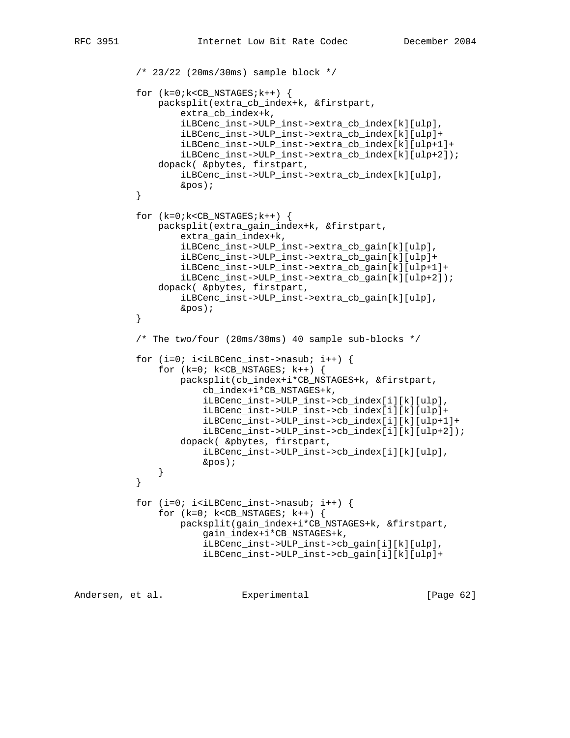```
 /* 23/22 (20ms/30ms) sample block */
          for (k=0; k < CB NSTAGES;k++) {
                packsplit(extra_cb_index+k, &firstpart,
                    extra_cb_index+k,
                    iLBCenc_inst->ULP_inst->extra_cb_index[k][ulp],
                    iLBCenc_inst->ULP_inst->extra_cb_index[k][ulp]+
                    iLBCenc_inst->ULP_inst->extra_cb_index[k][ulp+1]+
                    iLBCenc_inst->ULP_inst->extra_cb_index[k][ulp+2]);
                dopack( &pbytes, firstpart,
                    iLBCenc_inst->ULP_inst->extra_cb_index[k][ulp],
           &pos);
 }
          for (k=0; k < CB NSTAGES;k++) {
               packsplit(extra_gain_index+k, &firstpart,
                    extra_gain_index+k,
                    iLBCenc_inst->ULP_inst->extra_cb_gain[k][ulp],
                    iLBCenc_inst->ULP_inst->extra_cb_gain[k][ulp]+
                    iLBCenc_inst->ULP_inst->extra_cb_gain[k][ulp+1]+
                    iLBCenc_inst->ULP_inst->extra_cb_gain[k][ulp+2]);
                dopack( &pbytes, firstpart,
                    iLBCenc_inst->ULP_inst->extra_cb_gain[k][ulp],
            &pos);
 }
            /* The two/four (20ms/30ms) 40 sample sub-blocks */
          for (i=0; i< i<sub>LBCenc_inst</sub>->nasub; i++) {
               for (k=0; k<CB_NSTAGES; k++) {
                    packsplit(cb_index+i*CB_NSTAGES+k, &firstpart,
                        cb_index+i*CB_NSTAGES+k,
                        iLBCenc_inst->ULP_inst->cb_index[i][k][ulp],
                        iLBCenc_inst->ULP_inst->cb_index[i][k][ulp]+
                        iLBCenc_inst->ULP_inst->cb_index[i][k][ulp+1]+
                        iLBCenc_inst->ULP_inst->cb_index[i][k][ulp+2]);
                    dopack( &pbytes, firstpart,
                        iLBCenc_inst->ULP_inst->cb_index[i][k][ulp],
                        &pos);
 }
 }
          for (i=0; i< iLBCenc_inst-&gt;nasub; i++) {
               for (k=0; k<CB_NSTAGES; k++) {
                    packsplit(gain_index+i*CB_NSTAGES+k, &firstpart,
                        gain_index+i*CB_NSTAGES+k,
                        iLBCenc_inst->ULP_inst->cb_gain[i][k][ulp],
                        iLBCenc_inst->ULP_inst->cb_gain[i][k][ulp]+
```
Andersen, et al. Experimental [Page 62]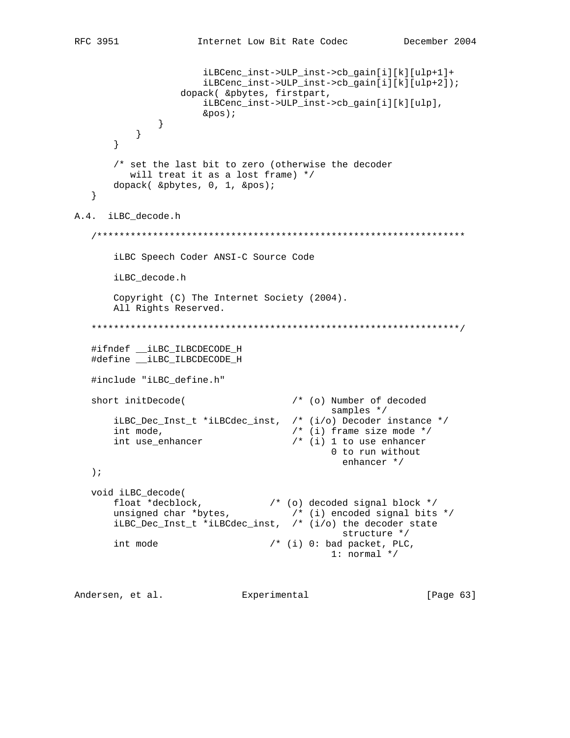```
 iLBCenc_inst->ULP_inst->cb_gain[i][k][ulp+1]+
                        iLBCenc_inst->ULP_inst->cb_gain[i][k][ulp+2]);
                    dopack( &pbytes, firstpart,
                        iLBCenc_inst->ULP_inst->cb_gain[i][k][ulp],
                        &pos);
               }
           }
        }
        /* set the last bit to zero (otherwise the decoder
          will treat it as a lost frame) */
       dopack( &pbytes, 0, 1, &pos);
    }
A.4. iLBC_decode.h
    /******************************************************************
        iLBC Speech Coder ANSI-C Source Code
       iLBC_decode.h
       Copyright (C) The Internet Society (2004).
       All Rights Reserved.
    ******************************************************************/
    #ifndef __iLBC_ILBCDECODE_H
    #define __iLBC_ILBCDECODE_H
    #include "iLBC_define.h"
   short initDecode( \qquad /* (o) Number of decoded
                                              samples */
       iLBC_Dec_Inst_t *iLBCdec_inst, /* (i/o) Decoder instance */<br>int mode, \begin{array}{ccc} & \\ & / \end{array} /* (i) frame size mode */
int mode, \frac{1}{2} /* (i) frame size mode */
 int use_enhancer /* (i) 1 to use enhancer
                                               0 to run without
                                                 enhancer */
    );
   void iLBC_decode(
 float *decblock, /* (o) decoded signal block */
 unsigned char *bytes, /* (i) encoded signal bits */
       iLBC_Dec_Inst_t *iLBCdec_inst, /* (i/o) the decoder state
                                                structure */
      int mode /* (i) 0: bad packet, PLC,
                                              1: normal */
```
Andersen, et al. Experimental [Page 63]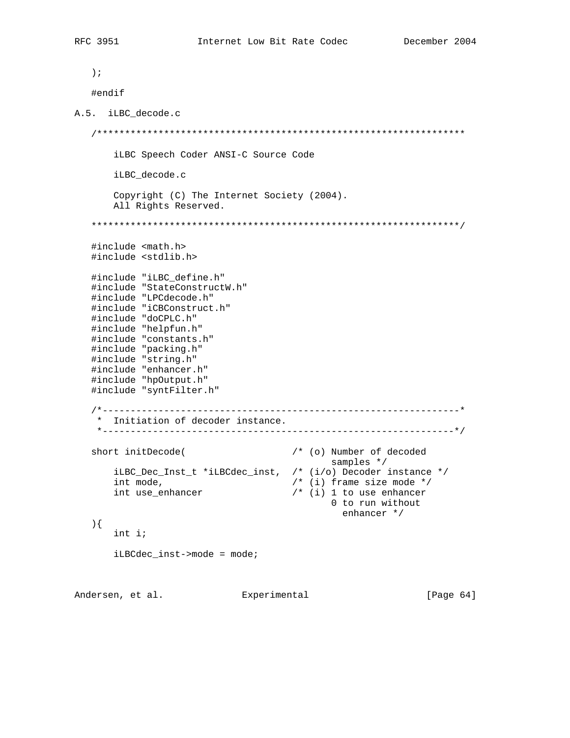```
 );
   #endif
A.5. iLBC_decode.c
   /******************************************************************
       iLBC Speech Coder ANSI-C Source Code
       iLBC_decode.c
       Copyright (C) The Internet Society (2004).
       All Rights Reserved.
   ******************************************************************/
   #include <math.h>
   #include <stdlib.h>
   #include "iLBC_define.h"
   #include "StateConstructW.h"
   #include "LPCdecode.h"
   #include "iCBConstruct.h"
   #include "doCPLC.h"
   #include "helpfun.h"
 #include "constants.h"
 #include "packing.h"
   #include "string.h"
   #include "enhancer.h"
   #include "hpOutput.h"
   #include "syntFilter.h"
   /*----------------------------------------------------------------*
    * Initiation of decoder instance.
    *---------------------------------------------------------------*/
  short initDecode( \qquad /* (o) Number of decoded
samples */ iLBC_Dec_Inst_t *iLBCdec_inst, /* (i/o) Decoder instance */
 int mode, /* (i) frame size mode */
 int use_enhancer /* (i) 1 to use enhancer
 0 to run without
                                           enhancer */
   ){
       int i;
       iLBCdec_inst->mode = mode;
```
Andersen, et al. Experimental [Page 64]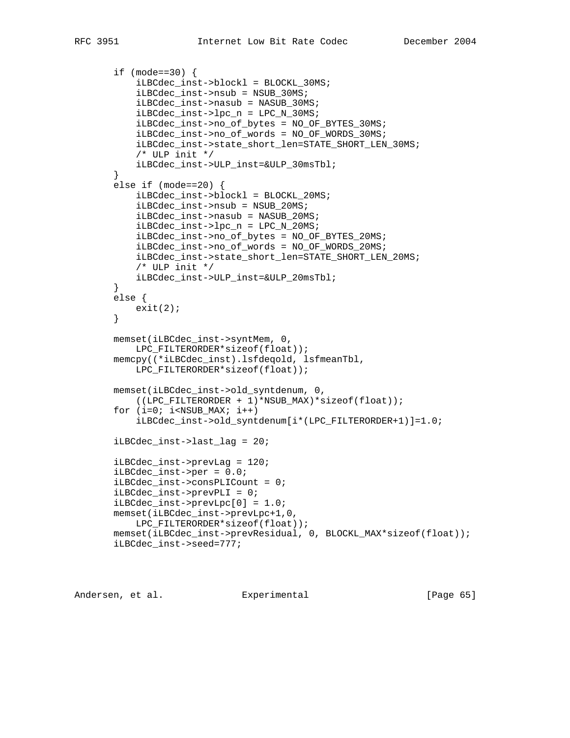```
 if (mode==30) {
     iLBCdec_inst->blockl = BLOCKL_30MS;
     iLBCdec_inst->nsub = NSUB_30MS;
     iLBCdec_inst->nasub = NASUB_30MS;
     iLBCdec_inst->lpc_n = LPC_N_30MS;
     iLBCdec_inst->no_of_bytes = NO_OF_BYTES_30MS;
     iLBCdec_inst->no_of_words = NO_OF_WORDS_30MS;
     iLBCdec_inst->state_short_len=STATE_SHORT_LEN_30MS;
    /* ULP init */ iLBCdec_inst->ULP_inst=&ULP_30msTbl;
 }
 else if (mode==20) {
     iLBCdec_inst->blockl = BLOCKL_20MS;
     iLBCdec_inst->nsub = NSUB_20MS;
     iLBCdec_inst->nasub = NASUB_20MS;
     iLBCdec_inst->lpc_n = LPC_N_20MS;
     iLBCdec_inst->no_of_bytes = NO_OF_BYTES_20MS;
     iLBCdec_inst->no_of_words = NO_OF_WORDS_20MS;
     iLBCdec_inst->state_short_len=STATE_SHORT_LEN_20MS;
     /* ULP init */
     iLBCdec_inst->ULP_inst=&ULP_20msTbl;
 }
 else {
   exit(2); }
 memset(iLBCdec_inst->syntMem, 0,
     LPC_FILTERORDER*sizeof(float));
 memcpy((*iLBCdec_inst).lsfdeqold, lsfmeanTbl,
     LPC_FILTERORDER*sizeof(float));
 memset(iLBCdec_inst->old_syntdenum, 0,
    ((LPC_FILTERORDER + 1)*NSUB_MAX)*sizeof(float));
for (i=0; i<NSUB MAX; i++)
     iLBCdec_inst->old_syntdenum[i*(LPC_FILTERORDER+1)]=1.0;
 iLBCdec_inst->last_lag = 20;
 iLBCdec_inst->prevLag = 120;
 iLBCdec_inst->per = 0.0;
 iLBCdec_inst->consPLICount = 0;
 iLBCdec_inst->prevPLI = 0;
 iLBCdec_inst->prevLpc[0] = 1.0;
 memset(iLBCdec_inst->prevLpc+1,0,
     LPC_FILTERORDER*sizeof(float));
 memset(iLBCdec_inst->prevResidual, 0, BLOCKL_MAX*sizeof(float));
 iLBCdec_inst->seed=777;
```
Andersen, et al. Experimental [Page 65]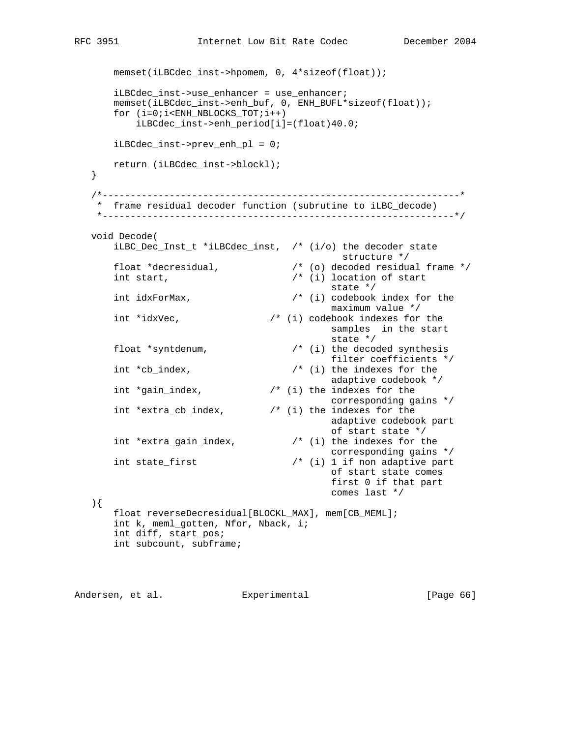```
 memset(iLBCdec_inst->hpomem, 0, 4*sizeof(float));
       iLBCdec_inst->use_enhancer = use_enhancer;
      memset(iLBCdec_inst->enh_buf, 0, ENH_BUFL*sizeof(float));
      for (i=0;i<ENH_NBLOCKS_TOT;i++)
          iLBCdec_inst->enh_period[i]=(float)40.0;
      iLBCdec_inst->prev_enh_pl = 0;
      return (iLBCdec_inst->blockl);
   }
   /*----------------------------------------------------------------*
    * frame residual decoder function (subrutine to iLBC_decode)
    *---------------------------------------------------------------*/
   void Decode(
      iLBC_Dec_Inst_t *iLBCdec_inst, /* (i/o) the decoder state
                                 structure */<br>/* (o) decoded residual frame */float *decresidual,<br>int start
     int start, \frac{1}{1} /* (i) location of start
state */
 int idxForMax, /* (i) codebook index for the
                                         maximum value */
     int *idxVec, \frac{1}{2} /* (i) codebook indexes for the
                                        samples in the start<br>state */state */
 float *syntdenum, /* (i) the decoded synthesis
 filter coefficients */
int *cb_index, \qquad /* (i) the indexes for the
adaptive codebook */
 int *gain_index, /* (i) the indexes for the
                                         corresponding gains */
      int *extra_cb_index, /* (i) the indexes for the
                                         adaptive codebook part
                                         of start state */
     int *extra_gain_index, \qquad /* (i) the indexes for the
     /* corresponding gains<br>int state_first \hspace{1.6cm}/* (i) 1 if non adaptive part
                                 \frac{1}{\pm} (i) 1 if non adaptive part
                                         of start state comes
                                         first 0 if that part
                                         comes last */
   ){
      float reverseDecresidual[BLOCKL_MAX], mem[CB_MEML];
       int k, meml_gotten, Nfor, Nback, i;
      int diff, start_pos;
      int subcount, subframe;
```
Andersen, et al. Experimental [Page 66]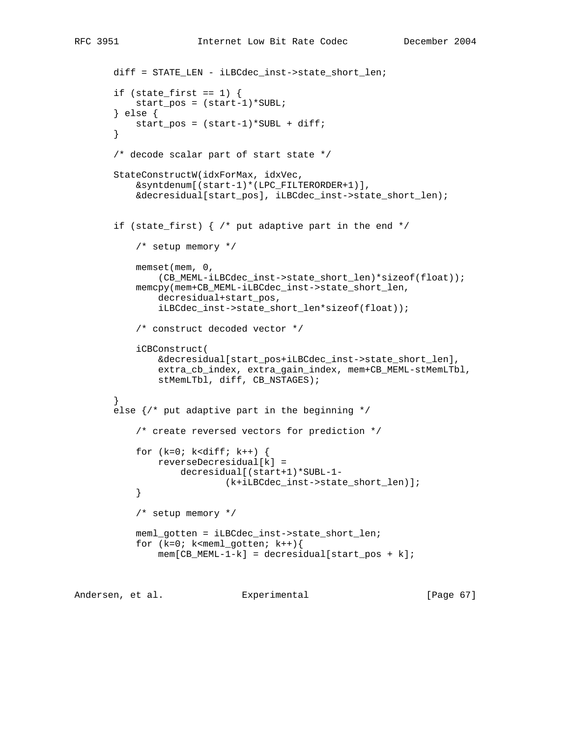```
 diff = STATE_LEN - iLBCdec_inst->state_short_len;
       if (state_first == 1) {
            start_pos = (start-1)*SUBL;
        } else {
            start_pos = (start-1)*SUBL + diff;
        }
        /* decode scalar part of start state */
       StateConstructW(idxForMax, idxVec,
            &syntdenum[(start-1)*(LPC_FILTERORDER+1)],
            &decresidual[start_pos], iLBCdec_inst->state_short_len);
       if (state_first) \{ /* put adaptive part in the end */
            /* setup memory */
            memset(mem, 0,
                (CB_MEML-iLBCdec_inst->state_short_len)*sizeof(float));
            memcpy(mem+CB_MEML-iLBCdec_inst->state_short_len,
                decresidual+start_pos,
                iLBCdec_inst->state_short_len*sizeof(float));
            /* construct decoded vector */
            iCBConstruct(
                &decresidual[start_pos+iLBCdec_inst->state_short_len],
                extra_cb_index, extra_gain_index, mem+CB_MEML-stMemLTbl,
               stMemLTbl, diff, CB_NSTAGES);
        }
       else \frac{1}{3} put adaptive part in the beginning */
            /* create reversed vectors for prediction */
           for (k=0; k<diff; k++) {
               reverseDecresidual[k] =
                    decresidual[(start+1)*SUBL-1-
                            (k+iLBCdec_inst->state_short_len)];
 }
            /* setup memory */
            meml_gotten = iLBCdec_inst->state_short_len;
           for (k=0; k<sub>emem1_gotten; k++)mem[CB_MEML-1-k] = decreasing[start\_pos + k];
```
Andersen, et al. Experimental [Page 67]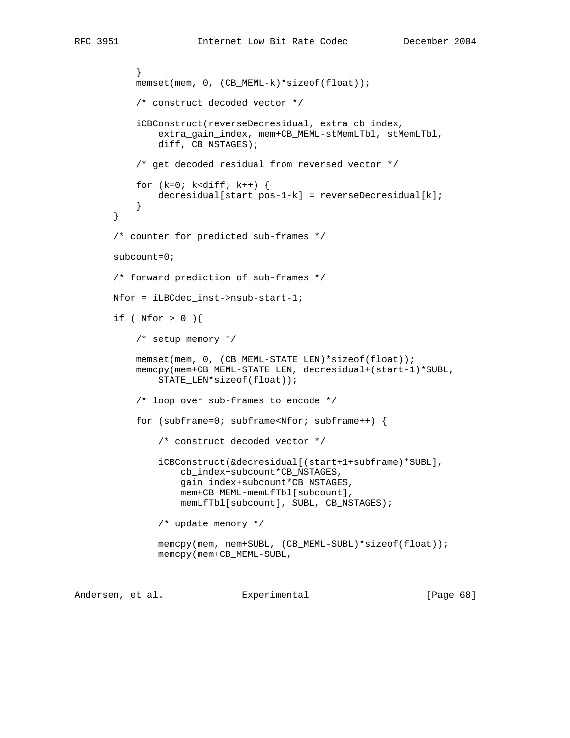```
 }
          memset(mem, 0, (CB_MEML-k)*sizeof(float));
            /* construct decoded vector */
           iCBConstruct(reverseDecresidual, extra_cb_index,
                extra_gain_index, mem+CB_MEML-stMemLTbl, stMemLTbl,
                diff, CB_NSTAGES);
            /* get decoded residual from reversed vector */
          for (k=0; k<diff; k++) {
               decresidual[start_pos-1-k] = reverseDecresidual[k];
 }
       }
       /* counter for predicted sub-frames */
      subcount=0;
       /* forward prediction of sub-frames */
       Nfor = iLBCdec_inst->nsub-start-1;
      if ( Nfor > 0 ) {
            /* setup memory */
           memset(mem, 0, (CB_MEML-STATE_LEN)*sizeof(float));
           memcpy(mem+CB_MEML-STATE_LEN, decresidual+(start-1)*SUBL,
                STATE_LEN*sizeof(float));
            /* loop over sub-frames to encode */
          for (subframe=0; subframe<Nfor; subframe++) {
                /* construct decoded vector */
                iCBConstruct(&decresidual[(start+1+subframe)*SUBL],
                    cb_index+subcount*CB_NSTAGES,
                    gain_index+subcount*CB_NSTAGES,
                    mem+CB_MEML-memLfTbl[subcount],
                    memLfTbl[subcount], SUBL, CB_NSTAGES);
```
/\* update memory \*/

```
memcpy(mem, mem+SUBL, (CB_MEML-SUBL)*sizeof(float));
 memcpy(mem+CB_MEML-SUBL,
```
Andersen, et al. Experimental [Page 68]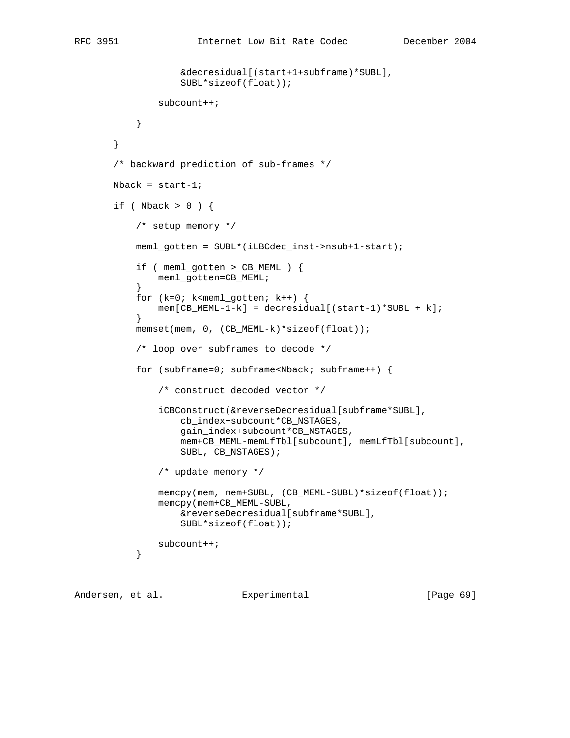```
 &decresidual[(start+1+subframe)*SUBL],
                   SUBL*sizeof(float));
               subcount++;
 }
       }
       /* backward prediction of sub-frames */
      Nback = start-1;
      if ( Nback > 0 ) {
           /* setup memory */
           meml_gotten = SUBL*(iLBCdec_inst->nsub+1-start);
           if ( meml_gotten > CB_MEML ) {
               meml_gotten=CB_MEML;
 }
          for (k=0; k<sub>emem1_gotten; k++) {
          mem[CB_MEML-1-k] = decresidual[(start-1)*SUBL + k];
 }
          memset(mem, 0, (CB_MEML-k)*sizeof(float));
           /* loop over subframes to decode */
           for (subframe=0; subframe<Nback; subframe++) {
               /* construct decoded vector */
               iCBConstruct(&reverseDecresidual[subframe*SUBL],
                   cb_index+subcount*CB_NSTAGES,
                   gain_index+subcount*CB_NSTAGES,
                   mem+CB_MEML-memLfTbl[subcount], memLfTbl[subcount],
                   SUBL, CB_NSTAGES);
               /* update memory */
              memcpy(mem, mem+SUBL, (CB_MEML-SUBL)*sizeof(float));
               memcpy(mem+CB_MEML-SUBL,
                   &reverseDecresidual[subframe*SUBL],
                   SUBL*sizeof(float));
          subcount++;<br>}
 }
```
Andersen, et al. Experimental [Page 69]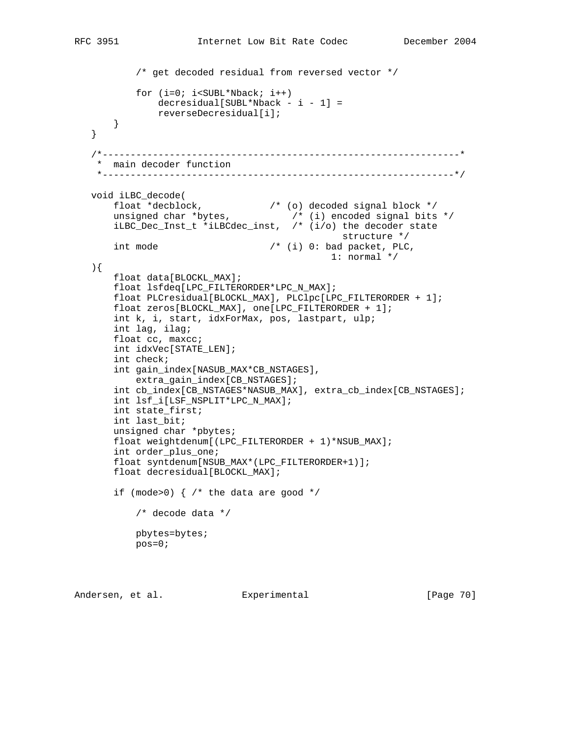```
 /* get decoded residual from reversed vector */
          for (i=0; i<SUBL*Nback; i++)
              decresidual[SUBL*Nback - i - 1] = reverseDecresidual[i];
       }
   }
   /*----------------------------------------------------------------*
    * main decoder function
    *---------------------------------------------------------------*/
   void iLBC_decode(
 float *decblock, /* (o) decoded signal block */
 unsigned char *bytes, /* (i) encoded signal bits */
 iLBC_Dec_Inst_t *iLBCdec_inst, /* (i/o) the decoder state
structure */int mode /* (i) 0: bad packet, PLC,
                                           1: normal */
   ){
       float data[BLOCKL_MAX];
      float lsfdeq[LPC FILTERORDER*LPC N MAX];
       float PLCresidual[BLOCKL_MAX], PLClpc[LPC_FILTERORDER + 1];
       float zeros[BLOCKL_MAX], one[LPC_FILTERORDER + 1];
       int k, i, start, idxForMax, pos, lastpart, ulp;
       int lag, ilag;
       float cc, maxcc;
       int idxVec[STATE_LEN];
       int check;
       int gain_index[NASUB_MAX*CB_NSTAGES],
          extra_gain_index[CB_NSTAGES];
       int cb_index[CB_NSTAGES*NASUB_MAX], extra_cb_index[CB_NSTAGES];
       int lsf_i[LSF_NSPLIT*LPC_N_MAX];
       int state_first;
       int last_bit;
       unsigned char *pbytes;
       float weightdenum[(LPC_FILTERORDER + 1)*NSUB_MAX];
       int order_plus_one;
       float syntdenum[NSUB_MAX*(LPC_FILTERORDER+1)];
       float decresidual[BLOCKL_MAX];
      if (mode>0) \{ /* the data are good */
           /* decode data */
           pbytes=bytes;
           pos=0;
```
Andersen, et al. Experimental Formula (Page 70)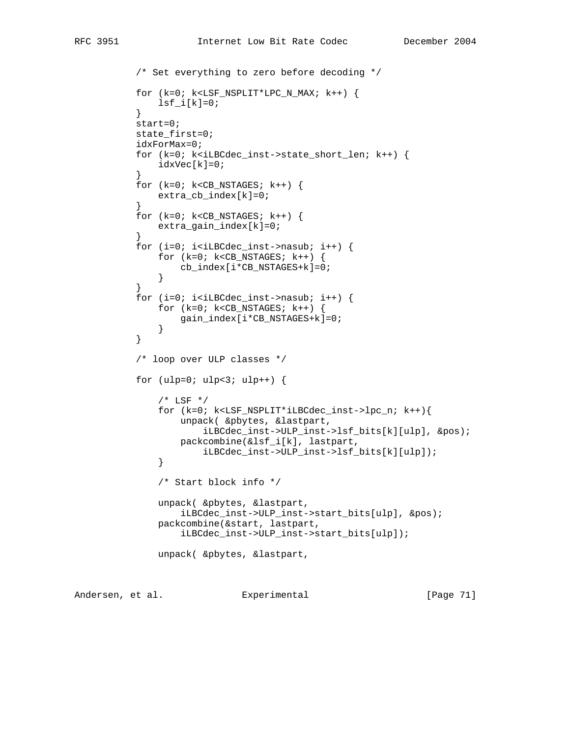```
 /* Set everything to zero before decoding */
           for (k=0; k<LSF_NSPLIT*LPC_N_MAX; k++) {
          lsf_i[k]=0;}
 }
           start=0;
           state_first=0;
           idxForMax=0;
           for (k=0; k<iLBCdec_inst->state_short_len; k++) {
              idxVec[k]=0;
 }
          for (k=0; k<CB_NSTAGES; k++) {
              extra_cb_index[k]=0;
 }
          for (k=0; k<CB_NSTAGES; k++) {
             extra qain index[k]=0;
 }
          for (i=0; i<i>iiBCdec_inst</i>->nasub; i++) {
             for (k=0; k<CB_NSTAGES; k++) {
                  cb_index[i*CB_NSTAGES+k]=0;
 }
 }
          for (i=0; i<i>ILBCdec_inst</i>->nasub; i++) {
             for (k=0; k<CB_NSTAGES; k++) {
                  gain_index[i*CB_NSTAGES+k]=0;
 }
 }
           /* loop over ULP classes */
          for (ulp=0; ulp<3; ulp++) {
              /* LSF */ for (k=0; k<LSF_NSPLIT*iLBCdec_inst->lpc_n; k++){
                  unpack( &pbytes, &lastpart,
                      iLBCdec_inst->ULP_inst->lsf_bits[k][ulp], &pos);
                  packcombine(&lsf_i[k], lastpart,
              iLBCdec_inst->ULP_inst->lsf_bits[k][ulp]);
 }
               /* Start block info */
              unpack( &pbytes, &lastpart,
                  iLBCdec_inst->ULP_inst->start_bits[ulp], &pos);
               packcombine(&start, lastpart,
                  iLBCdec_inst->ULP_inst->start_bits[ulp]);
              unpack( &pbytes, &lastpart,
```
Andersen, et al. Experimental [Page 71]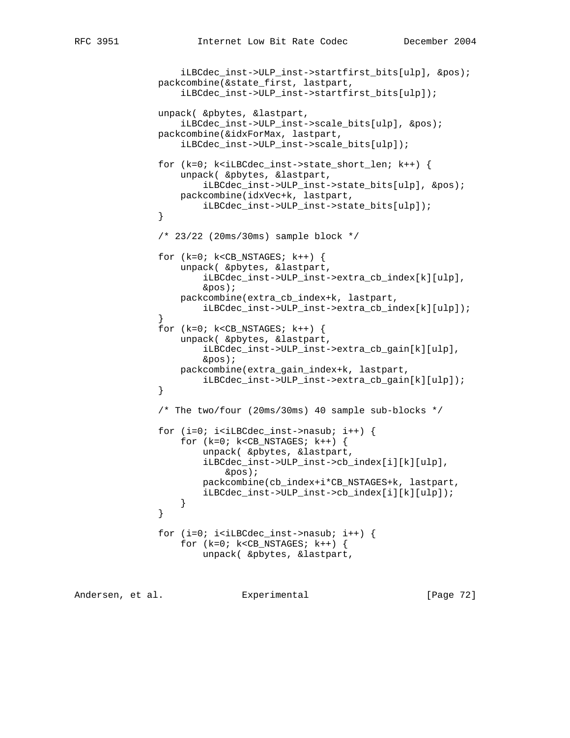```
 iLBCdec_inst->ULP_inst->startfirst_bits[ulp], &pos);
               packcombine(&state_first, lastpart,
                   iLBCdec_inst->ULP_inst->startfirst_bits[ulp]);
               unpack( &pbytes, &lastpart,
                   iLBCdec_inst->ULP_inst->scale_bits[ulp], &pos);
               packcombine(&idxForMax, lastpart,
                   iLBCdec_inst->ULP_inst->scale_bits[ulp]);
               for (k=0; k<iLBCdec_inst->state_short_len; k++) {
                   unpack( &pbytes, &lastpart,
                       iLBCdec_inst->ULP_inst->state_bits[ulp], &pos);
                   packcombine(idxVec+k, lastpart,
              iLBCdec_inst->ULP_inst->state_bits[ulp]);<br>}
 }
               /* 23/22 (20ms/30ms) sample block */
              for (k=0; k<CB_NSTAGES; k++) {
                   unpack( &pbytes, &lastpart,
                       iLBCdec_inst->ULP_inst->extra_cb_index[k][ulp],
                       &pos);
                   packcombine(extra_cb_index+k, lastpart,
                       iLBCdec_inst->ULP_inst->extra_cb_index[k][ulp]);
 }
              for (k=0; k<CB_NSTAGES; k++) {
                   unpack( &pbytes, &lastpart,
                       iLBCdec_inst->ULP_inst->extra_cb_gain[k][ulp],
                       &pos);
                   packcombine(extra_gain_index+k, lastpart,
                       iLBCdec_inst->ULP_inst->extra_cb_gain[k][ulp]);
 }
               /* The two/four (20ms/30ms) 40 sample sub-blocks */
              for (i=0; i<i>ILBCdec_inst</i>->nasub; i++) {
                  for (k=0; k<CB NSTAGES; k++) {
                       unpack( &pbytes, &lastpart,
                       iLBCdec_inst->ULP_inst->cb_index[i][k][ulp],
                           &pos);
                       packcombine(cb_index+i*CB_NSTAGES+k, lastpart,
                       iLBCdec_inst->ULP_inst->cb_index[i][k][ulp]);
 }
 }
              for (i=0; i<i>iiBCdec_inst</i>->nasub; i++) {
                  for (k=0; k<CB_NSTAGES; k++) {
                       unpack( &pbytes, &lastpart,
```
Andersen, et al. Experimental [Page 72]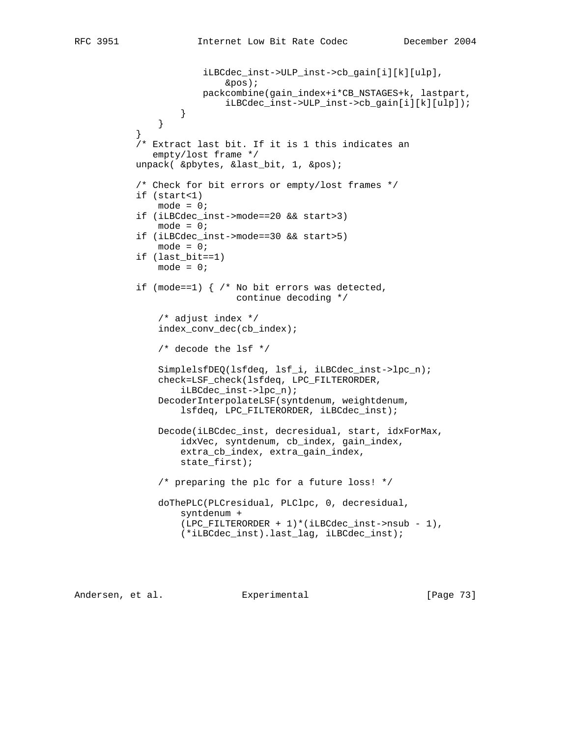```
 iLBCdec_inst->ULP_inst->cb_gain[i][k][ulp],
                           &pos);
                       packcombine(gain_index+i*CB_NSTAGES+k, lastpart,
                            iLBCdec_inst->ULP_inst->cb_gain[i][k][ulp]);
 }
 }
 }
            /* Extract last bit. If it is 1 this indicates an
              empty/lost frame */
           unpack( &pbytes, &last_bit, 1, &pos);
           /* Check for bit errors or empty/lost frames */
           if (start<1)
              mode = 0; if (iLBCdec_inst->mode==20 && start>3)
              mode = 0; if (iLBCdec_inst->mode==30 && start>5)
              mode = 0; if (last_bit==1)
              mode = 0; if (mode==1) { /* No bit errors was detected,
                             continue decoding */
               /* adjust index */
               index_conv_dec(cb_index);
               /* decode the lsf */
               SimplelsfDEQ(lsfdeq, lsf_i, iLBCdec_inst->lpc_n);
               check=LSF_check(lsfdeq, LPC_FILTERORDER,
                   iLBCdec_inst->lpc_n);
               DecoderInterpolateLSF(syntdenum, weightdenum,
                   lsfdeq, LPC_FILTERORDER, iLBCdec_inst);
               Decode(iLBCdec_inst, decresidual, start, idxForMax,
                   idxVec, syntdenum, cb_index, gain_index,
                   extra_cb_index, extra_gain_index,
                   state_first);
               /* preparing the plc for a future loss! */
               doThePLC(PLCresidual, PLClpc, 0, decresidual,
                   syntdenum +
                  (LPC_FILTERORDER + 1)*(iLBCdec_inst->nsub - 1), (*iLBCdec_inst).last_lag, iLBCdec_inst);
```
Andersen, et al. Experimental [Page 73]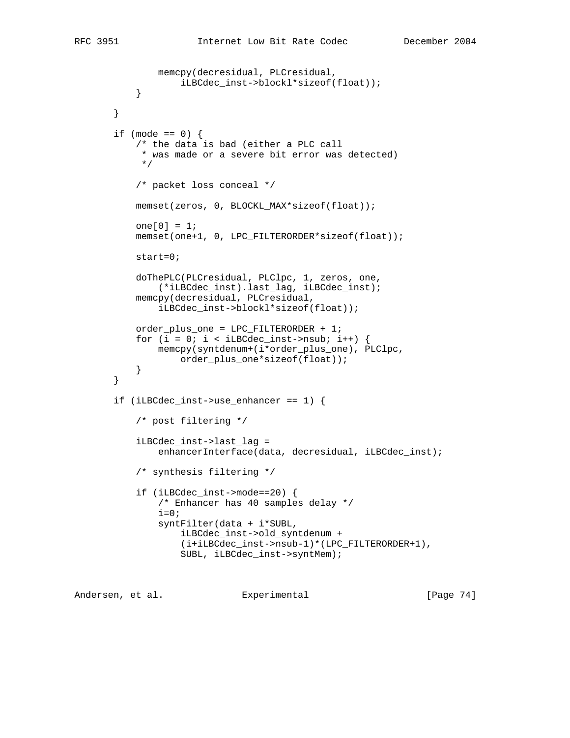```
 memcpy(decresidual, PLCresidual,
         iLBCdec_inst->blockl*sizeof(float));<br>}
 }
       }
```

```
if (mode == 0) {
            /* the data is bad (either a PLC call
            * was made or a severe bit error was detected)
            */
            /* packet loss conceal */
           memset(zeros, 0, BLOCKL_MAX*sizeof(float));
          one[0] = 1; memset(one+1, 0, LPC_FILTERORDER*sizeof(float));
            start=0;
            doThePLC(PLCresidual, PLClpc, 1, zeros, one,
                (*iLBCdec_inst).last_lag, iLBCdec_inst);
           memcpy(decresidual, PLCresidual,
                iLBCdec_inst->blockl*sizeof(float));
            order_plus_one = LPC_FILTERORDER + 1;
           for (i = 0; i < iLBCdec_inst->nsub; i++) {
                memcpy(syntdenum+(i*order_plus_one), PLClpc,
                    order_plus_one*sizeof(float));
 }
        }
        if (iLBCdec_inst->use_enhancer == 1) {
            /* post filtering */
            iLBCdec_inst->last_lag =
               enhancerInterface(data, decresidual, iLBCdec_inst);
            /* synthesis filtering */
            if (iLBCdec_inst->mode==20) {
                /* Enhancer has 40 samples delay */
               i=0; syntFilter(data + i*SUBL,
                    iLBCdec_inst->old_syntdenum +
                    (i+iLBCdec_inst->nsub-1)*(LPC_FILTERORDER+1),
                    SUBL, iLBCdec_inst->syntMem);
```
Andersen, et al. Experimental [Page 74]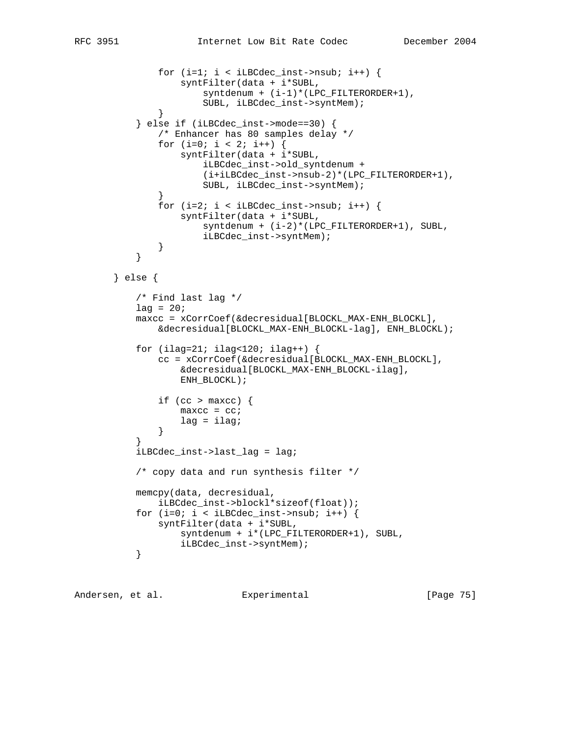```
for (i=1; i < iLBCdec_inst-&gt;nsub; i++) {
                   syntFilter(data + i*SUBL,
                       syntdenum + (i-1)*(LPC_FILTERORDER+1),
                       SUBL, iLBCdec_inst->syntMem);
 }
           } else if (iLBCdec_inst->mode==30) {
               /* Enhancer has 80 samples delay */
              for (i=0; i < 2; i++) {
                   syntFilter(data + i*SUBL,
                       iLBCdec_inst->old_syntdenum +
                       (i+iLBCdec_inst->nsub-2)*(LPC_FILTERORDER+1),
                       SUBL, iLBCdec_inst->syntMem);
 }
              for (i=2; i < iLBCdec_inst\text{-}nsub; i++) {
                   syntFilter(data + i*SUBL,
                      syntdenum + (i-2)*(LPC_FILTERORDER+1), SUBL,
                      iLBCdec_inst->syntMem);
 }
 }
       } else {
           /* Find last lag */
          lag = 20; maxcc = xCorrCoef(&decresidual[BLOCKL_MAX-ENH_BLOCKL],
               &decresidual[BLOCKL_MAX-ENH_BLOCKL-lag], ENH_BLOCKL);
          for (ilag=21; ilag<120; ilag++) {
               cc = xCorrCoef(&decresidual[BLOCKL_MAX-ENH_BLOCKL],
                   &decresidual[BLOCKL_MAX-ENH_BLOCKL-ilag],
                   ENH_BLOCKL);
              if (cc > maxcc) {
                  maxcc = cc;lag = ilag;<br>}
 }
 }
           iLBCdec_inst->last_lag = lag;
           /* copy data and run synthesis filter */
           memcpy(data, decresidual,
              iLBCdec_inst->blockl*sizeof(float));
          for (i=0; i < iLBCdec_inst\text{-}nsub; i++) {
              syntFilter(data + i*SUBL,
                   syntdenum + i*(LPC_FILTERORDER+1), SUBL,
          iLBCdec_inst->syntMem);
 }
```
Andersen, et al. Experimental [Page 75]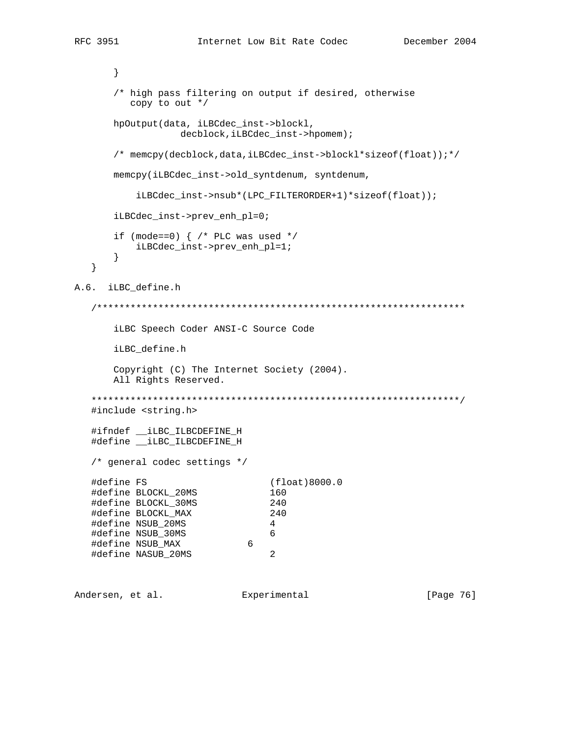```
 }
       /* high pass filtering on output if desired, otherwise
          copy to out */
       hpOutput(data, iLBCdec_inst->blockl,
                   decblock,iLBCdec_inst->hpomem);
       /* memcpy(decblock,data,iLBCdec_inst->blockl*sizeof(float));*/
       memcpy(iLBCdec_inst->old_syntdenum, syntdenum,
          iLBCdec_inst->nsub*(LPC_FILTERORDER+1)*sizeof(float));
       iLBCdec_inst->prev_enh_pl=0;
      if (mode==0) { /* PLC was used */ iLBCdec_inst->prev_enh_pl=1;
       }
    }
A.6. iLBC_define.h
    /******************************************************************
       iLBC Speech Coder ANSI-C Source Code
       iLBC_define.h
       Copyright (C) The Internet Society (2004).
       All Rights Reserved.
    ******************************************************************/
    #include <string.h>
    #ifndef __iLBC_ILBCDEFINE_H
   #define __iLBC_ILBCDEFINE_H
    /* general codec settings */
    #define FS (float)8000.0
    #define BLOCKL_20MS 160
    #define BLOCKL_30MS 240
    #define BLOCKL_MAX 240
    #define NSUB_20MS 4
    #define NSUB_30MS 6
    #define NSUB_MAX 6
   #define NASUB_20MS 2
```
Andersen, et al. Experimental [Page 76]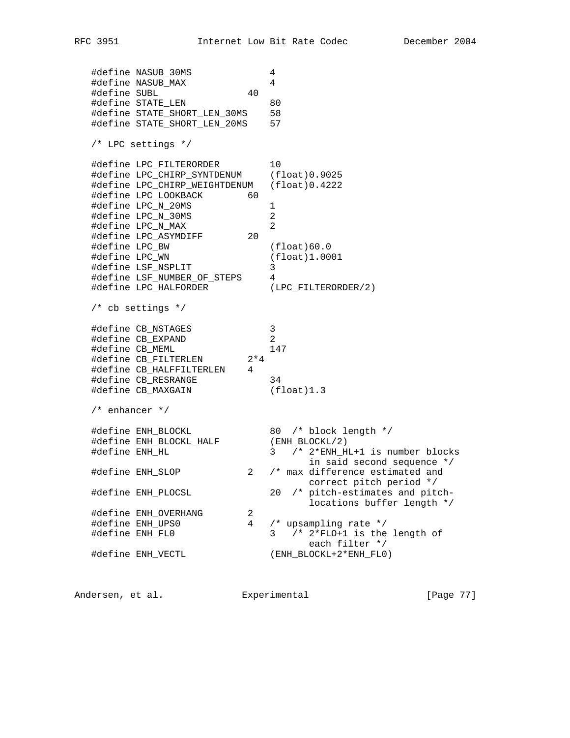#define NASUB\_30MS 4 #define NASUB\_MAX 4 #define SUBL 40 #define STATE\_LEN 80 #define STATE\_SHORT\_LEN\_30MS 58 #define STATE\_SHORT\_LEN\_20MS 57 /\* LPC settings \*/ #define LPC\_FILTERORDER 10 #define LPC\_CHIRP\_SYNTDENUM (float)0.9025 #define LPC\_CHIRP\_WEIGHTDENUM (float)0.4222 #define LPC\_LOOKBACK 60 #define LPC\_N\_20MS 1 #define LPC\_N\_30MS 2 #define LPC\_N\_MAX 2 #define LPC\_ASYMDIFF 20 #define LPC\_BW (float)60.0 #define LPC\_WN (float)1.0001 #define LSF\_NSPLIT 3 #define LSF\_NUMBER\_OF\_STEPS 4 #define LPC\_HALFORDER (LPC\_FILTERORDER/2) /\* cb settings \*/ #define CB\_NSTAGES 3 #define CB\_EXPAND 2 #define CB\_MEML 147 #define CB\_FILTERLEN 2\*4 #define CB\_HALFFILTERLEN 4 #define CB\_RESRANGE 34 #define CB\_MAXGAIN (float)1.3 /\* enhancer \*/ #define ENH\_BLOCKL 80 /\* block length \*/ #define ENH\_BLOCKL\_HALF (ENH\_BLOCKL/2) #define ENH\_HL 3 /\* 2\*ENH\_HL+1 is number blocks in said second sequence \*/ #define ENH\_SLOP 2 /\* max difference estimated and correct pitch period \*/ /\* correct pitch period<br>+define ENH\_PLOCSL 20 /\* pitch-estimates and pitch-<br>+/ leating buffer langth \* locations buffer length \*/ #define ENH\_OVERHANG 2 #define ENH\_UPS0 4 /\* upsampling rate \*/ #define ENH\_FL0 3 /\* 2\*FLO+1 is the length of each filter  $*/$ #define ENH\_VECTL (ENH\_BLOCKL+2\*ENH\_FL0)

Andersen, et al. Experimental [Page 77]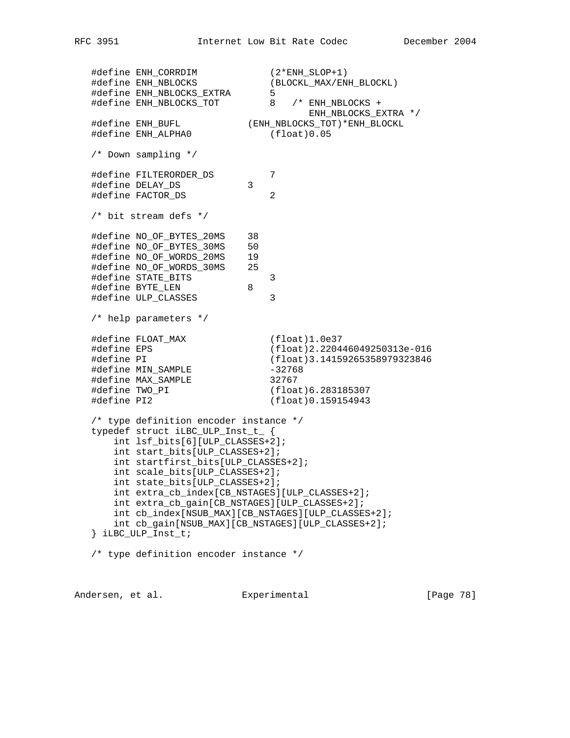#define ENH\_CORRDIM (2\*ENH\_SLOP+1) #define ENH\_NBLOCKS (BLOCKL\_MAX/ENH\_BLOCKL) #define ENH\_NBLOCKS\_EXTRA 5 #define ENH\_NBLOCKS\_TOT 8 /\* ENH\_NBLOCKS + ENH\_NBLOCKS\_EXTRA \*/ #define ENH\_BUFL (ENH\_NBLOCKS\_TOT)\*ENH\_BLOCKL #define ENH\_ALPHA0 (float)0.05 /\* Down sampling \*/ #define FILTERORDER\_DS 7 #define DELAY\_DS 3 #define FACTOR\_DS 2 /\* bit stream defs \*/ #define NO\_OF\_BYTES\_20MS 38 #define NO\_OF\_BYTES\_30MS 50 #define NO\_OF\_WORDS\_20MS 19 #define NO\_OF\_WORDS\_30MS 25 #define STATE\_BITS 3 #define BYTE\_LEN 8 #define ULP\_CLASSES 3 /\* help parameters \*/ #define FLOAT\_MAX (float)1.0e37 #define EPS (float)2.220446049250313e-016 #define PI (float)3.14159265358979323846 #define MIN\_SAMPLE -32768 #define MAX\_SAMPLE 32767 #define TWO\_PI (float)6.283185307 #define PI2 (float)0.159154943 /\* type definition encoder instance \*/ typedef struct iLBC\_ULP\_Inst\_t\_ { int lsf\_bits[6][ULP\_CLASSES+2]; int start\_bits[ULP\_CLASSES+2]; int startfirst\_bits[ULP\_CLASSES+2]; int scale\_bits[ULP\_CLASSES+2]; int state\_bits[ULP\_CLASSES+2]; int extra\_cb\_index[CB\_NSTAGES][ULP\_CLASSES+2]; int extra\_cb\_gain[CB\_NSTAGES][ULP\_CLASSES+2]; int cb\_index[NSUB\_MAX][CB\_NSTAGES][ULP\_CLASSES+2]; int cb\_gain[NSUB\_MAX][CB\_NSTAGES][ULP\_CLASSES+2]; } iLBC\_ULP\_Inst\_t; /\* type definition encoder instance \*/

Andersen, et al. Experimental Formula (Page 78)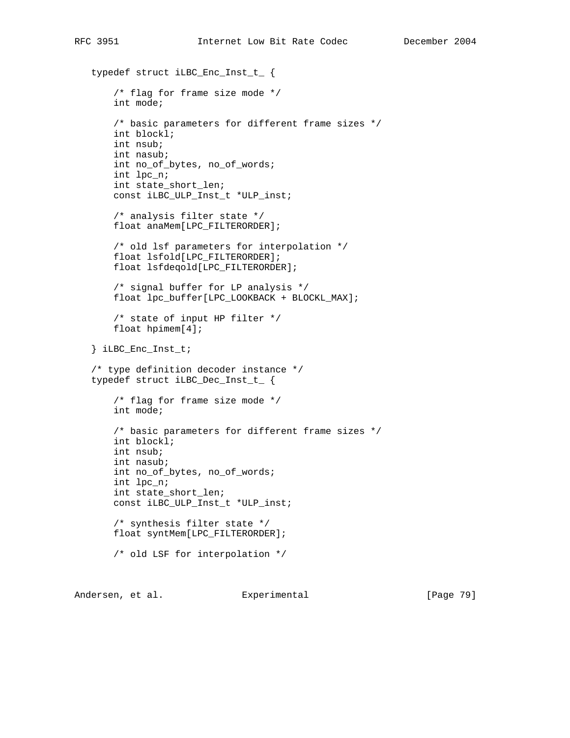```
 typedef struct iLBC_Enc_Inst_t_ {
     /* flag for frame size mode */
     int mode;
     /* basic parameters for different frame sizes */
    int blockl;
     int nsub;
     int nasub;
    int no_of_bytes, no_of_words;
    int lpc_n;
    int state_short_len;
    const iLBC_ULP_Inst_t *ULP_inst;
     /* analysis filter state */
    float anaMem[LPC_FILTERORDER];
     /* old lsf parameters for interpolation */
     float lsfold[LPC_FILTERORDER];
     float lsfdeqold[LPC_FILTERORDER];
     /* signal buffer for LP analysis */
    float lpc_buffer[LPC_LOOKBACK + BLOCKL_MAX];
     /* state of input HP filter */
     float hpimem[4];
 } iLBC_Enc_Inst_t;
 /* type definition decoder instance */
 typedef struct iLBC_Dec_Inst_t_ {
     /* flag for frame size mode */
    int mode;
     /* basic parameters for different frame sizes */
    int blockl;
     int nsub;
     int nasub;
    int no_of_bytes, no_of_words;
    int lpc_n;
    int state_short_len;
    const iLBC_ULP_Inst_t *ULP_inst;
     /* synthesis filter state */
    float syntMem[LPC_FILTERORDER];
     /* old LSF for interpolation */
```
Andersen, et al. Experimental [Page 79]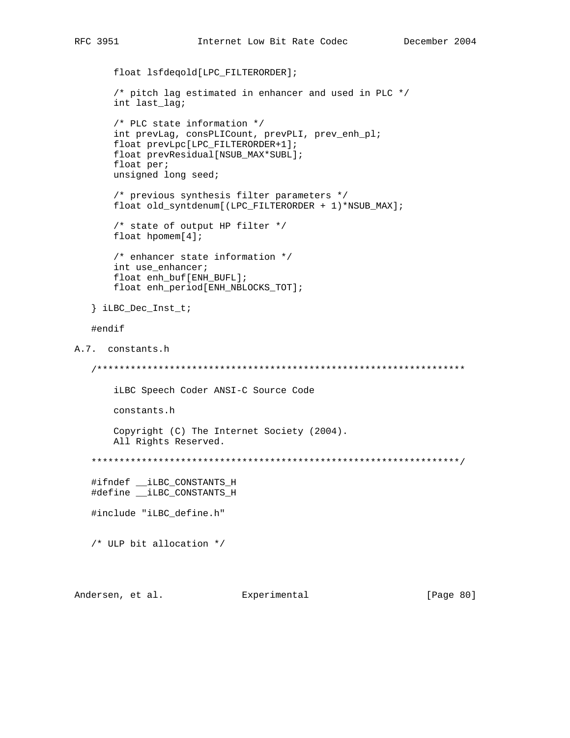```
 float lsfdeqold[LPC_FILTERORDER];
        /* pitch lag estimated in enhancer and used in PLC */
        int last_lag;
        /* PLC state information */
        int prevLag, consPLICount, prevPLI, prev_enh_pl;
        float prevLpc[LPC_FILTERORDER+1];
        float prevResidual[NSUB_MAX*SUBL];
        float per;
        unsigned long seed;
        /* previous synthesis filter parameters */
        float old_syntdenum[(LPC_FILTERORDER + 1)*NSUB_MAX];
        /* state of output HP filter */
        float hpomem[4];
        /* enhancer state information */
        int use_enhancer;
        float enh_buf[ENH_BUFL];
        float enh_period[ENH_NBLOCKS_TOT];
    } iLBC_Dec_Inst_t;
    #endif
A.7. constants.h
    /******************************************************************
        iLBC Speech Coder ANSI-C Source Code
        constants.h
        Copyright (C) The Internet Society (2004).
        All Rights Reserved.
    ******************************************************************/
    #ifndef __iLBC_CONSTANTS_H
    #define __iLBC_CONSTANTS_H
    #include "iLBC_define.h"
    /* ULP bit allocation */
```
Andersen, et al. Experimental Formula (Page 80)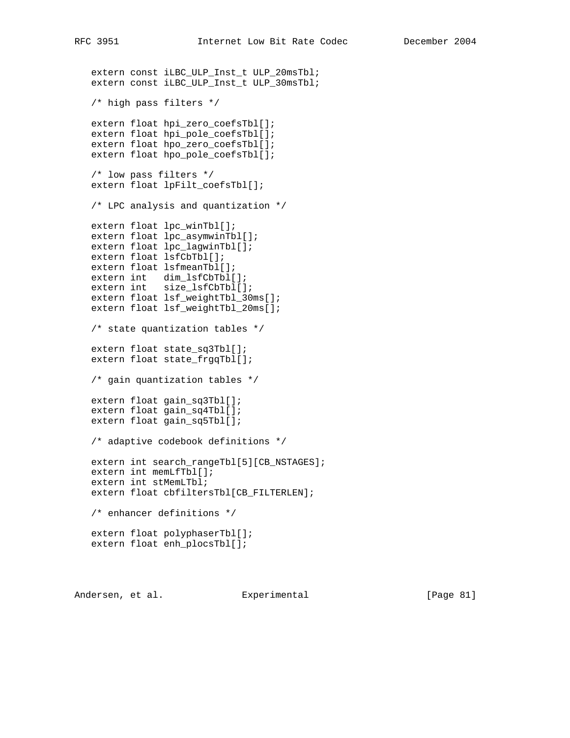```
 extern const iLBC_ULP_Inst_t ULP_20msTbl;
 extern const iLBC_ULP_Inst_t ULP_30msTbl;
 /* high pass filters */
 extern float hpi_zero_coefsTbl[];
 extern float hpi_pole_coefsTbl[];
 extern float hpo_zero_coefsTbl[];
 extern float hpo_pole_coefsTbl[];
 /* low pass filters */
 extern float lpFilt_coefsTbl[];
 /* LPC analysis and quantization */
 extern float lpc_winTbl[];
 extern float lpc_asymwinTbl[];
 extern float lpc_lagwinTbl[];
 extern float lsfCbTbl[];
 extern float lsfmeanTbl[];
 extern int dim_lsfCbTbl[];
 extern int size_lsfCbTbl[];
 extern float lsf_weightTbl_30ms[];
 extern float lsf_weightTbl_20ms[];
 /* state quantization tables */
extern float state sq3Tbl[];
 extern float state_frgqTbl[];
 /* gain quantization tables */
 extern float gain_sq3Tbl[];
 extern float gain_sq4Tbl[];
 extern float gain_sq5Tbl[];
 /* adaptive codebook definitions */
extern int search_rangeTbl[5][CB_NSTAGES];
 extern int memLfTbl[];
 extern int stMemLTbl;
 extern float cbfiltersTbl[CB_FILTERLEN];
 /* enhancer definitions */
 extern float polyphaserTbl[];
 extern float enh_plocsTbl[];
```
Andersen, et al. Experimental Formula (Page 81)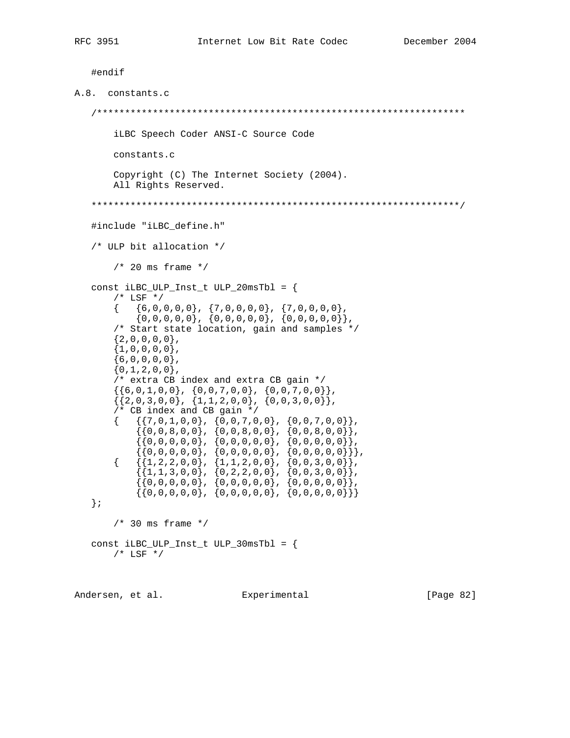```
 #endif
A.8. constants.c
    /******************************************************************
         iLBC Speech Coder ANSI-C Source Code
        constants.c
        Copyright (C) The Internet Society (2004).
        All Rights Reserved.
    ******************************************************************/
    #include "iLBC_define.h"
    /* ULP bit allocation */
        /* 20 ms frame */ const iLBC_ULP_Inst_t ULP_20msTbl = {
        /* LSF */
        \{ 6, 0, 0, 0, 0 \}, \{ 7, 0, 0, 0, 0 \}, \{ 7, 0, 0, 0, 0 \},
            \{0,0,0,0,0\}, \{0,0,0,0,0\}, \{0,0,0,0,0\},
         /* Start state location, gain and samples */
        {2,0,0,0,0},
        {1,0,0,0,0},
        {6,0,0,0,0},
        {0,1,2,0,0},
         /* extra CB index and extra CB gain */
        \{ \{6,0,1,0,0\}, \{0,0,7,0,0\}, \{0,0,7,0,0\} \}{\{2,0,3,0,0\}}, {1,1,2,0,0}, {0,0,3,0,0},
         /* CB index and CB gain */
\{\qquad \{ \{7,0,1,0,0\} \, , \ \{ 0\,0\,7\, ,0\, ,0\} \, , \ \{ 0\, ,0\, ,7\, ,0\, ,0\} \} \, , {{0,0,8,0,0}, {0,0,8,0,0}, {0,0,8,0,0}},
 {{0,0,0,0,0}, {0,0,0,0,0}, {0,0,0,0,0}},
 {{0,0,0,0,0}, {0,0,0,0,0}, {0,0,0,0,0}}},
\{\qquad \{ \{1,2,2,0,0\} \text{, } \{ 1,1,2,0,0 \} \text{, } \{ 0,0,3,0,0\} \} \text{,}\{ \{1,1,3,0,0\}, \{0,2,2,0,0\}, \{0,0,3,0,0\} \},\{\{0,0,0,0,0\},\ \{0,0,0,0,0\},\ \{0,0,0,0\}\}\{ \{0,0,0,0,0\}, \{0,0,0,0,0\}, \{0,0,0,0\} \} };
        /* 30 ms frame */ const iLBC_ULP_Inst_t ULP_30msTbl = {
       /* LSF */
```
Andersen, et al. Experimental Formula (Page 82)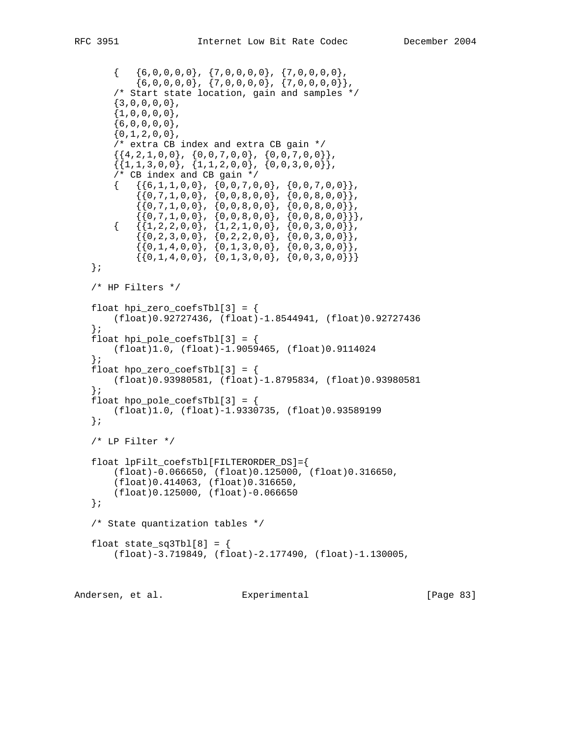```
\{ 6, 0, 0, 0, 0 \}, \{ 7, 0, 0, 0, 0 \}, \{ 7, 0, 0, 0, 0 \},{6,0,0,0,0}, {7,0,0,0,0}, {7,0,0,0}, {7,0,0,0,0},
        /* Start state location, gain and samples */
       {3,0,0,0,0},
       {1,0,0,0,0},
       {6,0,0,0,0}{0,1,2,0,0},
        /* extra CB index and extra CB gain */
       \{ {4, 2, 1, 0, 0} \,, {0, 0, 7, 0, 0}, {0, 0, 7, 0, 0},
       \{ {1,1,3,0,0} \, , \{ 1,1,2,0,0 \} , \{ 0,0,3,0,0 \} \} /* CB index and CB gain */
       \{ \{6,1,1,0,0\}, \{0,0,7,0,0\}, \{0,0,7,0,0\} \} {{0,7,1,0,0}, {0,0,8,0,0}, {0,0,8,0,0}},
 {{0,7,1,0,0}, {0,0,8,0,0}, {0,0,8,0,0}},
 {{0,7,1,0,0}, {0,0,8,0,0}, {0,0,8,0,0}}},
       \{ \{1,2,2,0,0\}, \{1,2,1,0,0\}, \{0,0,3,0,0\} \},\{ \{0, 2, 3, 0, 0\}, \{0, 2, 2, 0, 0\}, \{0, 0, 3, 0, 0\} \},\{ \{0,1,4,0,0\}, \{0,1,3,0,0\}, \{0,0,3,0,0\} \}\{ \{0,1,4,0,0\}, \{0,1,3,0,0\}, \{0,0,3,0,0\} \} };
    /* HP Filters */
   float hpi\_zero\_coeffsTbl[3] = \{ (float)0.92727436, (float)-1.8544941, (float)0.92727436
    };
   float hpi_pole_coefsTbl[3] = {
       (float)1.0, (float)-1.9059465, (float)0.9114024
    };
   float hpo\_zero\_coeffsTbl[3] = \{ (float)0.93980581, (float)-1.8795834, (float)0.93980581
    };
   float hpo\_pole\_coeffb1[3] = \{ (float)1.0, (float)-1.9330735, (float)0.93589199
    };
   /* LP Filter */ float lpFilt_coefsTbl[FILTERORDER_DS]={
        (float)-0.066650, (float)0.125000, (float)0.316650,
        (float)0.414063, (float)0.316650,
        (float)0.125000, (float)-0.066650
    };
    /* State quantization tables */
   float state\_sq3Tbl[8] = \{ (float)-3.719849, (float)-2.177490, (float)-1.130005,
```
Andersen, et al. Experimental [Page 83]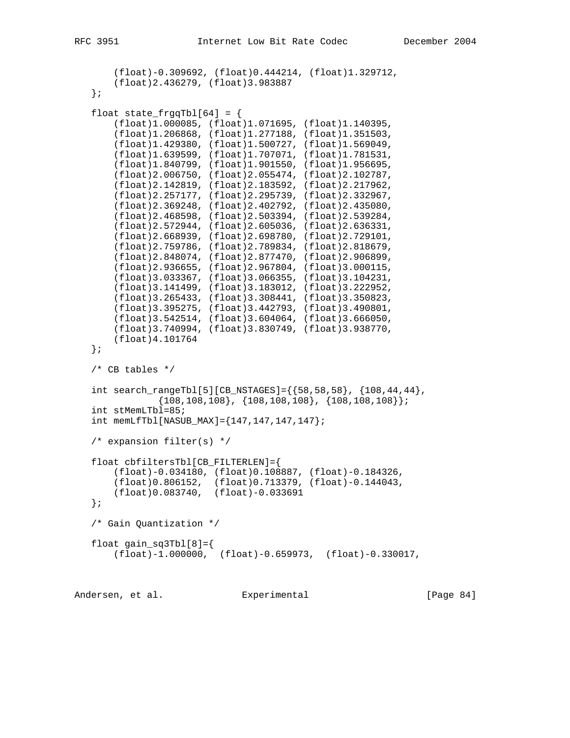```
 (float)-0.309692, (float)0.444214, (float)1.329712,
     (float)2.436279, (float)3.983887
 };
float state\_fragqTbl[64] = { (float)1.000085, (float)1.071695, (float)1.140395,
     (float)1.206868, (float)1.277188, (float)1.351503,
     (float)1.429380, (float)1.500727, (float)1.569049,
     (float)1.639599, (float)1.707071, (float)1.781531,
     (float)1.840799, (float)1.901550, (float)1.956695,
     (float)2.006750, (float)2.055474, (float)2.102787,
     (float)2.142819, (float)2.183592, (float)2.217962,
     (float)2.257177, (float)2.295739, (float)2.332967,
     (float)2.369248, (float)2.402792, (float)2.435080,
     (float)2.468598, (float)2.503394, (float)2.539284,
     (float)2.572944, (float)2.605036, (float)2.636331,
     (float)2.668939, (float)2.698780, (float)2.729101,
     (float)2.759786, (float)2.789834, (float)2.818679,
     (float)2.848074, (float)2.877470, (float)2.906899,
     (float)2.936655, (float)2.967804, (float)3.000115,
     (float)3.033367, (float)3.066355, (float)3.104231,
     (float)3.141499, (float)3.183012, (float)3.222952,
     (float)3.265433, (float)3.308441, (float)3.350823,
     (float)3.395275, (float)3.442793, (float)3.490801,
     (float)3.542514, (float)3.604064, (float)3.666050,
     (float)3.740994, (float)3.830749, (float)3.938770,
     (float)4.101764
 };
 /* CB tables */
int search_rangeTbl[5][CB_NSTAGES]=\{58,58,58\}, \{108,44,44\},
             {108,108,108}, {108,108,108}, {108,108,108}};
 int stMemLTbl=85;
int memLfTbl[NASUB_MAX]={147, 147, 147};
 /* expansion filter(s) */
 float cbfiltersTbl[CB_FILTERLEN]={
     (float)-0.034180, (float)0.108887, (float)-0.184326,
     (float)0.806152, (float)0.713379, (float)-0.144043,
     (float)0.083740, (float)-0.033691
 };
 /* Gain Quantization */
float gain\_sq3Tbl[8]= (float)-1.000000, (float)-0.659973, (float)-0.330017,
```
Andersen, et al. Experimental [Page 84]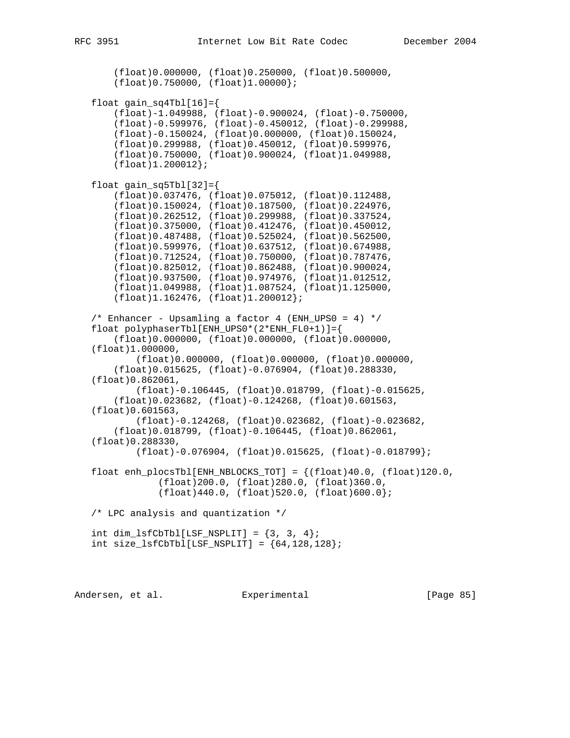(float)0.000000, (float)0.250000, (float)0.500000, (float)0.750000, (float)1.00000}; float  $gain\_sq4Tbl[16]=$  (float)-1.049988, (float)-0.900024, (float)-0.750000, (float)-0.599976, (float)-0.450012, (float)-0.299988, (float)-0.150024, (float)0.000000, (float)0.150024, (float)0.299988, (float)0.450012, (float)0.599976, (float)0.750000, (float)0.900024, (float)1.049988, (float)1.200012}; float gain\_sq5Tbl[32]={ (float)0.037476, (float)0.075012, (float)0.112488, (float)0.150024, (float)0.187500, (float)0.224976, (float)0.262512, (float)0.299988, (float)0.337524, (float)0.375000, (float)0.412476, (float)0.450012, (float)0.487488, (float)0.525024, (float)0.562500, (float)0.599976, (float)0.637512, (float)0.674988, (float)0.712524, (float)0.750000, (float)0.787476, (float)0.825012, (float)0.862488, (float)0.900024, (float)0.937500, (float)0.974976, (float)1.012512, (float)1.049988, (float)1.087524, (float)1.125000, (float)1.162476, (float)1.200012};  $/*$  Enhancer - Upsamling a factor 4 (ENH\_UPS0 = 4) \*/ float polyphaserTbl[ENH\_UPS0\*(2\*ENH\_FL0+1)]={ (float)0.000000, (float)0.000000, (float)0.000000, (float)1.000000, (float)0.000000, (float)0.000000, (float)0.000000, (float)0.015625, (float)-0.076904, (float)0.288330, (float)0.862061, (float)-0.106445, (float)0.018799, (float)-0.015625, (float)0.023682, (float)-0.124268, (float)0.601563, (float)0.601563, (float)-0.124268, (float)0.023682, (float)-0.023682, (float)0.018799, (float)-0.106445, (float)0.862061, (float)0.288330, (float)-0.076904, (float)0.015625, (float)-0.018799}; float enh\_plocsTbl[ENH\_NBLOCKS\_TOT] =  $\{(float)40.0, (float)120.0,$  (float)200.0, (float)280.0, (float)360.0, (float)440.0, (float)520.0, (float)600.0}; /\* LPC analysis and quantization \*/ int dim\_lsfCbTbl[LSF\_NSPLIT] =  $\{3, 3, 4\}$ ; int size\_lsfCbTbl[LSF\_NSPLIT] =  ${64, 128, 128}$ ;

Andersen, et al. Experimental [Page 85]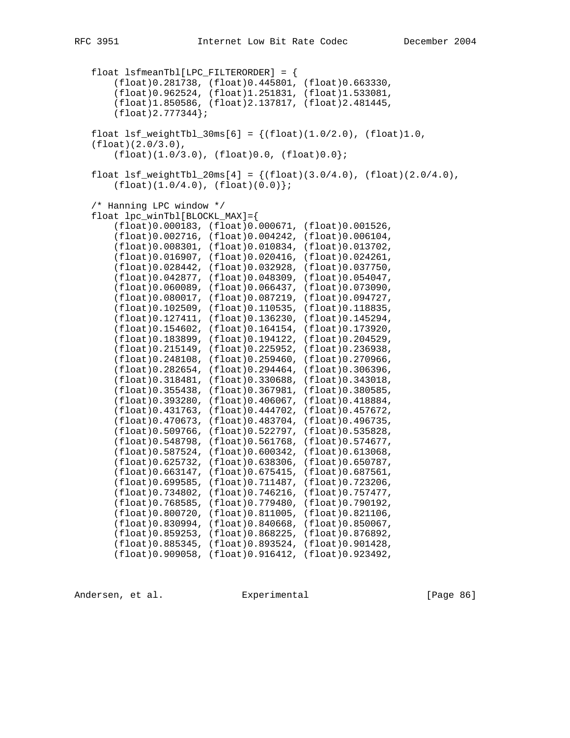float lsfmeanTbl[LPC\_FILTERORDER] = { (float)0.281738, (float)0.445801, (float)0.663330, (float)0.962524, (float)1.251831, (float)1.533081, (float)1.850586, (float)2.137817, (float)2.481445, (float)2.777344}; float  $lsf\_weightTb1_30ms[6] = \{(float)(1.0/2.0), (float)1.0,$  (float)(2.0/3.0),  $(fload)(1.0/3.0)$ ,  $(fload)(0.0, (float)(0.0);$ float  $lsf\_weightTbl\_20ms[4] = \{(float)(3.0/4.0), (float)(2.0/4.0),$  $(fload)(1.0/4.0)$ ,  $(fload)(0.0)$ ; /\* Hanning LPC window \*/ float lpc\_winTbl[BLOCKL\_MAX]={ (float)0.000183, (float)0.000671, (float)0.001526, (float)0.002716, (float)0.004242, (float)0.006104, (float)0.008301, (float)0.010834, (float)0.013702, (float)0.016907, (float)0.020416, (float)0.024261, (float)0.028442, (float)0.032928, (float)0.037750, (float)0.042877, (float)0.048309, (float)0.054047, (float)0.060089, (float)0.066437, (float)0.073090, (float)0.080017, (float)0.087219, (float)0.094727, (float)0.102509, (float)0.110535, (float)0.118835, (float)0.127411, (float)0.136230, (float)0.145294, (float)0.154602, (float)0.164154, (float)0.173920, (float)0.183899, (float)0.194122, (float)0.204529, (float)0.215149, (float)0.225952, (float)0.236938, (float)0.248108, (float)0.259460, (float)0.270966, (float)0.282654, (float)0.294464, (float)0.306396, (float)0.318481, (float)0.330688, (float)0.343018, (float)0.355438, (float)0.367981, (float)0.380585, (float)0.393280, (float)0.406067, (float)0.418884, (float)0.431763, (float)0.444702, (float)0.457672, (float)0.470673, (float)0.483704, (float)0.496735, (float)0.509766, (float)0.522797, (float)0.535828, (float)0.548798, (float)0.561768, (float)0.574677, (float)0.587524, (float)0.600342, (float)0.613068, (float)0.625732, (float)0.638306, (float)0.650787, (float)0.663147, (float)0.675415, (float)0.687561, (float)0.699585, (float)0.711487, (float)0.723206, (float)0.734802, (float)0.746216, (float)0.757477, (float)0.768585, (float)0.779480, (float)0.790192, (float)0.800720, (float)0.811005, (float)0.821106, (float)0.830994, (float)0.840668, (float)0.850067, (float)0.859253, (float)0.868225, (float)0.876892, (float)0.885345, (float)0.893524, (float)0.901428, (float)0.909058, (float)0.916412, (float)0.923492,

Andersen, et al. Experimental [Page 86]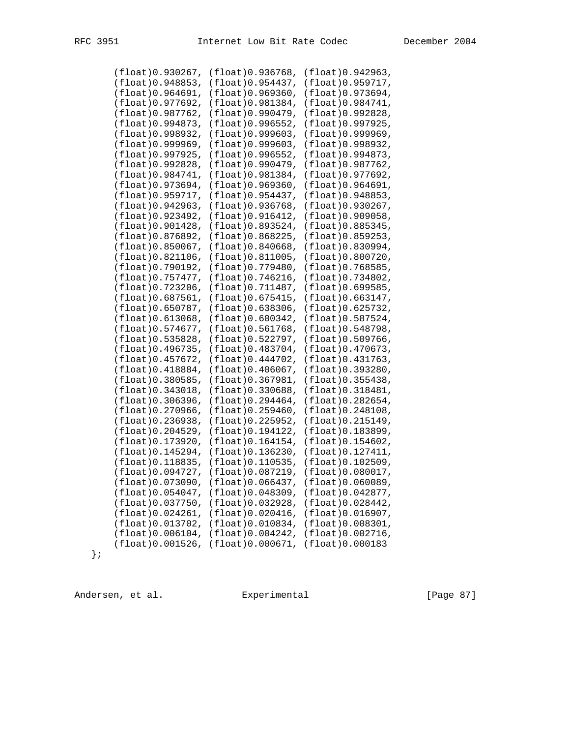| (fload)0.930267,        | (float)0.936768,        | (float) 0.942963,       |
|-------------------------|-------------------------|-------------------------|
| (float)0.948853,        | (float)0.954437,        | (float) 0.959717,       |
| (float)0.964691,        | (float)0.969360,        | (float)0.973694,        |
| (float)0.977692,        | (float)0.981384,        | (float)0.984741,        |
| (float)0.987762,        | (float) 0.990479,       | (float) 0.992828,       |
| (float)0.994873,        | (float)0.996552,        | (float)0.997925,        |
|                         |                         |                         |
| (float) 0.998932,       | (float)0.999603,        | (float) 0.999969,       |
| (flost)0.999969,        | (flost)0.999603,        | (float) 0.998932,       |
| (float)0.997925,        | (float)0.996552,        | (float)0.994873,        |
| (float)0.992828,        | (float)0.990479,        | (float)0.987762,        |
| (flost)0.984741,        | (float) 0.981384,       | (float) 0.977692,       |
| (float)0.973694,        | (float)0.969360,        | (float)0.964691,        |
| (fload)0.959717,        | (float)0.954437,        | (float)0.948853,        |
| (float)0.942963,        | (float)0.936768,        | (float)0.930267,        |
| (float)0.923492,        | (fload)0.916412,        | (float)0.909058,        |
| (float)0.901428,        | (float)0.893524,        | (float)0.885345,        |
| (float) 0.876892,       | (float) 0.868225,       | (float)0.859253,        |
| (float)0.850067,        | (fload)0.840668,        | (float)0.830994,        |
| (float)0.821106,        | $(f$ loat $)0.811005,$  | (float) 0.800720,       |
| (flost)0.790192,        | (float) 0.779480,       | (float) 0.768585,       |
| (float)0.757477,        | (float)0.746216,        | (float) 0.734802,       |
| (float)0.723206,        | (flost) 0.711487,       | (float)0.699585,        |
| (float)0.687561,        | (flost)0.675415,        | (float)0.663147,        |
| (float)0.650787,        | (float)0.638306,        | (float)0.625732,        |
| $(f$ loat $)$ 0.613068, | (flost)0.600342,        | (float) 0.587524,       |
| (float)0.574677,        | (float)0.561768,        | (float) 0.548798,       |
| (float)0.535828,        | (float) 0.522797,       | (float)0.509766,        |
| (float)0.496735,        | (float)0.483704,        | (float)0.470673,        |
| (float)0.457672,        | $(f$ loat $)0.444702$ , | (float) 0.431763,       |
| (float)0.418884,        | (fload)0.406067,        | (float)0.393280,        |
| (float)0.380585,        | (float)0.367981,        | (float)0.355438,        |
| (fload)0.343018,        | (fload)0.330688,        | (float) 0.318481,       |
|                         |                         |                         |
| (float)0.306396,        | (float)0.294464,        | (float)0.282654,        |
| (flost)0.270966,        | (fload)0.259460,        | (float)0.248108,        |
| (float)0.236938,        | (float) 0.225952,       | (float) 0.215149,       |
| (float) 0.204529,       | (float)0.194122,        | (float)0.183899,        |
| (float) 0.173920,       | $(f$ loat $)$ 0.164154, | $(f$ loat $)0.154602$ , |
| (float)0.145294,        | (float)0.136230,        | (float)0.127411,        |
| (float)0.118835,        | (float) 0.110535,       | (float)0.102509,        |
| (float)0.094727,        | (float)0.087219,        | (float)0.080017,        |
| (float)0.073090,        | (flost)0.066437,        | (flost)0.060089,        |
| (float)0.054047,        | (float)0.048309,        | (float)0.042877,        |
| (float)0.037750,        | (float)0.032928,        | (float) 0.028442,       |
| (fload)0.024261,        | (float) 0.020416,       | (float) 0.016907,       |
| (float)0.013702,        | (float)0.010834,        | (float)0.008301,        |
| (float)0.006104,        | (float)0.004242,        | (float)0.002716,        |
| (float)0.001526,        | (float)0.000671,        | (float) 0.000183        |

};

Andersen, et al. Experimental Frage 87]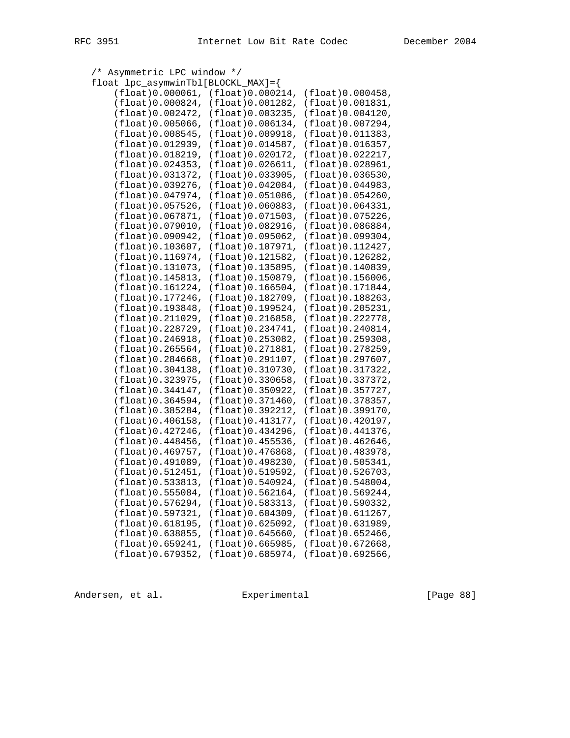| Asymmetric LPC window */<br>$/$ *  |                         |                                      |
|------------------------------------|-------------------------|--------------------------------------|
| float lpc_asymwinTbl[BLOCKL_MAX]={ |                         |                                      |
| (flost)0.000061,                   | (flost)0.000214,        | (flost)0.000458,                     |
| (fload)0.000824,                   | (float)0.001282,        | (float) 0.001831,                    |
| (fload)0.002472,                   | $(f$ loat $)$ 0.003235, | (fload)0.004120,                     |
| (fload)0.005066,                   | (flost)0.006134,        | (float) 0.007294,                    |
| (fload)0.008545,                   | (float)0.009918,        | (float)0.011383,                     |
| $(f$ loat $)0.012939,$             | (fload)0.014587,        | (fload)0.016357,                     |
| (float) 0.018219,                  | (flost)0.020172,        | (float) 0.022217,                    |
| $(f$ loat $)0.024353$ ,            | (flost)0.026611,        | (flost)0.028961,                     |
| (fload)0.031372,                   | (float) 0.033905,       | (fload)0.036530,                     |
| (float)0.039276,                   | (fload)0.042084,        | (float) 0.044983,                    |
| (fload)0.047974,                   | (fload)0.051086,        | (float)0.054260,                     |
| (fload)0.057526,                   | (fload)0.060883,        | (float)0.064331,                     |
| (fload)0.067871,                   | (fload)0.071503,        | (float)0.075226,                     |
| (fload)0.079010,                   | (float) 0.082916,       | (float) 0.086884,                    |
| $(f$ loat $)0.090942,$             | (fload)0.095062,        | (float)0.099304,                     |
| (flost) 0.103607,                  | (float) 0.107971,       | (float)0.112427,                     |
| (fload)0.116974,                   | (float)0.121582,        | $(f$ loat $)$ 0.126282,              |
| $(f$ loat $)$ 0.131073,            | $(f$ loat $)0.135895$ , | (float)0.140839,                     |
| $(f$ loat $)$ 0.145813,            | (float)0.150879,        | (flost)0.156006,                     |
| (float)0.161224,                   | $(f$ loat $)$ 0.166504, | (float) 0.171844,                    |
| $(f$ loat $)$ 0.177246,            | (float) 0.182709,       | $(f$ loat $)$ 0.188263,              |
| (float) 0.193848,                  | (float) 0.199524,       | (float) 0.205231,                    |
| (float)0.211029,                   | (fload)0.216858,        | (float) 0.222778,                    |
| (float) 0.228729,                  | $(f$ loat $)0.234741,$  | (fload)0.240814,                     |
| (fload)0.246918,                   | (float)0.253082,        | (flost)0.259308,                     |
| (flost)0.265564,                   | (float) 0.271881,       | (float) 0.278259,                    |
| $(f$ loat $)0.284668$ ,            | (flost)0.291107,        | (flost)0.297607,                     |
| (flost)0.304138,                   | (flost)0.310730,        | (float) 0.317322,                    |
| (float) 0.323975,                  | (fload)0.330658,        | (float)0.337372,                     |
| (fload)0.344147,                   | (flost)0.350922,        | (fload)0.357727,                     |
| (fload)0.364594,                   | (float)0.371460,        | (float) 0.378357,                    |
| (fload)0.385284,                   | (float)0.392212,        | (float) 0.399170,                    |
| (fload)0.406158,                   | $(f$ loat $)$ 0.413177, | (float)0.420197,                     |
| (float) 0.427246,                  | $(f$ loat $)$ 0.434296, | (float) 0.441376,                    |
| (float)0.448456,                   | (fload)0.455536,        | $(f$ loat $)$ 0.462646,              |
| (fload)0.469757,                   | (fload)0.476868,        | (float)0.483978,                     |
| (float)0.491089,                   | (float) 0.498230,       | (float)0.505341,                     |
| $(f$ loat $)$ 0.512451,            | $(f$ loat $)$ 0.519592, | (fload)0.526703,                     |
| (fload)0.533813,                   |                         | $(f$ loat $)0.548004$ ,              |
|                                    | (fload)0.540924,        |                                      |
| (fload)0.555084,                   | (fload)0.562164,        | (fload)0.569244,<br>(fload)0.590332, |
| (float)0.576294,                   | (float) 0.583313,       |                                      |
| (float) 0.597321,                  | (fload)0.604309,        | (fload)0.611267,                     |
| (float) 0.618195,                  | (float)0.625092,        | (float) 0.631989,                    |
| (fload)0.638855,                   | (fload)0.645660,        | $(f$ loat $)$ 0.652466,              |
| (fload)0.659241,                   | (fload)0.665985,        | $(f$ loat $)$ 0.672668,              |
| $(f$ loat $)$ 0.679352,            | (float)0.685974,        | (flost)0.692566,                     |

Andersen, et al. Experimental Experimental [Page 88]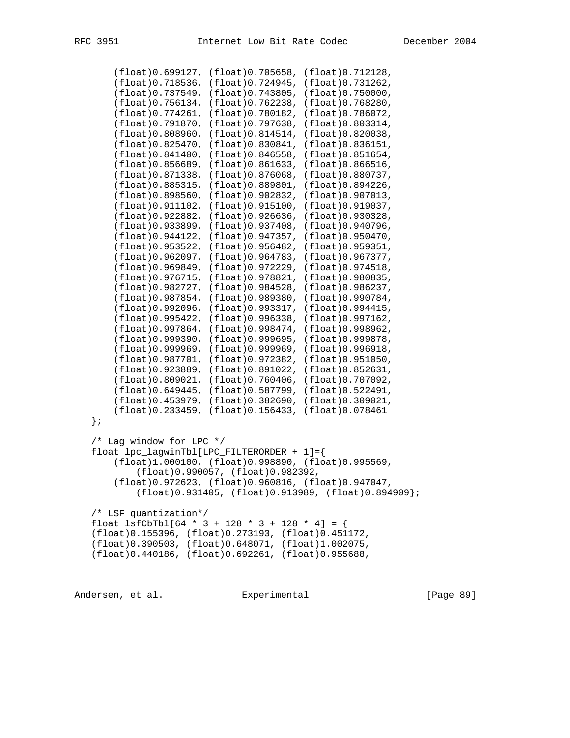```
 (float)0.699127, (float)0.705658, (float)0.712128,
     (float)0.718536, (float)0.724945, (float)0.731262,
     (float)0.737549, (float)0.743805, (float)0.750000,
     (float)0.756134, (float)0.762238, (float)0.768280,
     (float)0.774261, (float)0.780182, (float)0.786072,
     (float)0.791870, (float)0.797638, (float)0.803314,
     (float)0.808960, (float)0.814514, (float)0.820038,
     (float)0.825470, (float)0.830841, (float)0.836151,
     (float)0.841400, (float)0.846558, (float)0.851654,
     (float)0.856689, (float)0.861633, (float)0.866516,
     (float)0.871338, (float)0.876068, (float)0.880737,
     (float)0.885315, (float)0.889801, (float)0.894226,
     (float)0.898560, (float)0.902832, (float)0.907013,
     (float)0.911102, (float)0.915100, (float)0.919037,
     (float)0.922882, (float)0.926636, (float)0.930328,
     (float)0.933899, (float)0.937408, (float)0.940796,
     (float)0.944122, (float)0.947357, (float)0.950470,
     (float)0.953522, (float)0.956482, (float)0.959351,
     (float)0.962097, (float)0.964783, (float)0.967377,
     (float)0.969849, (float)0.972229, (float)0.974518,
     (float)0.976715, (float)0.978821, (float)0.980835,
     (float)0.982727, (float)0.984528, (float)0.986237,
     (float)0.987854, (float)0.989380, (float)0.990784,
     (float)0.992096, (float)0.993317, (float)0.994415,
     (float)0.995422, (float)0.996338, (float)0.997162,
     (float)0.997864, (float)0.998474, (float)0.998962,
     (float)0.999390, (float)0.999695, (float)0.999878,
     (float)0.999969, (float)0.999969, (float)0.996918,
     (float)0.987701, (float)0.972382, (float)0.951050,
     (float)0.923889, (float)0.891022, (float)0.852631,
     (float)0.809021, (float)0.760406, (float)0.707092,
     (float)0.649445, (float)0.587799, (float)0.522491,
     (float)0.453979, (float)0.382690, (float)0.309021,
     (float)0.233459, (float)0.156433, (float)0.078461
 };
 /* Lag window for LPC */
 float lpc_lagwinTbl[LPC_FILTERORDER + 1]={
     (float)1.000100, (float)0.998890, (float)0.995569,
         (float)0.990057, (float)0.982392,
     (float)0.972623, (float)0.960816, (float)0.947047,
         (float)0.931405, (float)0.913989, (float)0.894909};
 /* LSF quantization*/
float lsfChD1[64 * 3 + 128 * 3 + 128 * 4] = { (float)0.155396, (float)0.273193, (float)0.451172,
 (float)0.390503, (float)0.648071, (float)1.002075,
 (float)0.440186, (float)0.692261, (float)0.955688,
```
Andersen, et al. Experimental [Page 89]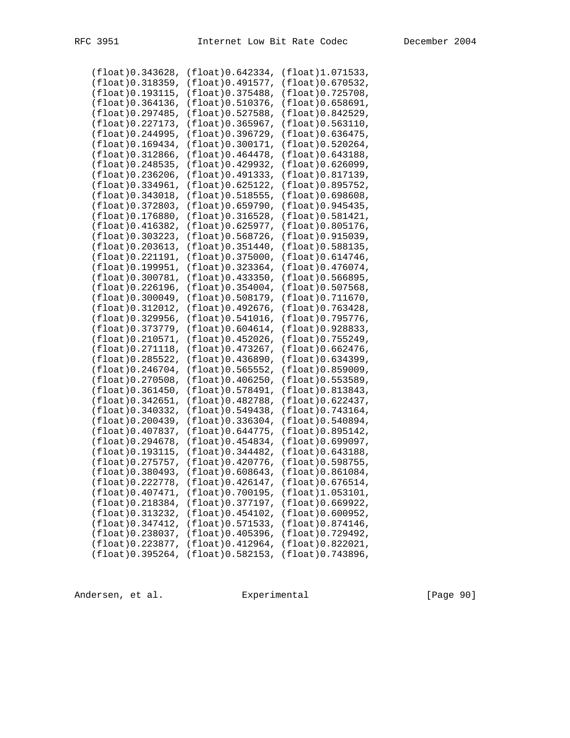| (fload)0.343628,        | (float)0.642334,        | (float)1.071533,        |
|-------------------------|-------------------------|-------------------------|
| (flost)0.318359,        | (float) 0.491577,       | $(f$ loat $)0.670532$ , |
|                         |                         |                         |
| (float) 0.193115,       | (float) 0.375488,       | (flost)0.725708,        |
| (flost)0.364136,        | (float) 0.510376,       | (flost)0.658691,        |
| (fload)0.297485,        | (float) 0.527588,       | (fload)0.842529,        |
|                         |                         |                         |
| (flost)0.227173,        | (float) 0.365967,       | (flost)0.563110,        |
| (flost)0.244995,        | (float) 0.396729,       | (float) 0.636475,       |
|                         |                         |                         |
| (fload)0.169434,        | (float)0.300171,        | $(f$ loat $)0.520264$ , |
| $(f$ loat $)$ 0.312866, | (float)0.464478,        | (fload)0.643188,        |
| (flost)0.248535,        | (float) 0.429932,       | (flost)0.626099,        |
| (flost)0.236206,        | (float) 0.491333,       | (float) 0.817139,       |
|                         |                         |                         |
| (flost)0.334961,        | $(f$ loat $)0.625122$ , | (float) 0.895752,       |
| (flost) 0.343018,       | (float) 0.518555,       | $(f$ loat $)0.698608,$  |
| (fload)0.372803,        | (float)0.659790,        | (float)0.945435,        |
|                         |                         |                         |
| $(f$ loat $)$ 0.176880, | (float) 0.316528,       | (flost)0.581421,        |
| (flost)0.416382,        | (float) 0.625977,       | (float) 0.805176,       |
| (fload)0.303223,        | (float) 0.568726,       | (flost)0.915039,        |
| (flost)0.203613,        | (float) 0.351440,       | (float) 0.588135,       |
|                         |                         |                         |
| (flost)0.221191,        | (fload)0.375000,        | (float) 0.614746,       |
| (flost)0.199951,        | (float) 0.323364,       | (fload)0.476074,        |
| (fload)0.300781,        | (float) 0.433350,       | (flost)0.566895,        |
|                         |                         |                         |
| (flost)0.226196,        | (float) 0.354004,       | (flost)0.507568,        |
| (flost)0.300049,        | (float) 0.508179,       | (flost) 0.711670,       |
| (flost)0.312012,        | (float) 0.492676,       | (float) 0.763428,       |
| (flost)0.329956,        | $(f$ loat $)0.541016$ , | (float) 0.795776,       |
|                         |                         |                         |
| (fload)0.373779,        | (float)0.604614,        | (float)0.928833,        |
| (flost)0.210571,        | (float) 0.452026,       | (float) 0.755249,       |
| (flost)0.271118,        | (float) 0.473267,       | $(f$ loat $)0.662476$ , |
| $(f$ loat $)0.285522,$  | (float) 0.436890,       | $(f$ loat $)$ 0.634399, |
|                         |                         |                         |
| (fload)0.246704,        | (float) 0.565552,       | (flost)0.859009,        |
| (flost)0.270508,        | $(f$ loat $)0.406250$ , | (float) 0.553589,       |
| (fload)0.361450,        | (float)0.578491,        | (float)0.813843,        |
|                         |                         |                         |
| (fload)0.342651,        | (float) 0.482788,       | (float) 0.622437,       |
| (fload)0.340332,        | (float) 0.549438,       | (fload)0.743164,        |
| (flost)0.200439,        | (float) 0.336304,       | (fload)0.540894,        |
| (float) 0.407837,       | (float) 0.644775,       | (float) 0.895142,       |
|                         |                         |                         |
| (flost)0.294678,        | (float) 0.454834,       | $(f$ loat $)0.699097,$  |
| (float) 0.193115,       | (float) 0.344482,       | (flost)0.643188,        |
| (float) 0.275757,       | (float)0.420776,        | (float) 0.598755,       |
| (float) 0.380493,       | (float) 0.608643,       | $(f$ loat $)0.861084$ , |
|                         |                         |                         |
| (float) 0.222778,       | $(f$ loat $)0.426147$ , | (flost)0.676514,        |
| (fload)0.407471,        | (float)0.700195,        | $(f$ loat $)$ 1.053101, |
| (fload)0.218384,        | (float) 0.377197,       | (float) 0.669922,       |
|                         |                         |                         |
| (float) 0.313232,       | $(f$ loat $)0.454102$ , | (flost)0.600952,        |
| (float)0.347412,        | (float) 0.571533,       | $(f$ loat $)0.874146$ , |
| (flost)0.238037,        | (float)0.405396,        | (float) 0.729492,       |
| (float) 0.223877,       | (float) 0.412964,       | (float) 0.822021,       |
|                         |                         |                         |
| (fload)0.395264,        | (float) 0.582153,       | (float) 0.743896,       |

Andersen, et al. Experimental Formula (Page 90)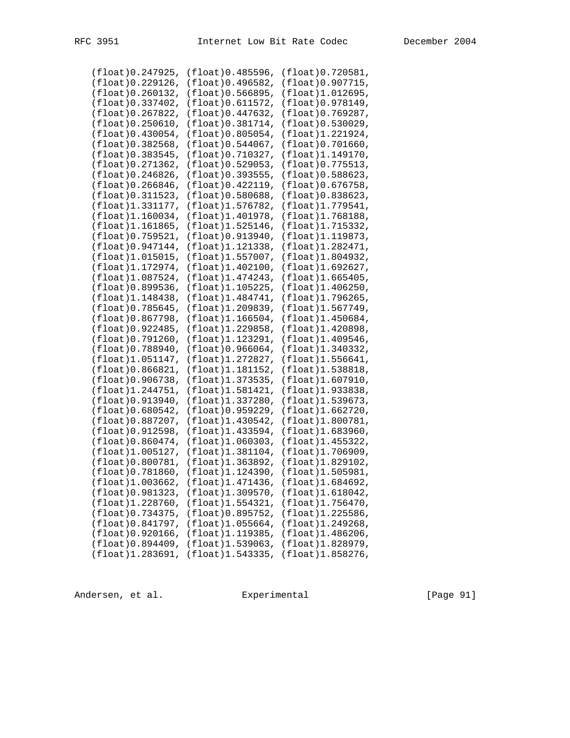| (float)0.485596,<br>(float) 0.496582, | (float)0.720581,<br>(flost)0.907715,                                                                                                                                                                                                                                                                                                                                                                                                                                      |
|---------------------------------------|---------------------------------------------------------------------------------------------------------------------------------------------------------------------------------------------------------------------------------------------------------------------------------------------------------------------------------------------------------------------------------------------------------------------------------------------------------------------------|
|                                       |                                                                                                                                                                                                                                                                                                                                                                                                                                                                           |
|                                       |                                                                                                                                                                                                                                                                                                                                                                                                                                                                           |
| (float) 0.566895,                     | (float)1.012695,                                                                                                                                                                                                                                                                                                                                                                                                                                                          |
|                                       |                                                                                                                                                                                                                                                                                                                                                                                                                                                                           |
| (flost)0.611572,                      | (float) 0.978149,                                                                                                                                                                                                                                                                                                                                                                                                                                                         |
| (float) 0.447632,                     | (float) 0.769287,                                                                                                                                                                                                                                                                                                                                                                                                                                                         |
|                                       | (float) 0.530029,                                                                                                                                                                                                                                                                                                                                                                                                                                                         |
|                                       |                                                                                                                                                                                                                                                                                                                                                                                                                                                                           |
|                                       | (float)1.221924,                                                                                                                                                                                                                                                                                                                                                                                                                                                          |
|                                       | (fload)0.701660,                                                                                                                                                                                                                                                                                                                                                                                                                                                          |
|                                       | (float)1.149170,                                                                                                                                                                                                                                                                                                                                                                                                                                                          |
|                                       | (float) 0.775513,                                                                                                                                                                                                                                                                                                                                                                                                                                                         |
|                                       |                                                                                                                                                                                                                                                                                                                                                                                                                                                                           |
|                                       | (float) 0.588623,                                                                                                                                                                                                                                                                                                                                                                                                                                                         |
|                                       | (flost)0.676758,                                                                                                                                                                                                                                                                                                                                                                                                                                                          |
|                                       | $(f$ loat $)$ 0.838623,                                                                                                                                                                                                                                                                                                                                                                                                                                                   |
|                                       | (float)1.779541,                                                                                                                                                                                                                                                                                                                                                                                                                                                          |
|                                       |                                                                                                                                                                                                                                                                                                                                                                                                                                                                           |
|                                       | (float)1.768188,                                                                                                                                                                                                                                                                                                                                                                                                                                                          |
|                                       | (float)1.715332,                                                                                                                                                                                                                                                                                                                                                                                                                                                          |
|                                       | (float)1.119873,                                                                                                                                                                                                                                                                                                                                                                                                                                                          |
|                                       | (float)1.282471,                                                                                                                                                                                                                                                                                                                                                                                                                                                          |
|                                       | (float) 1.804932,                                                                                                                                                                                                                                                                                                                                                                                                                                                         |
|                                       |                                                                                                                                                                                                                                                                                                                                                                                                                                                                           |
|                                       | $(f$ loat $)$ 1.692627,                                                                                                                                                                                                                                                                                                                                                                                                                                                   |
|                                       | (flost)1.665405,                                                                                                                                                                                                                                                                                                                                                                                                                                                          |
|                                       | (flost)1.406250,                                                                                                                                                                                                                                                                                                                                                                                                                                                          |
|                                       | (float) 1.796265,                                                                                                                                                                                                                                                                                                                                                                                                                                                         |
|                                       | (float)1.567749,                                                                                                                                                                                                                                                                                                                                                                                                                                                          |
|                                       |                                                                                                                                                                                                                                                                                                                                                                                                                                                                           |
|                                       | (flost)1.450684,                                                                                                                                                                                                                                                                                                                                                                                                                                                          |
|                                       | (float)1.420898,                                                                                                                                                                                                                                                                                                                                                                                                                                                          |
|                                       | (float)1.409546,                                                                                                                                                                                                                                                                                                                                                                                                                                                          |
| (flost)0.966064,                      | (float)1.340332,                                                                                                                                                                                                                                                                                                                                                                                                                                                          |
|                                       |                                                                                                                                                                                                                                                                                                                                                                                                                                                                           |
|                                       |                                                                                                                                                                                                                                                                                                                                                                                                                                                                           |
| (float)1.272827,                      | (flost)1.556641,                                                                                                                                                                                                                                                                                                                                                                                                                                                          |
| (float)1.181152,                      | (float)1.538818,                                                                                                                                                                                                                                                                                                                                                                                                                                                          |
| (float)1.373535,                      | (flost)1.607910,                                                                                                                                                                                                                                                                                                                                                                                                                                                          |
|                                       |                                                                                                                                                                                                                                                                                                                                                                                                                                                                           |
| (float)1.581421,                      | $(f$ loat $)$ 1.933838,                                                                                                                                                                                                                                                                                                                                                                                                                                                   |
| (float)1.337280,                      | (float)1.539673,                                                                                                                                                                                                                                                                                                                                                                                                                                                          |
| (float) 0.959229,                     | (float)1.662720,                                                                                                                                                                                                                                                                                                                                                                                                                                                          |
| (float)1.430542,                      | (float)1.800781,                                                                                                                                                                                                                                                                                                                                                                                                                                                          |
| (float)1.433594,                      | (flost)1.683960,                                                                                                                                                                                                                                                                                                                                                                                                                                                          |
|                                       |                                                                                                                                                                                                                                                                                                                                                                                                                                                                           |
| $(f$ loat $)$ 1.060303,               | (float)1.455322,                                                                                                                                                                                                                                                                                                                                                                                                                                                          |
| (float)1.381104,                      | (flost)1.706909,                                                                                                                                                                                                                                                                                                                                                                                                                                                          |
| (float)1.363892,                      | (float) 1.829102,                                                                                                                                                                                                                                                                                                                                                                                                                                                         |
| (float)1.124390,                      | (float) 1.505981,                                                                                                                                                                                                                                                                                                                                                                                                                                                         |
| (float) 1.471436,                     | $(f$ loat $)$ 1.684692,                                                                                                                                                                                                                                                                                                                                                                                                                                                   |
| (float)1.309570,                      | $(f$ loat $)$ 1.618042,                                                                                                                                                                                                                                                                                                                                                                                                                                                   |
|                                       |                                                                                                                                                                                                                                                                                                                                                                                                                                                                           |
| (float)1.554321,                      | (float)1.756470,                                                                                                                                                                                                                                                                                                                                                                                                                                                          |
| (float)0.895752,                      | (float)1.225586,                                                                                                                                                                                                                                                                                                                                                                                                                                                          |
| (float)1.055664,                      | $(f$ loat $)$ 1.249268,                                                                                                                                                                                                                                                                                                                                                                                                                                                   |
| (float)1.119385,                      | $(f$ loat $)$ 1.486206,                                                                                                                                                                                                                                                                                                                                                                                                                                                   |
| $(f$ loat $)$ 1.539063,               | (float)1.828979,                                                                                                                                                                                                                                                                                                                                                                                                                                                          |
|                                       | (float) 0.381714,<br>(float)0.805054,<br>$(f$ loat $)0.544067$ ,<br>(float) 0.710327,<br>(float) 0.529053,<br>(float) 0.393555,<br>(float) 0.422119,<br>(float) 0.580688,<br>(float)1.576782,<br>(float)1.401978,<br>(float)1.525146,<br>(float) 0.913940,<br>(float)1.121338,<br>(float)1.557007,<br>(float)1.402100,<br>(float)1.474243,<br>(float)1.105225,<br>(float)1.484741,<br>(float)1.209839,<br>$(f$ loat $)$ 1.166504,<br>(float)1.229858,<br>(float)1.123291, |

Andersen, et al. Experimental Formula (Page 91)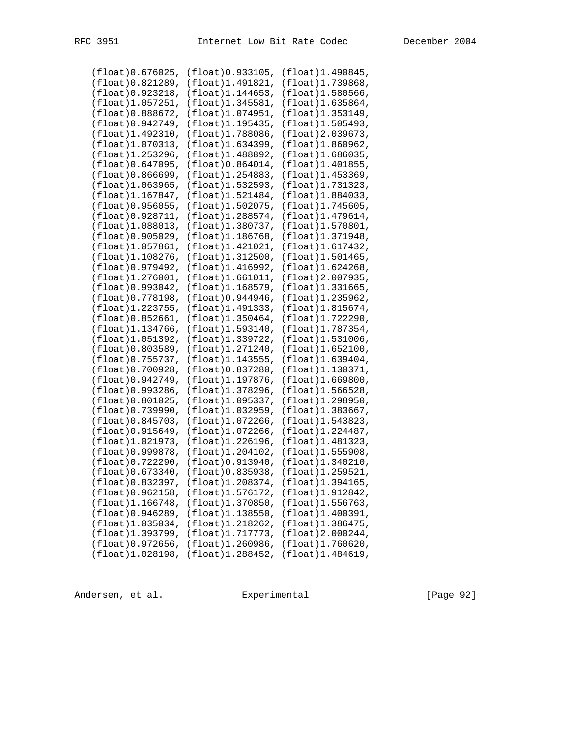| (fload)0.676025,        | (float)0.933105,        | (float)1.490845,        |
|-------------------------|-------------------------|-------------------------|
| (fload)0.821289,        | (float)1.491821,        | (float)1.739868,        |
| (float) 0.923218,       | (float)1.144653,        | (flost)1.580566,        |
| (float)1.057251,        | (float)1.345581,        | $(f$ loat $)$ 1.635864, |
| (flost)0.888672,        | (float)1.074951,        | (float)1.353149,        |
| (float) 0.942749,       | (float)1.195435,        | (float)1.505493,        |
|                         |                         |                         |
| (float)1.492310,        | (float)1.788086,        | (float) 2.039673,       |
| (flost)1.070313,        | (float)1.634399,        | (float)1.860962,        |
| (float)1.253296,        | (float)1.488892,        | (flost)1.686035,        |
| (flost)0.647095,        | $(f$ loat $)0.864014$ , | (flost)1.401855,        |
| (flost)0.866699,        | (float)1.254883,        | (float)1.453369,        |
| (flost)1.063965,        | (float)1.532593,        | (float)1.731323,        |
| (float)1.167847,        | (float)1.521484,        | (float)1.884033,        |
| (flost)0.956055,        | (float)1.502075,        | $(f$ loat $)$ 1.745605, |
| $(f$ loat $)0.928711,$  | (float)1.288574,        | (float)1.479614,        |
| (flost)1.088013,        | (float)1.380737,        | (float)1.570801,        |
| (flost)0.905029,        | (flost)1.186768,        | (float)1.371948,        |
|                         |                         |                         |
| (flost)1.057861,        | (float)1.421021,        | (float)1.617432,        |
| (float)1.108276,        | (float)1.312500,        | (flost)1.501465,        |
| (float) 0.979492,       | (float)1.416992,        | $(f$ loat $)$ 1.624268, |
| $(f$ loat $)$ 1.276001, | $(f$ loat $)$ 1.661011, | (float) 2.007935,       |
| (float) 0.993042,       | (float)1.168579,        | $(f$ loat $)$ 1.331665, |
| (float) 0.778198,       | (float) 0.944946,       | $(f$ loat $)$ 1.235962, |
| (float) 1.223755,       | (float)1.491333,        | (flost)1.815674,        |
| (flost)0.852661,        | (float)1.350464,        | (float)1.722290,        |
| (flost)1.134766,        | (float)1.593140,        | $(f$ loat $)$ 1.787354, |
| (float)1.051392,        | (float)1.339722,        | (flost)1.531006,        |
| (float) 0.803589,       | (float)1.271240,        | (flost)1.652100,        |
| (float) 0.755737,       | (float)1.143555,        | $(f$ loat $)$ 1.639404, |
|                         |                         |                         |
| (float) 0.700928,       | (float) 0.837280,       | (float)1.130371,        |
| (float) 0.942749,       | (float)1.197876,        | (flost)1.669800,        |
| $(f$ loat $)0.993286$ , | (float)1.378296,        | $(f$ loat $)$ 1.566528, |
| $(f$ loat $)0.801025$ , | (float)1.095337,        | (float)1.298950,        |
| (float) 0.739990,       | (float)1.032959,        | (flost)1.383667,        |
| (flost)0.845703,        | (float)1.072266,        | (float)1.543823,        |
| (flost)0.915649,        | (float)1.072266,        | (float)1.224487,        |
| (float) 1.021973,       | (float)1.226196,        | (float) 1.481323,       |
| (float) 0.999878,       | (float)1.204102,        | (flost)1.555908,        |
| (float) 0.722290,       | (float) 0.913940,       | (flost)1.340210,        |
| (fload)0.673340,        | (float) 0.835938,       | (float)1.259521,        |
| (float) 0.832397,       | (float)1.208374,        | $(f$ loat $)$ 1.394165, |
|                         |                         |                         |
| (flost)0.962158,        | (flost)1.576172,        | (float)1.912842,        |
| (float)1.166748,        | (float)1.370850,        | $(f$ loat $)$ 1.556763, |
| $(f$ loat $)0.946289,$  | $(f$ loat $)$ 1.138550, | (float)1.400391,        |
| (flost)1.035034,        | (float)1.218262,        | (float) 1.386475,       |
| (float)1.393799,        | (float)1.717773,        | $(f$ loat $)$ 2.000244, |
| (flost)0.972656,        | $(f$ loat $)$ 1.260986, | (flost)1.760620,        |
| (float)1.028198,        | (float)1.288452,        | (float)1.484619,        |
|                         |                         |                         |

Andersen, et al. Experimental [Page 92]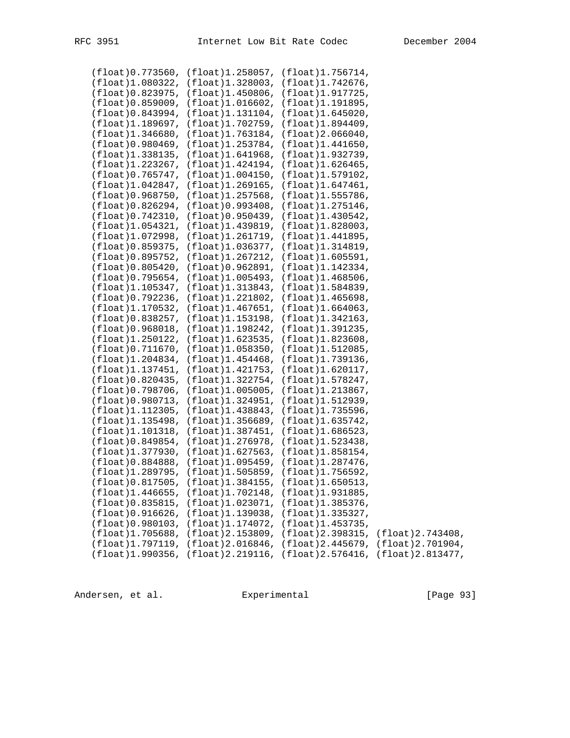|  | $(fload) 0.773560, (float) 1.258057, (float) 1.756714,$ |                                                                     |
|--|---------------------------------------------------------|---------------------------------------------------------------------|
|  | (float)1.080322, (float)1.328003, (float)1.742676,      |                                                                     |
|  | (float) 0.823975, (float) 1.450806, (float) 1.917725,   |                                                                     |
|  | (float)0.859009, (float)1.016602, (float)1.191895,      |                                                                     |
|  | (float)0.843994, (float)1.131104, (float)1.645020,      |                                                                     |
|  | (float)1.189697, (float)1.702759, (float)1.894409,      |                                                                     |
|  |                                                         |                                                                     |
|  | (float)1.346680, (float)1.763184, (float)2.066040,      |                                                                     |
|  | $(flost)0.980469, (float)1.253784, (float)1.441650,$    |                                                                     |
|  | (float)1.338135, (float)1.641968, (float)1.932739,      |                                                                     |
|  | (float)1.223267, (float)1.424194, (float)1.626465,      |                                                                     |
|  | (float)0.765747, (float)1.004150, (float)1.579102,      |                                                                     |
|  | $(float)1.042847, (float)1.269165, (float)1.647461,$    |                                                                     |
|  | (float)0.968750, (float)1.257568, (float)1.555786,      |                                                                     |
|  | $(float)0.826294, (fload)0.993408, (fload)1.275146,$    |                                                                     |
|  | (float) 0.742310, (float) 0.950439, (float) 1.430542,   |                                                                     |
|  |                                                         |                                                                     |
|  | (float)1.054321, (float)1.439819, (float)1.828003,      |                                                                     |
|  | $(flost)1.072998, (float)1.261719, (float)1.441895,$    |                                                                     |
|  | (float)0.859375, (float)1.036377, (float)1.314819,      |                                                                     |
|  | (float)0.895752, (float)1.267212, (float)1.605591,      |                                                                     |
|  | $(flost)0.805420, (float)0.962891, (float)1.142334,$    |                                                                     |
|  | (float) 0.795654, (float) 1.005493, (float) 1.468506,   |                                                                     |
|  | (float)1.105347, (float)1.313843, (float)1.584839,      |                                                                     |
|  | $(flost)0.792236, (float)1.221802, (float)1.465698,$    |                                                                     |
|  | (float)1.170532, (float)1.467651, (float)1.664063,      |                                                                     |
|  | (float) 0.838257, (float) 1.153198, (float) 1.342163,   |                                                                     |
|  | $(float)0.968018, (fload)1.198242, (fload)1.391235,$    |                                                                     |
|  |                                                         |                                                                     |
|  | (float)1.250122, (float)1.623535, (float)1.823608,      |                                                                     |
|  | (float)0.711670, (float)1.058350, (float)1.512085,      |                                                                     |
|  | (float)1.204834, (float)1.454468, (float)1.739136,      |                                                                     |
|  | (float)1.137451, (float)1.421753, (float)1.620117,      |                                                                     |
|  | (float)0.820435, (float)1.322754, (float)1.578247,      |                                                                     |
|  | $(flost)0.798706, (float)1.005005, (float)1.213867,$    |                                                                     |
|  | (float)0.980713, (float)1.324951, (float)1.512939,      |                                                                     |
|  | (float)1.112305, (float)1.438843, (float)1.735596,      |                                                                     |
|  | $(flost)1.135498, (float)1.356689, (float)1.635742,$    |                                                                     |
|  | (float)1.101318, (float)1.387451, (float)1.686523,      |                                                                     |
|  | (float)0.849854, (float)1.276978, (float)1.523438,      |                                                                     |
|  |                                                         |                                                                     |
|  | $(float)1.377930, (float)1.627563, (float)1.858154,$    |                                                                     |
|  | (float)0.884888, (float)1.095459, (float)1.287476,      |                                                                     |
|  | (float)1.289795, (float)1.505859, (float)1.756592,      |                                                                     |
|  | (float) 0.817505, (float) 1.384155, (float) 1.650513,   |                                                                     |
|  | $(float)1.446655, (float)1.702148, (float)1.931885,$    |                                                                     |
|  | (float) 0.835815, (float) 1.023071, (float) 1.385376,   |                                                                     |
|  | (float)0.916626, (float)1.139038, (float)1.335327,      |                                                                     |
|  | (float) 0.980103, (float) 1.174072, (float) 1.453735,   |                                                                     |
|  |                                                         | (float)1.705688, (float)2.153809, (float)2.398315, (float)2.743408, |
|  |                                                         | (float)1.797119, (float)2.016846, (float)2.445679, (float)2.701904, |
|  |                                                         | (float)1.990356, (float)2.219116, (float)2.576416, (float)2.813477, |
|  |                                                         |                                                                     |

Andersen, et al. Experimental [Page 93]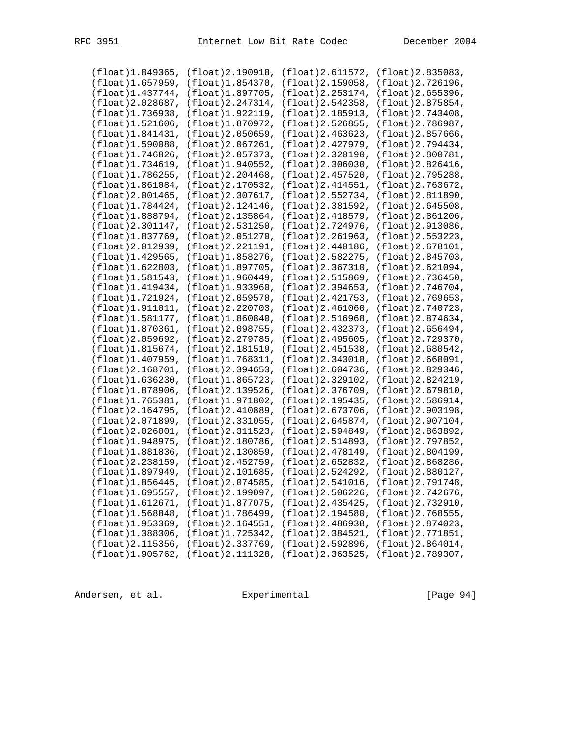| (fload)1.849365,        | $(f$ loat $)$ 2.190918, | (fload)2.611572,                                                    | $(f$ loat $)$ 2.835083, |
|-------------------------|-------------------------|---------------------------------------------------------------------|-------------------------|
| $(f$ loat $)$ 1.657959, | $(f$ loat $)$ 1.854370, | (float) 2.159058,                                                   | (float) 2.726196,       |
| (float)1.437744,        | $(f$ loat $)$ 1.897705, | (float) 2.253174,                                                   | (float) 2.655396,       |
| (float) 2.028687,       | (float) 2.247314,       | (float) 2.542358,                                                   | (float) 2.875854,       |
| (float)1.736938,        | $(f$ loat $)$ 1.922119, | (float) 2.185913,                                                   | $(f$ loat $)$ 2.743408, |
| (flost)1.521606,        | (float)1.870972,        | (float) 2.526855,                                                   | (float) 2.786987,       |
|                         |                         |                                                                     |                         |
| $(f$ loat $)$ 1.841431, | (float)2.050659,        | (float)2.463623,                                                    | $(fload)$ 2.857666,     |
| $(f$ loat $)$ 1.590088, | $(f$ loat $)$ 2.067261, | (float) 2.427979,                                                   | (float) 2.794434,       |
| (float)1.746826,        | (fload)2.057373,        | (float) 2.320190,                                                   | (float) 2.800781,       |
| (float)1.734619,        | (float) 1.940552,       | $(f$ loat $)$ 2.306030,                                             | (float) 2.826416,       |
| (float)1.786255,        | $(f$ loat $)$ 2.204468, | (float) 2.457520,                                                   | (float) 2.795288,       |
| (flost)1.861084,        | $(f$ loat $)$ 2.170532, | (float) 2.414551,                                                   | (float) 2.763672,       |
| $(f$ loat $)$ 2.001465, | (float) 2.307617,       | (float) 2.552734,                                                   | (float) 2.811890,       |
| (float)1.784424,        | (float)2.124146,        | (float)2.381592,                                                    | $(f$ loat $)$ 2.645508, |
| (float)1.888794,        | (float) 2.135864,       | (float) 2.418579,                                                   | $(f$ loat $)$ 2.861206, |
|                         |                         |                                                                     |                         |
| (fload)2.301147,        | (float) 2.531250,       | (float) 2.724976,                                                   | (float) 2.913086,       |
| (float)1.837769,        | $(f$ loat $)$ 2.051270, | $(f$ loat $)$ 2.261963,                                             | (float) 2.553223,       |
| (float) 2.012939,       | (float) 2.221191,       | $(f$ loat $)$ 2.440186,                                             | (fload)2.678101,        |
| (float) 1.429565,       | (float)1.858276,        | (float) 2.582275,                                                   | (float) 2.845703,       |
| $(f$ loat $)$ 1.622803, | (float)1.897705,        | (flost)2.367310,                                                    | (flost)2.621094,        |
| (float)1.581543,        | $(f$ loat $)$ 1.960449, | (float) 2.515869,                                                   | (float) 2.736450,       |
| (flost)1.419434,        | (float)1.933960,        | (float)2.394653,                                                    | (fload)2.746704,        |
| (float)1.721924,        | (flost)2.059570,        | (float) 2.421753,                                                   | $(f$ loat $)$ 2.769653, |
| $(f$ loat $)$ 1.911011, | $(f$ loat $)$ 2.220703, | $(f$ loat $)$ 2.461060,                                             | (float) 2.740723,       |
| (float)1.581177,        | $(f$ loat $)$ 1.860840, | $(f$ loat $)$ 2.516968,                                             | (float) 2.874634,       |
| $(f$ loat $)$ 1.870361, | (float)2.098755,        | (float)2.432373,                                                    | $(f$ loat $)$ 2.656494, |
| (float) 2.059692,       | (float) 2.279785,       | $(f$ loat $)$ 2.495605,                                             | (float) 2.729370,       |
|                         |                         |                                                                     |                         |
| (flost)1.815674,        | (float)2.181519,        | $(f$ loat) 2.451538,                                                | (fload)2.680542,        |
| (flost)1.407959,        | (float)1.768311,        | (fload)2.343018,                                                    | (fload)2.668091,        |
| (float) 2.168701,       | (fload)2.394653,        | $(f$ loat $)$ 2.604736,                                             | (float) 2.829346,       |
| (flost)1.636230,        | (float)1.865723,        | (float) 2.329102,                                                   | (float) 2.824219,       |
| (float)1.878906,        | (float)2.139526,        | (float)2.376709,                                                    | $(f$ loat $)$ 2.679810, |
| (float)1.765381,        | (float)1.971802,        | (float) 2.195435,                                                   | $(f$ loat $)$ 2.586914, |
| (float) 2.164795,       | (float)2.410889,        | (float)2.673706,                                                    | (float) 2.903198,       |
| (float) 2.071899,       | (fload)2.331055,        | (float) 2.645874,                                                   | $(f$ loat $)$ 2.907104, |
| (flost)2.026001,        | $(f$ loat $)$ 2.311523, | (float) 2.594849,                                                   | (float) 2.863892,       |
| $(f$ loat $)$ 1.948975, | (float) 2.180786,       | (float) 2.514893,                                                   | (float) 2.797852,       |
| (float)1.881836,        | $(f$ loat $)$ 2.130859, | (float) 2.478149,                                                   | (float) 2.804199,       |
| (float) 2.238159,       | (float) 2.452759,       | (float) 2.652832,                                                   | (float) 2.868286,       |
| $(f$ loat $)$ 1.897949, | $(f$ loat $)$ 2.101685, | $(f$ loat $)$ 2.524292,                                             | (float) 2.880127,       |
|                         |                         |                                                                     |                         |
|                         |                         | (float)1.856445, (float)2.074585, (float)2.541016, (float)2.791748, |                         |
|                         |                         | (float)1.695557, (float)2.199097, (float)2.506226, (float)2.742676, |                         |
|                         |                         | (float)1.612671, (float)1.877075, (float)2.435425, (float)2.732910, |                         |
| (float)1.568848,        | (flost)1.786499,        | (fload)2.194580,                                                    | $(fload)$ 2.768555,     |
| $(f$ loat $)$ 1.953369, | (flost)2.164551,        | (fload)2.486938,                                                    | (float) 2.874023,       |
| $(f$ loat $)$ 1.388306, | (flost)1.725342,        | (fload)2.384521,                                                    | (float) 2.771851,       |
| $(f$ loat $)$ 2.115356, |                         | (float)2.337769, (float)2.592896, (float)2.864014,                  |                         |
| (flost)1.905762,        |                         | (float)2.111328, (float)2.363525, (float)2.789307,                  |                         |
|                         |                         |                                                                     |                         |

Andersen, et al. Experimental Formula (Page 94)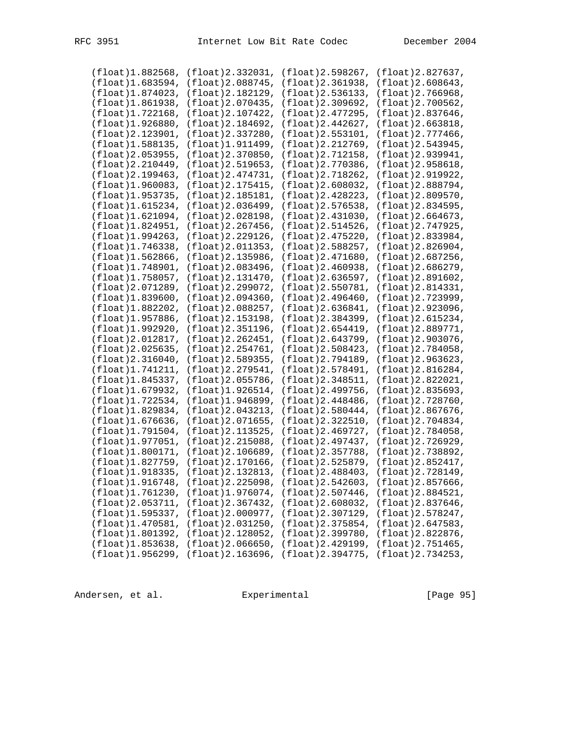| (float) 1.882568,       | (fload)2.332031,        | (fload)2.598267,                                                    | $(f$ loat $)$ 2.827637,                                             |
|-------------------------|-------------------------|---------------------------------------------------------------------|---------------------------------------------------------------------|
| (flost)1.683594,        | (float) 2.088745,       | (float) 2.361938,                                                   | $(f$ loat $)$ 2.608643,                                             |
| (float)1.874023,        | $(f$ loat $)$ 2.182129, | $(f$ loat $)$ 2.536133,                                             | $(f$ loat $)$ 2.766968,                                             |
|                         |                         |                                                                     |                                                                     |
| (flost)1.861938,        | $(f$ loat $)$ 2.070435, | (float) 2.309692,                                                   | $(f$ loat $)$ 2.700562,                                             |
| (flost)1.722168,        | $(f$ loat $)$ 2.107422, | (float) 2.477295,                                                   | $(f$ loat $)$ 2.837646,                                             |
| (flost)1.926880,        | $(f$ loat $)$ 2.184692, | (float) 2.442627,                                                   | $(f$ loat $)$ 2.663818,                                             |
| $(f$ loat $)$ 2.123901, | $(fload)$ 2.337280,     | (flost)2.553101,                                                    | $(f$ loat $)$ 2.777466,                                             |
| (float)1.588135,        | (float)1.911499,        | (float)2.212769,                                                    | (float) 2.543945,                                                   |
|                         |                         |                                                                     |                                                                     |
| (float) 2.053955,       | (fload)2.370850,        | $(f$ loat $)$ 2.712158,                                             | (float) 2.939941,                                                   |
| (fload)2.210449,        | $(f$ loat $)$ 2.519653, | (float) 2.770386,                                                   | (float) 2.958618,                                                   |
| (float) 2.199463,       | (fload)2.474731,        | (float) 2.718262,                                                   | (float) 2.919922,                                                   |
| (flost)1.960083,        | $(f$ loat $)$ 2.175415, | (flost)2.608032,                                                    | (float) 2.888794,                                                   |
| $(f$ loat $)$ 1.953735, | $(f$ loat $)$ 2.185181, | $(f$ loat $)$ 2.428223,                                             | (float) 2.809570,                                                   |
|                         |                         |                                                                     |                                                                     |
| (float)1.615234,        | $(f$ loat $)$ 2.036499, | (float) 2.576538,                                                   | (float) 2.834595,                                                   |
| (flost)1.621094,        | (float) 2.028198,       | (fload)2.431030,                                                    | $(f$ loat $)$ 2.664673,                                             |
| (float)1.824951,        | (fload)2.267456,        | (float) 2.514526,                                                   | (float) 2.747925,                                                   |
| $(f$ loat $)$ 1.994263, | (flost)2.229126,        | $(f$ loat $)$ 2.475220,                                             | (float) 2.833984,                                                   |
| (fload)1.746338,        | (float) 2.011353,       | (float) 2.588257,                                                   | (float) 2.826904,                                                   |
| (flost)1.562866,        | $(f$ loat $)$ 2.135986, | $(f$ loat $)$ 2.471680,                                             | (float) 2.687256,                                                   |
|                         | $(f$ loat $)$ 2.083496, | $(f$ loat $)$ 2.460938,                                             | (float) 2.686279,                                                   |
| (float)1.748901,        |                         |                                                                     |                                                                     |
| (float)1.758057,        | $(f$ loat $)$ 2.131470, | (fload)2.636597,                                                    | $(f$ loat $)$ 2.891602,                                             |
| (float) 2.071289,       | $(f$ loat $)$ 2.299072, | (float) 2.550781,                                                   | (float) 2.814331,                                                   |
| (flost)1.839600,        | (fload)2.094360,        | (fload)2.496460,                                                    | (float) 2.723999,                                                   |
| (float)1.882202,        | $(f$ loat $)$ 2.088257, | (fload)2.636841,                                                    | (float) 2.923096,                                                   |
| (float)1.957886,        | $(f$ loat $)$ 2.153198, | (float) 2.384399,                                                   | (float) 2.615234,                                                   |
| (float)1.992920,        | $(f$ loat $)$ 2.351196, | $(f$ loat $)$ 2.654419,                                             | (float) 2.889771,                                                   |
|                         |                         |                                                                     |                                                                     |
| (float) 2.012817,       | (fload)2.262451,        | (float) 2.643799,                                                   | (float) 2.903076,                                                   |
| (float) 2.025635,       | (fload)2.254761,        | (float) 2.508423,                                                   | (float) 2.784058,                                                   |
| (fload)2.316040,        | $(f$ loat) 2.589355,    | (float) 2.794189,                                                   | $(f$ loat $)$ 2.963623,                                             |
| (float)1.741211,        | (float) 2.279541,       | (float) 2.578491,                                                   | (float) 2.816284,                                                   |
| $(f$ loat $)$ 1.845337, | $(f$ loat $)$ 2.055786, | (float) 2.348511,                                                   | (float) 2.822021,                                                   |
| $(f$ loat $)$ 1.679932, | $(f$ loat $)$ 1.926514, | (float)2.499756,                                                    | (float)2.835693,                                                    |
| (float)1.722534,        | (float)1.946899,        | (float) 2.448486,                                                   | (float) 2.728760,                                                   |
|                         |                         |                                                                     |                                                                     |
| (float)1.829834,        | $(f$ loat $)$ 2.043213, | (fload)2.580444,                                                    | (float) 2.867676,                                                   |
| (flost)1.676636,        | (flost)2.071655,        | (flost)2.322510,                                                    | (float) 2.704834,                                                   |
| (fload)1.791504,        | $(f$ loat $)$ 2.113525, | (float) 2.469727,                                                   | (float) 2.784058,                                                   |
| $(f$ loat $)$ 1.977051, | $(f$ loat $)$ 2.215088, | (float) 2.497437,                                                   | (float) 2.726929,                                                   |
| $(f$ loat $)$ 1.800171, | $(f$ loat $)$ 2.106689, | $(f$ loat) 2.357788,                                                | (float)2.738892,                                                    |
| (float) 1.827759,       | $(f$ loat $)$ 2.170166, | (float) 2.525879,                                                   | (float) 2.852417,                                                   |
| $(f$ loat $)$ 1.918335, | $(f$ loat $)$ 2.132813, | $(fload)$ 2.488403,                                                 | (float) 2.728149,                                                   |
|                         |                         |                                                                     |                                                                     |
|                         |                         |                                                                     | (float)1.916748, (float)2.225098, (float)2.542603, (float)2.857666, |
|                         |                         |                                                                     | (float)1.761230, (float)1.976074, (float)2.507446, (float)2.884521, |
|                         |                         |                                                                     | (float)2.053711, (float)2.367432, (float)2.608032, (float)2.837646, |
|                         |                         | (float)1.595337, (float)2.000977, (float)2.307129, (float)2.578247, |                                                                     |
|                         |                         | (float)1.470581, (float)2.031250, (float)2.375854, (float)2.647583, |                                                                     |
|                         |                         |                                                                     | (float)1.801392, (float)2.128052, (float)2.399780, (float)2.822876, |
|                         |                         |                                                                     |                                                                     |
|                         |                         |                                                                     | (float)1.853638, (float)2.066650, (float)2.429199, (float)2.751465, |
|                         |                         |                                                                     | (float)1.956299, (float)2.163696, (float)2.394775, (float)2.734253, |

Andersen, et al. Experimental Frage 95]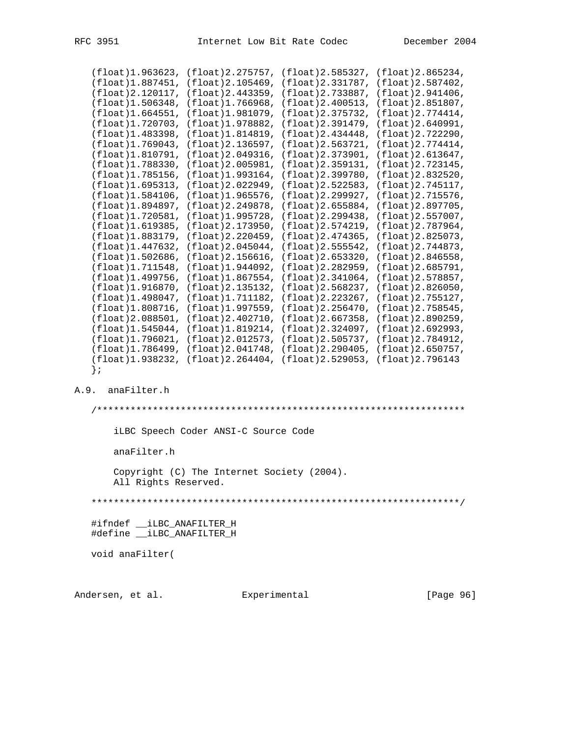|                         |                                                                         | (float)1.963623, (float)2.275757, (float)2.585327, (float)2.865234, |                         |
|-------------------------|-------------------------------------------------------------------------|---------------------------------------------------------------------|-------------------------|
| (float)1.887451,        |                                                                         | $(f$ loat $)$ 2.105469, $(f$ loat $)$ 2.331787,                     | (fload)2.587402,        |
|                         | (float)2.120117, (float)2.443359, (float)2.733887,                      |                                                                     | (fload)2.941406,        |
|                         | $(f$ loat $)$ 1.506348, $(f$ loat $)$ 1.766968, $(f$ loat $)$ 2.400513, |                                                                     | (fload)2.851807,        |
| (float)1.664551,        |                                                                         | (fload)1.981079, (float)2.375732,                                   | (fload)2.774414,        |
| (float)1.720703,        | (float)1.978882,                                                        | (float) 2.391479,                                                   | (float)2.640991,        |
| (float)1.483398,        | (fload)1.814819,                                                        | (fload)2.434448,                                                    | (fload)2.722290,        |
| (float)1.769043,        |                                                                         | (fload)2.136597, (float)2.563721,                                   | (fload)2.774414,        |
| $(f$ loat $)$ 1.810791, |                                                                         | (float) 2.049316, (float) 2.373901,                                 | (fload)2.613647,        |
| (float)1.788330,        | (float)2.005981,                                                        | (fload)2.359131,                                                    | $(f$ loat $)$ 2.723145, |
| (float)1.785156,        | $(f$ loat $)$ 1.993164,                                                 | (fload)2.399780,                                                    | (float)2.832520,        |
| (float)1.695313,        |                                                                         | (float) 2.022949, (float) 2.522583,                                 | (float) 2.745117,       |
| (float)1.584106,        |                                                                         | (float)1.965576, (float)2.299927,                                   | (flost)2.715576,        |
| (fload)1.894897,        | (float)2.249878,                                                        | (fload)2.655884,                                                    | (float)2.897705,        |
| (fload)1.720581,        | (fload)1.995728,                                                        | (fload)2.299438,                                                    | (fload)2.557007,        |
| (fload)1.619385,        | (float)2.173950,                                                        | (float) 2.574219,                                                   | (float)2.787964,        |
| (fload)1.883179,        | (float)2.220459,                                                        | $(f$ loat $)$ 2.474365,                                             | (float)2.825073,        |
| (float)1.447632,        | (float)2.045044,                                                        | (float)2.555542,                                                    | (float)2.744873,        |
| (fload)1.502686,        | (fload)2.156616,                                                        | (fload)2.653320,                                                    | (fload)2.846558,        |
| (fload)1.711548,        | (float)1.944092,                                                        | (fload)2.282959,                                                    | (fload)2.685791,        |
| (fload)1.499756.        |                                                                         | (fload)1.867554, (float)2.341064,                                   | (float) 2.578857,       |
| (fload)1.916870,        |                                                                         | (fload)2.135132, (float)2.568237,                                   | (fload)2.826050,        |
| $(f$ loat $)$ 1.498047, | (fload)1.711182,                                                        | (fload)2.223267,                                                    | (float)2.755127,        |
| (fload)1.808716,        |                                                                         | (fload)1.997559, (float)2.256470,                                   | (flost)2.758545,        |
| (float)2.088501,        |                                                                         | (float) 2.402710, (float) 2.667358,                                 | (float)2.890259,        |
| (fload)1.545044,        |                                                                         | $(f$ loat $)$ 1.819214, $(f$ loat $)$ 2.324097,                     | (fload)2.692993,        |
| (fload)1.796021.        |                                                                         | (float)2.012573, (float)2.505737,                                   | (fload)2.784912,        |
|                         | $(f$ loat)1.786499, $(f$ loat)2.041748, $(f$ loat)2.290405,             |                                                                     | (fload)2.650757,        |
|                         |                                                                         | (float)1.938232, (float)2.264404, (float)2.529053,                  | (float) 2.796143        |
| ; {                     |                                                                         |                                                                     |                         |
|                         |                                                                         |                                                                     |                         |

## A.9. anaFilter.h

 /\*\*\*\*\*\*\*\*\*\*\*\*\*\*\*\*\*\*\*\*\*\*\*\*\*\*\*\*\*\*\*\*\*\*\*\*\*\*\*\*\*\*\*\*\*\*\*\*\*\*\*\*\*\*\*\*\*\*\*\*\*\*\*\*\*\* iLBC Speech Coder ANSI-C Source Code anaFilter.h Copyright (C) The Internet Society (2004). All Rights Reserved. \*\*\*\*\*\*\*\*\*\*\*\*\*\*\*\*\*\*\*\*\*\*\*\*\*\*\*\*\*\*\*\*\*\*\*\*\*\*\*\*\*\*\*\*\*\*\*\*\*\*\*\*\*\*\*\*\*\*\*\*\*\*\*\*\*\*/ #ifndef \_\_iLBC\_ANAFILTER\_H #define \_\_iLBC\_ANAFILTER\_H void anaFilter(

Andersen, et al. Experimental Formula (Page 96)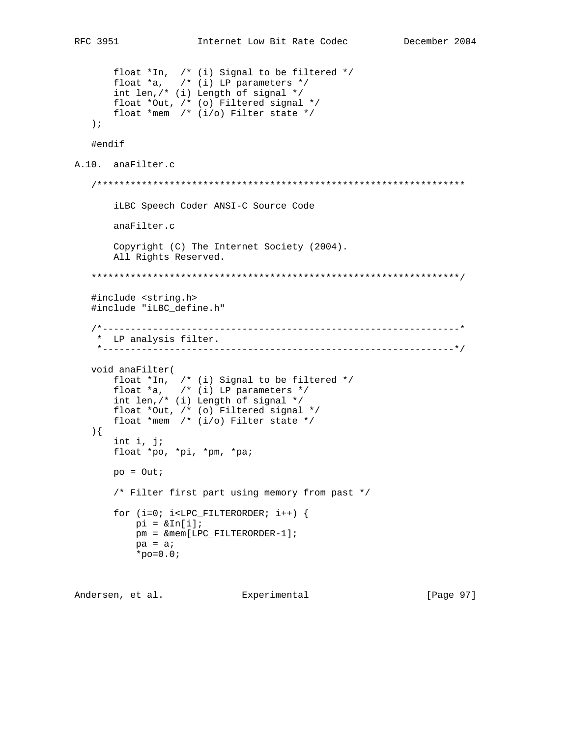```
 float *In, /* (i) Signal to be filtered */
 float *a, /* (i) LP parameters */
 int len,/* (i) Length of signal */
        float *Out, /* (o) Filtered signal */
        float *mem /* (i/o) Filter state */
    );
    #endif
A.10. anaFilter.c
    /******************************************************************
        iLBC Speech Coder ANSI-C Source Code
        anaFilter.c
        Copyright (C) The Internet Society (2004).
        All Rights Reserved.
    ******************************************************************/
    #include <string.h>
    #include "iLBC_define.h"
    /*----------------------------------------------------------------*
    * LP analysis filter.
     *---------------------------------------------------------------*/
    void anaFilter(
       float *In, /* (i) Signal to be filtered */
       float a, \quad / * (i) LP parameters */int len, \left(\frac{1}{2}, \frac{1}{2}\right) Length of signal */
        float *Out, /* (o) Filtered signal */
        float *mem /* (i/o) Filter state */
    ){
        int i, j;
        float *po, *pi, *pm, *pa;
       po = Out;
        /* Filter first part using memory from past */
       for (i=0; i<LPC_FILTERORDER; i++) {
           pi = \alpha \text{In}[i]; pm = &mem[LPC_FILTERORDER-1];
           pa = ai*_{\text{po}=0.0};
```
Andersen, et al. Experimental Formula (Page 97)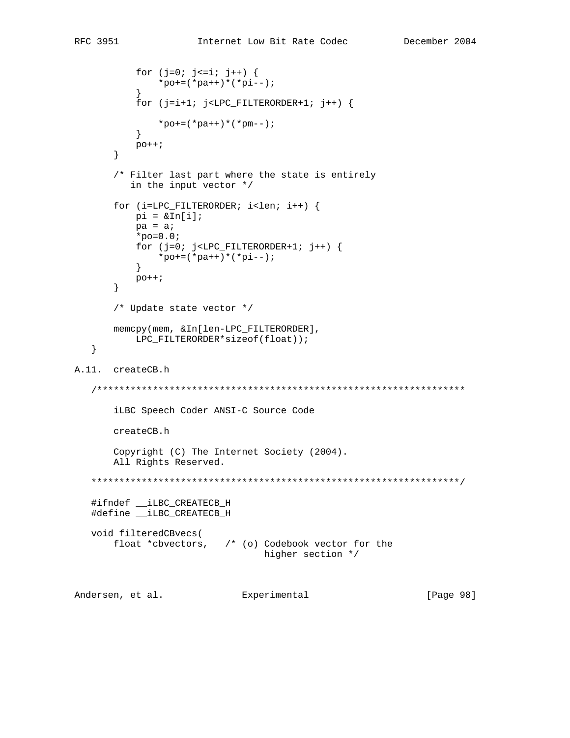```
for (j=0; j<=i; j++) {
            *_{\text{po}+}=(*_{\text{pa}++})*(*_{\text{pi}--}; }
           for (j=i+1; j<LPC_FILTERORDER+1; j++) {
           *_{\text{po}+}=(*_{\text{pa}++})*(*_{\text{pm}--}); }
            po++;
        }
        /* Filter last part where the state is entirely
           in the input vector */
       for (i=LPC_FILTERORDER; i<len; i++) {
           pi = \alpha \text{In}[i];pa = ai*_{\text{po}=0.0};
           for (j=0; j<LPC_FILTERORDER+1; j++)*_{\text{po}+}=(*_{\text{pa}++})*(*_{\text{pi}--}; }
            po++;
        }
        /* Update state vector */
        memcpy(mem, &In[len-LPC_FILTERORDER],
           LPC_FILTERORDER*sizeof(float));
    }
A.11. createCB.h
    /******************************************************************
        iLBC Speech Coder ANSI-C Source Code
        createCB.h
        Copyright (C) The Internet Society (2004).
        All Rights Reserved.
    ******************************************************************/
    #ifndef __iLBC_CREATECB_H
    #define __iLBC_CREATECB_H
    void filteredCBvecs(
        float *cbvectors, /* (o) Codebook vector for the
                                     higher section */
Andersen, et al. Experimental [Page 98]
```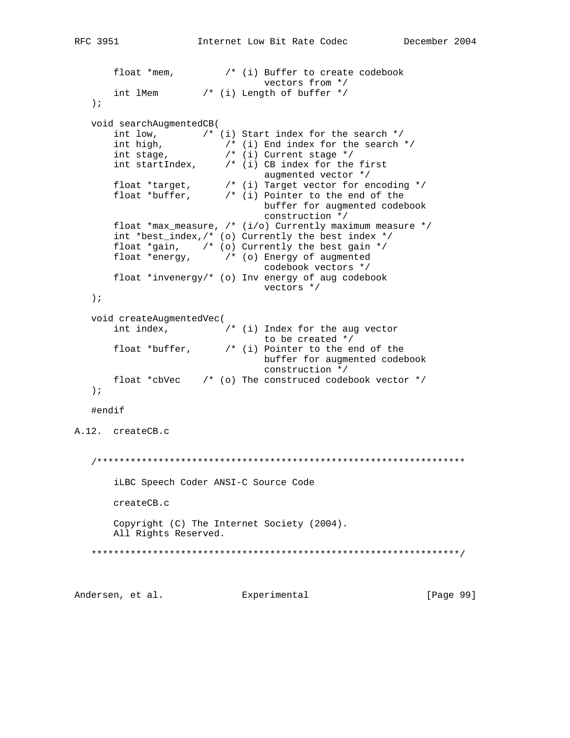```
float *mem, /* (i) Buffer to create codebook<br>vectors from */
 vectors from */
 int lMem /* (i) Length of buffer */
   );
   void searchAugmentedCB(
       int low, /* (i) Start index for the search */
 int high, /* (i) End index for the search */
 int stage, /* (i) Current stage */
 int startIndex, /* (i) CB index for the first
 augmented vector */
 float *target, /* (i) Target vector for encoding */
 float *buffer, /* (i) Pointer to the end of the
                               buffer for augmented codebook
                               construction */
       float *max_measure, /* (i/o) Currently maximum measure */
       int *best_index,/* (o) Currently the best index */
      float *gain, \qquad /* (o) Currently the best gain */
       float *energy, /* (o) Energy of augmented
                               codebook vectors */
       float *invenergy/* (o) Inv energy of aug codebook
                               vectors */
   );
   void createAugmentedVec(
       int index, /* (i) Index for the aug vector
      to be created */<br>float *buffer, * (i) Pointer to the en
                        f^* (i) Pointer to the end of the
                               buffer for augmented codebook
                               construction */
      float *cbVec /* (o) The construced codebook vector */
   );
   #endif
A.12. createCB.c
   /******************************************************************
       iLBC Speech Coder ANSI-C Source Code
       createCB.c
       Copyright (C) The Internet Society (2004).
       All Rights Reserved.
   ******************************************************************/
Andersen, et al. Experimental Formula (Page 99)
```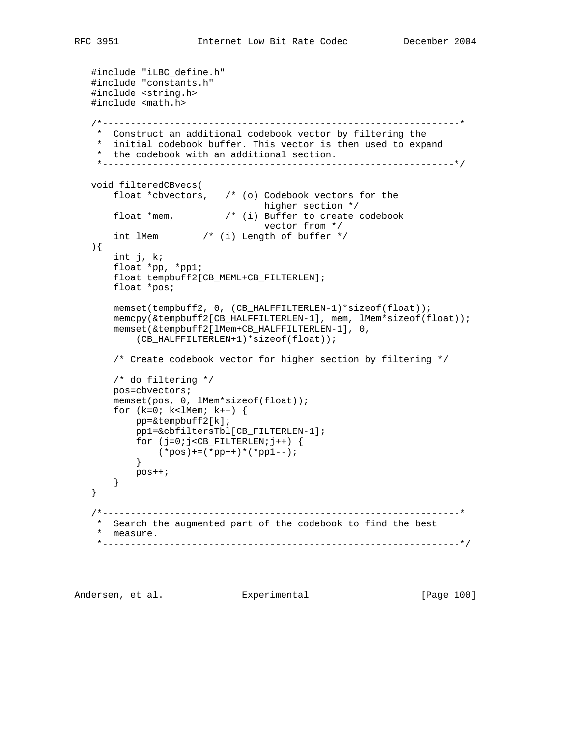```
 #include "iLBC_define.h"
   #include "constants.h"
   #include <string.h>
   #include <math.h>
   /*----------------------------------------------------------------*
    * Construct an additional codebook vector by filtering the
    * initial codebook buffer. This vector is then used to expand
    * the codebook with an additional section.
    *---------------------------------------------------------------*/
   void filteredCBvecs(
       float *cbvectors, /* (o) Codebook vectors for the
 higher section */
 float *mem, /* (i) Buffer to create codebook
 vector from */
       int lMem /* (i) Length of buffer */
   ){
       int j, k;
       float *pp, *pp1;
       float tempbuff2[CB_MEML+CB_FILTERLEN];
       float *pos;
       memset(tempbuff2, 0, (CB_HALFFILTERLEN-1)*sizeof(float));
       memcpy(&tempbuff2[CB_HALFFILTERLEN-1], mem, lMem*sizeof(float));
       memset(&tempbuff2[lMem+CB_HALFFILTERLEN-1], 0,
          (CB_HALFFILTERLEN+1)*sizeof(float));
       /* Create codebook vector for higher section by filtering */
       /* do filtering */
       pos=cbvectors;
       memset(pos, 0, lMem*sizeof(float));
      for (k=0; k<1Mem; k++) {
           pp=&tempbuff2[k];
           pp1=&cbfiltersTbl[CB_FILTERLEN-1];
          for (j=0:j<CB_FILTERLEN;j++) {
          (*pos) += (*pp++) * (*pp1--); }
          pos++;
      }
   }
   /*----------------------------------------------------------------*
    * Search the augmented part of the codebook to find the best
    * measure.
    *----------------------------------------------------------------*/
```
Andersen, et al. Experimental Formula (Page 100)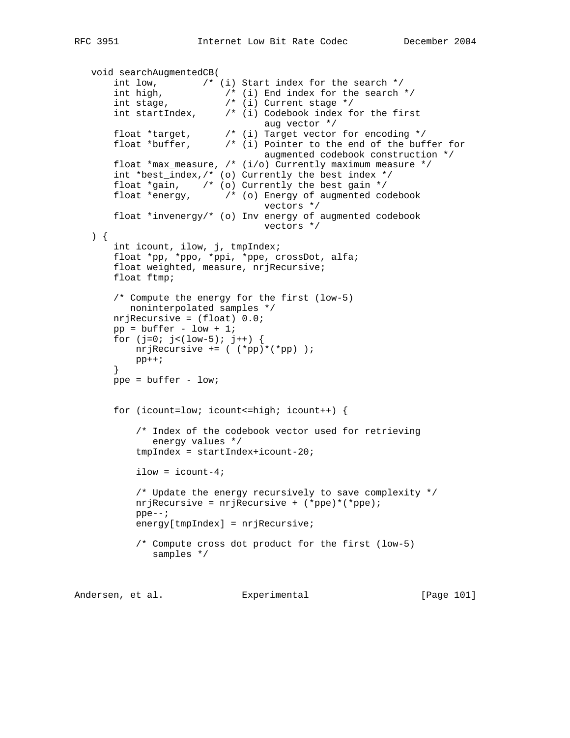```
 void searchAugmentedCB(
       int low, /* (i) Start index for the search */
 int high, /* (i) End index for the search */
 int stage, /* (i) Current stage */
 int startIndex, /* (i) Codebook index for the first
                                 aug vector */
 float *target, /* (i) Target vector for encoding */
 float *buffer, /* (i) Pointer to the end of the buffer for
                                 augmented codebook construction */
       float *max_measure, /* (i/o) Currently maximum measure */
       int *best_index,/* (o) Currently the best index */
 float *gain, /* (o) Currently the best gain */
 float *energy, /* (o) Energy of augmented codebook
                                 vectors */
       float *invenergy/* (o) Inv energy of augmented codebook
                                 vectors */
   ) {
       int icount, ilow, j, tmpIndex;
       float *pp, *ppo, *ppi, *ppe, crossDot, alfa;
       float weighted, measure, nrjRecursive;
       float ftmp;
       /* Compute the energy for the first (low-5)
          noninterpolated samples */
       nrjRecursive = (float) 0.0;
      pp = buffer - low + 1;for (j=0; j<(low-5); j++) {
           nrjRecursive += ( (*pp)*(*pp) );
          pp++; }
       ppe = buffer - low;
       for (icount=low; icount<=high; icount++) {
           /* Index of the codebook vector used for retrieving
              energy values */
           tmpIndex = startIndex+icount-20;
           ilow = icount-4;
           /* Update the energy recursively to save complexity */
           nrjRecursive = nrjRecursive + (*ppe)*(*ppe);
           ppe--;
          energy[tmpIndex] = nrjRecursive;
           /* Compute cross dot product for the first (low-5)
              samples */
```
Andersen, et al. Experimental Formula (Page 101)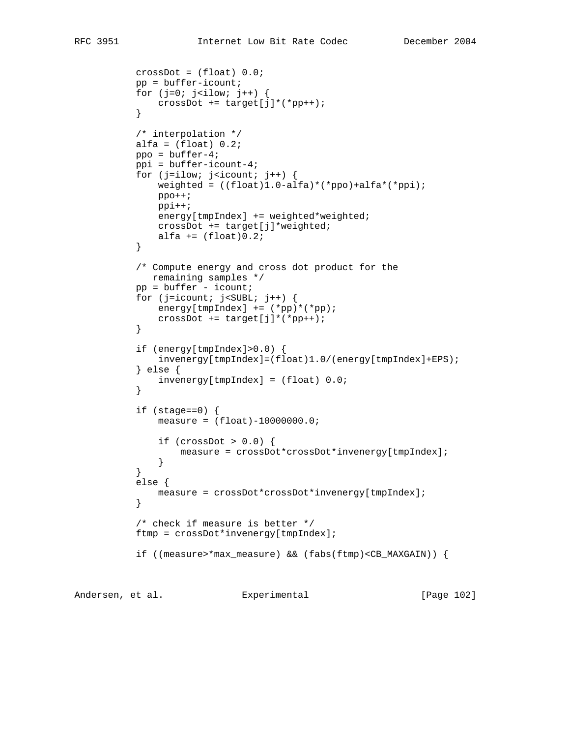```
 crossDot = (float) 0.0;
          pp = buffer-icount;for (j=0; j< ilow; j++) {
          crossDot += target[j]*(*pp++);<br>}
 }
           /* interpolation */
          alfa = (float) 0.2;
           ppo = buffer-4;
           ppi = buffer-icount-4;
          for (j=ilow; j<icount; j++) {
              weighted = ((float)1.0-alfa)*(*ppo)+alfa*(*ppi);
               ppo++;
               ppi++;
               energy[tmpIndex] += weighted*weighted;
             crossDot += target[j]*weighted;
          alfa += (float)0.2;<br>}
 }
           /* Compute energy and cross dot product for the
              remaining samples */
          pp = buffer - icount;for (j=icount; j<SUBL; j++) {
             energy[tmpIndex] += (*pp)*(*pp);crossDot += target[j]*(*pp++);<br>}
 }
           if (energy[tmpIndex]>0.0) {
               invenergy[tmpIndex]=(float)1.0/(energy[tmpIndex]+EPS);
           } else {
           invenergy[tmpIndex] = (float) 0.0;
 }
          if (stage==0) {
               measure = (float)-10000000.0;
               if (crossDot > 0.0) {
                 measure = crossDot*crossDot*invenergy[tmpIndex];
 }
 }
           else {
              measure = crossDot*crossDot*invenergy[tmpIndex];
 }
           /* check if measure is better */
           ftmp = crossDot*invenergy[tmpIndex];
           if ((measure>*max_measure) && (fabs(ftmp)<CB_MAXGAIN)) {
```
Andersen, et al. Experimental [Page 102]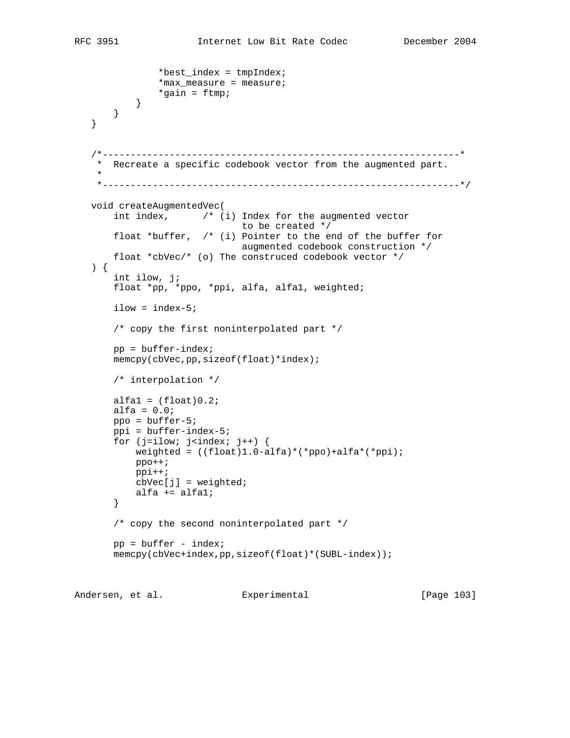```
 *best_index = tmpIndex;
               *max_measure = measure;
                *gain = ftmp;
           }
      }
   }
    /*----------------------------------------------------------------*
    * Recreate a specific codebook vector from the augmented part.
 *
     *----------------------------------------------------------------*/
   void createAugmentedVec(
       int index, /* (i) Index for the augmented vector
                               to be created */
       float *buffer, /* (i) Pointer to the end of the buffer for
                              augmented codebook construction */
       float *cbVec/* (o) The construced codebook vector */
   ) {
       int ilow, j;
       float *pp, *ppo, *ppi, alfa, alfa1, weighted;
      ilow = index-5; /* copy the first noninterpolated part */
      pp = buffer-index; memcpy(cbVec,pp,sizeof(float)*index);
       /* interpolation */
      alfa1 = (float)0.2ialfa = 0.0i ppo = buffer-5;
       ppi = buffer-index-5;
      for (j=ilow; j<index; j++) {
           weighted = ((float)1.0-alfa)*(*ppo)+alfa*(*ppi);
           ppo++;
           ppi++;
          cbVec[j] = weighted; alfa += alfa1;
       }
       /* copy the second noninterpolated part */
      pp = buffer - index; memcpy(cbVec+index,pp,sizeof(float)*(SUBL-index));
```
Andersen, et al. Experimental Formula (Page 103)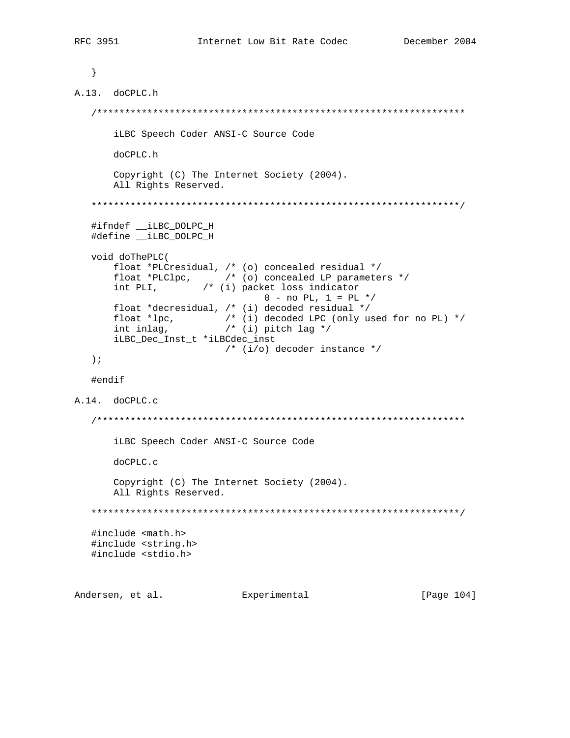}

```
A.13. doCPLC.h
    /******************************************************************
       iLBC Speech Coder ANSI-C Source Code
       doCPLC.h
       Copyright (C) The Internet Society (2004).
       All Rights Reserved.
    ******************************************************************/
    #ifndef __iLBC_DOLPC_H
   #define __iLBC_DOLPC_H
   void doThePLC(
       float *PLCresidual, /* (o) concealed residual */
       float *PLClpc, /* (o) concealed LP parameters */
       int PLI, /* (i) packet loss indicator
                                0 - no PL, 1 = PL * float *decresidual, /* (i) decoded residual */
 float *lpc, /* (i) decoded LPC (only used for no PL) */
 int inlag, /* (i) pitch lag */
       iLBC_Dec_Inst_t *iLBCdec_inst
                         /* (i/o) decoder instance */
   );
    #endif
A.14. doCPLC.c
    /******************************************************************
       iLBC Speech Coder ANSI-C Source Code
       doCPLC.c
       Copyright (C) The Internet Society (2004).
       All Rights Reserved.
    ******************************************************************/
    #include <math.h>
   #include <string.h>
   #include <stdio.h>
Andersen, et al. Experimental Formula (Page 104)
```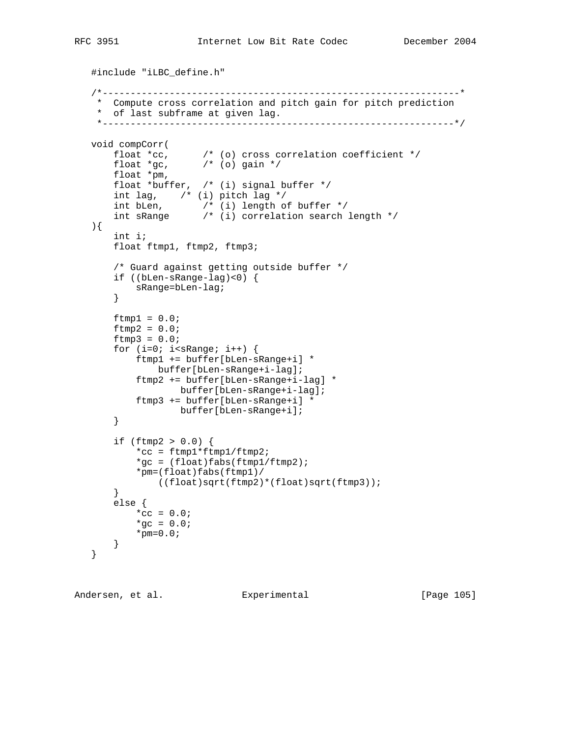```
 #include "iLBC_define.h"
    /*----------------------------------------------------------------*
    * Compute cross correlation and pitch gain for pitch prediction
     * of last subframe at given lag.
     *---------------------------------------------------------------*/
   void compCorr(
 float *cc, /* (o) cross correlation coefficient */
float *gc, \qquad /* (o) gain */ float *pm,
        float *buffer, /* (i) signal buffer */
       int lag, \left( \begin{array}{cc} \cdot & \cdot & \cdot \\ \cdot & \cdot & \cdot \\ \cdot & \cdot & \cdot \end{array} \right) int bLen, /* (i) length of buffer */
 int sRange /* (i) correlation search length */
    ){
        int i;
        float ftmp1, ftmp2, ftmp3;
        /* Guard against getting outside buffer */
        if ((bLen-sRange-lag)<0) {
           sRange=bLen-lag;
        }
       ftmp1 = 0.0;ftmp2 = 0.0;ftmp3 = 0.0;for (i=0; i< sRange; i++) {
            ftmp1 += buffer[bLen-sRange+i] *
               buffer[bLen-sRange+i-lag];
            ftmp2 += buffer[bLen-sRange+i-lag] *
                   buffer[bLen-sRange+i-lag];
            ftmp3 += buffer[bLen-sRange+i] *
                   buffer[bLen-sRange+i];
        }
       if (ftmp2 > 0.0) {
            *cc = ftmp1*ftmp1/ftmp2;
           *gc = (float)fabs(ftmp1/ftmp2);
            *pm=(float)fabs(ftmp1)/
               ((float)sqrt(ftmp2)*(float)sqrt(ftmp3));
        }
        else {
          *_{CC} = 0.0;*gc = 0.0;*pm=0.0; }
    }
```
Andersen, et al. Experimental Frage 105]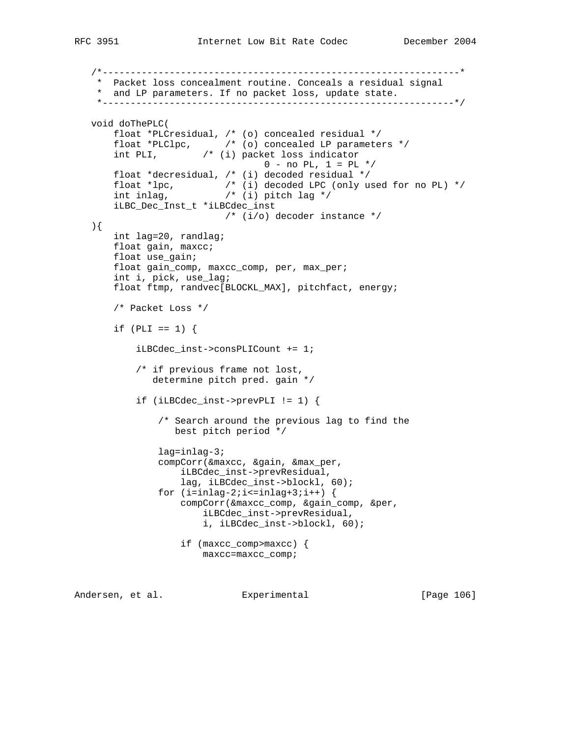```
 /*----------------------------------------------------------------*
    * Packet loss concealment routine. Conceals a residual signal
    * and LP parameters. If no packet loss, update state.
    *---------------------------------------------------------------*/
   void doThePLC(
       float *PLCresidual, /* (o) concealed residual */
       float *PLClpc, /* (o) concealed LP parameters */
       int PLI, /* (i) packet loss indicator
                                0 - no PL, 1 = PL * float *decresidual, /* (i) decoded residual */
 float *lpc, /* (i) decoded LPC (only used for no PL) */
 int inlag, /* (i) pitch lag */
       iLBC_Dec_Inst_t *iLBCdec_inst
                          /* (i/o) decoder instance */
   ){
       int lag=20, randlag;
       float gain, maxcc;
       float use_gain;
       float gain_comp, maxcc_comp, per, max_per;
       int i, pick, use_lag;
       float ftmp, randvec[BLOCKL_MAX], pitchfact, energy;
       /* Packet Loss */
      if (PLI == 1) {
           iLBCdec_inst->consPLICount += 1;
           /* if previous frame not lost,
              determine pitch pred. gain */
           if (iLBCdec_inst->prevPLI != 1) {
               /* Search around the previous lag to find the
                  best pitch period */
               lag=inlag-3;
               compCorr(&maxcc, &gain, &max_per,
                   iLBCdec_inst->prevResidual,
                   lag, iLBCdec_inst->blockl, 60);
              for (i=inlag-2; i<=inlag+3; i++) {
                   compCorr(&maxcc_comp, &gain_comp, &per,
                       iLBCdec_inst->prevResidual,
                       i, iLBCdec_inst->blockl, 60);
                   if (maxcc_comp>maxcc) {
                       maxcc=maxcc_comp;
```
Andersen, et al. Experimental [Page 106]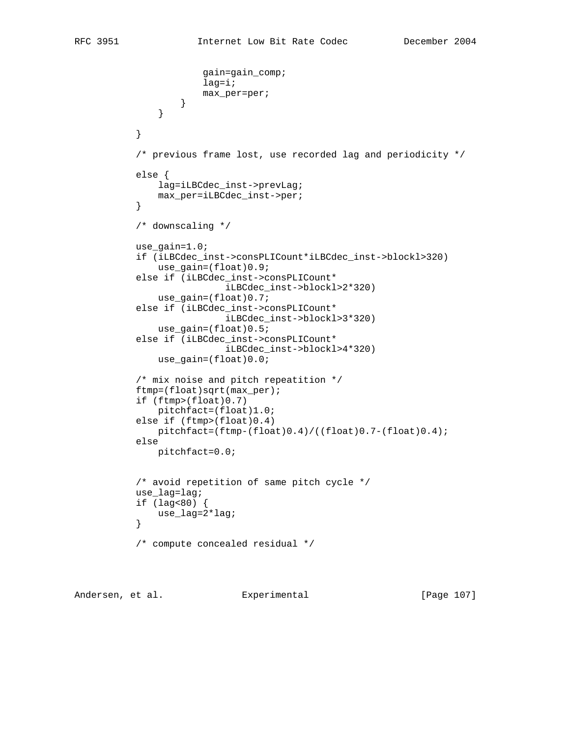```
 gain=gain_comp;
                       lag=i;
                       max_per=per;
 }
 }
 }
           /* previous frame lost, use recorded lag and periodicity */
           else {
               lag=iLBCdec_inst->prevLag;
          max_per=iLBCdec_inst->per;<br>}
 }
           /* downscaling */
           use_gain=1.0;
           if (iLBCdec_inst->consPLICount*iLBCdec_inst->blockl>320)
               use_gain=(float)0.9;
           else if (iLBCdec_inst->consPLICount*
                           iLBCdec_inst->blockl>2*320)
               use_gain=(float)0.7;
           else if (iLBCdec_inst->consPLICount*
                           iLBCdec_inst->blockl>3*320)
               use_gain=(float)0.5;
           else if (iLBCdec_inst->consPLICount*
                           iLBCdec_inst->blockl>4*320)
               use_gain=(float)0.0;
           /* mix noise and pitch repeatition */
           ftmp=(float)sqrt(max_per);
           if (ftmp>(float)0.7)
               pitchfact=(float)1.0;
           else if (ftmp>(float)0.4)
               pitchfact=(ftmp-(float)0.4)/((float)0.7-(float)0.4);
           else
               pitchfact=0.0;
           /* avoid repetition of same pitch cycle */
           use_lag=lag;
          if (lag<80) {
               use_lag=2*lag;
 }
           /* compute concealed residual */
```
Andersen, et al. Experimental [Page 107]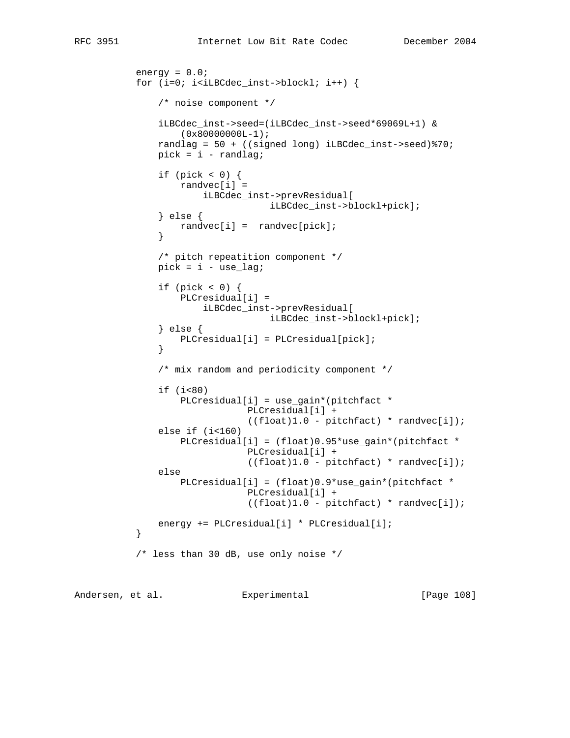```
energy = 0.0;
          for (i=0; i<i>ILBCdec_inst</i>->block1; i++) {
               /* noise component */
               iLBCdec_inst->seed=(iLBCdec_inst->seed*69069L+1) &
                  (0x80000000L-1); randlag = 50 + ((signed long) iLBCdec_inst->seed)%70;
              pick = i - randlag;if (pick < 0) {
                   randvec[i] =
                       iLBCdec_inst->prevResidual[
                                  iLBCdec_inst->blockl+pick];
               } else {
                   randvec[i] = randvec[pick];
 }
               /* pitch repeatition component */
              pick = i -use_lag;
              if (pick < 0) {
                   PLCresidual[i] =
                        iLBCdec_inst->prevResidual[
                                   iLBCdec_inst->blockl+pick];
                } else {
                   PLCresidual[i] = PLCresidual[pick];
 }
               /* mix random and periodicity component */
              if (i<80) PLCresidual[i] = use_gain*(pitchfact *
                               PLCresidual[i] +
                               ((float)1.0 - pitchfact) * randvec[i]);
              else if (i<160) PLCresidual[i] = (float)0.95*use_gain*(pitchfact *
                               PLCresidual[i] +
                               ((float)1.0 - pitchfact) * randvec[i]);
               else
                   PLCresidual[i] = (float)0.9*use_gain*(pitchfact *
                               PLCresidual[i] +
                               ((float)1.0 - pitchfact) * randvec[i]);
              energy += PLCresidual[i] * PLCresidual[i];
 }
           /* less than 30 dB, use only noise */
```
Andersen, et al. Experimental [Page 108]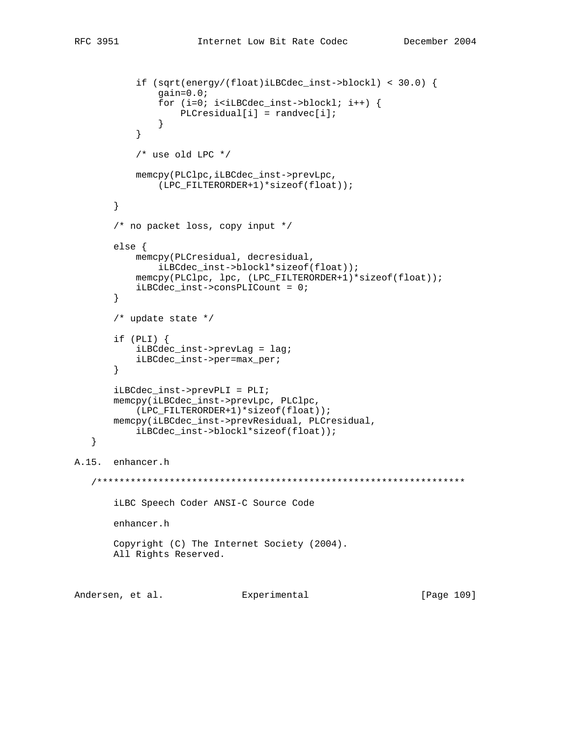```
if (sqrt(energy/(float)iLBCdec_inst->blockl) < 30.0)gain=0.0;for (i=0; i< iLBCdec_inst-&gt;blockl; i++) {
                 PLCresidual[i] = randvec[i];\}\}/* use old LPC */
          memcpy(PLClpc,iLBCdec_inst->prevLpc,
             (LPC_FILTERORDER+1)*sizeof(float));
      \}/* no packet loss, copy input */
      else fmemcpy(PLCresidual, decresidual,
              iLBCdec_inst->blockl*sizeof(float));
          memcpy(PLClpc, lpc, (LPC_FILTERORDER+1)*sizeof(float));
          iLBCdec\_inst->consPLICount = 0;\}/* update state */
      if (PLI) {
          iLBCdec_inst->prevLag = lag;
          iLBCdec_inst->per=max_per;
      \}iLBCdec_inst->prevPLI = PLI;memcpy(iLBCdec_inst->prevLpc, PLClpc,
         (LPC_FILTERORDER+1)*sizeof(float));
      memcpy(iLBCdec_inst->prevResidual, PLCresidual,
          iLBCdec_inst->blockl*sizeof(float));
  \}A.15. enhancer.h
   iLBC Speech Coder ANSI-C Source Code
      enhancer.h
      Copyright (C) The Internet Society (2004).
      All Rights Reserved.
```
Andersen, et al. Experimental [Page 109]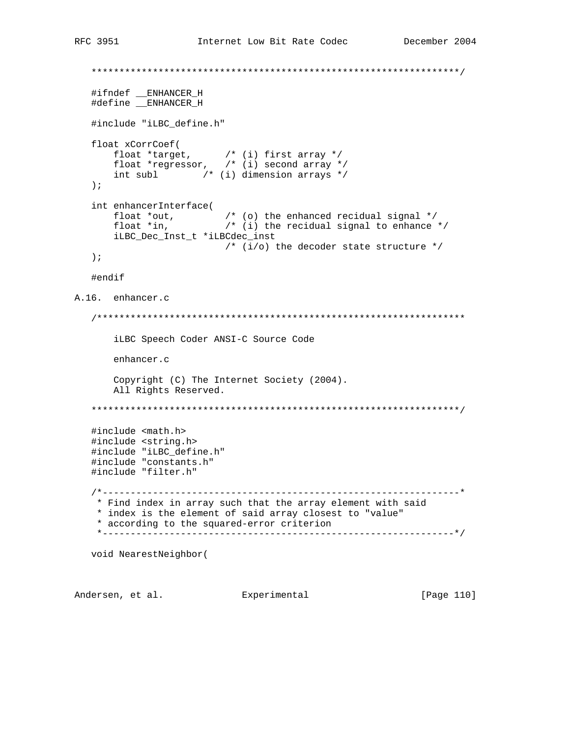```
#ifndef __ENHANCER_H
  #define ENHANCER_H
  #include "iLBC_define.h"
  float xCorrCoef(
     at xcorrecter(<br>
float *target, \begin{array}{ccc} & \\ & / \ast & (i) & \text{first array } \ast / \\ & \text{float *regressor,} & \\ & \text{int subl} & \\ & \end{array} /* (i) second array */
  \rightarrowint enhancerInterface(<br>float *out, \qquad/* (o) the enhanced recidual signal */<br>float *in, \qquad/* (i) the recidual signal to enhance */
      iLBC_Dec_Inst_t *iLBCdec_inst
                       /* (i/o) the decoder state structure */
  \rightarrow \rightarrow#endif
A.16. enhancer.c
  iLBC Speech Coder ANSI-C Source Code
      enhancer.c
      Copyright (C) The Internet Society (2004).
      All Rights Reserved.
  #include <math.h>
  #include <string.h>
  #include "iLBC_define.h"
  #include "constants.h"
  #include "filter.h"
  * Find index in array such that the array element with said
   * index is the element of said array closest to "value"
   * according to the squared-error criterion
   void NearestNeighbor(
```
Andersen, et al. Experimental

[Page 110]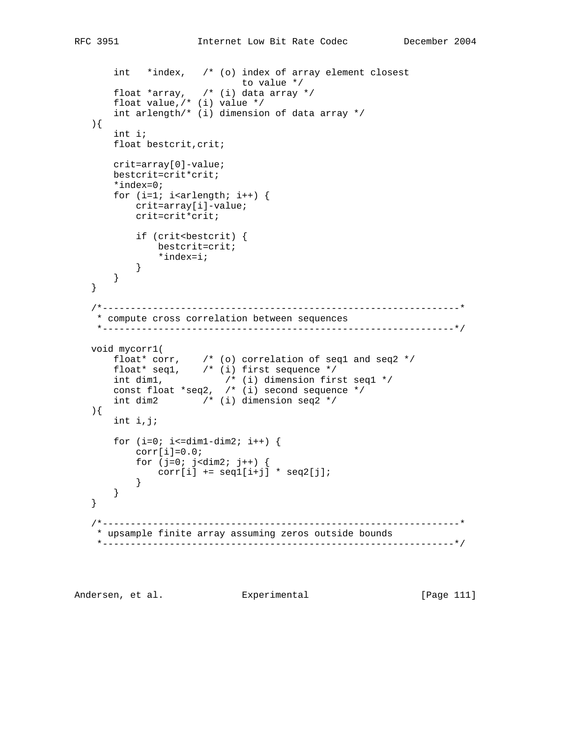```
 int *index, /* (o) index of array element closest
 to value */
 float *array, /* (i) data array */
 float value,/* (i) value */
       int arlength/* (i) dimension of data array */
   ){
       int i;
      float bestcrit, crit;
       crit=array[0]-value;
       bestcrit=crit*crit;
       *index=0;
      for (i=1; i<math>card{right; i++)</math> { crit=array[i]-value;
           crit=crit*crit;
          if (crit<bestcrit) {
             bestcrit=crit;
              *index=i;
           }
      }
   }
   /*----------------------------------------------------------------*
    * compute cross correlation between sequences
    *---------------------------------------------------------------*/
   void mycorr1(
 float* corr, /* (o) correlation of seq1 and seq2 */
 float* seq1, /* (i) first sequence */
 int dim1, /* (i) dimension first seq1 */
 const float *seq2, /* (i) second sequence */
       int dim2 /* (i) dimension seq2 */
   ){
       int i,j;
      for (i=0; i<=dim1-dim2; i++) {
          corr[i]=0.0;for (j=0; j<dim2; j++) {
             corr[i] += seq1[i+j] * seq2[j]; }
      }
   }
   /*----------------------------------------------------------------*
    * upsample finite array assuming zeros outside bounds
    *---------------------------------------------------------------*/
```
Andersen, et al. Experimental Formula (Page 111)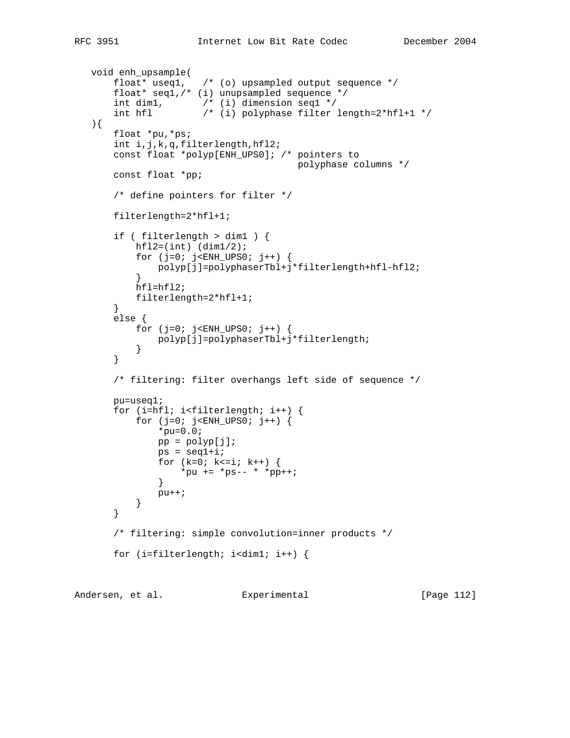```
 void enh_upsample(
 float* useq1, /* (o) upsampled output sequence */
 float* seq1,/* (i) unupsampled sequence */
 int dim1, /* (i) dimension seq1 */
 int hfl /* (i) polyphase filter length=2*hfl+1 */
   ){
       float *pu,*ps;
       int i,j,k,q,filterlength,hfl2;
       const float *polyp[ENH_UPS0]; /* pointers to
                                      polyphase columns */
       const float *pp;
       /* define pointers for filter */
       filterlength=2*hfl+1;
       if ( filterlength > dim1 ) {
          hfl2=(int) (dim1/2);
          for (j=0; j<ENH_UPS0; j++) {
           polyp[j]=polyphaserTbl+j*filterlength+hfl-hfl2;
 }
           hfl=hfl2;
           filterlength=2*hfl+1;
       }
       else {
           for (j=0; j<ENH_UPS0; j++) {
              polyp[j]=polyphaserTbl+j*filterlength;
 }
       }
       /* filtering: filter overhangs left side of sequence */
       pu=useq1;
       for (i=hfl; i<filterlength; i++) {
          for (j=0; j<ENH_UPS0; j++) {
              *pu=0.0;
             pp = polyp[j];ps = seq1 + i;for (k=0; k<=i; k++) {
                 *pu += *ps-- * *pp++;
 }
              pu++;
           }
       }
       /* filtering: simple convolution=inner products */
       for (i=filterlength; i<dim1; i++) {
```
Andersen, et al. Experimental [Page 112]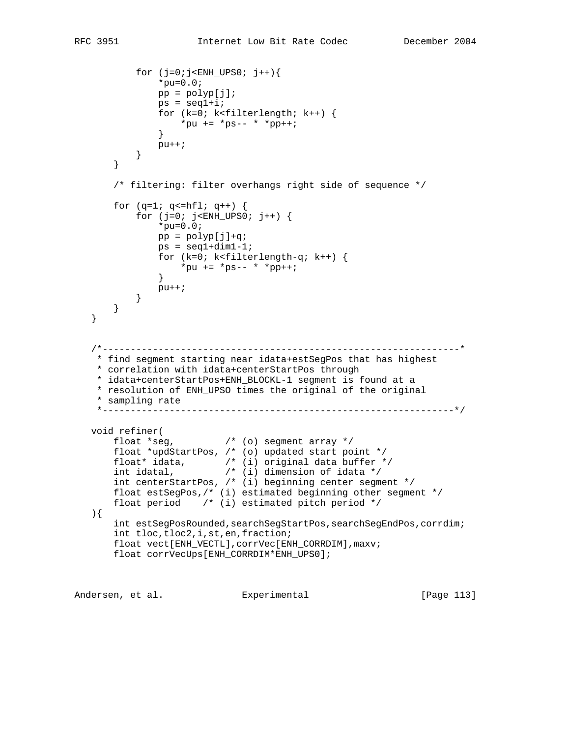```
for (j=0:j<EMH_UPS0; j++)*pu=0.0;pp = polyp[j];ps = seq1 + i; for (k=0; k<filterlength; k++) {
              *pu += *ps-- * *pp++;<br>}
 }
             pu++; }
       }
       /* filtering: filter overhangs right side of sequence */
      for (q=1; q=hfl; q++) {
          for (j=0; j<ENH_UPS0; j++) {
              *pu=0.0;pp = polyp[j]+q;ps = seq1 + dim1 - 1; for (k=0; k<filterlength-q; k++) {
                 *pu += *ps-- * *pp++;
 }
             pu++; }
      }
   }
   /*----------------------------------------------------------------*
    * find segment starting near idata+estSegPos that has highest
    * correlation with idata+centerStartPos through
    * idata+centerStartPos+ENH_BLOCKL-1 segment is found at a
    * resolution of ENH_UPSO times the original of the original
    * sampling rate
    *---------------------------------------------------------------*/
   void refiner(
 float *seg, /* (o) segment array */
 float *updStartPos, /* (o) updated start point */
 float* idata, /* (i) original data buffer */
 int idatal, /* (i) dimension of idata */
 int centerStartPos, /* (i) beginning center segment */
       float estSegPos,/* (i) estimated beginning other segment */
       float period /* (i) estimated pitch period */
   ){
      int estSegPosRounded, searchSegStartPos, searchSegEndPos, corrdim;
       int tloc,tloc2,i,st,en,fraction;
       float vect[ENH_VECTL],corrVec[ENH_CORRDIM],maxv;
       float corrVecUps[ENH_CORRDIM*ENH_UPS0];
```
Andersen, et al. Experimental [Page 113]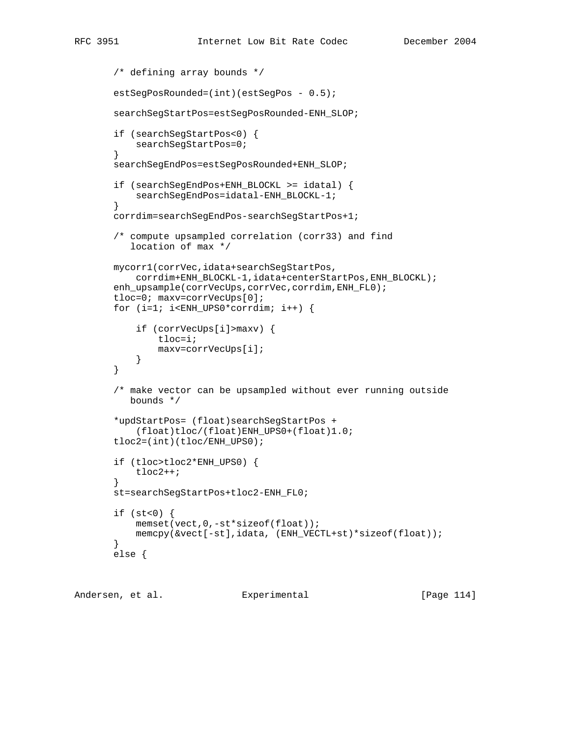```
 /* defining array bounds */
       estSegPosRounded=(int)(estSegPos - 0.5);
        searchSegStartPos=estSegPosRounded-ENH_SLOP;
        if (searchSegStartPos<0) {
            searchSegStartPos=0;
        }
        searchSegEndPos=estSegPosRounded+ENH_SLOP;
        if (searchSegEndPos+ENH_BLOCKL >= idatal) {
            searchSegEndPos=idatal-ENH_BLOCKL-1;
        }
       corrdim=searchSegEndPos-searchSegStartPos+1;
        /* compute upsampled correlation (corr33) and find
           location of max */
       mycorr1(corrVec,idata+searchSegStartPos,
            corrdim+ENH_BLOCKL-1,idata+centerStartPos,ENH_BLOCKL);
       enh_upsample(corrVecUps,corrVec,corrdim,ENH_FL0);
        tloc=0; maxv=corrVecUps[0];
        for (i=1; i<ENH_UPS0*corrdim; i++) {
            if (corrVecUps[i]>maxv) {
                tloc=i;
                maxv=corrVecUps[i];
 }
        }
        /* make vector can be upsampled without ever running outside
           bounds */
        *updStartPos= (float)searchSegStartPos +
            (float)tloc/(float)ENH_UPS0+(float)1.0;
        tloc2=(int)(tloc/ENH_UPS0);
        if (tloc>tloc2*ENH_UPS0) {
            tloc2++;
        }
        st=searchSegStartPos+tloc2-ENH_FL0;
       if (st<0) \{ memset(vect,0,-st*sizeof(float));
            memcpy(&vect[-st],idata, (ENH_VECTL+st)*sizeof(float));
        }
       else {
```
Andersen, et al. Experimental Formula (Page 114)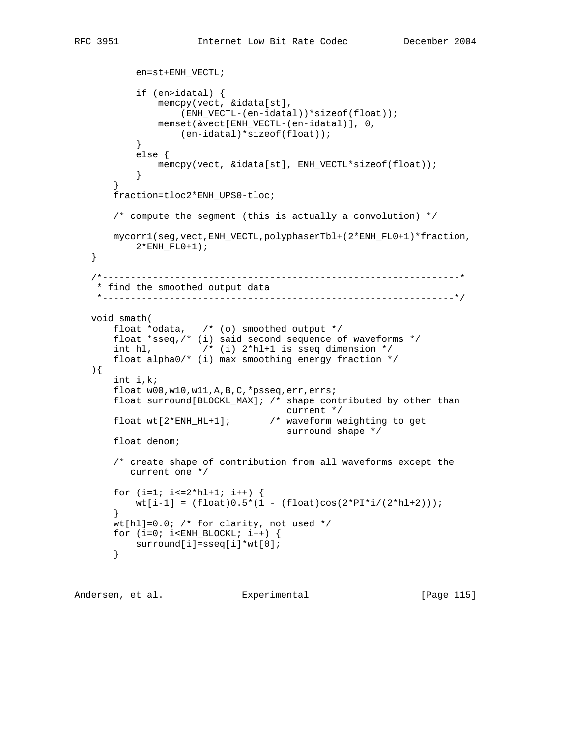```
 en=st+ENH_VECTL;
           if (en>idatal) {
               memcpy(vect, &idata[st],
                   (ENH_VECTL-(en-idatal))*sizeof(float));
               memset(&vect[ENH_VECTL-(en-idatal)], 0,
          (en-idatal)*sizeof(float));
 }
           else {
               memcpy(vect, &idata[st], ENH_VECTL*sizeof(float));
 }
       }
       fraction=tloc2*ENH_UPS0-tloc;
       /* compute the segment (this is actually a convolution) */
       mycorr1(seg,vect,ENH_VECTL,polyphaserTbl+(2*ENH_FL0+1)*fraction,
         2*ENH FL0+1);
   }
   /*----------------------------------------------------------------*
    * find the smoothed output data
    *---------------------------------------------------------------*/
   void smath(
 float *odata, /* (o) smoothed output */
 float *sseq,/* (i) said second sequence of waveforms */
      int hl, \frac{1}{2^{*}} (i) 2*hl+1 is sseq dimension */
       float alpha0/* (i) max smoothing energy fraction */
   ){
       int i,k;
       float w00,w10,w11,A,B,C,*psseq,err,errs;
       float surround[BLOCKL_MAX]; /* shape contributed by other than
                                      current */
       float wt[2*ENH_HL+1]; /* waveform weighting to get
                                     surround shape */
       float denom;
       /* create shape of contribution from all waveforms except the
          current one */
      for (i=1; i<=2*h1+1; i++) {
         wt[i-1] = (float)0.5*(1 - (float)cos(2*PI*1/(2*hl+2)));
       }
      wt[h1]=0.0; /* for clarity, not used */
      for (i=0; i < ENH_BLOCKL; i++) {
          surround[i]=sseq[i]*wt[0];
       }
```
Andersen, et al. Experimental [Page 115]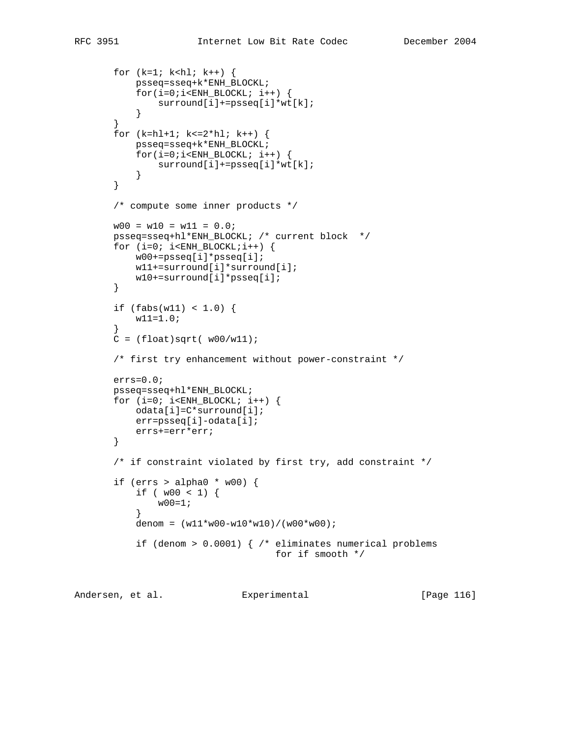```
for (k=1; k< h1; k++) {
           psseq=sseq+k*ENH_BLOCKL;
          for(i=0:i<EMH_BLOCKL; i++) surround[i]+=psseq[i]*wt[k];
 }
       }
       for (k=hl+1; k<=2*hl; k++) {
           psseq=sseq+k*ENH_BLOCKL;
          for(i=0:i<EMH_BLOCKL; i++) surround[i]+=psseq[i]*wt[k];
 }
       }
       /* compute some inner products */
      w00 = w10 = w11 = 0.0;
       psseq=sseq+hl*ENH_BLOCKL; /* current block */
      for (i=0; i\leq KNH_BLOCKL;i++) {
           w00+=psseq[i]*psseq[i];
           w11+=surround[i]*surround[i];
           w10+=surround[i]*psseq[i];
       }
      if (fabs(w11) < 1.0) {
           w11=1.0;
 }
      C = (float)sqrt( w00/w11);
       /* first try enhancement without power-constraint */
       errs=0.0;
       psseq=sseq+hl*ENH_BLOCKL;
      for (i=0; i < ENH_BLOCKL; i++) odata[i]=C*surround[i];
           err=psseq[i]-odata[i];
           errs+=err*err;
       }
       /* if constraint violated by first try, add constraint */
      if (errs > alpha0 * w00) {
          if ( w00 < 1 ) {
              w00=1; }
          denom = (w11*w00-w10*w10)/(w00*w00); if (denom > 0.0001) { /* eliminates numerical problems
                                    for if smooth */
```
Andersen, et al. Experimental [Page 116]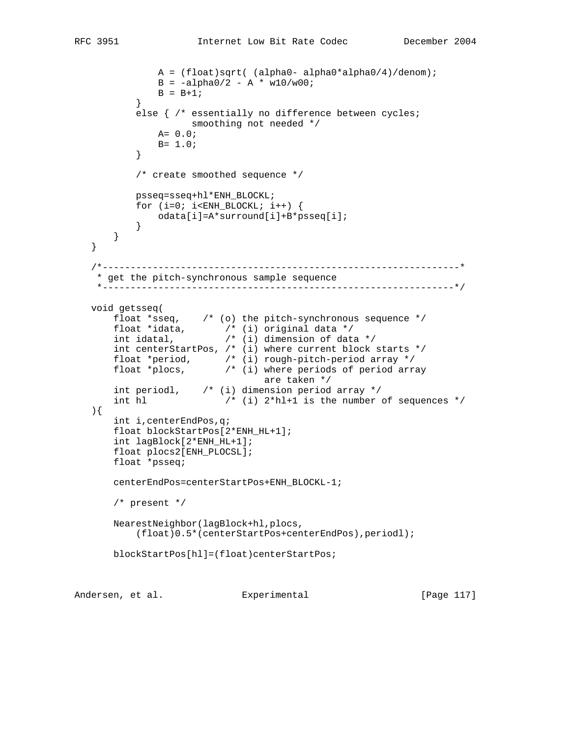```
 A = (float)sqrt( (alpha0- alpha0*alpha0/4)/denom);
             B = -a1pha0/2 - A * w10/w00;B = B + 1; }
          else { /* essentially no difference between cycles;
                   smoothing not needed */
             A = 0.0;B = 1.0; }
          /* create smoothed sequence */
          psseq=sseq+hl*ENH_BLOCKL;
         for (i=0; i < ENH_BLOCKL; i++) {
              odata[i]=A*surround[i]+B*psseq[i];
 }
      }
   }
   /*----------------------------------------------------------------*
    * get the pitch-synchronous sample sequence
    *---------------------------------------------------------------*/
   void getsseq(
 float *sseq, /* (o) the pitch-synchronous sequence */
 float *idata, /* (i) original data */
 int idatal, /* (i) dimension of data */
 int centerStartPos, /* (i) where current block starts */
 float *period, /* (i) rough-pitch-period array */
 float *plocs, /* (i) where periods of period array
 are taken */
 int periodl, /* (i) dimension period array */
      int hl /* (i) 2*hl+1 is the number of sequences */
   ){
       int i,centerEndPos,q;
       float blockStartPos[2*ENH_HL+1];
       int lagBlock[2*ENH_HL+1];
       float plocs2[ENH_PLOCSL];
       float *psseq;
       centerEndPos=centerStartPos+ENH_BLOCKL-1;
       /* present */
       NearestNeighbor(lagBlock+hl,plocs,
           (float)0.5*(centerStartPos+centerEndPos),periodl);
       blockStartPos[hl]=(float)centerStartPos;
```
Andersen, et al. Experimental Formula (Page 117)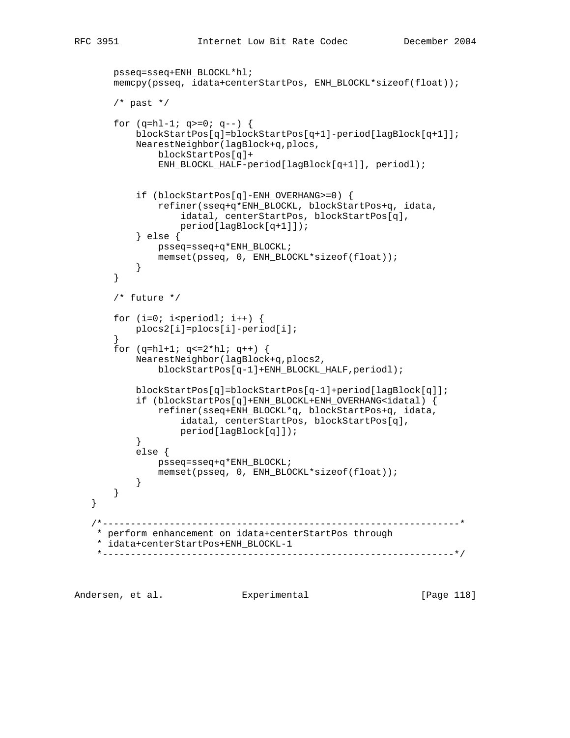```
 psseq=sseq+ENH_BLOCKL*hl;
       memcpy(psseq, idata+centerStartPos, ENH_BLOCKL*sizeof(float));
      /* past */for (q=hl-1; q>=0; q--) {
           blockStartPos[q]=blockStartPos[q+1]-period[lagBlock[q+1]];
           NearestNeighbor(lagBlock+q,plocs,
                blockStartPos[q]+
                ENH_BLOCKL_HALF-period[lagBlock[q+1]], periodl);
            if (blockStartPos[q]-ENH_OVERHANG>=0) {
                refiner(sseq+q*ENH_BLOCKL, blockStartPos+q, idata,
                    idatal, centerStartPos, blockStartPos[q],
                    period[lagBlock[q+1]]);
            } else {
               psseq=sseq+q*ENH_BLOCKL;
               memset(psseq, 0, ENH_BLOCKL*sizeof(float));
 }
       }
       /* future */
      for (i=0; i<i>period</i>]; i++) {
           plocs2[i]=plocs[i]-period[i];
        }
      for (q=hl+1; q<=2*hl; q++) {
           NearestNeighbor(lagBlock+q,plocs2,
                blockStartPos[q-1]+ENH_BLOCKL_HALF,periodl);
           blockStartPos[q]=blockStartPos[q-1]+period[lagBlock[q]];
           if (blockStartPos[q]+ENH_BLOCKL+ENH_OVERHANG<idatal) {
                refiner(sseq+ENH_BLOCKL*q, blockStartPos+q, idata,
                    idatal, centerStartPos, blockStartPos[q],
           period[lagBlock[q]]);<br>}
 }
           else {
               psseq=sseq+q*ENH_BLOCKL;
               memset(psseq, 0, ENH_BLOCKL*sizeof(float));
 }
       }
    /*----------------------------------------------------------------*
    * perform enhancement on idata+centerStartPos through
     * idata+centerStartPos+ENH_BLOCKL-1
         *---------------------------------------------------------------*/
```
Andersen, et al. Experimental Frage 118]

}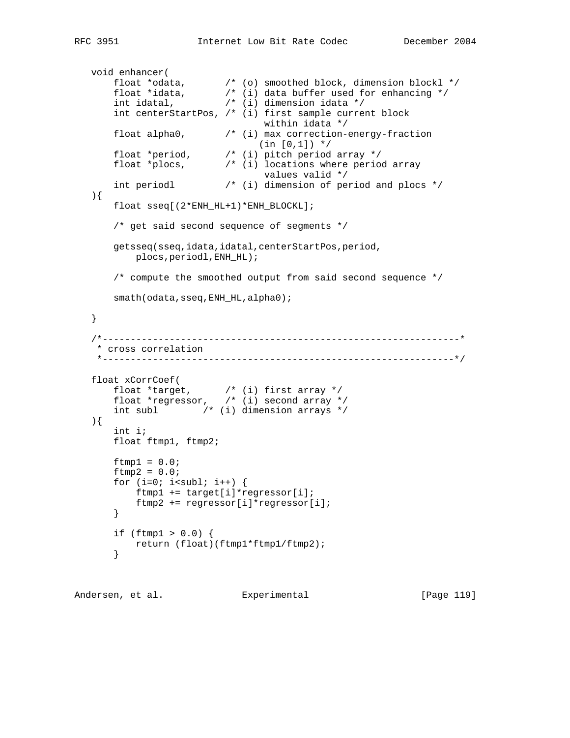```
 void enhancer(
 float *odata, /* (o) smoothed block, dimension blockl */
 float *idata, /* (i) data buffer used for enhancing */
 int idatal, /* (i) dimension idata */
       int centerStartPos, /* (i) first sample current block
                                within idata */
      float alpha0, \frac{1}{1} (i) max correction-energy-fraction
(\text{in } [0,1]) */
 float *period, /* (i) pitch period array */
 float *plocs, /* (i) locations where period array
                                values valid */
       int periodl /* (i) dimension of period and plocs */
   ){
       float sseq[(2*ENH_HL+1)*ENH_BLOCKL];
       /* get said second sequence of segments */
       getsseq(sseq,idata,idatal,centerStartPos,period,
          plocs,periodl,ENH_HL);
       /* compute the smoothed output from said second sequence */
      smath(odata,sseq,ENH_HL,alpha0);
   }
   /*----------------------------------------------------------------*
    * cross correlation
    *---------------------------------------------------------------*/
   float xCorrCoef(
 float *target, /* (i) first array */
 float *regressor, /* (i) second array */
       int subl /* (i) dimension arrays */
   ){
       int i;
       float ftmp1, ftmp2;
      ftmp1 = 0.0;ftmp2 = 0.0;for (i=0; i<sub>subl</sub>; i++) ftmp1 += target[i]*regressor[i];
          ftmp2 += regressor[i]*regressor[i];
       }
      if (ftmp1 > 0.0) {
          return (float)(ftmp1*ftmp1/ftmp2);
       }
```
Andersen, et al. Experimental Frage 119]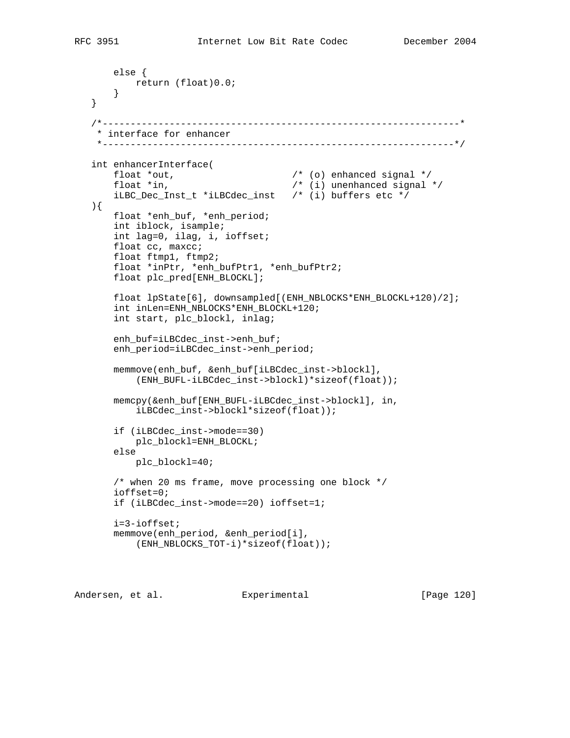```
 else {
        return (float)0.0;
     }
 }
 /*----------------------------------------------------------------*
  * interface for enhancer
 *---------------------------------------------------------------*/
 int enhancerInterface(
    float *out, \begin{array}{ccc} 0 & \text{if } 1 \text{ odd} \\ 0 & \text{if } 1 \text{ odd} \end{array} /* (0) enhanced signal */
                                      f^* (i) unenhanced signal */ iLBC_Dec_Inst_t *iLBCdec_inst /* (i) buffers etc */
 ){
     float *enh_buf, *enh_period;
     int iblock, isample;
     int lag=0, ilag, i, ioffset;
     float cc, maxcc;
     float ftmp1, ftmp2;
     float *inPtr, *enh_bufPtr1, *enh_bufPtr2;
     float plc_pred[ENH_BLOCKL];
     float lpState[6], downsampled[(ENH_NBLOCKS*ENH_BLOCKL+120)/2];
     int inLen=ENH_NBLOCKS*ENH_BLOCKL+120;
     int start, plc_blockl, inlag;
     enh_buf=iLBCdec_inst->enh_buf;
     enh_period=iLBCdec_inst->enh_period;
     memmove(enh_buf, &enh_buf[iLBCdec_inst->blockl],
         (ENH_BUFL-iLBCdec_inst->blockl)*sizeof(float));
     memcpy(&enh_buf[ENH_BUFL-iLBCdec_inst->blockl], in,
         iLBCdec_inst->blockl*sizeof(float));
     if (iLBCdec_inst->mode==30)
         plc_blockl=ENH_BLOCKL;
     else
         plc_blockl=40;
     /* when 20 ms frame, move processing one block */
     ioffset=0;
     if (iLBCdec_inst->mode==20) ioffset=1;
     i=3-ioffset;
     memmove(enh_period, &enh_period[i],
         (ENH_NBLOCKS_TOT-i)*sizeof(float));
```
Andersen, et al. Experimental Formula (Page 120)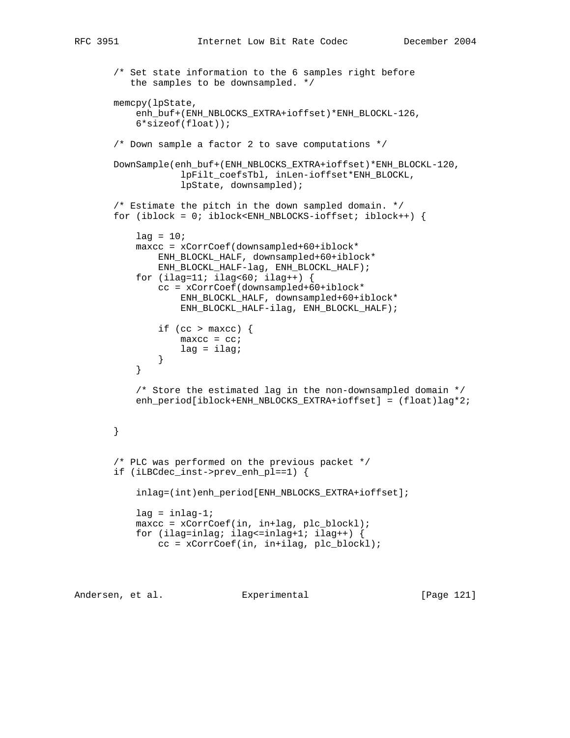```
 /* Set state information to the 6 samples right before
          the samples to be downsampled. */
       memcpy(lpState,
           enh_buf+(ENH_NBLOCKS_EXTRA+ioffset)*ENH_BLOCKL-126,
           6*sizeof(float));
       /* Down sample a factor 2 to save computations */
       DownSample(enh_buf+(ENH_NBLOCKS_EXTRA+ioffset)*ENH_BLOCKL-120,
                    lpFilt_coefsTbl, inLen-ioffset*ENH_BLOCKL,
                    lpState, downsampled);
        /* Estimate the pitch in the down sampled domain. */
       for (iblock = 0; iblock<ENH_NBLOCKS-ioffset; iblock++) {
          lag = 10; maxcc = xCorrCoef(downsampled+60+iblock*
               ENH_BLOCKL_HALF, downsampled+60+iblock*
               ENH_BLOCKL_HALF-lag, ENH_BLOCKL_HALF);
          for (ilag=11; ilag<60; ilag++) {
               cc = xCorrCoef(downsampled+60+iblock*
                    ENH_BLOCKL_HALF, downsampled+60+iblock*
                    ENH_BLOCKL_HALF-ilag, ENH_BLOCKL_HALF);
               if (cc > maxcc) {
                  maxcc = cc;lag = ilagi }
 }
           /* Store the estimated lag in the non-downsampled domain */
           enh_period[iblock+ENH_NBLOCKS_EXTRA+ioffset] = (float)lag*2;
       }
        /* PLC was performed on the previous packet */
       if (iLBCdec_inst->prev_enh_pl==1) {
           inlag=(int)enh_period[ENH_NBLOCKS_EXTRA+ioffset];
          lag = inlag-1;maxcc = xCorrCoef(in, in+lag, plc_block]; for (ilag=inlag; ilag<=inlag+1; ilag++) {
               cc = xCorrCoef(in, in+ilag, plc_blockl);
```
Andersen, et al. Experimental [Page 121]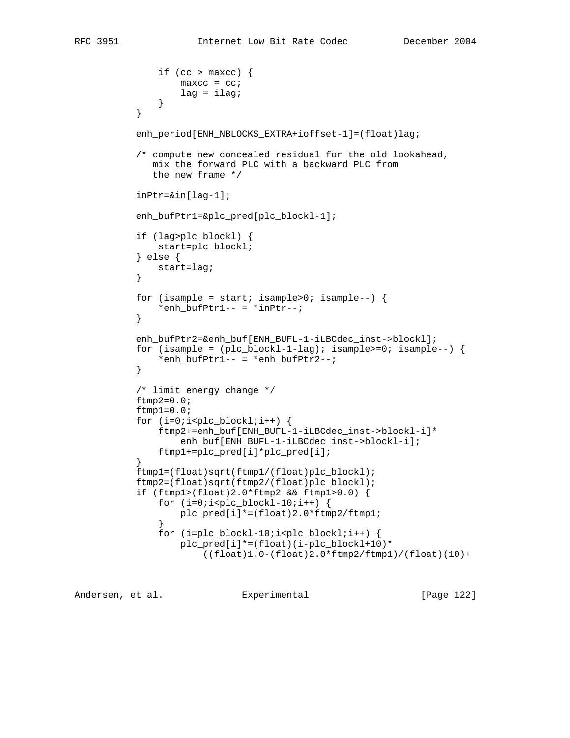```
if (cc > maxcc) \{maxcc = cc;lag = ilagi }
 }
           enh_period[ENH_NBLOCKS_EXTRA+ioffset-1]=(float)lag;
           /* compute new concealed residual for the old lookahead,
              mix the forward PLC with a backward PLC from
              the new frame */
           inPtr=&in[lag-1];
           enh_bufPtr1=&plc_pred[plc_blockl-1];
           if (lag>plc_blockl) {
               start=plc_blockl;
           } else {
              start=lag;
 }
          for (isample = start; isample>0; isample--) {
          *enh\_buffer1-- = *inptr--;}
 }
           enh_bufPtr2=&enh_buf[ENH_BUFL-1-iLBCdec_inst->blockl];
          for (isample = (plc_blockl-1-lag); isample>=0; isample--) {
              *enh_buffPtr1-- = *enh_buffPtr2--; }
           /* limit energy change */
          ftmp2=0.0;ftmp1=0.0;for (i=0:i<plc_blockl;i++) {
               ftmp2+=enh_buf[ENH_BUFL-1-iLBCdec_inst->blockl-i]*
                   enh_buf[ENH_BUFL-1-iLBCdec_inst->blockl-i];
           ftmp1+=plc_pred[i]*plc_pred[i];
 }
           ftmp1=(float)sqrt(ftmp1/(float)plc_blockl);
           ftmp2=(float)sqrt(ftmp2/(float)plc_blockl);
           if (ftmp1>(float)2.0*ftmp2 && ftmp1>0.0) {
              for (i=0,i<plc_blockl-10;i++) {
                  plc_pred[i]*=(float)2.0*ftmp2/ftmp1;
 }
               for (i=plc_blockl-10;i<plc_blockl;i++) {
                  plc_pred[i]*=(float)(i-plc_blockl+10)*
                      ((float)1.0-(float)2.0*ftmp2/ftmp1)/(float)(10)+
```
Andersen, et al. Experimental [Page 122]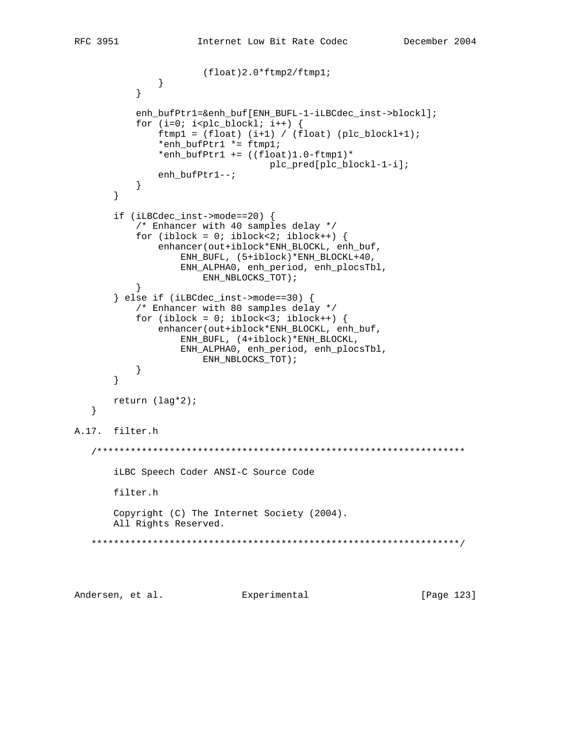```
 (float)2.0*ftmp2/ftmp1;
 }
 }
           enh_bufPtr1=&enh_buf[ENH_BUFL-1-iLBCdec_inst->blockl];
           for (i=0; i< plc_block1; i++) {
               ftmp1 = (float) (i+1) / (float) (plc_blockl+1); *enh_bufPtr1 *= ftmp1;
               *enh_bufPtr1 += ((float)1.0-ftmp1)* plc_pred[plc_blockl-1-i];
           enh_bufPtr1--;<br>}
 }
        }
        if (iLBCdec_inst->mode==20) {
            /* Enhancer with 40 samples delay */
          for (iblock = 0; iblock<2; iblock++) {
               enhancer(out+iblock*ENH_BLOCKL, enh_buf,
                   ENH_BUFL, (5+iblock)*ENH_BLOCKL+40,
                   ENH_ALPHA0, enh_period, enh_plocsTbl,
                       ENH_NBLOCKS_TOT);
 }
        } else if (iLBCdec_inst->mode==30) {
           /* Enhancer with 80 samples delay */
          for (iblock = 0; iblock<3; iblock++) {
                enhancer(out+iblock*ENH_BLOCKL, enh_buf,
                    ENH_BUFL, (4+iblock)*ENH_BLOCKL,
                    ENH_ALPHA0, enh_period, enh_plocsTbl,
                       ENH_NBLOCKS_TOT);
 }
        }
       return (lag*2);
    }
A.17. filter.h
    /******************************************************************
       iLBC Speech Coder ANSI-C Source Code
       filter.h
       Copyright (C) The Internet Society (2004).
       All Rights Reserved.
    ******************************************************************/
```
Andersen, et al. Experimental Formula (Page 123)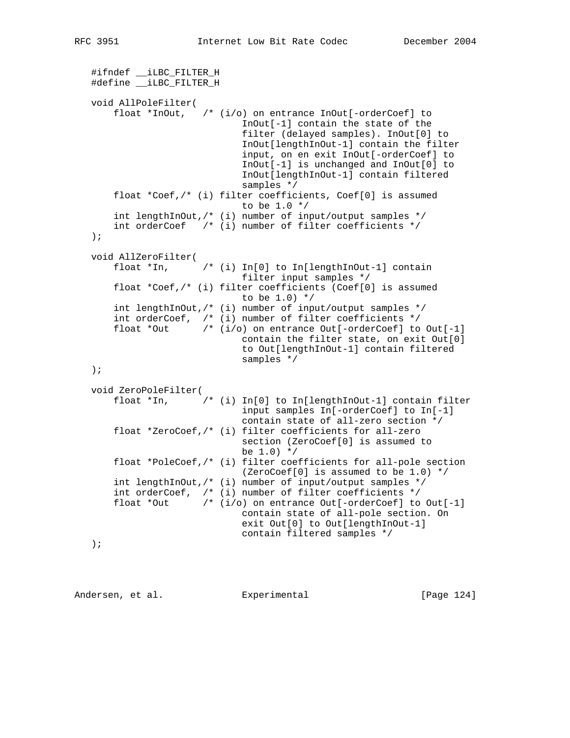```
 #ifndef __iLBC_FILTER_H
 #define __iLBC_FILTER_H
 void AllPoleFilter(
     float *InOut, /* (i/o) on entrance InOut[-orderCoef] to
                            InOut[-1] contain the state of the
                            filter (delayed samples). InOut[0] to
                            InOut[lengthInOut-1] contain the filter
                            input, on en exit InOut[-orderCoef] to
                            InOut[-1] is unchanged and InOut[0] to
                            InOut[lengthInOut-1] contain filtered
                            samples */
     float *Coef,/* (i) filter coefficients, Coef[0] is assumed
                            to be 1.0 */
     int lengthInOut,/* (i) number of input/output samples */
     int orderCoef /* (i) number of filter coefficients */
 );
 void AllZeroFilter(
     float *In, /* (i) In[0] to In[lengthInOut-1] contain
                            filter input samples */
     float *Coef,/* (i) filter coefficients (Coef[0] is assumed
                           to be 1.0) */
     int lengthInOut,/* (i) number of input/output samples */
     int orderCoef, /* (i) number of filter coefficients */
    float *Out /* (i/o) on entrance Out[-orderCoef] to Out[-1]
                            contain the filter state, on exit Out[0]
                            to Out[lengthInOut-1] contain filtered
                            samples */
 );
 void ZeroPoleFilter(
     float *In, /* (i) In[0] to In[lengthInOut-1] contain filter
                            input samples In[-orderCoef] to In[-1]
                            contain state of all-zero section */
     float *ZeroCoef,/* (i) filter coefficients for all-zero
                            section (ZeroCoef[0] is assumed to
                           be 1.0) */
     float *PoleCoef,/* (i) filter coefficients for all-pole section
                            (ZeroCoef[0] is assumed to be 1.0) */
     int lengthInOut,/* (i) number of input/output samples */
     int orderCoef, /* (i) number of filter coefficients */
    float *Out /* (i/o) on entrance Out[-orderCoef] to Out[-1]
                            contain state of all-pole section. On
                            exit Out[0] to Out[lengthInOut-1]
                            contain filtered samples */
 );
```
Andersen, et al. Experimental Frage 124]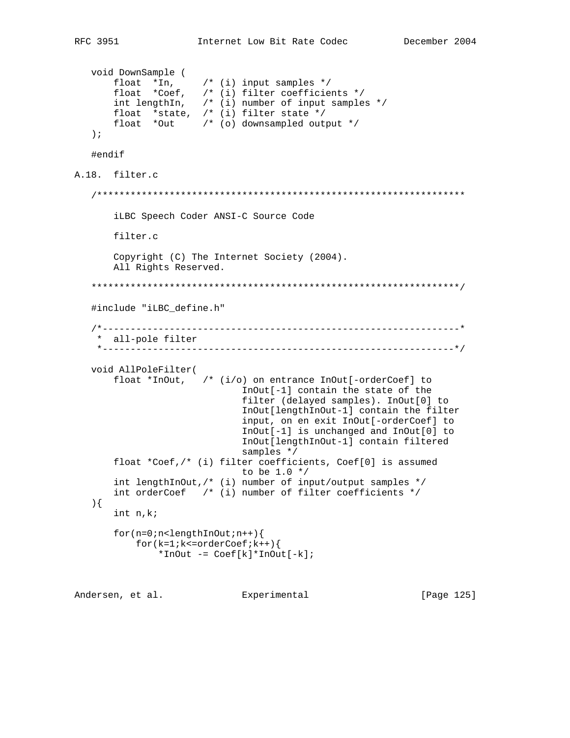```
 void DownSample (
 float *In, /* (i) input samples */
 float *Coef, /* (i) filter coefficients */
 int lengthIn, /* (i) number of input samples */
 float *state, /* (i) filter state */
 float *Out /* (o) downsampled output */
    );
    #endif
A.18. filter.c
    /******************************************************************
        iLBC Speech Coder ANSI-C Source Code
       filter.c
       Copyright (C) The Internet Society (2004).
       All Rights Reserved.
    ******************************************************************/
    #include "iLBC_define.h"
    /*----------------------------------------------------------------*
    * all-pole filter
     *---------------------------------------------------------------*/
   void AllPoleFilter(
       float *InOut, /* (i/o) on entrance InOut[-orderCoef] to
                              InOut[-1] contain the state of the
                              filter (delayed samples). InOut[0] to
                              InOut[lengthInOut-1] contain the filter
                              input, on en exit InOut[-orderCoef] to
                              InOut[-1] is unchanged and InOut[0] to
                              InOut[lengthInOut-1] contain filtered
                              samples */
       float *Coef,/* (i) filter coefficients, Coef[0] is assumed
                             to be 1.0 */
       int lengthInOut,/* (i) number of input/output samples */
       int orderCoef /* (i) number of filter coefficients */
    ){
       int n,k;
       for(n=0;n<lengthInOut;n++){
          for(k=1; k<=orderCoef;k++)*InOut -= Coef[k]*InOut[-k];
```
Andersen, et al. Experimental Formula (Page 125)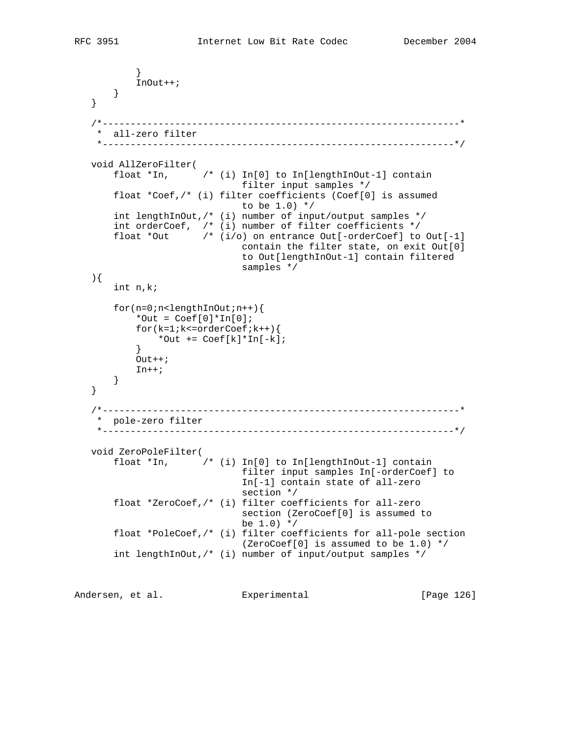```
 }
           InOut++;
       }
   }
    /*----------------------------------------------------------------*
    * all-zero filter
    *---------------------------------------------------------------*/
   void AllZeroFilter(
       float *In, /* (i) In[0] to In[lengthInOut-1] contain
                              filter input samples */
       float *Coef,/* (i) filter coefficients (Coef[0] is assumed
                             to be 1.0) */
       int lengthInOut,/* (i) number of input/output samples */
       int orderCoef, /* (i) number of filter coefficients */
       float *Out /* (i/o) on entrance Out[-orderCoef] to Out[-1]
                              contain the filter state, on exit Out[0]
                               to Out[lengthInOut-1] contain filtered
                               samples */
   ){
       int n,k;
       for(n=0;n<lengthInOut;n++){
          *Out = Coeff[0]*In[0];for(k=1; k<=orderCoef;k++)*Out += \text{Coeff}[k]*In[-k]; }
          Out++;In++; }
   }
   /*----------------------------------------------------------------*
    * pole-zero filter
    *---------------------------------------------------------------*/
   void ZeroPoleFilter(
       float *In, /* (i) In[0] to In[lengthInOut-1] contain
                               filter input samples In[-orderCoef] to
                               In[-1] contain state of all-zero
                               section */
       float *ZeroCoef,/* (i) filter coefficients for all-zero
                               section (ZeroCoef[0] is assumed to
                              be 1.0) */
       float *PoleCoef,/* (i) filter coefficients for all-pole section
                               (ZeroCoef[0] is assumed to be 1.0) */
       int lengthInOut,/* (i) number of input/output samples */
```
Andersen, et al. Experimental [Page 126]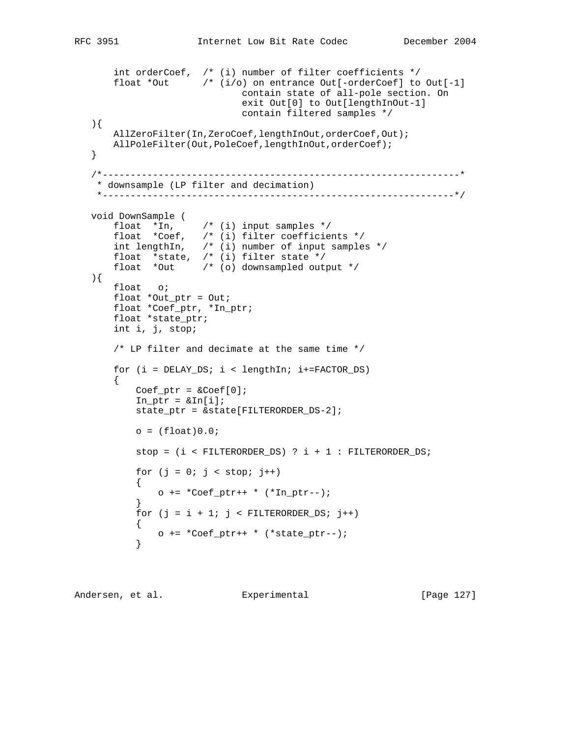```
 int orderCoef, /* (i) number of filter coefficients */
 float *Out /* (i/o) on entrance Out[-orderCoef] to Out[-1]
                             contain state of all-pole section. On
                             exit Out[0] to Out[lengthInOut-1]
                             contain filtered samples */
   ){
      AllZeroFilter(In,ZeroCoef,lengthInOut,orderCoef,Out);
     AllPoleFilter(Out,PoleCoef,lengthInOut,orderCoef);
   }
   /*----------------------------------------------------------------*
    * downsample (LP filter and decimation)
    *---------------------------------------------------------------*/
   void DownSample (
 float *In, /* (i) input samples */
 float *Coef, /* (i) filter coefficients */
 int lengthIn, /* (i) number of input samples */
       float *state, /* (i) filter state */
       float *Out /* (o) downsampled output */
   ){
      float o;
       float *Out_ptr = Out;
       float *Coef_ptr, *In_ptr;
       float *state_ptr;
       int i, j, stop;
       /* LP filter and decimate at the same time */
      for (i = DELAYร; i < lengthIn; i+=FACTORDS) {
          Coef_{ptr} = \&Coef[0];In\_ptr = \&In[i];state ptr = &state[FILTERORDER DS-2];
          o = (float)0.0;stop = (i < FILTERORDERَ
DS) ? i + 1 : FILTERORDER DS;
          for (j = 0; j < stop; j++)\{o += *Coef_ptr++ * (*In_ptr--);
 }
          for (j = i + 1; j < FILTERORDER DS; j++)\{o += *Coef_ptr++ * (*state_ptr--);<br>}
 }
```
Andersen, et al. Experimental [Page 127]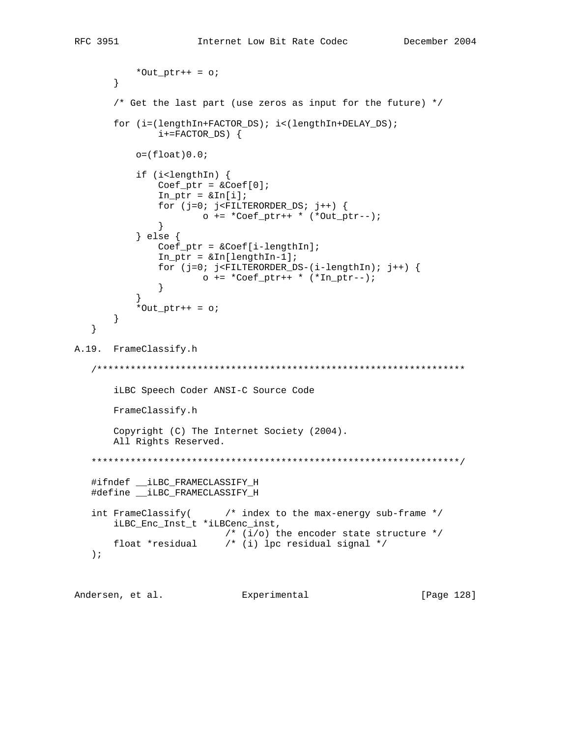```
*Out_ptr++ = \circ;
      \}/* Get the last part (use zeros as input for the future) */for (i=(lengthIn+FACTOR_DS); i<(lengthIn+DELAY_DS);i+=FACTOR_DS) {
         o = (float) 0.07if (i<lengthIn) {
             Coef_{ptr} = \&Coef[0];In\_ptr = \&In[i];for (j=0; j<FILTERORDER_DS; j++) {
                    o += * Coef_ptr++ * (*Out_ptr--);\}} else \{Coeff_ptr = \&Coeff[i-lengthIn];In\_ptr = &In[lengthIn-1];
             for (j=0; j<FILTERORDER_DS-(i-lengthIn); j++) {
                    o += * Coef_{ptr++} * (*In_{ptr--});\}*Out_ptr++ = \circ;
      \}\}A.19. FrameClassify.h
  iLBC Speech Coder ANSI-C Source Code
      FrameClassify.h
      Copyright (C) The Internet Society (2004).
      All Rights Reserved.
  #ifndef __iLBC_FRAMECLASSIFY_H
  #define ___ iLBC_FRAMECLASSIFY_H
                     /* index to the max-energy sub-frame */int FrameClassify(
      iLBC_Enc_Inst_t *iLBCenc_inst,
                       /* (i/o) the encoder state structure */
     float *residual /* (i) lpc residual signal */
  \rightarrow
```
Andersen, et al. Experimental [Page 128]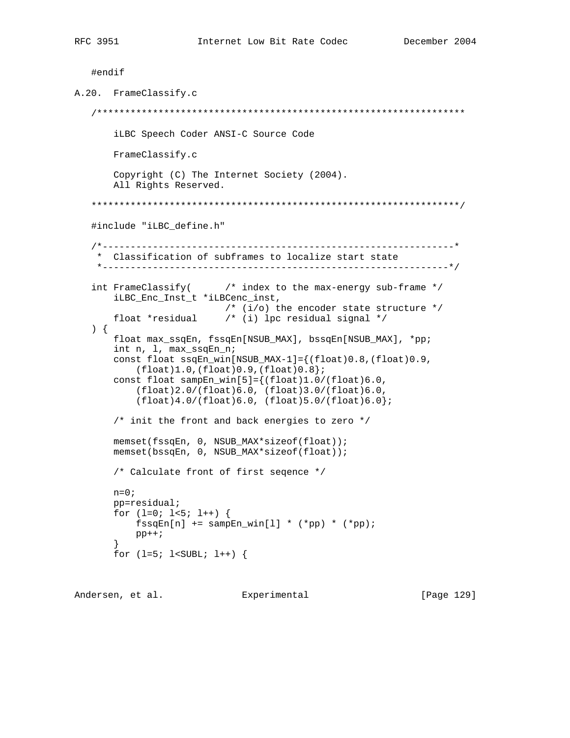```
#endif
A.20. FrameClassify.c
  iLBC Speech Coder ANSI-C Source Code
     FrameClassify.c
     Copyright (C) The Internet Society (2004).
     All Rights Reserved.
  #include "iLBC define.h"
  * Classification of subframes to localize start state
   int FrameClassify(
                    /* index to the max-energy sub-frame */
     iLBC_Enc_Inst_t *iLBCenc_inst,
                     /* (i/o) the encoder state structure */
     float *residual \qquad /* (i) lpc residual signal */
  \left\{ \begin{array}{c} \end{array} \right\}float max_ssqEn, fssqEn[NSUB_MAX], bssqEn[NSUB_MAX], *pp;
     int n, 1, max ssqEn n;
     const float ssqEn_win[NSUB_MAX-1]={(float)0.8,(float)0.9,
         (fload)1.0, (float)0.9, (float)0.8;
     const float sampEn_win[5]={(f[loat]1.0/(float)6.0,(flost)2.0/(float)6.0, (float)3.0/(float)6.0,(fload)4.0/(float)6.0, (float)5.0/(float)6.0);/* init the front and back energies to zero */
     memset(fssqEn, 0, NSUB_MAX*sizeof(float));
     memset(bssqEn, 0, NSUB_MAX*sizeof(float));
     /* Calculate front of first segence */
     n=0;pp=residual;
     for (l=0; l<5; l++) {
         fssqEn[n] += sampEn_win[1] * (*pp) * (*pp);pp++;for (l=5; l<sub>SUBL</sub>; l++) {
```
Andersen, et al. Experimental

[Page 129]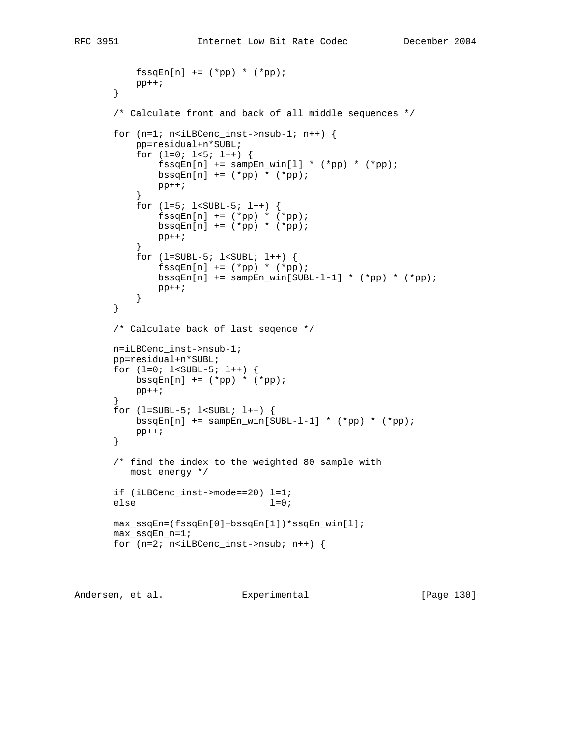```
f\text{ssqEn}[n] += (*pp) * (*pp);pp++; }
        /* Calculate front and back of all middle sequences */
      for (n=1; n<i>i</i>LBCenc_inst-&gt;nsub-1; n++) {
            pp=residual+n*SUBL;
           for (l=0; l<5; l++) {
               f\text{ssqEn}[n] += \text{samplen\_win}[1] * (*pp) * (*pp);bssqEn[n] += (*pp) * (*pp); pp++;
 }
            for (l=5; l<SUBL-5; l++) {
               f\text{ssqEn}[n] += (*pp) * (*pp);bssqEn[n] += (*pp) * (*pp);\mathsf{pp++} \mathsf{i} }
           for (l=SUBL-5; l<SUBL; l++) {
               f\text{ssqEn}[n] += (*pp) * (*pp);bssqEn[n] += sampEn_win[SUBL-1-1] * (*pp) * (*pp);
               pp++; }
        }
        /* Calculate back of last seqence */
       n=iLBCenc_inst->nsub-1;
       pp=residual+n*SUBL;
        for (l=0; l<SUBL-5; l++) {
           bssqEn[n] += (*pp) * (*pp); pp++;
        }
       for (l=SUBL-5; l<SUBL; l++) {
           bssqEn[n] += sampEn\_win[SUBL-1-1] * (*pp) * (*pp); pp++;
        }
        /* find the index to the weighted 80 sample with
          most energy */
       if (iLBCenc_inst->mode==20) l=1;
      else l=0;
       max_ssqEn=(fssqEn[0]+bssqEn[1])*ssqEn_win[l];
       max_ssqEn_n=1;
      for (n=2; n<i>ilBCenc_inst</i>->nsub; n++) {
```
Andersen, et al. Experimental [Page 130]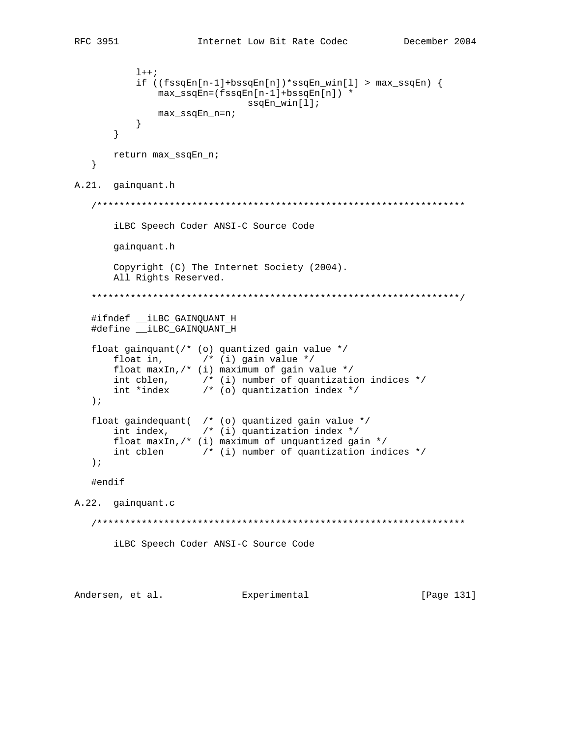```
1++;if ((fssgEn[n-1]+bssgEn[n]) * ssgEn\_win[1] > max_ssgEn) {
                max_ssqEn=(fssqEn[n-1]+bssqEn[n]) *
                                 ssqEn\_win[1];
                max_ssqEn_n=n;
            \}\}return max_ssqEn_n;
   \}A.21. gainquant.h
   iLBC Speech Coder ANSI-C Source Code
       gainquant.h
       Copyright (C) The Internet Society (2004).
       All Rights Reserved.
   #ifndef __iLBC_GAINQUANT_H
   #define __ iLBC_GAINQUANT_H
   float gainquant(/* (o) quantized gain value */float in, \frac{1}{2} \frac{1}{2} (i) gain value */
       float maxIn, \frac{1}{2} (i) maximum of gain value */
       int cblen, \left(\begin{array}{ccc} \ast & \ast & \ast \\ \ast & \ast & \ast \end{array}\right) number of quantization indices */<br>int *index \left(\begin{array}{ccc} \ast & \ast & \ast \\ \ast & \ast & \ast \end{array}\right)\rightarrow ;
   float gaindequant( /* (o) quantized gain value */<br>int index, \qquad /* (i) quantization index */
       float maxIn, /* (i) maximum of unquantized gain */
       int cblen \qquad /* (i) number of quantization indices */
   \rightarrow ;
   #endif
A.22. gainquant.c
   iLBC Speech Coder ANSI-C Source Code
```
Andersen, et al. Experimental [Page 131]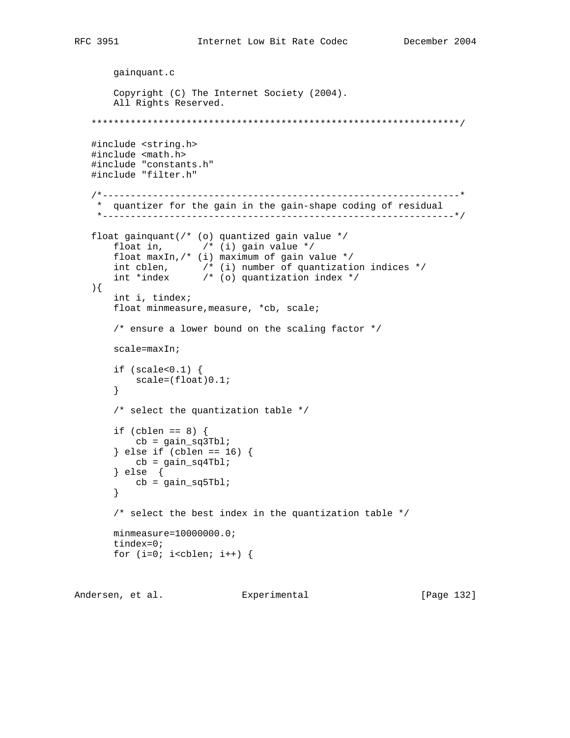```
 gainquant.c
       Copyright (C) The Internet Society (2004).
       All Rights Reserved.
   ******************************************************************/
   #include <string.h>
   #include <math.h>
   #include "constants.h"
   #include "filter.h"
   /*----------------------------------------------------------------*
    * quantizer for the gain in the gain-shape coding of residual
    *---------------------------------------------------------------*/
   float gainquant(/* (o) quantized gain value */
       float in, \frac{1}{2} \frac{1}{2} \frac{1}{2} gain value \frac{1}{2} float maxIn,/* (i) maximum of gain value */
 int cblen, /* (i) number of quantization indices */
 int *index /* (o) quantization index */
   ){
       int i, tindex;
      float minmeasure, measure, *cb, scale;
        /* ensure a lower bound on the scaling factor */
       scale=maxIn;
        if (scale<0.1) {
           scale=(float)0.1;
        }
       /* select the quantization table */
      if (cblen == 8) {
          cb = gain_sq3Tbl; } else if (cblen == 16) {
          cb = gain_sq4Tb1; } else {
           cb = gain_sq5Tbl;
        }
        /* select the best index in the quantization table */
       minmeasure=10000000.0;
       tindex=0;
      for (i=0; i<cblen; i++) {
```
Andersen, et al. Experimental Frage 132]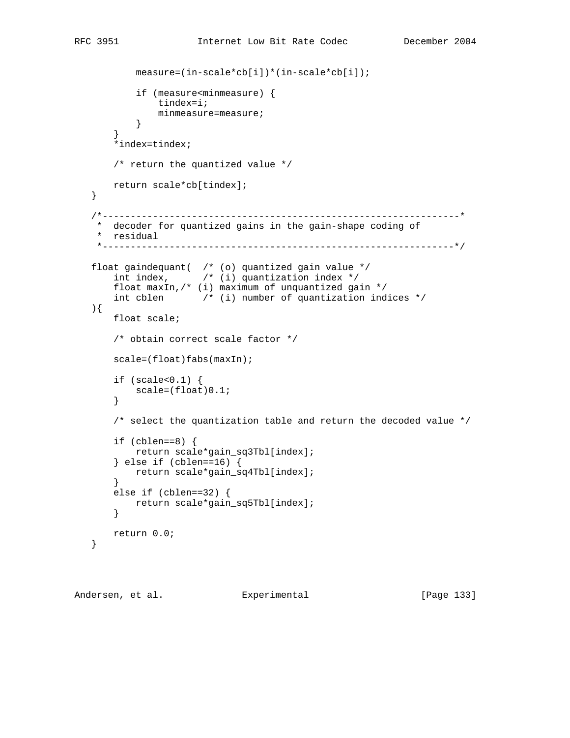```
 measure=(in-scale*cb[i])*(in-scale*cb[i]);
            if (measure<minmeasure) {
                tindex=i;
           minmeasure=measure;<br>}
 }
        }
        *index=tindex;
       /* return the quantized value */
      return scale*cb[tindex];
   }
    /*----------------------------------------------------------------*
    * decoder for quantized gains in the gain-shape coding of
    * residual
    *---------------------------------------------------------------*/
   float gaindequant( /* (o) quantized gain value */
      int index, \frac{1}{2} \frac{1}{2} quantization index \frac{1}{2} float maxIn,/* (i) maximum of unquantized gain */
       int cblen /* (i) number of quantization indices */
   ){
       float scale;
        /* obtain correct scale factor */
      scale=(float)fabs(maxIn);
        if (scale<0.1) {
          scale=(float)0.1;
        }
       /* select the quantization table and return the decoded value */
        if (cblen==8) {
            return scale*gain_sq3Tbl[index];
        } else if (cblen==16) {
           return scale*gain_sq4Tbl[index];
        }
        else if (cblen==32) {
          return scale*gain_sq5Tbl[index];
        }
       return 0.0;
   }
```
Andersen, et al. Experimental Formula (Page 133)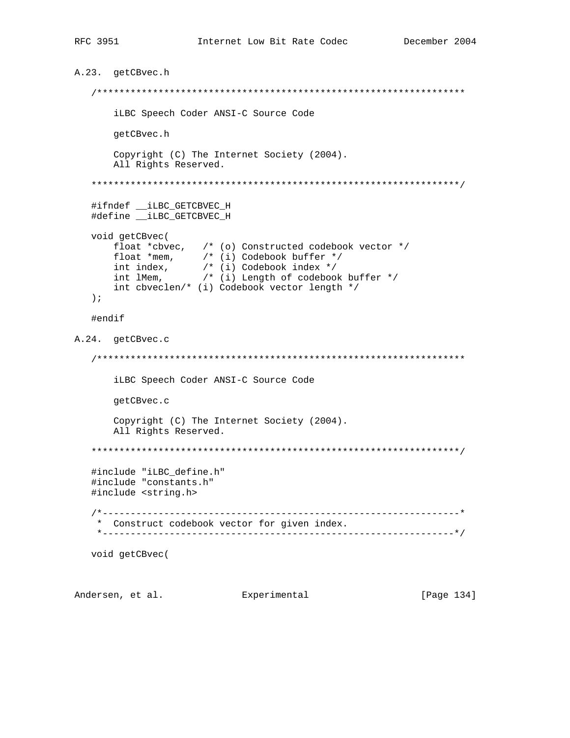```
A.23. getCBvec.h
  iLBC Speech Coder ANSI-C Source Code
    getCBvec.h
    Copyright (C) The Internet Society (2004).
    All Rights Reserved.
  #ifndef __iLBC_GETCBVEC_H
  #define __iLBC_GETCBVEC_H
 void getCBvec(
    float *cbvec, /* (o) Constructed codebook vector */
    float *mem, /* (i) Codebook buffer */<br>int index, /* (i) Codebook index */<br>int IMem, /* (i) Length of codebook buffer */
    int cbveclen/* (i) Codebook vector length */
  \rightarrow ;
  #endif
A.24. getCBvec.c
  iLBC Speech Coder ANSI-C Source Code
    getCBvec.c
    Copyright (C) The Internet Society (2004).
    All Rights Reserved.
  #include "iLBC_define.h"
  #include "constants.h"
  #include <string.h>
  * Construct codebook vector for given index.
  void getCBvec(
```
Andersen, et al. Experimental

[Page 134]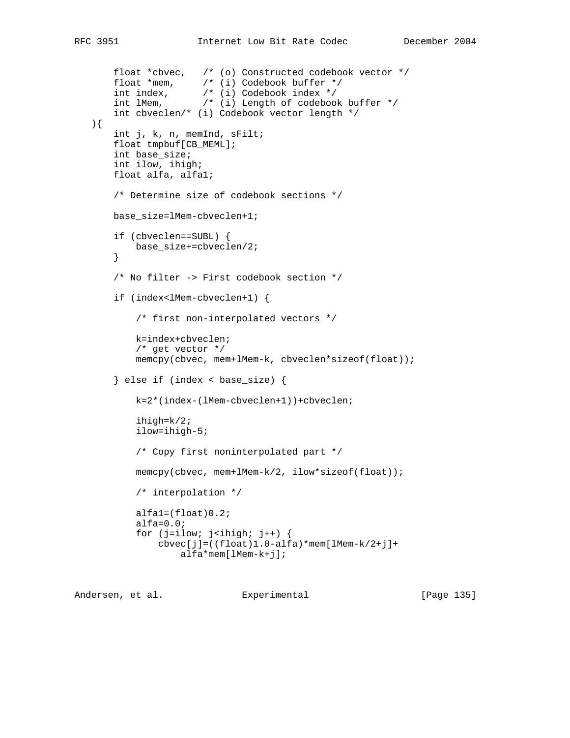```
 float *cbvec, /* (o) Constructed codebook vector */
 float *mem, /* (i) Codebook buffer */
 int index, /* (i) Codebook index */
 int lMem, /* (i) Length of codebook buffer */
       int cbveclen/* (i) Codebook vector length */
   ){
       int j, k, n, memInd, sFilt;
       float tmpbuf[CB_MEML];
       int base_size;
       int ilow, ihigh;
       float alfa, alfa1;
       /* Determine size of codebook sections */
       base_size=lMem-cbveclen+1;
       if (cbveclen==SUBL) {
           base_size+=cbveclen/2;
       }
       /* No filter -> First codebook section */
       if (index<lMem-cbveclen+1) {
           /* first non-interpolated vectors */
           k=index+cbveclen;
           /* get vector */
           memcpy(cbvec, mem+lMem-k, cbveclen*sizeof(float));
       } else if (index < base_size) {
           k=2*(index-(lMem-cbveclen+1))+cbveclen;
           ihigh=k/2;
           ilow=ihigh-5;
           /* Copy first noninterpolated part */
           memcpy(cbvec, mem+lMem-k/2, ilow*sizeof(float));
           /* interpolation */
           alfa1=(float)0.2;
           alfa=0.0;
          for (j=ilow; j<ihigh; j++) {
               cbvec[j]=((float)1.0-alfa)*mem[lMem-k/2+j]+
                   alfa*mem[lMem-k+j];
```
Andersen, et al. Experimental [Page 135]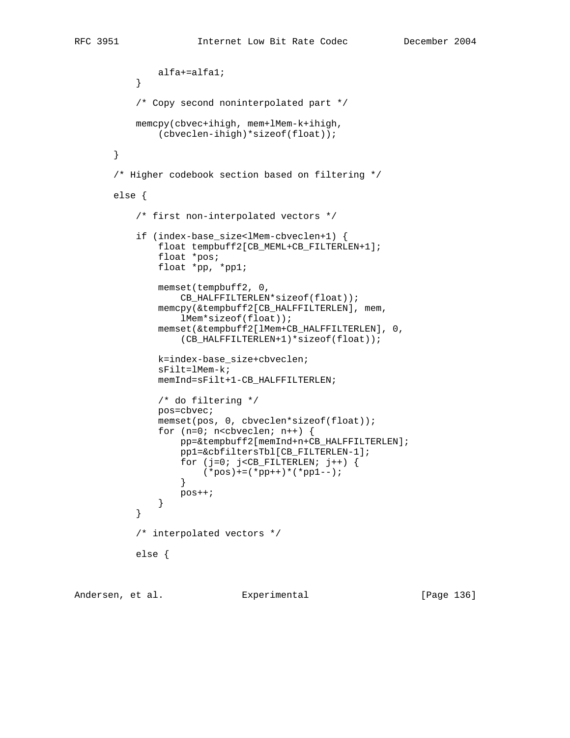```
alfa+=alfa1;
 }
           /* Copy second noninterpolated part */
           memcpy(cbvec+ihigh, mem+lMem-k+ihigh,
               (cbveclen-ihigh)*sizeof(float));
       }
       /* Higher codebook section based on filtering */
       else {
           /* first non-interpolated vectors */
           if (index-base_size<lMem-cbveclen+1) {
               float tempbuff2[CB_MEML+CB_FILTERLEN+1];
               float *pos;
               float *pp, *pp1;
               memset(tempbuff2, 0,
                   CB_HALFFILTERLEN*sizeof(float));
               memcpy(&tempbuff2[CB_HALFFILTERLEN], mem,
                   lMem*sizeof(float));
               memset(&tempbuff2[lMem+CB_HALFFILTERLEN], 0,
                   (CB_HALFFILTERLEN+1)*sizeof(float));
               k=index-base_size+cbveclen;
               sFilt=lMem-k;
               memInd=sFilt+1-CB_HALFFILTERLEN;
               /* do filtering */
               pos=cbvec;
               memset(pos, 0, cbveclen*sizeof(float));
              for (n=0; n<sub>co</sub>levelen; n++) {
                   pp=&tempbuff2[memInd+n+CB_HALFFILTERLEN];
                   pp1=&cbfiltersTbl[CB_FILTERLEN-1];
                  for (j=0; j<CB_FILTERLEN; j++) {
                  (*pos)+=(*pp++)*(*pp1--); }
                   pos++;
 }
 }
           /* interpolated vectors */
           else {
```
Andersen, et al. Experimental [Page 136]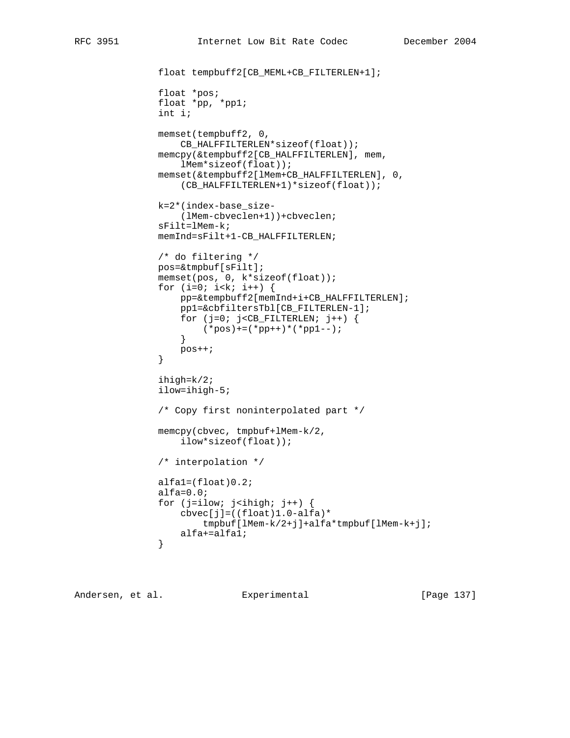```
 float tempbuff2[CB_MEML+CB_FILTERLEN+1];
               float *pos;
               float *pp, *pp1;
               int i;
               memset(tempbuff2, 0,
                   CB_HALFFILTERLEN*sizeof(float));
               memcpy(&tempbuff2[CB_HALFFILTERLEN], mem,
                   lMem*sizeof(float));
               memset(&tempbuff2[lMem+CB_HALFFILTERLEN], 0,
                   (CB_HALFFILTERLEN+1)*sizeof(float));
               k=2*(index-base_size-
                   (lMem-cbveclen+1))+cbveclen;
               sFilt=lMem-k;
               memInd=sFilt+1-CB_HALFFILTERLEN;
               /* do filtering */
               pos=&tmpbuf[sFilt];
               memset(pos, 0, k*sizeof(float));
              for (i=0; i< k; i++) {
                   pp=&tempbuff2[memInd+i+CB_HALFFILTERLEN];
                   pp1=&cbfiltersTbl[CB_FILTERLEN-1];
                  for (j=0; j<CB_FILTERLEN; j++) {
                  (*pos) += (*pp++) *(*pp1--); }
                   pos++;
 }
               ihigh=k/2;
               ilow=ihigh-5;
               /* Copy first noninterpolated part */
               memcpy(cbvec, tmpbuf+lMem-k/2,
                   ilow*sizeof(float));
               /* interpolation */
               alfa1=(float)0.2;
               alfa=0.0;
              for (j=ilow; j<ihigh; j++) {
                  cbvec[j]=((float)1.0-alfa)* tmpbuf[lMem-k/2+j]+alfa*tmpbuf[lMem-k+j];
               alfa+=alfal;<br>}
 }
```
Andersen, et al. Experimental [Page 137]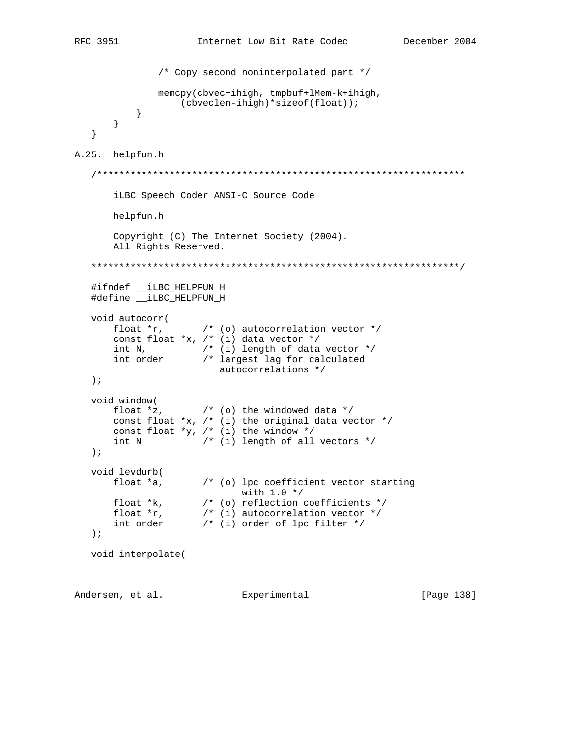```
/* Copy second noninterpolated part */
                     memcpy(cbvec+ihigh, tmpbuf+lMem-k+ihigh,
                          (cbveclen-ihiqh)*sizeof(float));\}\}\}A.25. helpfun.h
    iLBC Speech Coder ANSI-C Source Code
         helpfun.h
         Copyright (C) The Internet Society (2004).
         All Rights Reserved.
    #ifndef iLBC HELPFUN H
    #define __iLBC_HELPFUN_H
    void autocorr(
         float *r, \left( \begin{array}{cc} * & * & * \\ * & * & * \end{array} \right) autocorrelation vector */<br>const float *x, /* (i) data vector */
         int N, \begin{array}{ccc} \n/ * & (i) & \text{length of data vector } * / \\
\text{int order} & & \text{if largest lag for calculated}\n\end{array}int order
                                   autocorrelations */
    \rightarrow ;
    void window(
                              /* (o) the windowed data */float x,
         const float *x, /* (i) the original data vector */
         const float *_Y, /* (i) the window *//* (i) length of all vectors */int N
    \rightarrow ;
    void levdurb(
         float *a,
                              /* (o) lpc coefficient vector starting
                                          with 1.0 */
         float *k, \begin{array}{ccc} & & \text{with } 1.0 & \text{if } 1.0 & \text{if } 1.0 & \text{if } 1.0 & \text{if } 1.0 & \text{if } 1.0 & \text{if } 1.0 & \text{if } 1.0 & \text{if } 1.0 & \text{if } 1.0 & \text{if } 1.0 & \text{if } 1.0 & \text{if } 1.0 & \text{if } 1.0 & \text{if } 1.0 & \text{if } 1.0 & \text{if } 1.0 & \text{if } 1.0 & \text{if } 1.0 & \text{if } 1.0 & \\rightarrow ;
    void interpolate(
Andersen, et al. Experimental
                                                                                      [Page 138]
```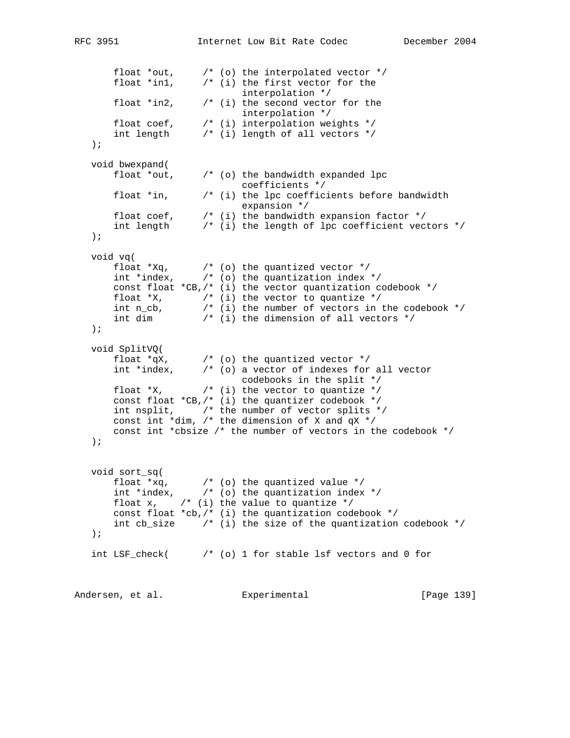```
RFC 3951 Internet Low Bit Rate Codec December 2004
 float *out, /* (o) the interpolated vector */
 float *in1, /* (i) the first vector for the
                           interpolation */
      float *in2, \qquad /* (i) the second vector for the
                         interpolation */
 float coef, /* (i) interpolation weights */
 int length /* (i) length of all vectors */
   );
   void bwexpand(
      float *out, /* (o) the bandwidth expanded lpc
 coefficients */
 float *in, /* (i) the lpc coefficients before bandwidth
expansion */ float coef, /* (i) the bandwidth expansion factor */
 int length /* (i) the length of lpc coefficient vectors */
   );
   void vq(
float *Xq, * (o) the quantized vector * / int *index, /* (o) the quantization index */
      const float *CB,/* (i) the vector quantization codebook */
float *x, * (*) the vector to quantize */ int n_cb, /* (i) the number of vectors in the codebook */
 int dim /* (i) the dimension of all vectors */
  );
   void SplitVQ(
float *qX, /* (o) the quantized vector */ int *index, /* (o) a vector of indexes for all vector
                          codebooks in the split */
      float *X, * (i) the vector to quantize */
      const float *CB, /* (i) the quantizer codebook */ int nsplit, /* the number of vector splits */
     const int *dim, /* the dimension of X and qX */ const int *cbsize /* the number of vectors in the codebook */
   );
   void sort_sq(
float *_{xq}, *_{(o)} the quantized value */ int *index, /* (o) the quantization index */
      float x, \frac{1}{2} \frac{1}{2} (i) the value to quantize */
      const float *cb, /* (i) the quantization codebook */int cb_size \quad /* (i) the size of the quantization codebook */
   );
  int LSF_check( \frac{1}{2} /* (o) 1 for stable lsf vectors and 0 for
Andersen, et al. Experimental Frage 139]
```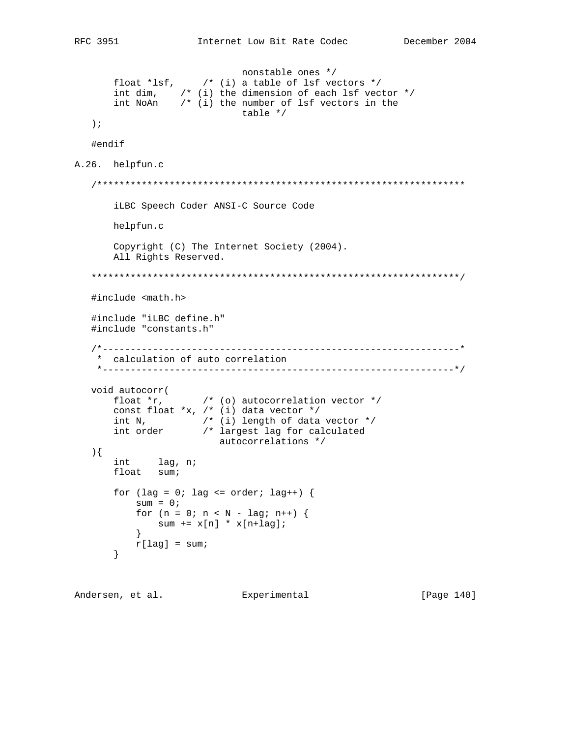[Page 140]

```
nonstable ones */
         float *lsf, \frac{1}{2} \frac{1}{2} \frac{1}{2} a table of lsf vectors */<br>int dim, \frac{1}{2} \frac{1}{2} (i) the dimension of each lsf vector */<br>int NoAn \frac{1}{2} (i) the number of lsf vectors in the
                                         table */\rightarrow ;
    #endif
A.26. helpfun.c
    iLBC Speech Coder ANSI-C Source Code
         helpfun.c
         Copyright (C) The Internet Society (2004).
         All Rights Reserved.
    #include <math.h>
    #include "iLBC_define.h"
    #include "constants.h"
    * calculation of auto correlation
     void autocorr(\qquad \qquad float *r, \qquad \qquad /* (o) autocorrelation vector */
         const float *x, /* (i) data vector */
         int N, \begin{array}{ccc} & \text{if } & \text{if } & \text{if } & \text{if } & \text{if } & \text{if } & \text{if } & \text{if } & \text{if } & \text{if } & \text{if } & \text{if } & \text{if } & \text{if } & \text{if } & \text{if } & \text{if } & \text{if } & \text{if } & \text{if } & \text{if } & \text{if } & \text{if } & \text{if } & \text{if } & \text{if } & \text{if } & \text{if } & \text{if } & \text{if } & \text{if } & \text{if } & \text{if } & \text{if } & \text\left.\right) {
         int lag, n;
         float sum;
         for (lag = 0; lag <= order; lag++) {
               sum = 0;
               for (n = 0; n < N - lag; n++) {
                   sum += x[n] * x[n+lag];\}r[lag] = sum;\}
```
Andersen, et al. Experimental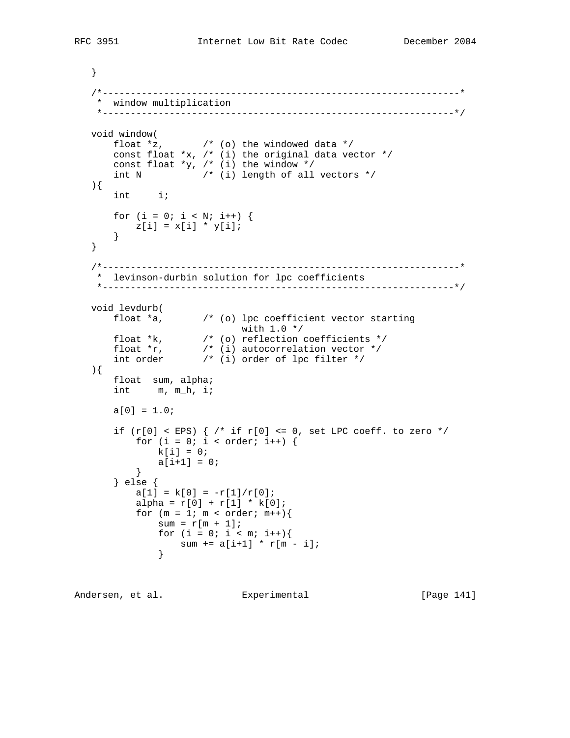```
 }
   /*----------------------------------------------------------------*
    * window multiplication
    *---------------------------------------------------------------*/
   void window(
float x, x^* (o) the windowed data x^* const float *x, /* (i) the original data vector */
      const float *y, /* (i) the window */int N /* (i) length of all vectors */
   ){
       int i;
     for (i = 0; i < N; i++) {
       z[i] = x[i] * y[i]; }
   }
   /*----------------------------------------------------------------*
    * levinson-durbin solution for lpc coefficients
    *---------------------------------------------------------------*/
   void levdurb(
      float a, \left( \begin{array}{cc} * & (0) \end{array} \right) lpc coefficient vector starting
 with 1.0 */
 float *k, /* (o) reflection coefficients */
 float *r, /* (i) autocorrelation vector */
 int order /* (i) order of lpc filter */
   ){
       float sum, alpha;
       int m, m_h, i;
      a[0] = 1.0;if (r[0] < EPS) \frac{1}{r} if r[0] < 0, set LPC coeff. to zero */
          for (i = 0; i < order; i++) {
            k[i] = 0;a[i+1] = 0; }
       } else {
          a[1] = k[0] = -r[1]/r[0];alpha = r[0] + r[1] * k[0];for (m = 1; m < order; m++)sum = r[m + 1];for (i = 0; i < m; i++){
             sum + = a[i+1] * r[m - i]; }
```
Andersen, et al. Experimental Frage 141]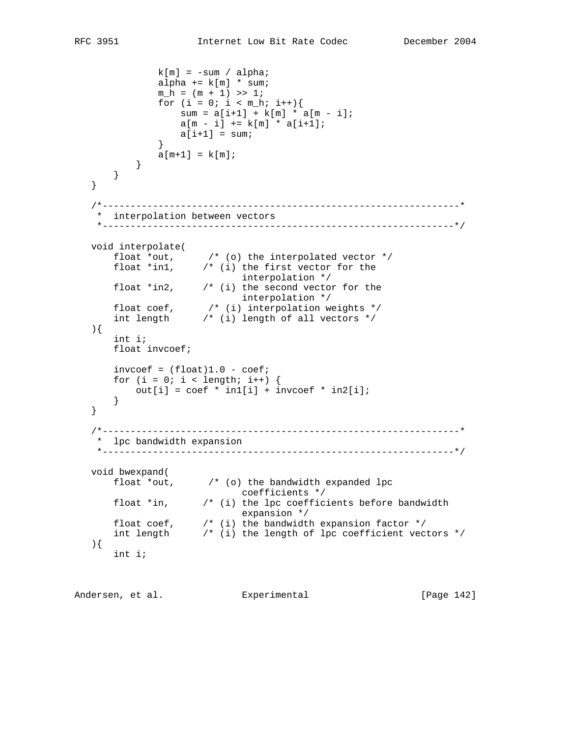```
k[m] = -sum / alpha;alpha += k[m] * sum;m_h = (m + 1) >> 1;for (i = 0; i < m_h; i++){
                sum = a[i+1] + k[m] * a[m - i];a[m - i] += k[m] * a[i+1];
            a[i+1] = sum; }
            a[m+1] = k[m]; }
      }
   }
   /*----------------------------------------------------------------*
    * interpolation between vectors
    *---------------------------------------------------------------*/
   void interpolate(
 float *out, /* (o) the interpolated vector */
 float *in1, /* (i) the first vector for the
 interpolation */
 float *in2, /* (i) the second vector for the
 interpolation */
 float coef, /* (i) interpolation weights */
 int length /* (i) length of all vectors */
   ){
      int i;
      float invcoef;
     invcoef = (float)1.0 - coef;for (i = 0; i < length; i++) {
        out[i] = coef * in1[i] + invcoef * in2[i]; }
   }
   /*----------------------------------------------------------------*
    * lpc bandwidth expansion
    *---------------------------------------------------------------*/
   void bwexpand(
      float *out, /* (o) the bandwidth expanded lpc
 coefficients */
 float *in, /* (i) the lpc coefficients before bandwidth
expansion */ float coef, /* (i) the bandwidth expansion factor */
 int length /* (i) the length of lpc coefficient vectors */
   ){
      int i;
```
Andersen, et al. Experimental Formula (Page 142)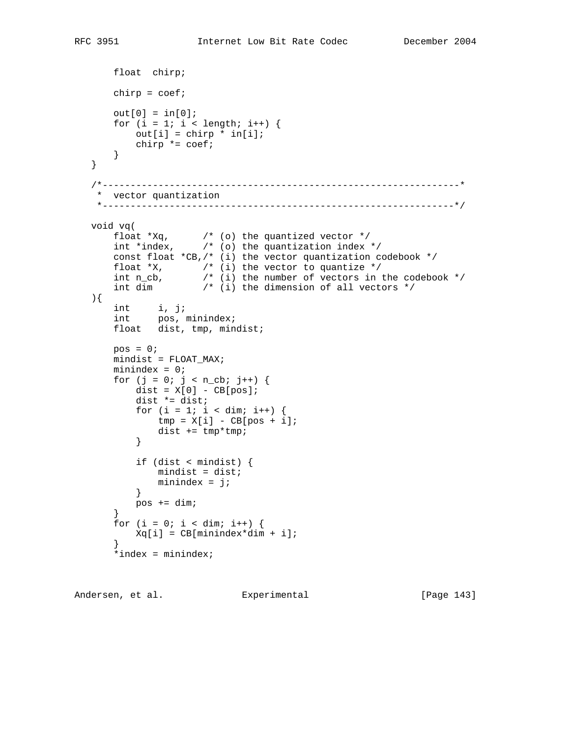```
 float chirp;
      chirp = coef;out[0] = in[0];for (i = 1; i < length; i++) {
         out[i] = chirp * in[i];chirp * = \text{coeff};
       }
   }
   /*----------------------------------------------------------------*
    * vector quantization
    *---------------------------------------------------------------*/
   void vq(
float *Xq, * (o) the quantized vector * / int *index, /* (o) the quantization index */
       const float *CB,/* (i) the vector quantization codebook */
float *x, * (*) the vector to quantize */ int n_cb, /* (i) the number of vectors in the codebook */
 int dim /* (i) the dimension of all vectors */
   ){
 int i, j;
int pos, minindex;
float dist, tmp, mindist;
      pos = 0; mindist = FLOAT_MAX;
       minindex = 0;
      for (j = 0; j < n_{cb}; j++) {
         dist = X[0] - CB[pos];
          dist *= dist;
         for (i = 1; i < dim; i++) {
            tmp = X[i] - CB[pos + i];dist += tmp*tmp;}
 }
          if (dist < mindist) {
            mindist = dist;
         minindex = j;<br>}
 }
          pos += dim;
 }
      for (i = 0; i < dim; i++) {
       Xq[i] = CB[\text{minindex*dim} + i]; }
      *index = minindex;
```

```
Andersen, et al. Experimental [Page 143]
```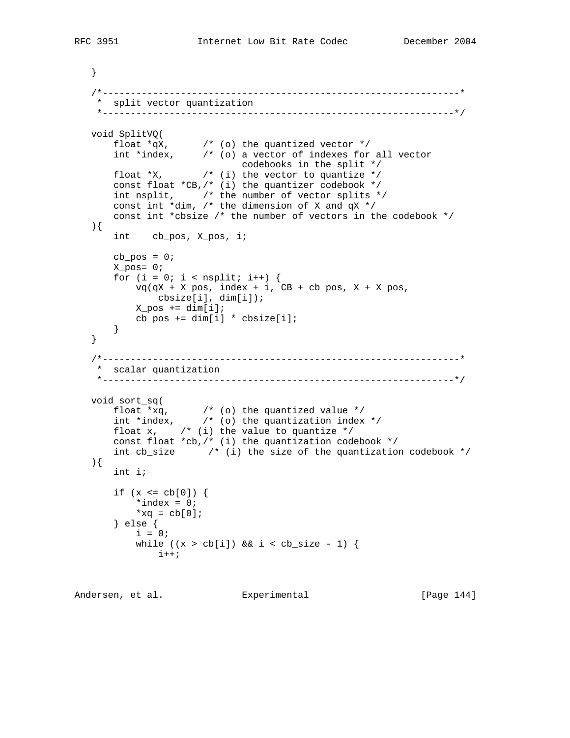```
 }
   /*----------------------------------------------------------------*
    * split vector quantization
    *---------------------------------------------------------------*/
   void SplitVQ(
float *qX, /* (o) the quantized vector */ int *index, /* (o) a vector of indexes for all vector
 codebooks in the split */
float *x, * (*) the vector to quantize */const float *CB, /* (i) the quantizer codebook */ int nsplit, /* the number of vector splits */
 const int *dim, /* the dimension of X and qX */
 const int *cbsize /* the number of vectors in the codebook */
   ){
       int cb_pos, X_pos, i;
      cb_pos = 0; X_pos= 0;
      for (i = 0; i < nsplit; i++) {
          vq(qX + X_{pos}, index + i, CB + cb_{pos}, X + X_{pos}, cbsize[i], dim[i]);
          X_{pos} += dim[i];cb_pos += dim[i] * obsize[i]; }
   }
   /*----------------------------------------------------------------*
    * scalar quantization
    *---------------------------------------------------------------*/
   void sort_sq(
float *_{xq}, *_{(o)} the quantized value */ int *index, /* (o) the quantization index */
      float x, \gamma (i) the value to quantize */
       const float *cb,/* (i) the quantization codebook */
       int cb_size /* (i) the size of the quantization codebook */
   ){
       int i;
      if (x \le cb[0]) {
          *index = 0;
          *_{\text{Xq}} = \text{cb[0]}; } else {
          i = 0;while ((x > cb[i]) &amp; \&amp; i < cb\_size - 1) {
             i++;
```

```
Andersen, et al. Experimental [Page 144]
```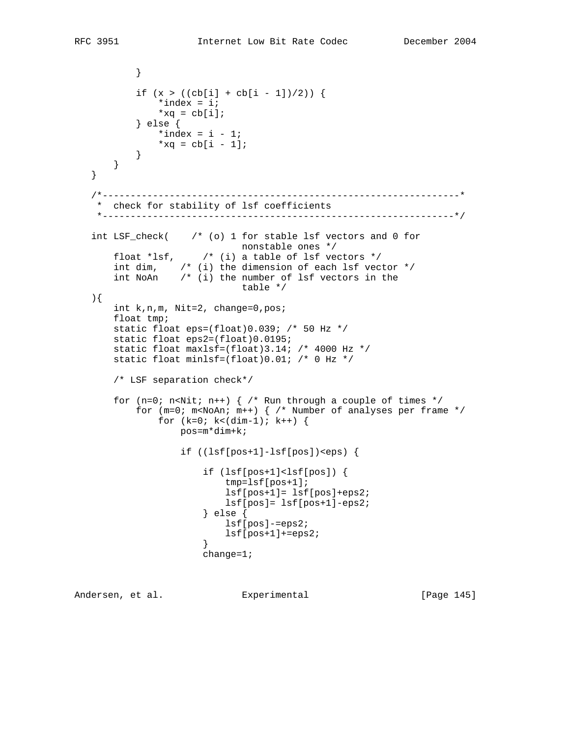```
 }
           if (x > ((cb[i] + cb[i - 1])/2)) {
               *index = i;
               *xq = cb[i]; } else {
              *index = i - 1;
              *xq = cb[i - 1]; }
       }
   }
   /*----------------------------------------------------------------*
    * check for stability of lsf coefficients
    *---------------------------------------------------------------*/
   int LSF_check( /* (o) 1 for stable lsf vectors and 0 for
                              nonstable ones */
      float *lsf, \frac{1}{2} /* (i) a table of lsf vectors */
      int dim, \frac{1}{2} (i) the dimension of each lsf vector */
       int NoAn /* (i) the number of lsf vectors in the
                              table */
   ){
       int k,n,m, Nit=2, change=0,pos;
       float tmp;
       static float eps=(float)0.039; /* 50 Hz */
       static float eps2=(float)0.0195;
       static float maxlsf=(float)3.14; /* 4000 Hz */
       static float minlsf=(float)0.01; /* 0 Hz */
       /* LSF separation check*/
      for (n=0; n<Nit; n++) { /* Run through a couple of times */for (m=0; m<sub>0</sub>An; m++) \frac{1}{2} /* Number of analyses per frame */
               for (k=0; k<(dim-1); k++) {
                    pos=m*dim+k;
                    if ((lsf[pos+1]-lsf[pos])<eps) {
                        if (lsf[pos+1]<lsf[pos]) {
                            tmp=lsf[pos+1];
                            lsf[pos+1]= lsf[pos]+eps2;
                            lsf[pos]= lsf[pos+1]-eps2;
                        } else {
                            lsf[pos]-=eps2;
                            lsf[pos+1]+=eps2;
 }
                        change=1;
```
Andersen, et al. Experimental [Page 145]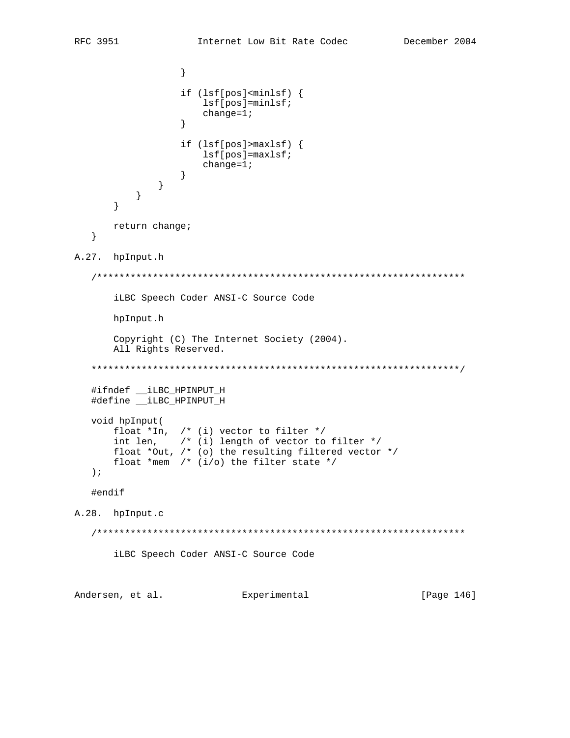```
\}if (lsf[pos]<minsf</math>) {lsf[pos]=minlsf;change=1;\}if (lsf[pos] > maxlsf) {
                   lsf[pos] = maxlsf;change=1;
                \}\left\{\right\}\}\left\{ \right.return change;
  \}A.27. hpInput.h
  iLBC Speech Coder ANSI-C Source Code
     hpInput.h
      Copyright (C) The Internet Society (2004).
     All Rights Reserved.
  #ifndef __iLBC_HPINPUT_H
  #define __iLBC_HPINPUT_H
  void hpInput(
     float *In, /* (i) vector to filter */
     int len, \frac{1}{2} (i) length of vector to filter */<br>float *Out, \frac{1}{2} (o) the resulting filtered vector */
     float *mem /* (i/o) the filter state */
  \rightarrow ;
  #endif
A.28. hpInput.c
  iLBC Speech Coder ANSI-C Source Code
Andersen, et al. Experimental
                                                     [Page 146]
```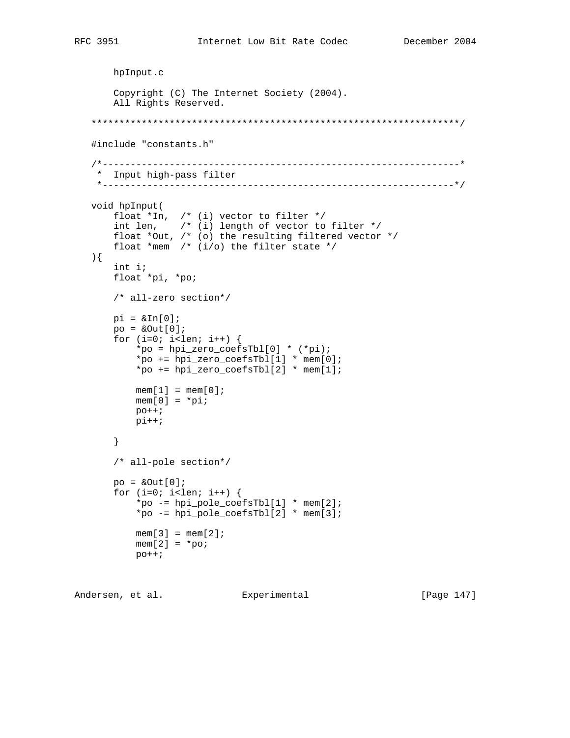```
 hpInput.c
       Copyright (C) The Internet Society (2004).
       All Rights Reserved.
   ******************************************************************/
   #include "constants.h"
   /*----------------------------------------------------------------*
    * Input high-pass filter
    *---------------------------------------------------------------*/
   void hpInput(
      float *In, /* (i) vector to filter */ int len, /* (i) length of vector to filter */
 float *Out, /* (o) the resulting filtered vector */
      float *mem /* (i/0) the filter state */
   ){
       int i;
       float *pi, *po;
       /* all-zero section*/
      pi = \alpha \text{In}[0];po = \&Out[0];for (i=0; i<1en; i++) {
            *po = hpi_zero_coefsTbl[0] * (*pi);
            *po += hpi_zero_coefsTbl[1] * mem[0];
           *po += hpi\_zero\_coeffsTbl[2] * mem[1];
           mem[1] = mem[0];
          mem[0] = *pi;p<sup>o+i</sup>
          pi++; }
        /* all-pole section*/
      po = \&Out[0];for (i=0; i<1en; i++) {
            *po -= hpi_pole_coefsTbl[1] * mem[2];
            *po -= hpi_pole_coefsTbl[2] * mem[3];
           mem[3] = mem[2];
           mem[2] = *po;
           p_{0++};
```

```
Andersen, et al. Experimental [Page 147]
```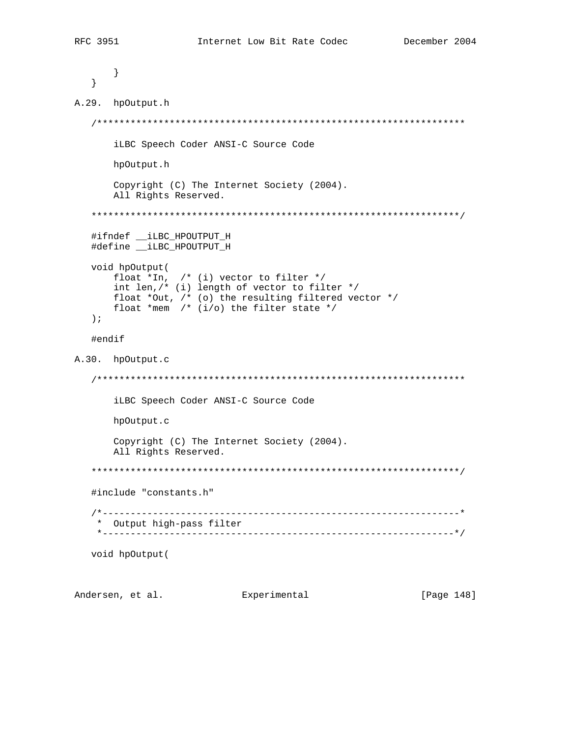```
\}\}A.29. hpOutput.h
 iLBC Speech Coder ANSI-C Source Code
    hpOutput.h
    Copyright (C) The Internet Society (2004).
    All Rights Reserved.
 #ifndef __iLBC_HPOUTPUT_H
 #define __iLBC_HPOUTPUT_H
 void hpOutput(
    float *In, /* (i) vector to filter */
    int len, /* (i) length of vector to filter */float *Out, /* (o) the resulting filtered vector */
    float *mem /* (i/0) the filter state */
 \rightarrow ;
 #endif
A.30. hpOutput.c
 iLBC Speech Coder ANSI-C Source Code
    hpOutput.c
    Copyright (C) The Internet Society (2004).
    All Rights Reserved.
 #include "constants.h"
 * Output high-pass filter
  void hpOutput(
```
Andersen, et al. Experimental [Page 148]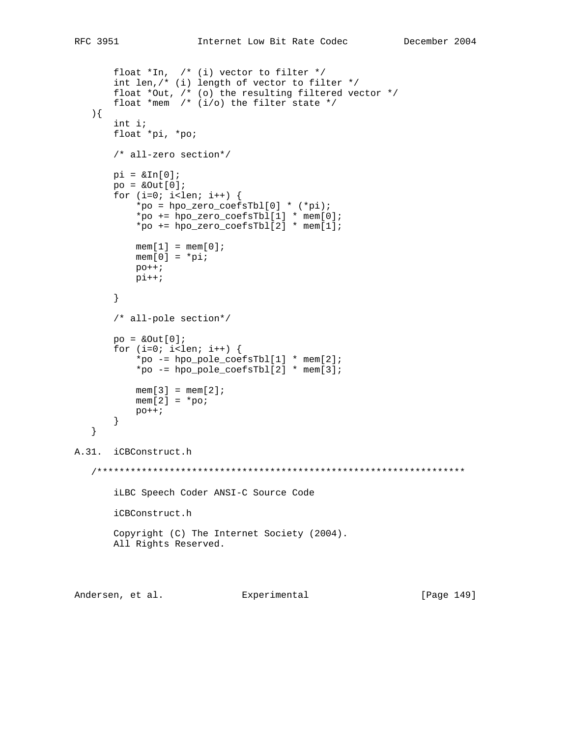```
float *In, /* (i) vector to filter */int len, \frac{1}{x} (i) length of vector to filter \frac{x}{x} float *Out, /* (o) the resulting filtered vector */
       float *mem /* (i/o) the filter state */
    ){
        int i;
        float *pi, *po;
        /* all-zero section*/
       pi = \alpha \text{In}[0];po = \&Out[0];for (i=0; i<1en; i++) {
            *po = hpo\_zero\_coeffsTbl[0] * (*pi);*po += hpo_zero_coefsTbl[1] * mem[0];
             *po += hpo_zero_coefsTbl[2] * mem[1];
           mem[1] = mem[0];
           mem[0] = *pi;p<sup>o+i</sup>
           pi++; }
        /* all-pole section*/
       po = \&Out[0];for (i=0; i<1en; i++) {
             *po -= hpo_pole_coefsTbl[1] * mem[2];
             *po -= hpo_pole_coefsTbl[2] * mem[3];
           mem[3] = mem[2];
           mem[2] = *po;
           p<sup>o++;</sup>
        }
    }
A.31. iCBConstruct.h
    /******************************************************************
        iLBC Speech Coder ANSI-C Source Code
        iCBConstruct.h
        Copyright (C) The Internet Society (2004).
        All Rights Reserved.
```
Andersen, et al. Experimental [Page 149]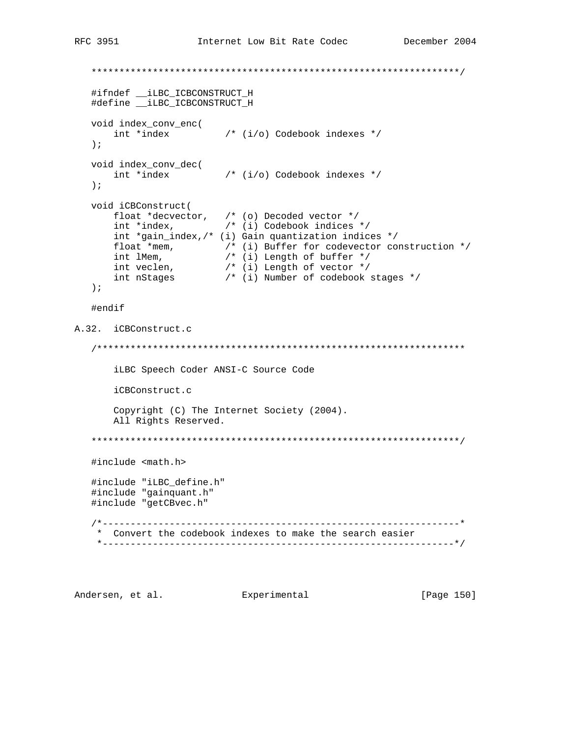```
#ifndef __iLBC_ICBCONSTRUCT_H
   #define __iLBC_ICBCONSTRUCT_H
  void index_conv_enc(<br> $\rm \, int *index $\rm \, /* (i/o) Codebook indexes */ $\rm \,\left| i\right|void index_conv_dec(<br> $\rm \, int *index $\rm \, /* (i/o) Codebook indexes */
   \rightarrow \dot{\rightarrow}void iCBConstruct(
      float *decvector, /* (o) Decoded vector */<br>int *index, /* (i) Codebook indices */<br>int *gain_index,/* (i) Gain quantization indices */
      float *mem, /* (i) Buffer for codevector construction */<br>int lMem, /* (i) Buffer for codevector construction */<br>int lMem, /* (i) Length of buffer */<br>int nstages /* (i) Number of codebook stages */
   \rightarrow ;
   #endif
A.32. iCBConstruct.c
   iLBC Speech Coder ANSI-C Source Code
       iCBConstruct.c
      Copyright (C) The Internet Society (2004).
      All Rights Reserved.
   #include <math.h>
   #include "iLBC_define.h"
   #include "gainquant.h"
   #include "getCBvec.h"
   * Convert the codebook indexes to make the search easier
```
Andersen, et al. Experimental [Page 150]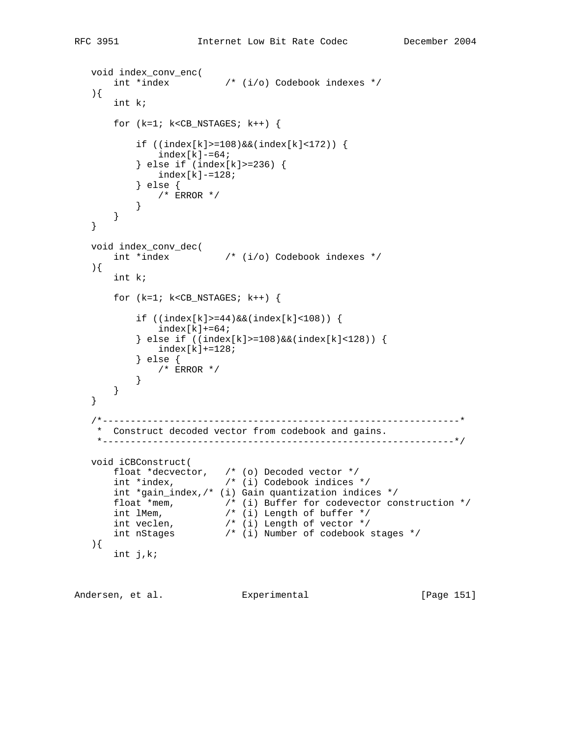```
 void index_conv_enc(
       int *index /* (i/o) Codebook indexes */
   ){
       int k;
       for (k=1; k<CB_NSTAGES; k++) {
            if ((index[k]>=108)&&(index[k]<172)) {
               index[k]-=64;
            } else if (index[k]>=236) {
               index[k]-=128;
            } else {
           \left\{\begin{array}{ccc} & / \ast & \text{ERROR} & \ast / \\ & & \end{array}\right\} }
       }
   }
 void index_conv_dec(
 int *index /* (i/o) Codebook indexes */
\rightarrow \{ int k;
       for (k=1; k<CB_NSTAGES; k++) {
           if ((index[k]=44) & (index[k]<108))index[k]+=64; } else if ((index[k]>=108)&&(index[k]<128)) {
               index[k]+=128; } else {
           \left\langle \begin{array}{cc} * & \text{ERROR} & * \end{array} \right\rangle }
       }
   }
    /*----------------------------------------------------------------*
     * Construct decoded vector from codebook and gains.
     *---------------------------------------------------------------*/
   void iCBConstruct(
       float *decvector, /* (o) Decoded vector */
        int *index, /* (i) Codebook indices */
       int *gain_index,/* (i) Gain quantization indices */
 float *mem, /* (i) Buffer for codevector construction */
 int lMem, /* (i) Length of buffer */
 int veclen, /* (i) Length of vector */
 int nStages /* (i) Number of codebook stages */
   ){
       int j,k;
```
Andersen, et al. Experimental [Page 151]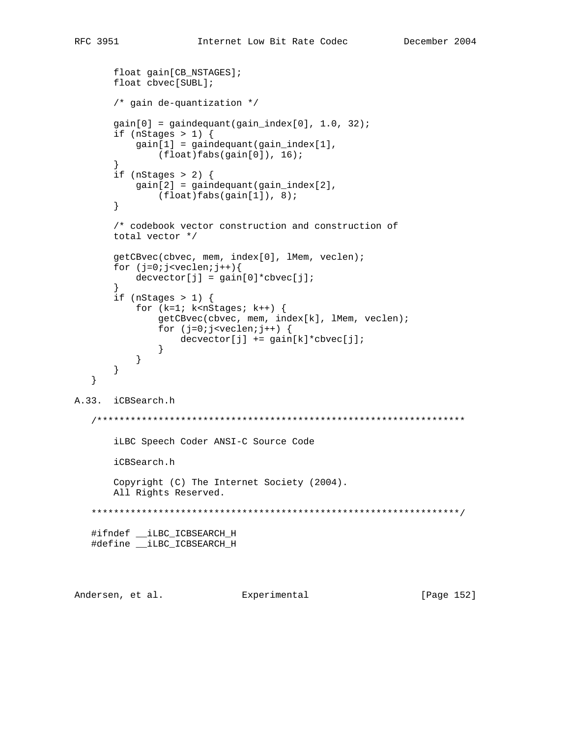[Page 152]

```
float gain[CB_NSTAGES];
      float cbvec[SUBL];
      /* gain de-quantization */gain[0] = gaindeguant(gain_index[0], 1.0, 32);if (nStages > 1) {
         gain[1] = gaindeguant(gain_index[1],(float)fabs(gain[0]), 16);
      \}if (nStages > 2) {
         gain[2] = gaindeguant(gain_index[2],(float)fabs(gain[1]), 8);
      \}/* codebook vector construction and construction of
      total vector */
      getCBvec(cbvec, mem, index[0], lMem, veclen);
      for (j=0; j<sub>veclen</sub>; j++)de{\text{cvector}[j]} = \text{gain}[0]*\text{cbvec}[j];if (nStages > 1) {
         for (k=1; k<nStages; k++) {
             getCBvec(cbvec, mem, index[k], lMem, veclen);
             for (j=0:j<veclen:j++) {
                 devector[j] += gain[k]*cbvec[j];\}\}\}\}A.33. iCBSearch.h
  iLBC Speech Coder ANSI-C Source Code
      iCBSearch.h
      Copyright (C) The Internet Society (2004).
      All Rights Reserved.
  #ifndef __iLBC_ICBSEARCH_H
  #define __iLBC_ICBSEARCH_H
```
Andersen, et al. Experimental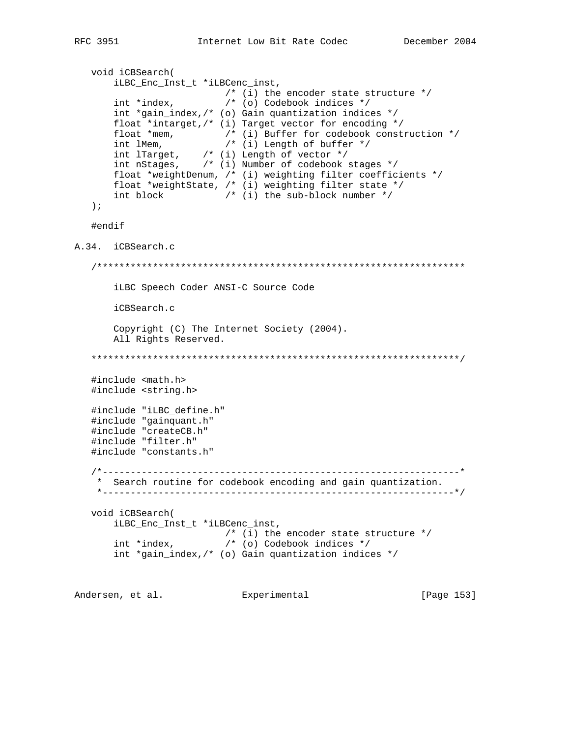[Page 153]

```
void iCBSearch(
      iLBC_Enc_Inst_t *iLBCenc_inst,
                       /* (i) the encoder state structure */int *index,
                       /* (o) Codebook indices */
      int *gain_index,/* (o) Gain quantization indices */
      float *intarget, /* (i) Target vector for encoding */
      float *mem, /* (i) Buffer for codebook construction */<br>int lMem, /* (i) Buffer for codebook construction */<br>int lTarget, /* (i) Length of vector */<br>int nStages, /* (i) Number of codebook stages */
      float *weightDenum, /* (i) weighting filter coefficients */
      float *weightState, /* (i) weighting filter state */
      int block /* (i) the sub-block number */\rightarrow ;
  #endif
A.34. iCBSearch.c
  iLBC Speech Coder ANSI-C Source Code
      iCBSearch.c
      Copyright (C) The Internet Society (2004).
      All Rights Reserved.
  #include <math.h>
  #include <string.h>
  #include "iLBC define.h"
  #include "gainquant.h"
  #include "createCB.h"
  #include "filter.h"
  #include "constants.h"
  * Search routine for codebook encoding and gain quantization.
   void iCBSearch(
      iLBC_Enc_Inst_t *iLBCenc_inst,
                       /* (i) the encoder state structure *//* (o) Codebook indices */
      int *index,
      int *gain_index, /* (o) Gain quantization indices */
```
Andersen, et al. Experimental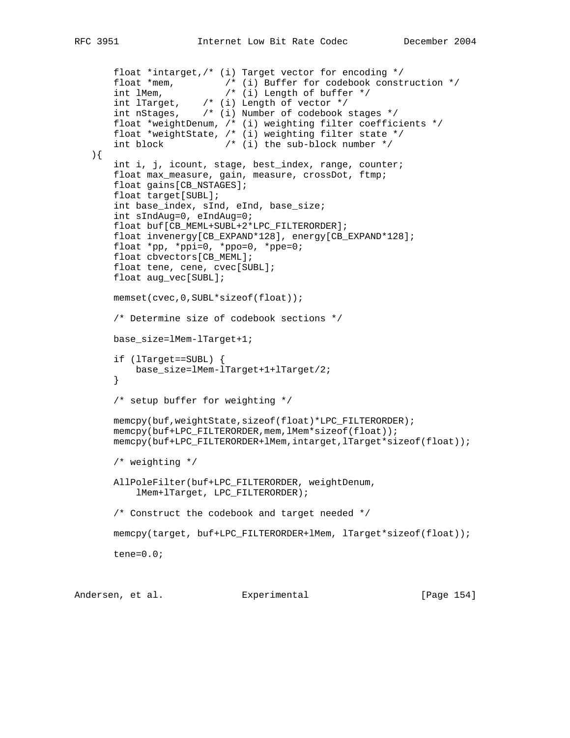```
 float *intarget,/* (i) Target vector for encoding */
 float *mem, /* (i) Buffer for codebook construction */
 int lMem, /* (i) Length of buffer */
 int lTarget, /* (i) Length of vector */
 int nStages, /* (i) Number of codebook stages */
       float *weightDenum, /* (i) weighting filter coefficients */
       float *weightState, /* (i) weighting filter state */
       int block /* (i) the sub-block number */
   ){
       int i, j, icount, stage, best_index, range, counter;
       float max_measure, gain, measure, crossDot, ftmp;
       float gains[CB_NSTAGES];
       float target[SUBL];
       int base_index, sInd, eInd, base_size;
       int sIndAug=0, eIndAug=0;
       float buf[CB_MEML+SUBL+2*LPC_FILTERORDER];
       float invenergy[CB_EXPAND*128], energy[CB_EXPAND*128];
      float *pp, *ppi=0, *ppo=0, *ppe=0;
       float cbvectors[CB_MEML];
       float tene, cene, cvec[SUBL];
       float aug_vec[SUBL];
       memset(cvec,0,SUBL*sizeof(float));
       /* Determine size of codebook sections */
       base_size=lMem-lTarget+1;
       if (lTarget==SUBL) {
           base_size=lMem-lTarget+1+lTarget/2;
       }
       /* setup buffer for weighting */
       memcpy(buf,weightState,sizeof(float)*LPC_FILTERORDER);
       memcpy(buf+LPC_FILTERORDER,mem,lMem*sizeof(float));
       memcpy(buf+LPC_FILTERORDER+lMem,intarget,lTarget*sizeof(float));
       /* weighting */
       AllPoleFilter(buf+LPC_FILTERORDER, weightDenum,
           lMem+lTarget, LPC_FILTERORDER);
       /* Construct the codebook and target needed */
       memcpy(target, buf+LPC_FILTERORDER+lMem, lTarget*sizeof(float));
       tene=0.0;
```
Andersen, et al. Experimental Formula (Page 154)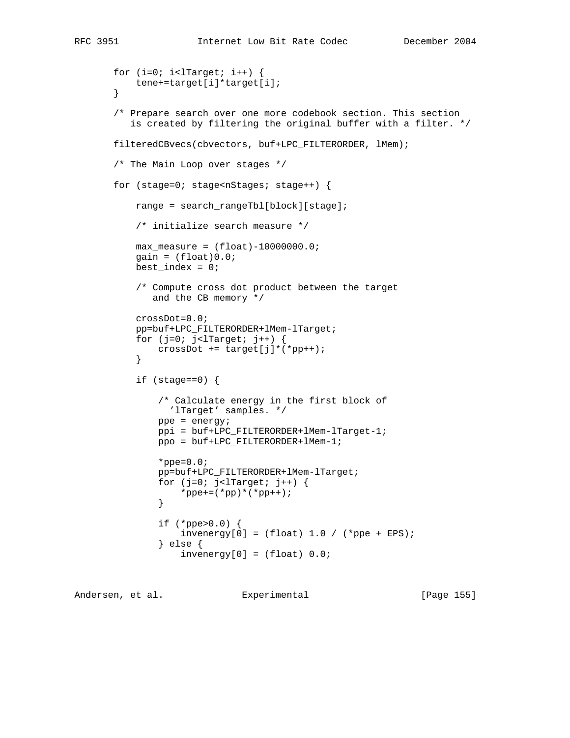```
for (i=0; i<1Target; i++) {
           tene+=target[i]*target[i];
        }
        /* Prepare search over one more codebook section. This section
          is created by filtering the original buffer with a filter. */
       filteredCBvecs(cbvectors, buf+LPC_FILTERORDER, lMem);
       /* The Main Loop over stages */
       for (stage=0; stage<nStages; stage++) {
           range = search_rangeTbl[block][stage];
           /* initialize search measure */
          max\_measure = (float)-10000000.0;gain = (float)0.0;
          best_index = 0; /* Compute cross dot product between the target
              and the CB memory */
           crossDot=0.0;
           pp=buf+LPC_FILTERORDER+lMem-lTarget;
          for (j=0; j<1Target; j++) {
           crossDot += target[j]*(*pp++);
 }
           if (stage==0) {
               /* Calculate energy in the first block of
                 'lTarget' samples. */
               ppe = energy;
               ppi = buf+LPC_FILTERORDER+lMem-lTarget-1;
               ppo = buf+LPC_FILTERORDER+lMem-1;
              *ppe=0.0; pp=buf+LPC_FILTERORDER+lMem-lTarget;
              for (j=0; j<1Target; j++) {
                   *ppe+=(*pp)*(*pp++);
 }
               if (*ppe>0.0) {
                   invenergy[0] = (float) 1.0 / (*ppe + EPS); } else {
                   invenergy[0] = (float) 0.0;
```
Andersen, et al. Experimental [Page 155]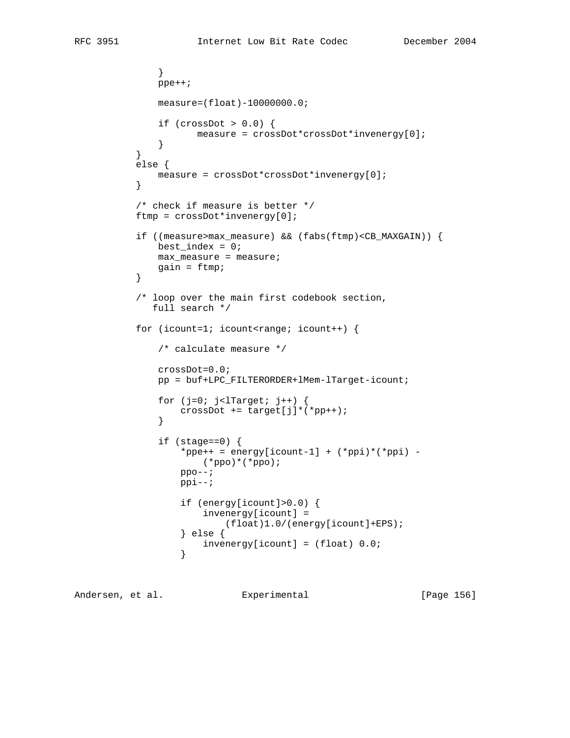```
 }
              ppe++;
              measure=(float)-10000000.0;
             if (crossDot > 0.0) {
                    measure = crossDot*crossDot*invenergy[0];
 }
 }
           else {
          measure = crossDot*crossDot*invenergy[0];<br>}
 }
           /* check if measure is better */
           ftmp = crossDot*invenergy[0];
           if ((measure>max_measure) && (fabs(ftmp)<CB_MAXGAIN)) {
             best_index = 0; max_measure = measure;
          gain = ftmp;<br>}
 }
           /* loop over the main first codebook section,
             full search */
          for (icount=1; icount<range; icount++) {
               /* calculate measure */
              crossDot=0.0;
               pp = buf+LPC_FILTERORDER+lMem-lTarget-icount;
              for (j=0; j<1Target; j++) {
              crossDot += target[j]*(*pp++);<br>}
 }
               if (stage==0) {
                 *ppe++ = energy[icount-1] + (*ppi)*(*ppi) -
                     (*ppo)*(*ppo);
                 ppo--; ppi--;
                  if (energy[icount]>0.0) {
                      invenergy[icount] =
                          (float)1.0/(energy[icount]+EPS);
                  } else {
                 invenergy[icount] = (float) 0.0;<br>}
 }
```
Andersen, et al. Experimental [Page 156]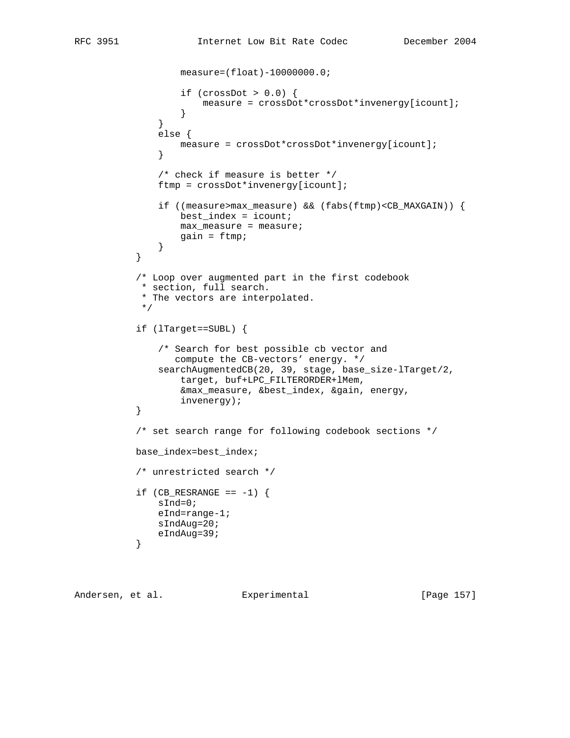```
 measure=(float)-10000000.0;
                 if (crossDot > 0.0) {
                      measure = crossDot*crossDot*invenergy[icount];
 }
 }
               else {
                  measure = crossDot*crossDot*invenergy[icount];
 }
               /* check if measure is better */
               ftmp = crossDot*invenergy[icount];
               if ((measure>max_measure) && (fabs(ftmp)<CB_MAXGAIN)) {
                 best_index = icount; max_measure = measure;
                 gain = ftmp; }
 }
           /* Loop over augmented part in the first codebook
           * section, full search.
            * The vectors are interpolated.
           */
           if (lTarget==SUBL) {
              /* Search for best possible cb vector and
                 compute the CB-vectors' energy. */
              searchAugmentedCB(20, 39, stage, base_size-lTarget/2,
                  target, buf+LPC_FILTERORDER+lMem,
                  &max_measure, &best_index, &gain, energy,
          invenergy);<br>}
 }
           /* set search range for following codebook sections */
           base_index=best_index;
           /* unrestricted search */
          if (CB\_RESRANGE == -1) {
              sInd=0;
              eInd=range-1;
              sIndAug=20;
          eIndAug=39;
 }
```
Andersen, et al. Experimental [Page 157]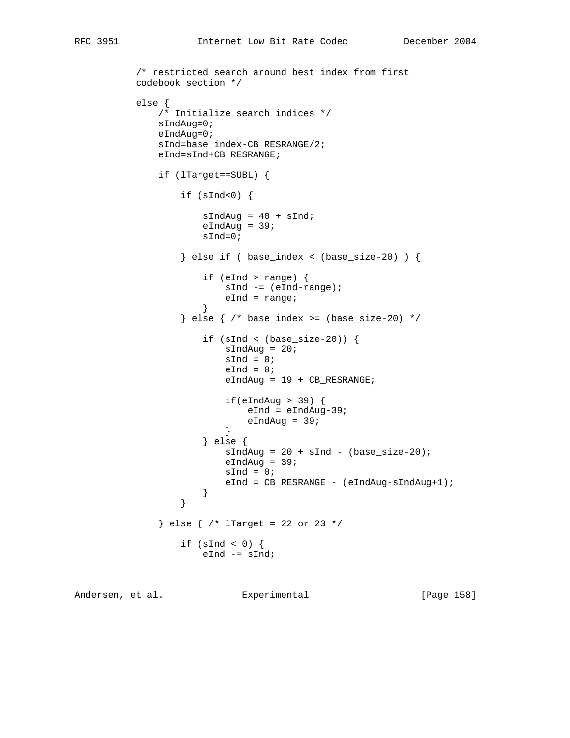```
 /* restricted search around best index from first
          codebook section */
          else {
              /* Initialize search indices */
              sIndAug=0;
              eIndAug=0;
              sInd=base_index-CB_RESRANGE/2;
              eInd=sInd+CB_RESRANGE;
              if (lTarget==SUBL) {
                 if (sInd<0) {
                    sIndAug = 40 + sInd;eIndAug = 39; sInd=0;
                  } else if ( base_index < (base_size-20) ) {
                     if (eInd > range) {
                         sInd -= (eInd-range);
                    eInd = range;<br>}
 }
                  } else { /* base_index >= (base_size-20) */
                     if (sInd < (base_size-20)) {
                        sIndAug = 20;sInd = 0;eInd = 0;eIndAug = 19 + CB\_RESRANGE;if(ellAug > 39)eInd = eIndAug-39;eIndAug = 39;
 }
                     } else {
                        sIndAug = 20 + sInd - (base_size-20);eIndAug = 39;sInd = 0;eInd = CB_RESRANGE - (eIndAug-sIndAug+1);
 }
 }
              } else { /* lTarget = 22 or 23 */
                 if (sInd < 0) {
                    eInd - sInd;
```
Andersen, et al. Experimental [Page 158]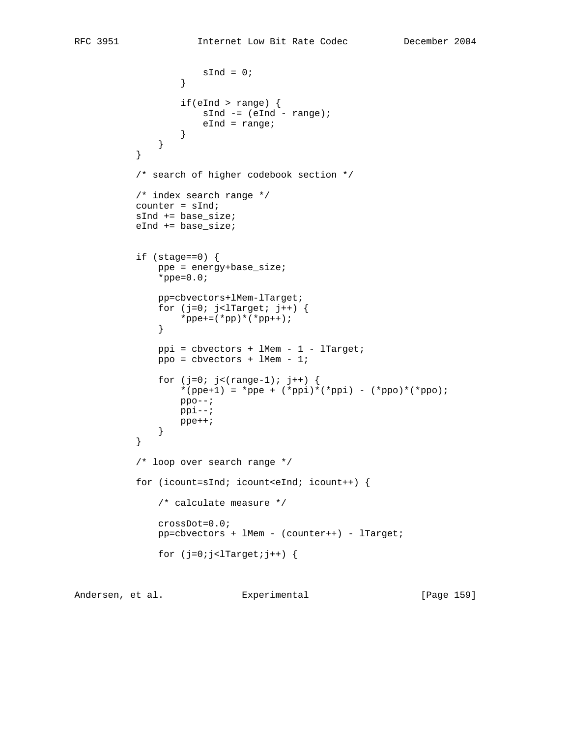```
\texttt{sInd} = 0; }
                  if(eInd > range) {
                    sInd - (eInd - range);
                 eInd = range;<br>}
 }
 }
 }
          /* search of higher codebook section */
          /* index search range */
          counter = sInd;
          sInd += base_size;
          eInd += base_size;
          if (stage==0) {
              ppe = energy+base_size;
             *ppe=0.0; pp=cbvectors+lMem-lTarget;
             for (j=0; j<1Target; j++) {
             *ppe+=(*pp)*(*pp++);
 }
              ppi = cbvectors + lMem - 1 - lTarget;
              ppo = cbvectors + lMem - 1;
             for (j=0; j<(range-1); j++) {
                 *(ppe+1) = *ppe + (*ppi)*(*ppi) - (*ppo)*(*ppo);ppo--; ppi--;
              ppe++;
 }
 }
          /* loop over search range */
          for (icount=sInd; icount<eInd; icount++) {
              /* calculate measure */
              crossDot=0.0;
              pp=cbvectors + lMem - (counter++) - lTarget;
             for (j=0:j<1Target;j++) {
```
Andersen, et al. Experimental [Page 159]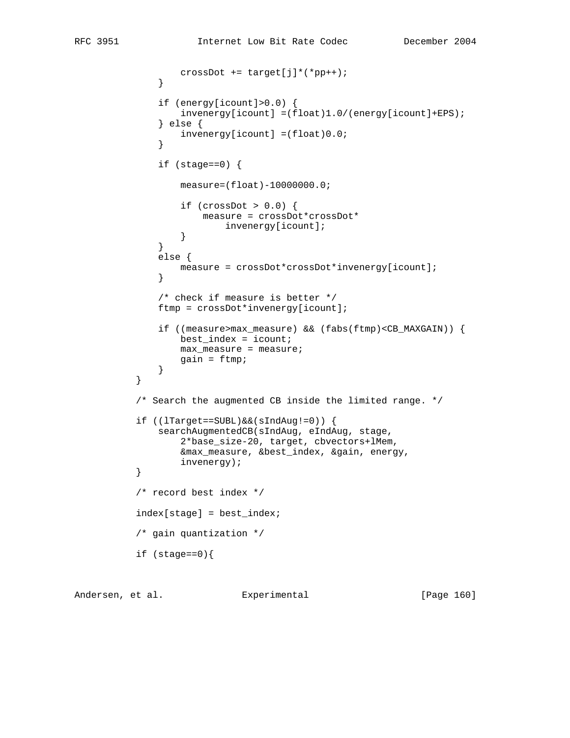```
crossDot += target[j]*(*pp++);
 }
              if (energy[icount]>0.0) {
                  invenergy[icount] =(float)1.0/(energy[icount]+EPS);
               } else {
                  invenergy[icount] =(float)0.0;
 }
             if (stage==0) {
                  measure=(float)-10000000.0;
                  if (crossDot > 0.0) {
                      measure = crossDot*crossDot*
                         invenergy[icount];
 }
 }
              else {
                  measure = crossDot*crossDot*invenergy[icount];
 }
              /* check if measure is better */
              ftmp = crossDot*invenergy[icount];
              if ((measure>max_measure) && (fabs(ftmp)<CB_MAXGAIN)) {
                 best_index = icount; max_measure = measure;
                  gain = ftmp;
 }
           /* Search the augmented CB inside the limited range. */
           if ((lTarget==SUBL)&&(sIndAug!=0)) {
              searchAugmentedCB(sIndAug, eIndAug, stage,
                  2*base_size-20, target, cbvectors+lMem,
                  &max_measure, &best_index, &gain, energy,
          invenergy);<br>}
           /* record best index */
           index[stage] = best_index;
           /* gain quantization */
           if (stage==0){
```
Andersen, et al. Experimental [Page 160]

}

}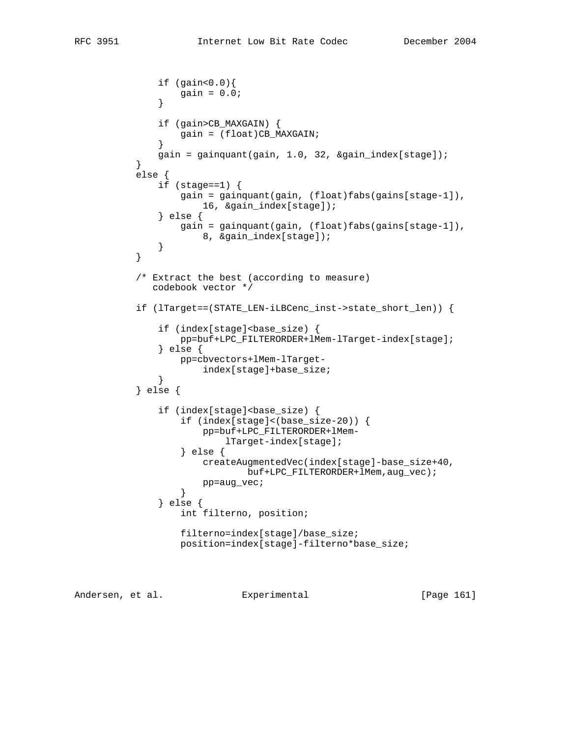```
 if (gain<0.0){
                 gain = 0.0;
 }
               if (gain>CB_MAXGAIN) {
              gain = (float)CB_MAXGAIN;
 }
          gain = gainquant(gain, 1.0, 32, &gain_index[stage]);<br>}
 }
           else {
               if (stage==1) {
                  gain = gainquant(gain, (float)fabs(gains[stage-1]),
                     16, &gain_index[stage]);
               } else {
                  gain = gainquant(gain, (float)fabs(gains[stage-1]),
                      8, &gain_index[stage]);
 }
 }
           /* Extract the best (according to measure)
              codebook vector */
           if (lTarget==(STATE_LEN-iLBCenc_inst->state_short_len)) {
              if (index[stage]<br/>base_size) {
                   pp=buf+LPC_FILTERORDER+lMem-lTarget-index[stage];
               } else {
                  pp=cbvectors+lMem-lTarget-
              index[stage]+base_size;<br>}
 }
           } else {
              if (index[stage]<br/>base size) {
                   if (index[stage]<(base_size-20)) {
                      pp=buf+LPC_FILTERORDER+lMem-
                          lTarget-index[stage];
                   } else {
                      createAugmentedVec(index[stage]-base_size+40,
                             buf+LPC_FILTERORDER+lMem,aug_vec);
                  pp=aug_vec;
 }
               } else {
                   int filterno, position;
                   filterno=index[stage]/base_size;
                  position=index[stage]-filterno*base_size;
```
Andersen, et al. Experimental [Page 161]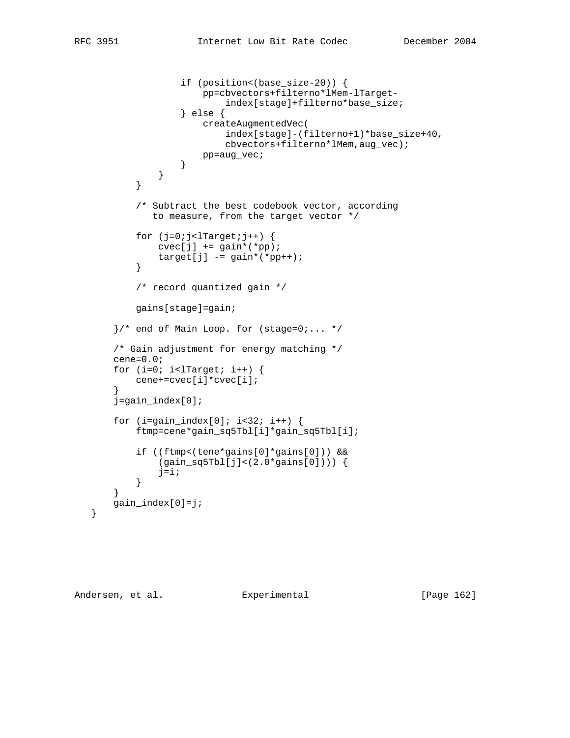```
 if (position<(base_size-20)) {
                      pp=cbvectors+filterno*lMem-lTarget-
                          index[stage]+filterno*base_size;
                   } else {
                      createAugmentedVec(
                          index[stage]-(filterno+1)*base_size+40,
                          cbvectors+filterno*lMem,aug_vec);
                      pp=aug_vec;
 }
 }
 }
           /* Subtract the best codebook vector, according
              to measure, from the target vector */
          for (j=0; j<1Target;j++) {
             cvec[j] += gain*(*pp);
              target[j] -= gain*(*pp++);
 }
           /* record quantized gain */
           gains[stage]=gain;
      \}/* end of Main Loop. for (stage=0;... */ /* Gain adjustment for energy matching */
       cene=0.0;
      for (i=0; i<1Target; i++) {
           cene+=cvec[i]*cvec[i];
       j=gain_index[0];
      for (i=gain\_index[0]; i<32; i++) {
           ftmp=cene*gain_sq5Tbl[i]*gain_sq5Tbl[i];
           if ((ftmp<(tene*gains[0]*gains[0])) &&
               (gain_sq5Tbl[j]<(2.0*gains[0]))) {
              j=1; }
       gain_index[0]=j;
```
Andersen, et al. Experimental [Page 162]

}

}

}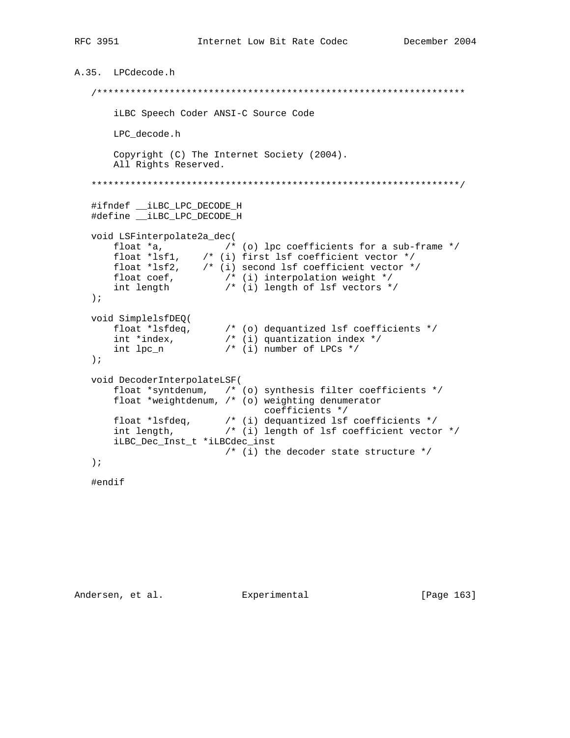```
A.35. LPCdecode.h
    iLBC Speech Coder ANSI-C Source Code
         LPC_decode.h
         Copyright (C) The Internet Society (2004).
         All Rights Reserved.
    #ifndef __iLBC_LPC_DECODE_H
    #define __iLBC_LPC_DECODE_H
   void LSFinterpolate2a_dec(
        float *a, \frac{1}{2} (* 1001)<br>float *a, \frac{1}{2} (* 101)<br>float *lsfl, \frac{1}{2} (* 101)<br>float *lsf2, \frac{1}{2} (* 101)<br>float *lsf2, \frac{1}{2} (* 101)<br>second lsf coefficient vector */<br>float coef, \frac{1}{2} (* 101)<br>interpol
    \rightarrow ;
    void SimplelsfDEQ(
         float *lsfdeq, /* (o) dequantized lsf coefficients */<br>int *index, /* (i) quantization index */<br>int lpc_n /* (i) number of LPCs */
    \rightarrow ;
   void DecoderInterpolateLSF(
         float *syntdenum, \quad/* (o) synthesis filter coefficients */
         float *weightdenum, /* (o) weighting denumerator
                                             coefficients */
         float *lsfdeq, \frac{1}{2} \frac{1}{2} \frac{1}{2} dequantized lsf coefficients */<br>int length, \frac{1}{2} \frac{1}{2} (i) length of lsf coefficient vector */
         iLBC_Dec_Inst_t *iLBCdec_inst
                                  /* (i) the decoder state structure */
    \rightarrow \rightarrow
```

```
#endif
```
Andersen, et al. Experimental

[Page 163]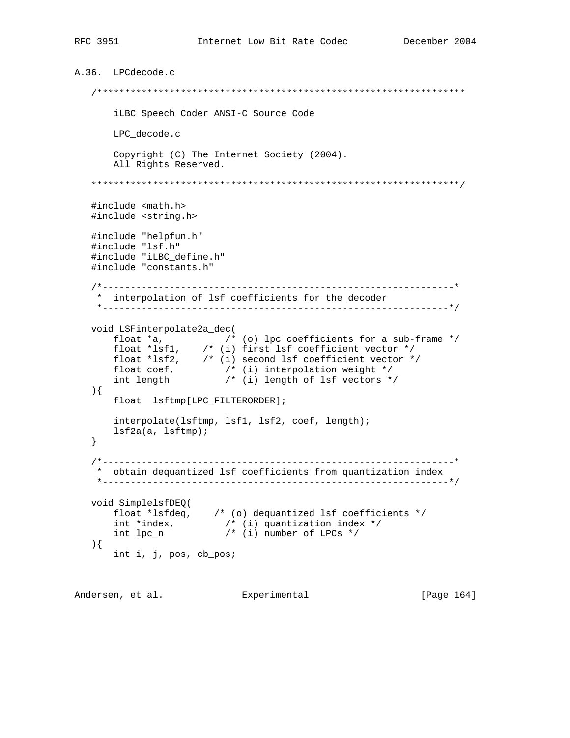```
A.36. LPCdecode.c
  iLBC Speech Coder ANSI-C Source Code
      LPC_decode.c
      Copyright (C) The Internet Society (2004).
      All Rights Reserved.
  #include <math.h>
  #include <string.h>
  #include "helpfun.h"
  #include "lsf.h"
  #include "iLBC_define.h"
  #include "constants.h"
  * interpolation of 1sf coefficients for the decoder
   void LSFinterpolate2a_dec(
     float *a, \frac{1}{2} /* (o) lpc coefficients for a sub-frame */<br>float *lsfl, \frac{1}{2} /* (i) first lsf coefficient vector */<br>float *lsf2, \frac{1}{2} /* (i) second lsf coefficient vector */<br>float coef, \frac{1}{2} /* (i) inte
  \left.\right) {
      float lsftmp[LPC_FILTERORDER];
      interpolate(lsftmp, lsf1, lsf2, coef, length);
      lsf2a(a, lsftmp);\}* obtain dequantized 1sf coefficients from quantization index
   void SimplelsfDEQ(
     Float *lsfdeq, /* (o) dequantized lsf coefficients */<br>int *index, /* (i) quantization index */<br>int lpc_n /* (i) number of LPCs */
  \left( \begin{array}{c} \end{array} \right)int i, j, pos, cb_pos;
```
Andersen, et al. Experimental [Page 164]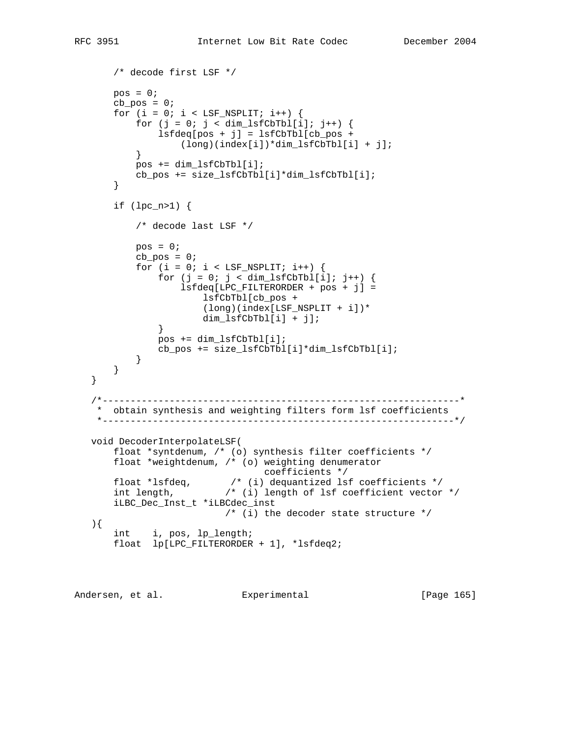```
 /* decode first LSF */
      pos = 0;cb pos = 0;for (i = 0; i < LSF_NSPLIT; i++) {
          for (j = 0; j < dim_llsfCbTbl[i]; j++)lsfdeg[pos + j] = lsfCbTbl[cb_pos + (long)(index[i])*dim_lsfCbTbl[i] + j];
 }
           pos += dim_lsfCbTbl[i];
           cb_pos += size_lsfCbTbl[i]*dim_lsfCbTbl[i];
       }
       if (lpc_n>1) {
           /* decode last LSF */
          pos = 0;cb_pos = 0;for (i = 0; i < ISF_NSPLIT; i++)for (j = 0; j < dim_lsfCbTbl[i]; j++) {
                   lsfdeq[LPC_FILTERORDER + pos + j] =
                       lsfCbTbl[cb_pos +
                       (long)(index[LSF_NSPLIT + i])*
                       dim_lsfCbTbl[i] + j];
 }
               pos += dim_lsfCbTbl[i];
               cb_pos += size_lsfCbTbl[i]*dim_lsfCbTbl[i];
 }
       }
   }
   /*----------------------------------------------------------------*
    * obtain synthesis and weighting filters form lsf coefficients
    *---------------------------------------------------------------*/
   void DecoderInterpolateLSF(
       float *syntdenum, /* (o) synthesis filter coefficients */
       float *weightdenum, /* (o) weighting denumerator
      coefficients *<br>float *lsfdeq, * * (1) dequantized ls
                          /* (i) dequantized lsf coefficients */ int length, /* (i) length of lsf coefficient vector */
       iLBC_Dec_Inst_t *iLBCdec_inst
                         \frac{1}{2} (i) the decoder state structure */
   ){
       int i, pos, lp_length;
       float lp[LPC_FILTERORDER + 1], *lsfdeq2;
```
Andersen, et al. Experimental [Page 165]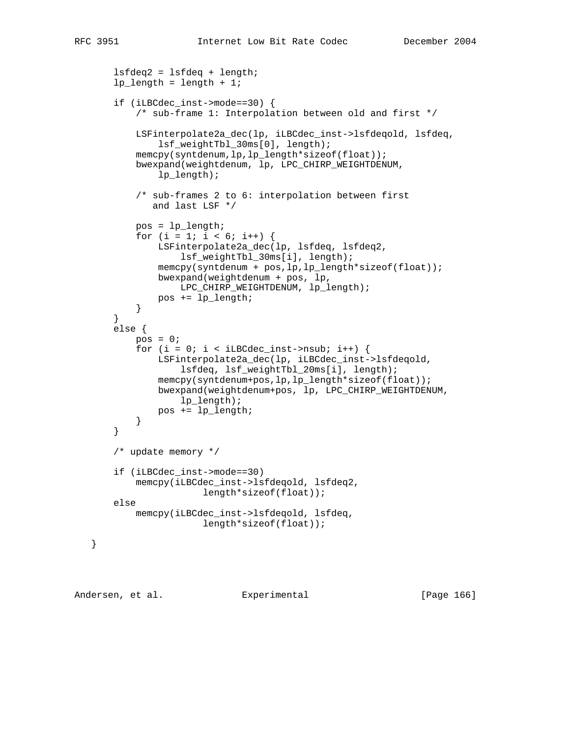```
 lsfdeq2 = lsfdeq + length;
       lp length = length + 1;
        if (iLBCdec_inst->mode==30) {
            /* sub-frame 1: Interpolation between old and first */
            LSFinterpolate2a_dec(lp, iLBCdec_inst->lsfdeqold, lsfdeq,
                lsf_weightTbl_30ms[0], length);
            memcpy(syntdenum,lp,lp_length*sizeof(float));
            bwexpand(weightdenum, lp, LPC_CHIRP_WEIGHTDENUM,
                lp_length);
            /* sub-frames 2 to 6: interpolation between first
               and last LSF */
            pos = lp_length;
           for (i = 1; i < 6; i++) {
                LSFinterpolate2a_dec(lp, lsfdeq, lsfdeq2,
                    lsf_weightTbl_30ms[i], length);
                memcpy(syntdenum + pos,lp,lp_length*sizeof(float));
                bwexpand(weightdenum + pos, lp,
                    LPC_CHIRP_WEIGHTDENUM, lp_length);
                pos += lp_length;
 }
        }
        else {
           pos = 0;for (i = 0; i < iLBCdec_inst-&gt;nsub; i++) {
                LSFinterpolate2a_dec(lp, iLBCdec_inst->lsfdeqold,
                    lsfdeq, lsf_weightTbl_20ms[i], length);
                memcpy(syntdenum+pos,lp,lp_length*sizeof(float));
                bwexpand(weightdenum+pos, lp, LPC_CHIRP_WEIGHTDENUM,
                    lp_length);
                pos += lp_length;
            }
        }
        /* update memory */
        if (iLBCdec_inst->mode==30)
            memcpy(iLBCdec_inst->lsfdeqold, lsfdeq2,
                        length*sizeof(float));
       else
            memcpy(iLBCdec_inst->lsfdeqold, lsfdeq,
                        length*sizeof(float));
```
Andersen, et al. Experimental [Page 166]

}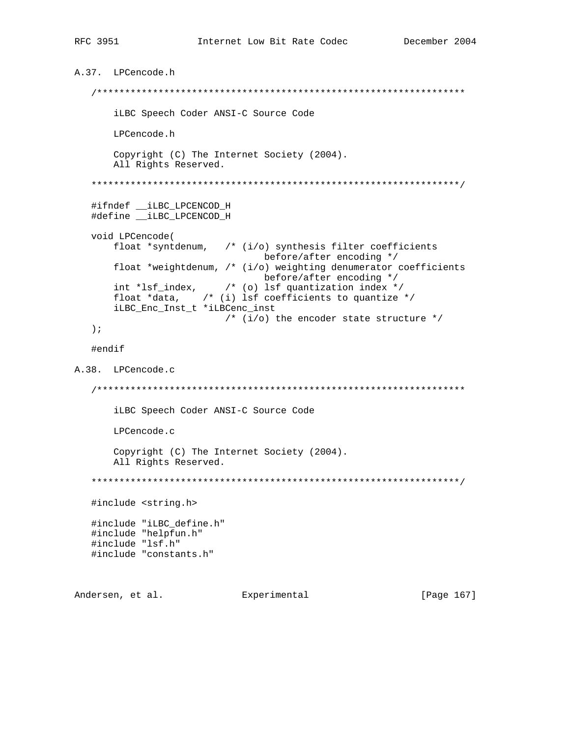```
A.37. LPCencode.h
  iLBC Speech Coder ANSI-C Source Code
     LPCencode.h
     Copyright (C) The Internet Society (2004).
     All Rights Reserved.
  #ifndef __iLBC_LPCENCOD_H
  #define __iLBC_LPCENCOD_H
  void LPCencode(
     float *syntdenum, \prime* (i/o) synthesis filter coefficients
                         before/after encoding */
     float *weightdenum, /* (i/o) weighting denumerator coefficients
                        before/after encoding */
     int *lsf_index, /* (o) lsf quantization index */
     float *data, \quad /* (i) lsf coefficients to quantize */
     iLBC_Enc_Inst_t *iLBCenc_inst
                   /* (i/o) the encoder state structure */
  \rightarrow ;
  #endif
A.38. LPCencode.c
  iLBC Speech Coder ANSI-C Source Code
     LPCencode.c
     Copyright (C) The Internet Society (2004).
     All Rights Reserved.
  #include <string.h>
  #include "iLBC_define.h"
  #include "helpfun.h"
  #include "lsf.h"
  #include "constants.h"
```
Andersen, et al. Experimental

[Page 167]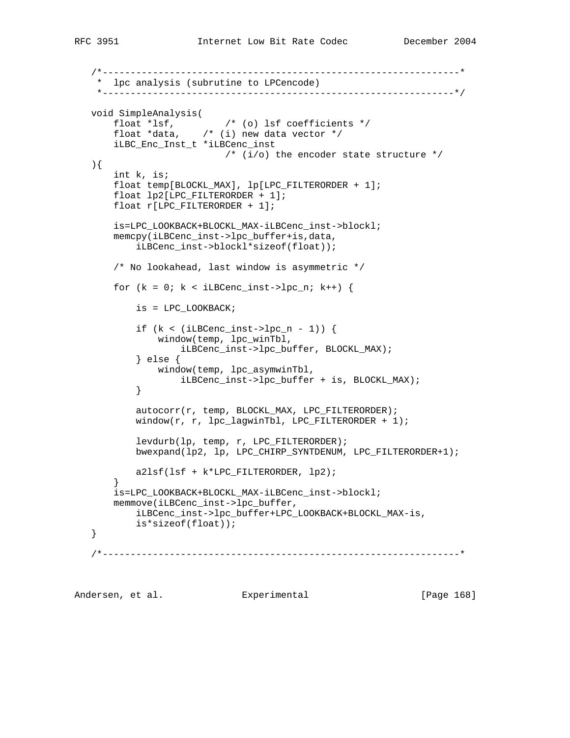```
 /*----------------------------------------------------------------*
    * lpc analysis (subrutine to LPCencode)
     *---------------------------------------------------------------*/
 void SimpleAnalysis(
 float *lsf, /* (o) lsf coefficients */
 float *data, /* (i) new data vector */
       iLBC_Enc_Inst_t *iLBCenc_inst
                        /* (i/o) the encoder state structure */
   ){
       int k, is;
       float temp[BLOCKL_MAX], lp[LPC_FILTERORDER + 1];
       float lp2[LPC_FILTERORDER + 1];
       float r[LPC_FILTERORDER + 1];
       is=LPC_LOOKBACK+BLOCKL_MAX-iLBCenc_inst->blockl;
       memcpy(iLBCenc_inst->lpc_buffer+is,data,
           iLBCenc_inst->blockl*sizeof(float));
       /* No lookahead, last window is asymmetric */
      for (k = 0; k < iLBCenc_inst-&gt;lpc_in; k++) {
           is = LPC_LOOKBACK;
          if (k < (iLBCenc_inst-&gt;lpc_n - 1)) {
               window(temp, lpc_winTbl,
                   iLBCenc_inst->lpc_buffer, BLOCKL_MAX);
           } else {
               window(temp, lpc_asymwinTbl,
          iLBCenc_inst->lpc_buffer + is, BLOCKL_MAX);
 }
          autocorr(r, temp, BLOCKL MAX, LPC FILTERORDER);
          window(r, r, lpc_lagwinTbl, LPC_FILTERORDER + 1);
           levdurb(lp, temp, r, LPC_FILTERORDER);
           bwexpand(lp2, lp, LPC_CHIRP_SYNTDENUM, LPC_FILTERORDER+1);
           a2lsf(lsf + k*LPC_FILTERORDER, lp2);
 }
       is=LPC_LOOKBACK+BLOCKL_MAX-iLBCenc_inst->blockl;
       memmove(iLBCenc_inst->lpc_buffer,
           iLBCenc_inst->lpc_buffer+LPC_LOOKBACK+BLOCKL_MAX-is,
           is*sizeof(float));
   }
    /*----------------------------------------------------------------*
Andersen, et al. Experimental Frage 168]
```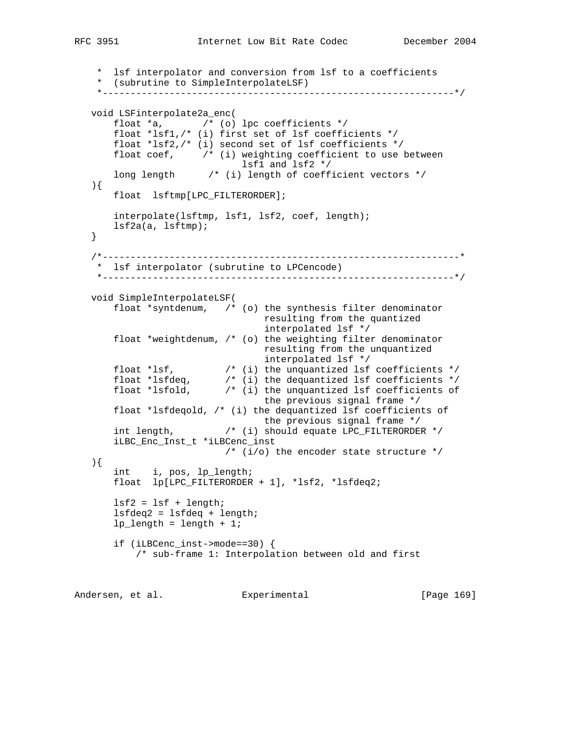```
 * lsf interpolator and conversion from lsf to a coefficients
    * (subrutine to SimpleInterpolateLSF)
    *---------------------------------------------------------------*/
   void LSFinterpolate2a_enc(
      float a, /* (o) lpc coefficients */ float *lsf1,/* (i) first set of lsf coefficients */
       float *lsf2,/* (i) second set of lsf coefficients */
      float coef, \gamma /* (i) weighting coefficient to use between
 lsf1 and lsf2 */
 long length /* (i) length of coefficient vectors */
   ){
       float lsftmp[LPC_FILTERORDER];
       interpolate(lsftmp, lsf1, lsf2, coef, length);
      lsf2a(a, lsftmp);
   }
    /*----------------------------------------------------------------*
    * lsf interpolator (subrutine to LPCencode)
    *---------------------------------------------------------------*/
   void SimpleInterpolateLSF(
       float *syntdenum, /* (o) the synthesis filter denominator
                                resulting from the quantized
                                interpolated lsf */
       float *weightdenum, /* (o) the weighting filter denominator
                                resulting from the unquantized
                                interpolated lsf */
 float *lsf, /* (i) the unquantized lsf coefficients */
 float *lsfdeq, /* (i) the dequantized lsf coefficients */
 float *lsfold, /* (i) the unquantized lsf coefficients of
                                the previous signal frame */
       float *lsfdeqold, /* (i) the dequantized lsf coefficients of
 the previous signal frame */
 int length, /* (i) should equate LPC_FILTERORDER */
       iLBC_Enc_Inst_t *iLBCenc_inst
                        \frac{1}{\sqrt{2}} (i/o) the encoder state structure */
   ){
       int i, pos, lp_length;
       float lp[LPC_FILTERORDER + 1], *lsf2, *lsfdeq2;
      lsf2 = lsf + length; lsfdeq2 = lsfdeq + length;
      lp length = length + 1;
       if (iLBCenc_inst->mode==30) {
           /* sub-frame 1: Interpolation between old and first
Andersen, et al. Experimental [Page 169]
```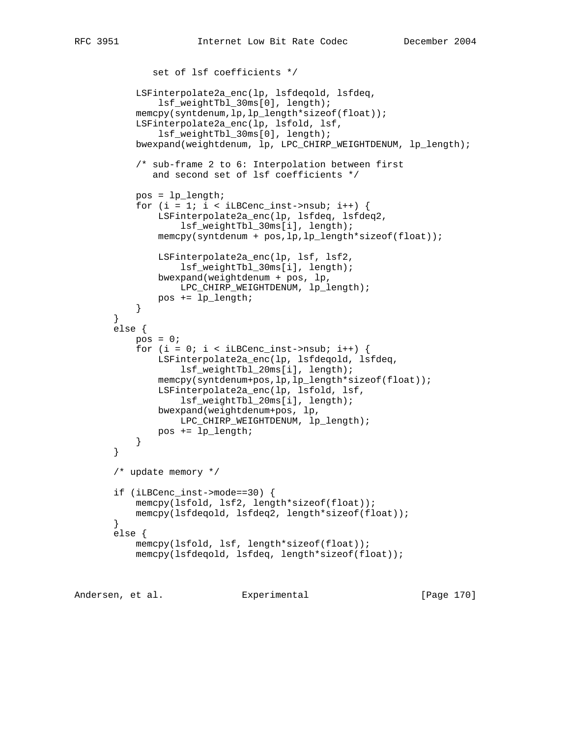```
 set of lsf coefficients */
            LSFinterpolate2a_enc(lp, lsfdeqold, lsfdeq,
                lsf_weightTbl_30ms[0], length);
            memcpy(syntdenum,lp,lp_length*sizeof(float));
            LSFinterpolate2a_enc(lp, lsfold, lsf,
                lsf_weightTbl_30ms[0], length);
            bwexpand(weightdenum, lp, LPC_CHIRP_WEIGHTDENUM, lp_length);
            /* sub-frame 2 to 6: Interpolation between first
               and second set of lsf coefficients */
            pos = lp_length;
           for (i = 1; i < iLBCenc_inst->nsub; i++) {
                LSFinterpolate2a_enc(lp, lsfdeq, lsfdeq2,
                   lsf weightTbl 30ms[i], length);
                memcpy(syntdenum + pos,lp,lp_length*sizeof(float));
                LSFinterpolate2a_enc(lp, lsf, lsf2,
                    lsf_weightTbl_30ms[i], length);
                bwexpand(weightdenum + pos, lp,
                    LPC_CHIRP_WEIGHTDENUM, lp_length);
               pos += lp_length;
 }
        }
        else {
           pos = 0;for (i = 0; i < iLBCenc_inst->nsub; i++) {
                LSFinterpolate2a_enc(lp, lsfdeqold, lsfdeq,
                    lsf_weightTbl_20ms[i], length);
                memcpy(syntdenum+pos,lp,lp_length*sizeof(float));
                LSFinterpolate2a_enc(lp, lsfold, lsf,
                    lsf_weightTbl_20ms[i], length);
                bwexpand(weightdenum+pos, lp,
                    LPC_CHIRP_WEIGHTDENUM, lp_length);
            pos += lp_length;
 }
        }
        /* update memory */
        if (iLBCenc_inst->mode==30) {
           memcpy(lsfold, lsf2, length*sizeof(float));
           memcpy(lsfdeqold, lsfdeq2, length*sizeof(float));
        }
        else {
           memcpy(lsfold, lsf, length*sizeof(float));
           memcpy(lsfdeqold, lsfdeq, length*sizeof(float));
```
Andersen, et al. Experimental [Page 170]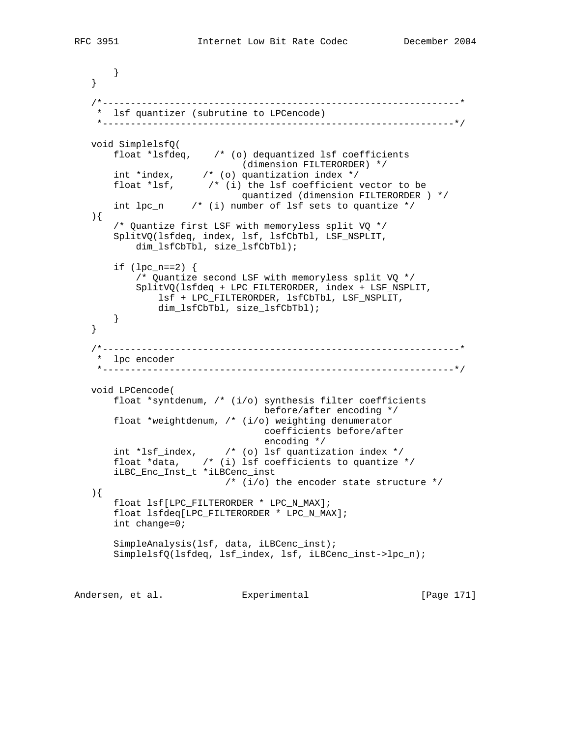```
 }
   }
   /*----------------------------------------------------------------*
    * lsf quantizer (subrutine to LPCencode)
    *---------------------------------------------------------------*/
   void SimplelsfQ(
       float *lsfdeq, /* (o) dequantized lsf coefficients
 (dimension FILTERORDER) */
 int *index, /* (o) quantization index */
 float *lsf, /* (i) the lsf coefficient vector to be
 quantized (dimension FILTERORDER ) */
       int lpc_n /* (i) number of lsf sets to quantize */
   ){
       /* Quantize first LSF with memoryless split VQ */
      SplitVQ(lsfdeq, index, lsf, lsfCbTbl, LSF_NSPLIT,
           dim_lsfCbTbl, size_lsfCbTbl);
      if (\text{lpc\_n==2}) {
           /* Quantize second LSF with memoryless split VQ */
           SplitVQ(lsfdeq + LPC_FILTERORDER, index + LSF_NSPLIT,
               lsf + LPC_FILTERORDER, lsfCbTbl, LSF_NSPLIT,
               dim_lsfCbTbl, size_lsfCbTbl);
       }
   }
   /*----------------------------------------------------------------*
    * lpc encoder
    *---------------------------------------------------------------*/
   void LPCencode(
       float *syntdenum, /* (i/o) synthesis filter coefficients
                                 before/after encoding */
       float *weightdenum, /* (i/o) weighting denumerator
                                 coefficients before/after
                                 encoding */
 int *lsf_index, /* (o) lsf quantization index */
 float *data, /* (i) lsf coefficients to quantize */
       iLBC_Enc_Inst_t *iLBCenc_inst
                          /* (i/o) the encoder state structure */
   ){
       float lsf[LPC_FILTERORDER * LPC_N_MAX];
       float lsfdeq[LPC_FILTERORDER * LPC_N_MAX];
       int change=0;
       SimpleAnalysis(lsf, data, iLBCenc_inst);
       SimplelsfQ(lsfdeq, lsf_index, lsf, iLBCenc_inst->lpc_n);
```
Andersen, et al. Experimental [Page 171]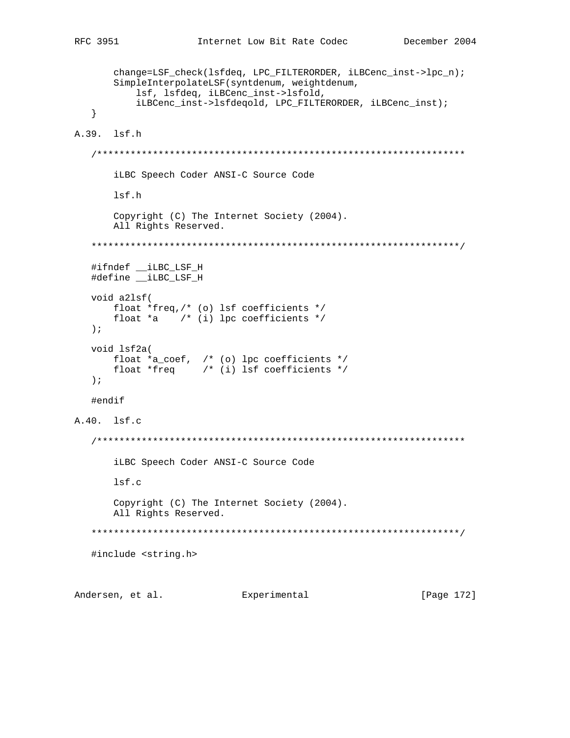```
change=LSF_check(lsfdeq, LPC_FILTERORDER, iLBCenc_inst->lpc_n);
     SimpleInterpolateLSF(syntdenum, weightdenum,
         lsf, lsfdeq, iLBCenc_inst->lsfold,
        iLBCenc_inst->lsfdeqold, LPC_FILTERORDER, iLBCenc_inst);
  \}A.39. lsf.h
  iLBC Speech Coder ANSI-C Source Code
     lsf.h
     Copyright (C) The Internet Society (2004).
     All Rights Reserved.
  #ifndef __iLBC_LSF_H
  #define ___ iLBC_LSF_H
  void a2lsf(
     float *freq,/* (o) lsf coefficients */
     float *a * (i) lpc coefficients */
  \rightarrow ;
  void 1sf2a(
     \begin{tabular}{llll} float *a-coef, & /* (o) lpc coefficients */ \\ float *freq & /* (i) lsf coefficients */ \\ \end{tabular}\rightarrow ;
  #endif
A.40. lsf.c
  iLBC Speech Coder ANSI-C Source Code
     lsf.c
     Copyright (C) The Internet Society (2004).
     All Rights Reserved.
  #include <string.h>
Andersen, et al. Experimental
                                                 [Page 172]
```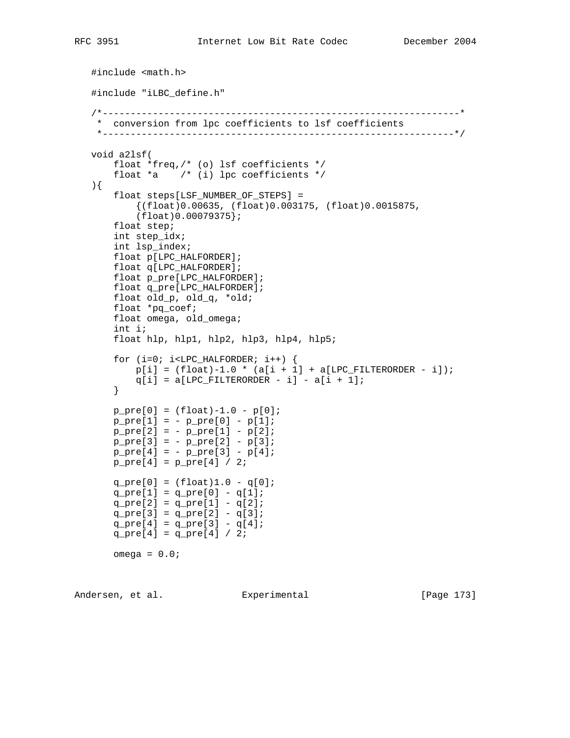```
 #include <math.h>
 #include "iLBC_define.h"
 /*----------------------------------------------------------------*
  * conversion from lpc coefficients to lsf coefficients
  *---------------------------------------------------------------*/
 void a2lsf(
     float *freq,/* (o) lsf coefficients */
     float *a /* (i) lpc coefficients */
 ){
     float steps[LSF_NUMBER_OF_STEPS] =
        {(float)0.00635, (float)0.003175, (float)0.0015875,
         (float)0.00079375};
     float step;
     int step_idx;
     int lsp_index;
    float p[LPC_HALFORDER];
    float q[LPC_HALFORDER];
    float p_pre[LPC_HALFORDER];
    float q_pre[LPC_HALFORDER];
    float old_p, old_q, *old;
    float *pq_coef;
    float omega, old_omega;
     int i;
     float hlp, hlp1, hlp2, hlp3, hlp4, hlp5;
    for (i=0; i<LPC_HALFORMER; i++) {
        p[i] = (float)-1.0 * (a[i + 1] + a[LPC_FILTERORDER - i]);q[i] = a[LPC_FILTERORDER - i] - a[i + 1]; }
   p_{pre}[0] = (float)-1.0 - p[0];p\_pre[1] = - p\_pre[0] - p[1];p\_pre[2] = - p\_pre[1] - p[2];p\_pre[3] = - p\_pre[2] - p[3];p\_pre[4] = - p\_pre[3] - p[4];p\_pre[4] = p\_pre[4] / 2;q_{pre}[0] = (float)1.0 - q[0];q_{pre}[1] = q_{pre}[0] - q[1];q_{pre}[2] = q_{pre}[1] - q[2];q_{pre}[3] = q_{pre}[2] - q[3];q_{pre[4]} = q_{pre[3]} - q[4];q_{pre[4]} = q_{pre[4]} / 2;omega = 0.0;
```
Andersen, et al. Experimental Formula (Page 173)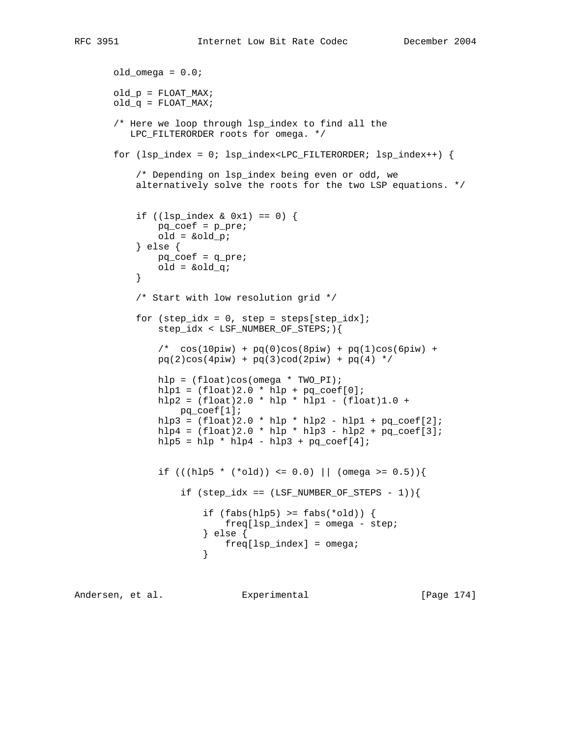```
old\_omega = 0.0; old_p = FLOAT_MAX;
       old_q = FLOAT_MAX;
       /* Here we loop through lsp_index to find all the
          LPC_FILTERORDER roots for omega. */
      for (lsp\_index = 0; lsp\_index < LPC\_FilterORDER; lsp\_index++) {
            /* Depending on lsp_index being even or odd, we
           alternatively solve the roots for the two LSP equations. */
           if ((\text{lsp\_index } \& \text{ 0x1}) == 0) {
               pq_coef = p_pre;
               old = &old_p;
            } else {
               pq_coef = q_pre;
              old = \&old_q; }
            /* Start with low resolution grid */
           for step_idx = 0, step = steps[step_idx];
                step_idx < LSF_NUMBER_OF_STEPS;){
               /* \cos(10\pi w) + pq(0)\cos(8\pi w) + pq(1)\cos(6\pi w) +pq(2)cos(4piw) + pq(3)cod(2piw) + pq(4) * hlp = (float)cos(omega * TWO_PI);
               hlp1 = (fload)2.0 * hlp + pq-coef[0];hlp2 = (fload)2.0 * hlp * hlp1 - (float)1.0 + pq_coef[1];
              hlp3 = (fload)2.0 * hlp * hlp2 - hlp1 + pq-coef[2];hlp4 = (fload)2.0 * hlp * hlp3 - hlp2 + pq-coef[3];hlp5 = hlp * hlp4 - hlp3 + pq\_coeff[4];if (((hlp5 * (*old)) <= 0.0) || (omega >= 0.5)){
                   if (step_idx == (LSF_NUMBER_OF_STERS - 1)) {
                       if (fabs(hlp5) \geq fabs(*old))freq[lsp_index] = omega - step; } else {
                       freq[lsp_index] = omega;<br>}
 }
```
Andersen, et al. Experimental [Page 174]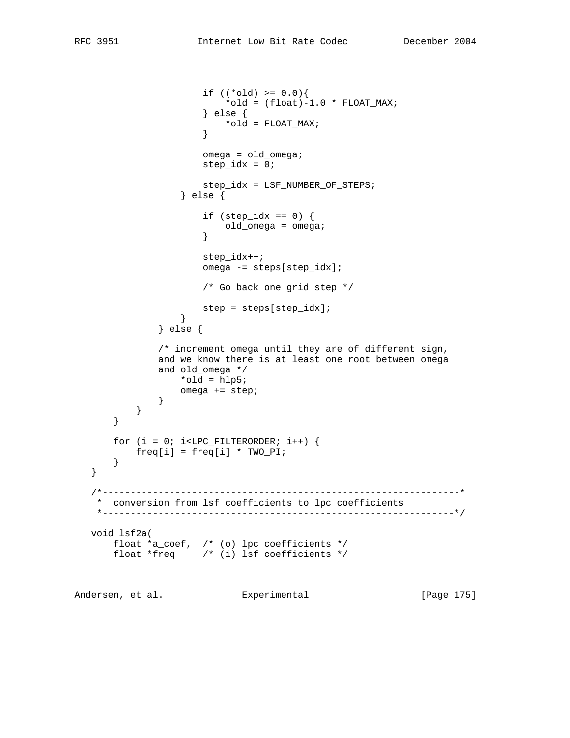```
if ((*old) >= 0.0)*old = (float)-1.0 * FLOAT_MAX; } else {
                     *old = FLOAT_MAX;
 }
                     omega = old_omega;
                    step idx = 0; step_idx = LSF_NUMBER_OF_STEPS;
                  } else {
                     if (step_idx == 0) {
                     old_omega = omega;
 }
                     step_idx++;
                     omega -= steps[step_idx];
                     /* Go back one grid step */
                 step = steps[step_idx];<br>}
 }
              } else {
              /* increment omega until they are of different sign,
              and we know there is at least one root between omega
              and old_omega */
                 *old = hlp5;
             omega += step;
 }
          }
       }
      for (i = 0; i<LPC_FILTERORDER; i++) {
          freq[i] = freq[i] * TWO_PI;
       }
   }
   /*----------------------------------------------------------------*
    * conversion from lsf coefficients to lpc coefficients
    *---------------------------------------------------------------*/
   void lsf2a(
 float *a_coef, /* (o) lpc coefficients */
 float *freq /* (i) lsf coefficients */
```
Andersen, et al. Experimental Frage 175]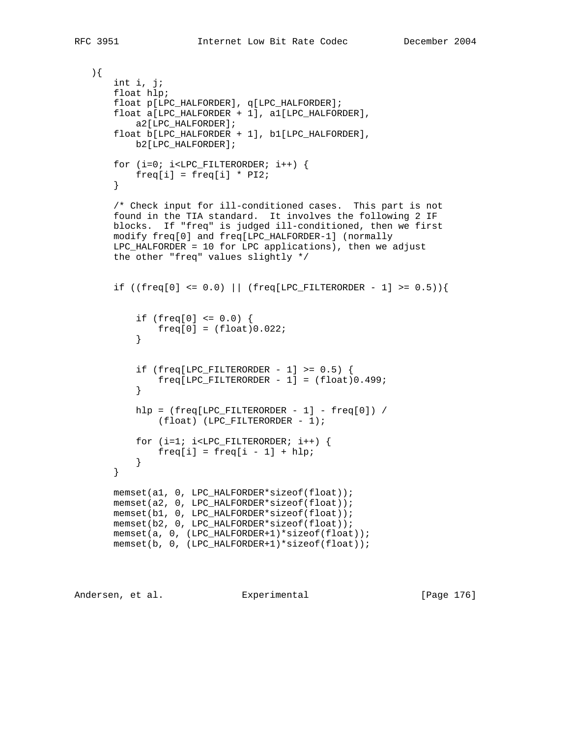```
 ){
       int i, j;
       float hlp;
       float p[LPC_HALFORDER], q[LPC_HALFORDER];
       float a[LPC_HALFORDER + 1], a1[LPC_HALFORDER],
           a2[LPC_HALFORDER];
       float b[LPC_HALFORDER + 1], b1[LPC_HALFORDER],
           b2[LPC_HALFORDER];
      for (i=0; i<LPC_FILTERORDER; i++) {
          freq[i] = freq[i] * P12; }
       /* Check input for ill-conditioned cases. This part is not
       found in the TIA standard. It involves the following 2 IF
       blocks. If "freq" is judged ill-conditioned, then we first
       modify freq[0] and freq[LPC_HALFORDER-1] (normally
       LPC_HALFORDER = 10 for LPC applications), then we adjust
       the other "freq" values slightly */
      if ((freq[0] <= 0.0) || (freq[LPC_FILTERORDER - 1] >= 0.5)){
           if (freq[0] <= 0.0) {
          freq[0] = (float)0.022; }
          if (freq[LPC_FILTERORDER - 1] >= 0.5) {
          freq[LPC_FILTERORDER - 1] = (float)0.499; }
          hlp = (freq[LPC FILTERORDER - 1] - freq[0]) /(fload) (LPC_FILTERORDER - 1);
          for (i=1; i<LPC FILTERORDER; i++) {
          freq[i] = freq[i - 1] + hlp; }
       }
       memset(a1, 0, LPC_HALFORDER*sizeof(float));
       memset(a2, 0, LPC_HALFORDER*sizeof(float));
       memset(b1, 0, LPC_HALFORDER*sizeof(float));
       memset(b2, 0, LPC_HALFORDER*sizeof(float));
       memset(a, 0, (LPC_HALFORDER+1)*sizeof(float));
       memset(b, 0, (LPC_HALFORDER+1)*sizeof(float));
```
Andersen, et al. Experimental [Page 176]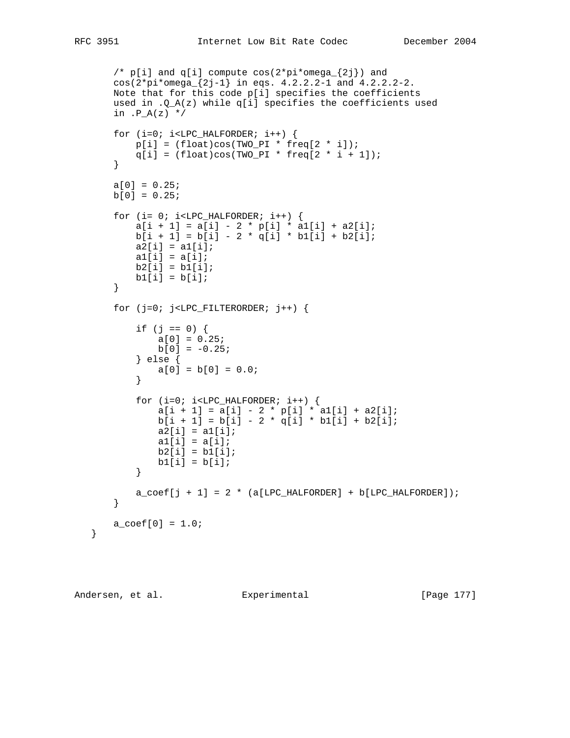```
/* p[i] and q[i] compute cos(2*pi*omega{2j}) and
       cos(2*pi*omega_{2j-1} in eqs. 4.2.2.2-1 and 4.2.2.2-2.
       Note that for this code p[i] specifies the coefficients
      used in .Q_A(z) while q[i] specifies the coefficients used
      in .P_A(z) */
      for (i=0; i<LPC_HALFORMER; i++) {
          p[i] = (float)cos(TWO_PI * freq[2 * i]);q[i] = (float)cos(TWO_PI * freq[2 * i + 1]); }
      a[0] = 0.25;b[0] = 0.25;for (i= 0; i<LPC_HALFORDER; i++) {
          a[i + 1] = a[i] - 2 * p[i] * a1[i] + a2[i];b[i + 1] = b[i] - 2 * q[i] * b1[i] + b2[i];a2[i] = a1[i];a1[i] = a[i];b2[i] = b1[i];b1[i] = b[i]; }
      for (j=0; j<LPC_FILTERORDER; j++) if (j == 0) {
              a[0] = 0.25;b[0] = -0.25; } else {
          a[0] = b[0] = 0.0; }
          for (i=0; i<LPC_HALFORMER; i++) {
              a[i + 1] = a[i] - 2 * p[i] * a1[i] + a2[i];b[i + 1] = b[i] - 2 * q[i] * b1[i] + b2[i];a2[i] = a1[i];a1[i] = a[i];b2[i] = b1[i];b1[i] = b[i]; }
          a_{\text{coeff}} + 1] = 2 * (a[LPC_HALFORDER] + b[LPC_HALFORDER]);
       }
      a_{\text{coeff}[0] = 1.0;
```
Andersen, et al. Experimental [Page 177]

}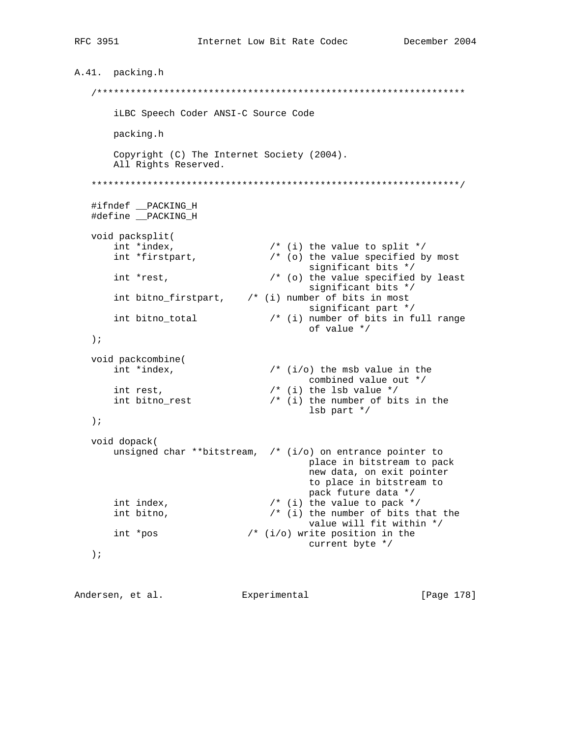```
A.41. packing.h
     iLBC Speech Coder ANSI-C Source Code
           packing.h
           Copyright (C) The Internet Society (2004).
           All Rights Reserved.
     #ifndef __PACKING_H<br>#define __PACKING_H
    void packsplit<br>
int *index,<br>
int *firstpart,<br>
int *firstpart,<br>
\begin{array}{ccc} & & \mbox{\scriptsize /* (i) the value to split *}\mbox{\scriptsize //} \\ & \mbox{\scriptsize (b) the value specified by most} \\ & \mbox{\scriptsize significant bits */}\mbox{\scriptsize //} \\ & \mbox{\scriptsize if i = 1 by least}\mbox{\scriptsize for i = 3 by least}\mbox{\scriptsize if i = 2 by least}\mbox{\scriptsize if i = 3 by least}\mbox{\scriptsize if i = 3 by least}\mbox{\scriptsize if i = 4 by least}\mbox{\scriptsize if i = /* (o) the value specified by least
           int *rest,
                                                                     significant bits */
           int bitno_firstpart, \qquad /* (i) number of bits in most
                                                                     significant part */
          int bitno_total /* (i) number of bits in full range
                                                                      of value */
     \rightarrow \rightarrowvoid packcombine(<br>int *index,
           where the term of the mass of the mass of the term of the combined value out * int rest,<br>
\begin{array}{ccc} & & \mbox{if } (i/0) \text{ the ms} & \mbox{value in the } \\ & & \mbox{combine } (i/0) & \mbox{the ms} & \mbox{value} \end{array}<br>
\begin{array}{ccc} & & \mbox{if } (i/0) \text{ the ms} & \mbox{value} \end{array}\text{lsb part} */
     \rightarrow ;
    void dopack(
           unsigned char **bitstream, /* (i/o) on entrance pointer to
                                                                      place in bitstream to pack
                                                                      new data, on exit pointer
                                                                      to place in bitstream to
                                                                     pack future data */
           int index,<br>
int bitno,<br>
\frac{1}{2} \frac{1}{2} the number of bits that the<br>
value will fit within */
         int *pos /* (i/o) write position in the
                                                                     current byte */
     \rightarrow ;
```
Andersen, et al. Experimental Experimental [Page 178]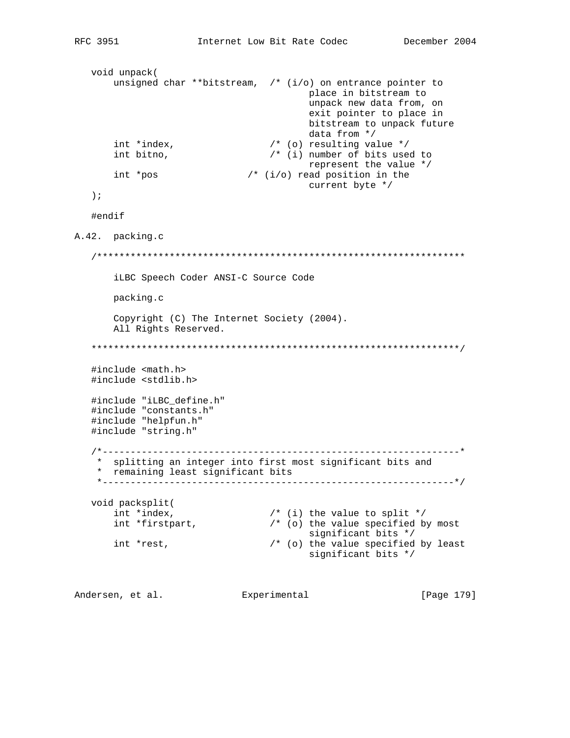```
void unpack(
       unsigned char **bitstream, /* (i/o) on entrance pointer to
                                             place in bitstream to
                                             unpack new data from, on
                                             exit pointer to place in
                                             bitstream to unpack future
                                             data from */
       int *index,<br>int bitno,
                                    /* (o) resulting value *//* (i) number of bits used to
       int bitno,
                                             represent the value */
       int *pos 4 \times (i/0) read position in the
                                             current byte */
   \rightarrow ;
   #endif
A.42. packing.c
   iLBC Speech Coder ANSI-C Source Code
       packing.c
       Copyright (C) The Internet Society (2004).
       All Rights Reserved.
   #include <math.h>
   #include <stdlib.h>
   #include "iLBC_define.h"
   #include "constants.h"
   #include "helpfun.h"
   #include "string.h"
   * splitting an integer into first most significant bits and
    * remaining least significant bits
    void packsplit(
       int *index,<br>int *firstpart, \begin{array}{ccc} \n\text{int} & \text{if } \text{int} & \text{if } \text{int} & \text{if } \text{int} & \text{if } \text{int} & \text{if } \text{int} & \text{if } \text{int} & \text{if } \text{int} & \text{if } \text{int} & \text{if } \text{int} & \text{if } \text{int} & \text{if } \text{int} & \text{if } \text{int} & \text{if } \text{int} & \text{if } \text{int} & \text{if } \text{int} & \text{if } \text{int} & \text/* (o) the value specified by most
                                            significant bits */
       int *rest,
                                  /* (o) the value specified by least
                                             significant bits */
```
Andersen, et al. Experimental [Page 179]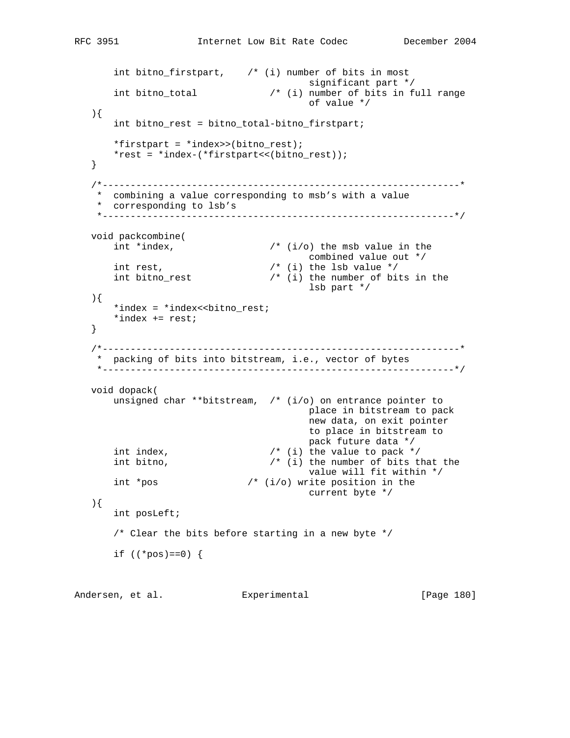```
int bitno_firstpart, \qquad /* (i) number of bits in most
 significant part */
 int bitno_total /* (i) number of bits in full range
                                           of value */
   ){
       int bitno_rest = bitno_total-bitno_firstpart;
        *firstpart = *index>>(bitno_rest);
       *rest = *index-(*firstpart<<(bitno_rest));
   }
    /*----------------------------------------------------------------*
     * combining a value corresponding to msb's with a value
    * corresponding to lsb's
    *---------------------------------------------------------------*/
  void packcombine(<br>int *index,
                                  \frac{1}{\sqrt{2}} (i/o) the msb value in the
      combined value out */<br>int rest,<br>int bitno_rest the state of bits in the number of bits in the number of bits in
                                  \frac{1}{\sqrt{2}} (i) the lsb value */
                                  \prime* (i) the number of bits in the
                                           lsb part */
   ){
      *index = *index<<br/>bitno_rest;
        *index += rest;
   }
    /*----------------------------------------------------------------*
     * packing of bits into bitstream, i.e., vector of bytes
       *---------------------------------------------------------------*/
   void dopack(
       unsigned char **bitstream, /* (i/o) on entrance pointer to
                                           place in bitstream to pack
                                           new data, on exit pointer
                                           to place in bitstream to
                                           pack future data */
       int index, / /* (i) the value to pack */int bitno, / / (i) the number of bits that the
                                           value will fit within */
       int *pos /* (i/o) write position in the
                                          current byte */
   ){
       int posLeft;
        /* Clear the bits before starting in a new byte */
      if (( *pos) == 0) {
```
Andersen, et al. Experimental Frage 180]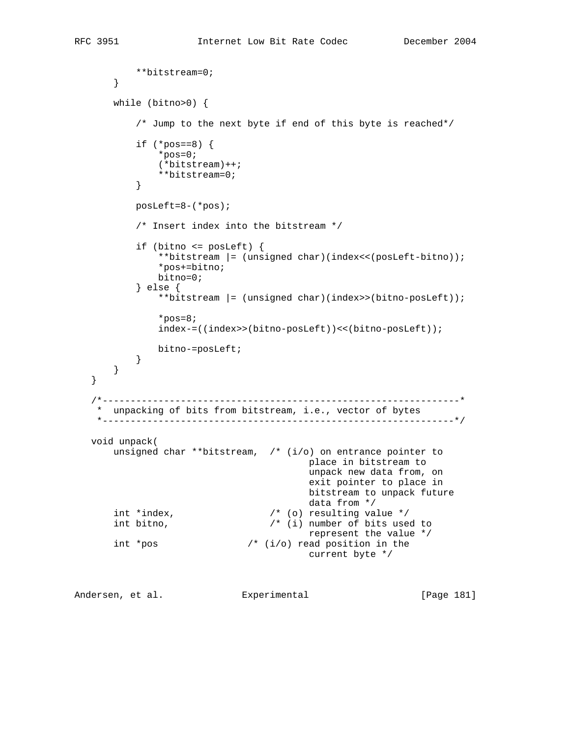```
 **bitstream=0;
        }
        while (bitno>0) {
            /* Jump to the next byte if end of this byte is reached*/
           if (*pos==8) {
                *pos=0;
                (*bitstream)++;
           **bitstream=0;<br>}
 }
            posLeft=8-(*pos);
            /* Insert index into the bitstream */
            if (bitno <= posLeft) {
                **bitstream |= (unsigned char)(index<<(posLeft-bitno));
                *pos+=bitno;
                bitno=0;
            } else {
                **bitstream |= (unsigned char)(index>>(bitno-posLeft));
                *pos=8;
                index-=((index>>(bitno-posLeft))<<(bitno-posLeft));
                bitno-=posLeft;
            }
        }
   }
    /*----------------------------------------------------------------*
    * unpacking of bits from bitstream, i.e., vector of bytes
    *---------------------------------------------------------------*/
   void unpack(
       unsigned char **bitstream, /* (i/o) on entrance pointer to
                                            place in bitstream to
                                            unpack new data from, on
                                            exit pointer to place in
                                           bitstream to unpack future<br>data from */int *index,<br>k+nq,\frac{1}{2} (o) resulting value */
                                   \prime* (i) number of bits used to
                                            represent the value */
        int *pos /* (i/o) read position in the
                                            current byte */
```
Andersen, et al. Experimental Frage 181]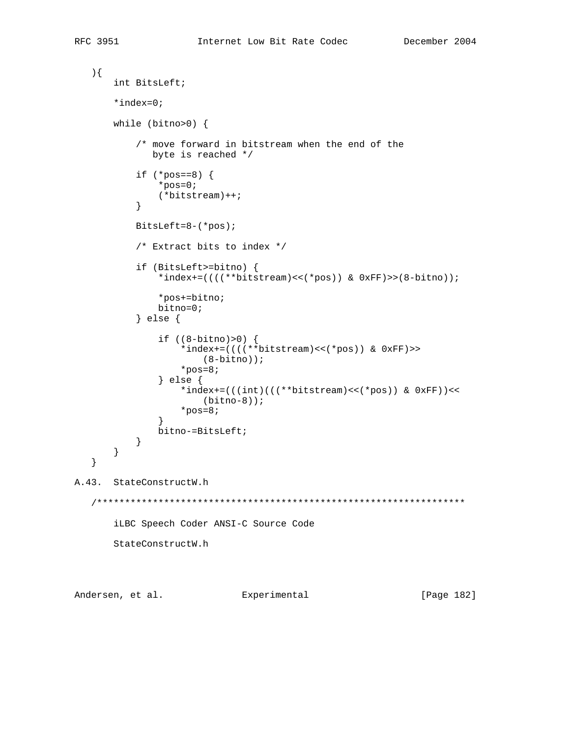```
\big) {
      int BitsLeft;
      *index=0;while (bitno>0) {
          /* move forward in bitstream when the end of the
            byte is reached */if (*pos==8) {
              *pos=0;(*bitstream)++;\}BitsLeft=8-(*pos);/* Extract bits to index */if (BitsLeft>=bitno) {
              *index+=(((*bitstream) << (*pos)) & 0xFF) >> (8-bitno));
              *pos+=bitno;
              bitno=0;} else \{if ((8-bitno)>0) {
                 *index+=((((**bitstream) << (*pos)) & 0xFF) >>
                     (8 - bitno);
                 *pos=8;\} else \{*index+=(((int)((**bitstreeam)<<(*pos)) & (0xFF))<<(bitno-8));
                 *pos=8;\mathcal{E}bitno-=BitsLeft;
          \}\}\}A.43. StateConstructW.h
  iLBC Speech Coder ANSI-C Source Code
      StateConstructW.h
```
Andersen, et al. Experimental [Page 182]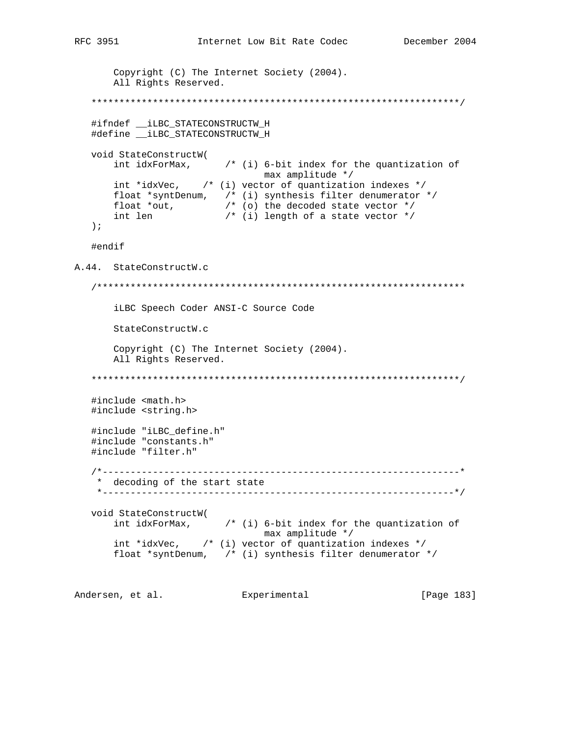```
Copyright (C) The Internet Society (2004).
     All Rights Reserved.
  #ifndef __iLBC_STATECONSTRUCTW_H
  #define __iLBC_STATECONSTRUCTW_H
  void StateConstructW(
     int idxForMax, \qquad /* (i) 6-bit index for the quantization of
                           max amplitude */
     int *idxVec, \frac{1}{2} (i) vector of quantization indexes */
     float *syntDenum, /* (i) synthesis filter denumerator */<br>float *out, /* (i) synthesis filter denumerator */<br>int len /* (i) length of a state vector */
  \rightarrow ;
  #endif
A.44. StateConstructW.c
  iLBC Speech Coder ANSI-C Source Code
     StateConstructW.c
     Copyright (C) The Internet Society (2004).
     All Rights Reserved.
  #include <math.h>
  #include <string.h>
  #include "iLBC_define.h"
  #include "constants.h"
  #include "filter.h"
  * decoding of the start state
       void StateConstructW(
     int idxForMax, \frac{1}{2} \frac{1}{2} (i) 6-bit index for the quantization of
                           max amplitude */
     int *idxVec, \quad /* (i) vector of quantization indexes */
     float *syntDenum, /* (i) synthesis filter denumerator */
```
Andersen, et al. Experimental [Page 183]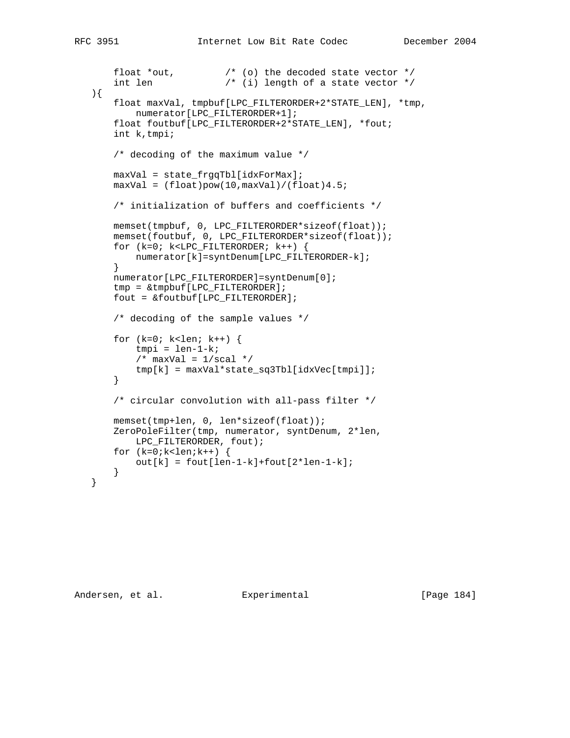```
 float *out, /* (o) the decoded state vector */
 int len /* (i) length of a state vector */
   ){
       float maxVal, tmpbuf[LPC_FILTERORDER+2*STATE_LEN], *tmp,
           numerator[LPC_FILTERORDER+1];
       float foutbuf[LPC_FILTERORDER+2*STATE_LEN], *fout;
       int k,tmpi;
       /* decoding of the maximum value */
       maxVal = state_frgqTbl[idxForMax];
      maxVal = (float)pow(10,maxVal)/(float)4.5; /* initialization of buffers and coefficients */
       memset(tmpbuf, 0, LPC_FILTERORDER*sizeof(float));
       memset(foutbuf, 0, LPC_FILTERORDER*sizeof(float));
       for (k=0; k<LPC_FILTERORDER; k++) {
          numerator[k]=syntDenum[LPC_FILTERORDER-k];
       }
       numerator[LPC_FILTERORDER]=syntDenum[0];
       tmp = &tmpbuf[LPC_FILTERORDER];
       fout = &foutbuf[LPC_FILTERORDER];
       /* decoding of the sample values */
      for (k=0; k<1en; k++) {
          tmpi = len-1-k;/* maxVal = 1/secal */
           tmp[k] = maxVal*state_sq3Tbl[idxVec[tmpi]];
       }
       /* circular convolution with all-pass filter */
       memset(tmp+len, 0, len*sizeof(float));
       ZeroPoleFilter(tmp, numerator, syntDenum, 2*len,
          LPC_FILTERORDER, fout);
      for (k=0; k<len;k++) {
          out[k] = fout[len-1-k]+fout[2*len-1-k]; }
   }
```
Andersen, et al. Experimental Formula (Page 184)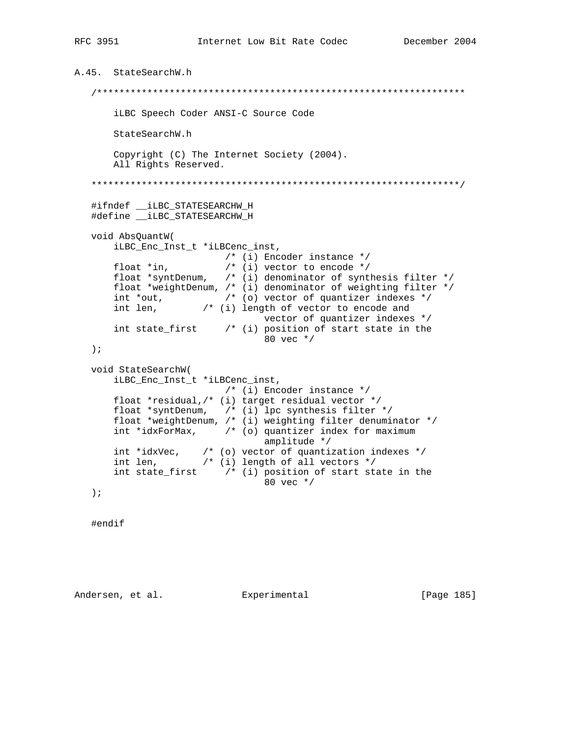```
A.45. StateSearchW.h
   iLBC Speech Coder ANSI-C Source Code
      StateSearchW.h
      Copyright (C) The Internet Society (2004).
      All Rights Reserved.
   #ifndef __iLBC_STATESEARCHW_H
   #define LLBC STATESEARCHW H
  void AbsQuantW(
      iLBC_Enc_Inst_t *iLBCenc_inst,
                         /* (i) Encoder instance */float *in, \frac{1}{2} /* (i) vector to encode */<br>float *syntDenum, /* (i) denominator of synthesis filter */
      float *weightDenum, /* (i) denominator of weighting filter */
      int *out, \qquad /* (o) vector of quantizer indexes */
      int len, /* (i) length of vector to encode and
                                vector of quantizer indexes */
      int state_first \quad /* (i) position of start state in the
                                 80 vec */\rightarrow ;
  void StateSearchW(
      iLBC_Enc_Inst_t *iLBCenc_inst,
                         /* (i) Encoder instance */float *residual, /* (i) target residual vector */
      float *syntDenum, ' (i) lpc synthesis filter */
      float *weightDenum, /* (i) weighting filter denuminator */
      int *idxForMax, \frac{1}{2} /* (o) quantizer index for maximum
                                 amplitude */
      int *idxVec, \frac{1}{2} (o) vector of quantization indexes */<br>int len, \frac{1}{2} (i) length of all vectors */
      int state_first \qquad /* (i) position of start state in the
                                 80 vec */
   \rightarrow ;
```
#endif

Andersen, et al. Experimental

[Page 185]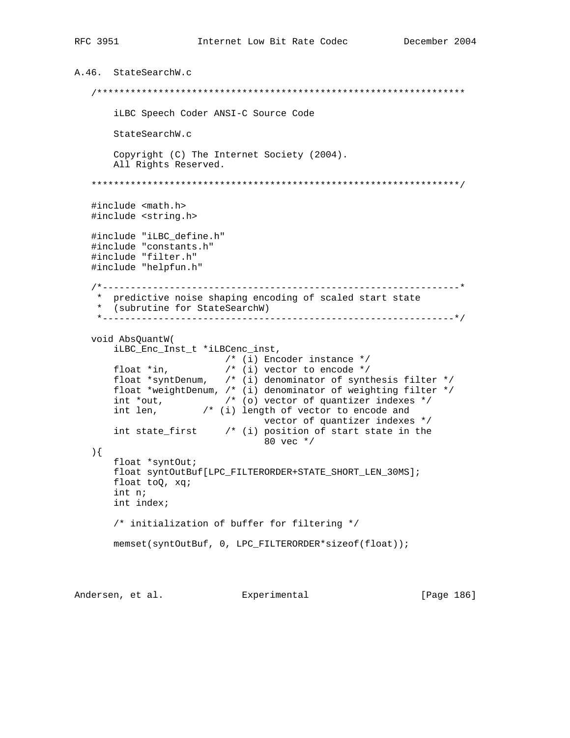```
A.46. StateSearchW.c
    /******************************************************************
       iLBC Speech Coder ANSI-C Source Code
       StateSearchW.c
       Copyright (C) The Internet Society (2004).
       All Rights Reserved.
    ******************************************************************/
    #include <math.h>
    #include <string.h>
    #include "iLBC_define.h"
    #include "constants.h"
    #include "filter.h"
    #include "helpfun.h"
    /*----------------------------------------------------------------*
     * predictive noise shaping encoding of scaled start state
     * (subrutine for StateSearchW)
    *---------------------------------------------------------------*/
    void AbsQuantW(
       iLBC_Enc_Inst_t *iLBCenc_inst,
 /* (i) Encoder instance */
 float *in, /* (i) vector to encode */
 float *syntDenum, /* (i) denominator of synthesis filter */
       float *weightDenum, /* (i) denominator of weighting filter */
 int *out, /* (o) vector of quantizer indexes */
int len, \frac{1}{2} /* (i) length of vector to encode and
                                 vector of quantizer indexes */
       int state_first /* (i) position of start state in the
                                 80 vec */
   ){
       float *syntOut;
       float syntOutBuf[LPC_FILTERORDER+STATE_SHORT_LEN_30MS];
       float toQ, xq;
       int n;
       int index;
       /* initialization of buffer for filtering */
       memset(syntOutBuf, 0, LPC_FILTERORDER*sizeof(float));
```
Andersen, et al. Experimental Formula (Page 186)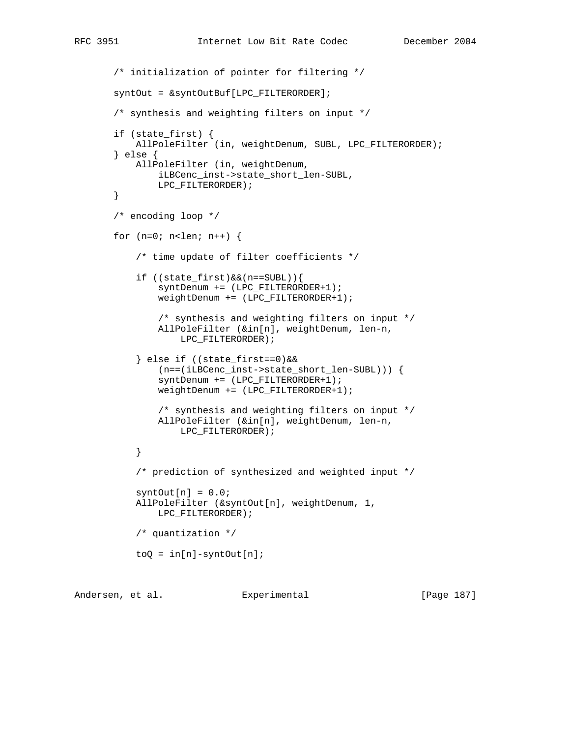```
 /* initialization of pointer for filtering */
       syntOut = &syntOutBuf[LPC_FILTERORDER];
        /* synthesis and weighting filters on input */
        if (state_first) {
           AllPoleFilter (in, weightDenum, SUBL, LPC_FILTERORDER);
        } else {
            AllPoleFilter (in, weightDenum,
                iLBCenc_inst->state_short_len-SUBL,
                LPC_FILTERORDER);
        }
        /* encoding loop */
       for (n=0; n<len; n++) {
            /* time update of filter coefficients */
            if ((state_first)&&(n==SUBL)){
                syntDenum += (LPC_FILTERORDER+1);
                weightDenum += (LPC_FILTERORDER+1);
                /* synthesis and weighting filters on input */
                AllPoleFilter (&in[n], weightDenum, len-n,
                    LPC_FILTERORDER);
            } else if ((state_first==0)&&
                (n==(iLBCenc_inst->state_short_len-SUBL))) {
                syntDenum += (LPC_FILTERORDER+1);
                weightDenum += (LPC_FILTERORDER+1);
                /* synthesis and weighting filters on input */
                AllPoleFilter (&in[n], weightDenum, len-n,
                    LPC_FILTERORDER);
 }
            /* prediction of synthesized and weighted input */
           syntOut[n] = 0.0; AllPoleFilter (&syntOut[n], weightDenum, 1,
                LPC_FILTERORDER);
            /* quantization */
           toQ = in[n]-syntOut[n];
```
Andersen, et al. Experimental [Page 187]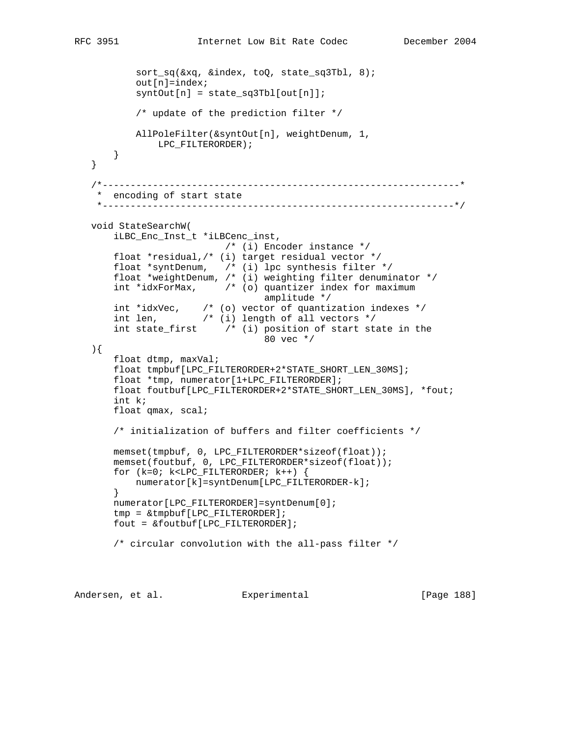```
 sort_sq(&xq, &index, toQ, state_sq3Tbl, 8);
          out[n] = index;symbOut[n] = state_sq3Tbl[out[n]]; /* update of the prediction filter */
           AllPoleFilter(&syntOut[n], weightDenum, 1,
              LPC_FILTERORDER);
      }
   }
   /*----------------------------------------------------------------*
    * encoding of start state
    *---------------------------------------------------------------*/
   void StateSearchW(
       iLBC_Enc_Inst_t *iLBCenc_inst,
                          /* (i) Encoder instance */
       float *residual,/* (i) target residual vector */
 float *syntDenum, /* (i) lpc synthesis filter */
 float *weightDenum, /* (i) weighting filter denuminator */
       int *idxForMax, /* (o) quantizer index for maximum
                                  amplitude */
 int *idxVec, /* (o) vector of quantization indexes */
 int len, /* (i) length of all vectors */
      int state_first ( /* (i) position of start state in the
                                  80 vec */
   ){
       float dtmp, maxVal;
       float tmpbuf[LPC_FILTERORDER+2*STATE_SHORT_LEN_30MS];
       float *tmp, numerator[1+LPC_FILTERORDER];
       float foutbuf[LPC_FILTERORDER+2*STATE_SHORT_LEN_30MS], *fout;
       int k;
       float qmax, scal;
       /* initialization of buffers and filter coefficients */
       memset(tmpbuf, 0, LPC_FILTERORDER*sizeof(float));
       memset(foutbuf, 0, LPC_FILTERORDER*sizeof(float));
       for (k=0; k<LPC_FILTERORDER; k++) {
           numerator[k]=syntDenum[LPC_FILTERORDER-k];
       }
       numerator[LPC_FILTERORDER]=syntDenum[0];
       tmp = &tmpbuf[LPC_FILTERORDER];
       fout = &foutbuf[LPC_FILTERORDER];
       /* circular convolution with the all-pass filter */
```
Andersen, et al. Experimental Frage 188]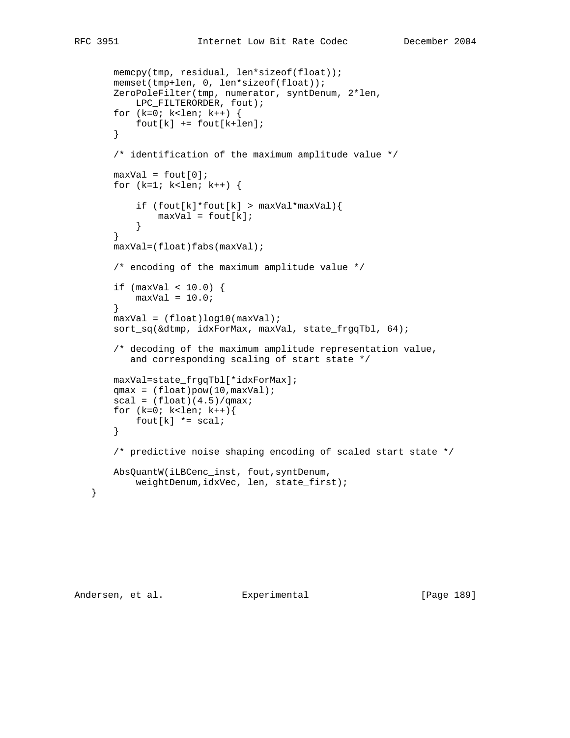```
 memcpy(tmp, residual, len*sizeof(float));
       memset(tmp+len, 0, len*sizeof(float));
       ZeroPoleFilter(tmp, numerator, syntDenum, 2*len,
           LPC_FILTERORDER, fout);
       for (k=0; k<len; k++) {
          fout[k] += fout[k+len]; }
       /* identification of the maximum amplitude value */
      maxVal = fout[0];for (k=1; k<1) k++) {
           if (fout[k]*four[k] > maxVal*maxVal)maxVal = fout[k]; }
        }
       maxVal=(float)fabs(maxVal);
       /* encoding of the maximum amplitude value */
      if (maxVal < 10.0) {
          maxVal = 10.0; }
       maxVal = (float)log10(maxVal);
       sort_sq(&dtmp, idxForMax, maxVal, state_frgqTbl, 64);
       /* decoding of the maximum amplitude representation value,
          and corresponding scaling of start state */
       maxVal=state_frgqTbl[*idxForMax];
      qmax = (float)pow(10,maxVal);scal = (float)(4.5)/qmax;for (k=0; k<1en; k++)fout[k] *= scal;
       }
       /* predictive noise shaping encoding of scaled start state */
       AbsQuantW(iLBCenc_inst, fout,syntDenum,
           weightDenum,idxVec, len, state_first);
```
Andersen, et al. Experimental Formula (Page 189)

}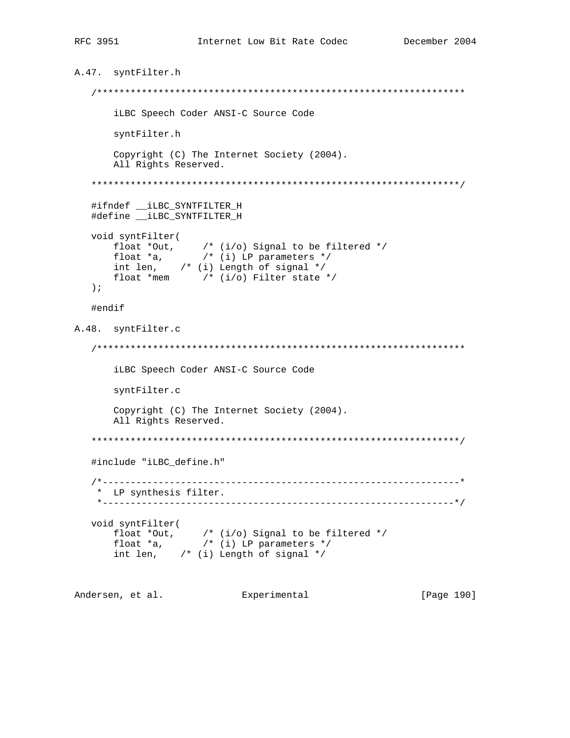```
A.47. syntFilter.h
  iLBC Speech Coder ANSI-C Source Code
     syntFilter.h
     Copyright (C) The Internet Society (2004).
     All Rights Reserved.
  #ifndef __iLBC_SYNTFILTER_H
  void syntFilter<br>
float *Out, /* (i/o) Signal to be filtered */<br>
float *a, /* (i) LP parameters */<br>
int len, /* (i) Length of signal */<br>
int len, /* (i) Length of signal */
     float *mem /* (i/o) Filter state */
  \rightarrow ;
  #endif
A.48. syntFilter.c
  iLBC Speech Coder ANSI-C Source Code
     syntFilter.c
     Copyright (C) The Internet Society (2004).
     All Rights Reserved.
  #include "iLBC_define.h"
  * LP synthesis filter.
  void syntFilter(
     float *Out, \prime * (i/o) Signal to be filtered */<br>float *a, \prime * (i) LP parameters */<br>int len, \prime * (i) Length of signal */
Andersen, et al. Experimental [Page 190]
```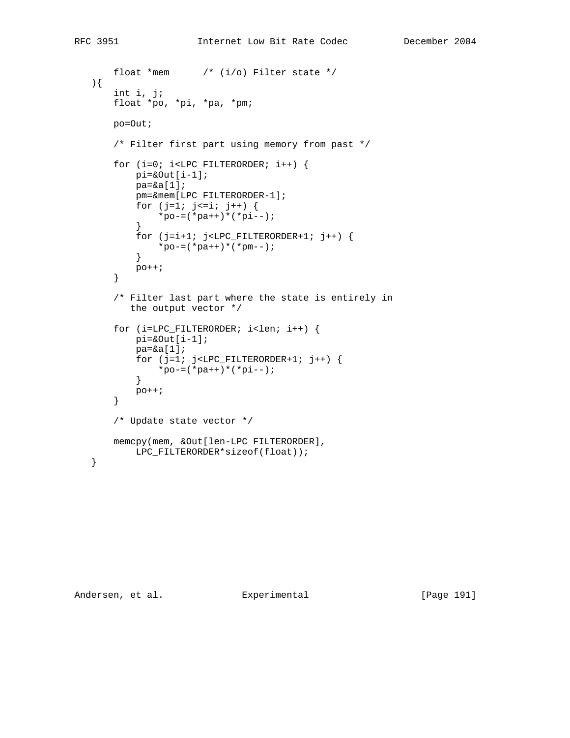```
float *mem /* (i/o) Filter state */
   ){
        int i, j;
        float *po, *pi, *pa, *pm;
        po=Out;
        /* Filter first part using memory from past */
       for (i=0; i<LPC_FILTERORDER; i++) {
           pi = \&Out[i-1];
            pa=&a[1];
            pm=&mem[LPC_FILTERORDER-1];
           for (j=1; j<=i; j++) {
               *_{po-}=(*_{pa++})*(*pi--); }
           for (j=i+1; j<LPC_FILTERORDER+1; j++) {
              *_{po-}=(*_{pa++})*(*_{pm--}); }
            po++;
        }
        /* Filter last part where the state is entirely in
           the output vector */
        for (i=LPC_FILTERORDER; i<len; i++) {
           pi = \&Out[i-1];
           pa = \&a[1];for (j=1; j<LPC_FILTERORDER+1; j++) {
               *_{po-} (*_{pa++}) *(*pi--);
            }
           po++;
        }
        /* Update state vector */
        memcpy(mem, &Out[len-LPC_FILTERORDER],
           LPC_FILTERORDER*sizeof(float));
   }
```
Andersen, et al. Experimental [Page 191]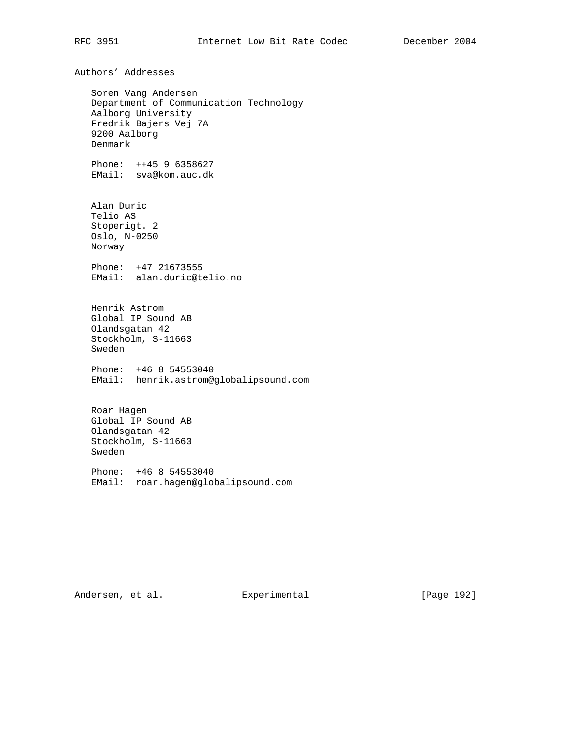Authors' Addresses Soren Vang Andersen Department of Communication Technology Aalborg University Fredrik Bajers Vej 7A 9200 Aalborg Denmark Phone: ++45 9 6358627 EMail: sva@kom.auc.dk Alan Duric Telio AS Stoperigt. 2 Oslo, N-0250 Norway Phone: +47 21673555 EMail: alan.duric@telio.no Henrik Astrom Global IP Sound AB Olandsgatan 42 Stockholm, S-11663 Sweden Phone: +46 8 54553040 EMail: henrik.astrom@globalipsound.com Roar Hagen Global IP Sound AB Olandsgatan 42 Stockholm, S-11663 Sweden Phone: +46 8 54553040 EMail: roar.hagen@globalipsound.com

Andersen, et al. Experimental [Page 192]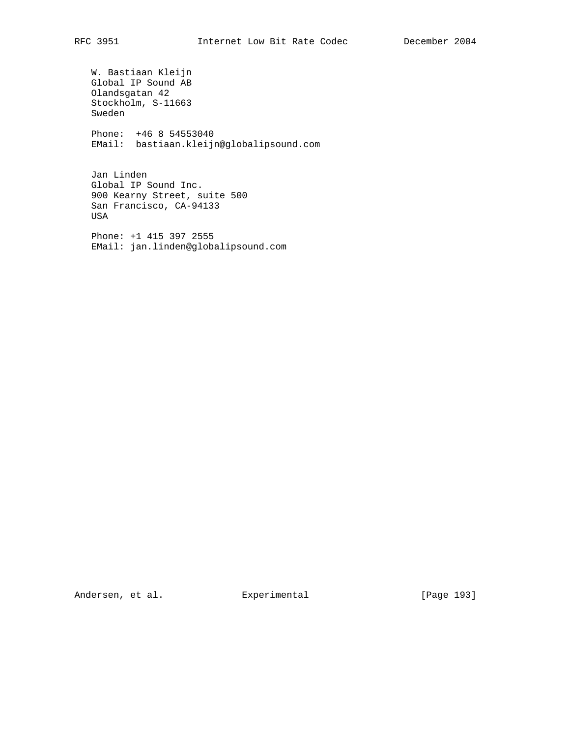W. Bastiaan Kleijn Global IP Sound AB Olandsgatan 42 Stockholm, S-11663 Sweden Phone: +46 8 54553040 EMail: bastiaan.kleijn@globalipsound.com

 Jan Linden Global IP Sound Inc. 900 Kearny Street, suite 500 San Francisco, CA-94133 USA

 Phone: +1 415 397 2555 EMail: jan.linden@globalipsound.com